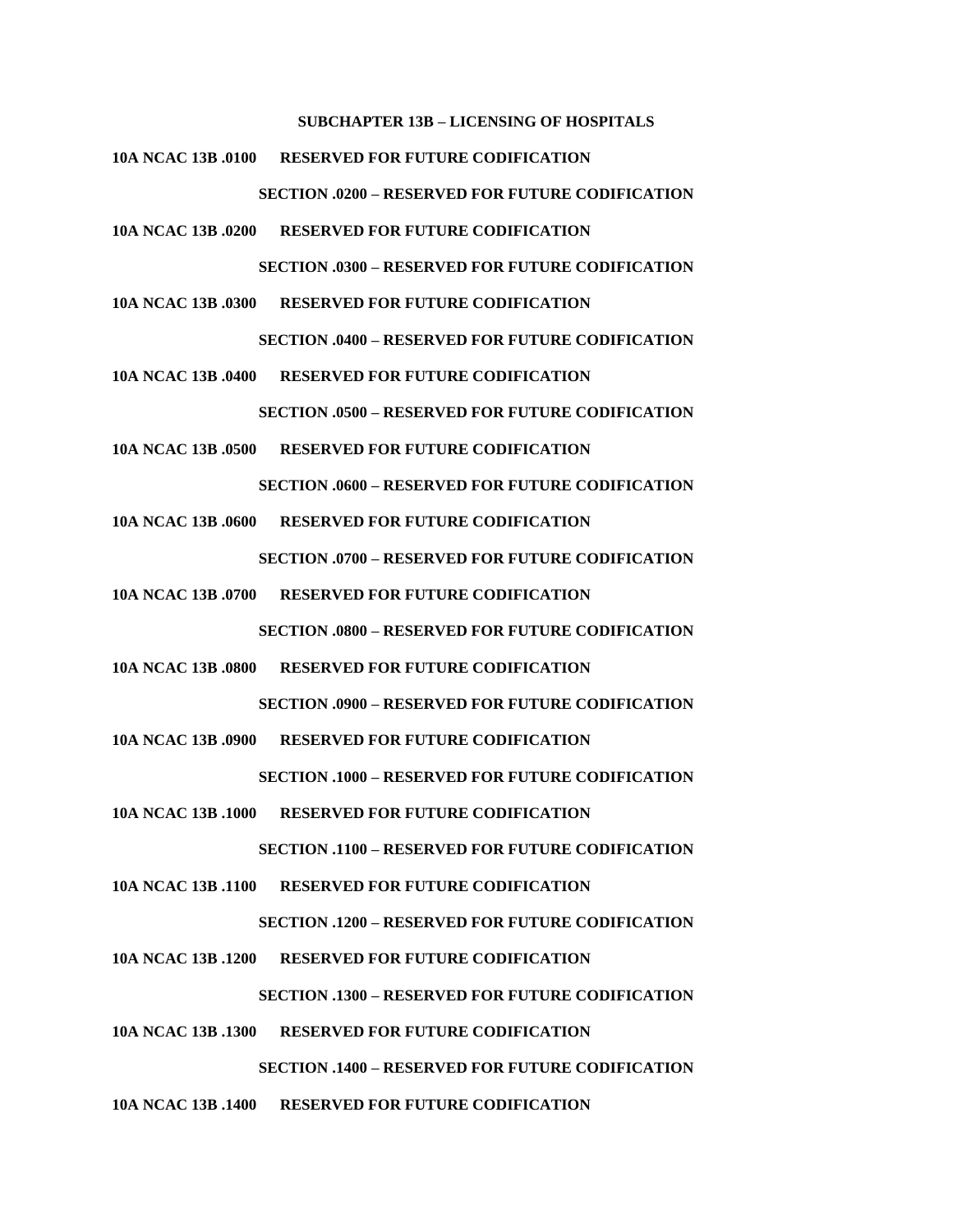#### **SUBCHAPTER 13B – LICENSING OF HOSPITALS**

**10A NCAC 13B .0100 RESERVED FOR FUTURE CODIFICATION**

**SECTION .0200 – RESERVED FOR FUTURE CODIFICATION**

**10A NCAC 13B .0200 RESERVED FOR FUTURE CODIFICATION**

**SECTION .0300 – RESERVED FOR FUTURE CODIFICATION**

**10A NCAC 13B .0300 RESERVED FOR FUTURE CODIFICATION**

**SECTION .0400 – RESERVED FOR FUTURE CODIFICATION**

**10A NCAC 13B .0400 RESERVED FOR FUTURE CODIFICATION**

**SECTION .0500 – RESERVED FOR FUTURE CODIFICATION**

**10A NCAC 13B .0500 RESERVED FOR FUTURE CODIFICATION**

**SECTION .0600 – RESERVED FOR FUTURE CODIFICATION**

**10A NCAC 13B .0600 RESERVED FOR FUTURE CODIFICATION**

**SECTION .0700 – RESERVED FOR FUTURE CODIFICATION**

**10A NCAC 13B .0700 RESERVED FOR FUTURE CODIFICATION**

**SECTION .0800 – RESERVED FOR FUTURE CODIFICATION**

**10A NCAC 13B .0800 RESERVED FOR FUTURE CODIFICATION**

**SECTION .0900 – RESERVED FOR FUTURE CODIFICATION**

**10A NCAC 13B .0900 RESERVED FOR FUTURE CODIFICATION**

**SECTION .1000 – RESERVED FOR FUTURE CODIFICATION**

**10A NCAC 13B .1000 RESERVED FOR FUTURE CODIFICATION**

**SECTION .1100 – RESERVED FOR FUTURE CODIFICATION**

**10A NCAC 13B .1100 RESERVED FOR FUTURE CODIFICATION**

**SECTION .1200 – RESERVED FOR FUTURE CODIFICATION**

**10A NCAC 13B .1200 RESERVED FOR FUTURE CODIFICATION**

**SECTION .1300 – RESERVED FOR FUTURE CODIFICATION**

**10A NCAC 13B .1300 RESERVED FOR FUTURE CODIFICATION**

**SECTION .1400 – RESERVED FOR FUTURE CODIFICATION**

**10A NCAC 13B .1400 RESERVED FOR FUTURE CODIFICATION**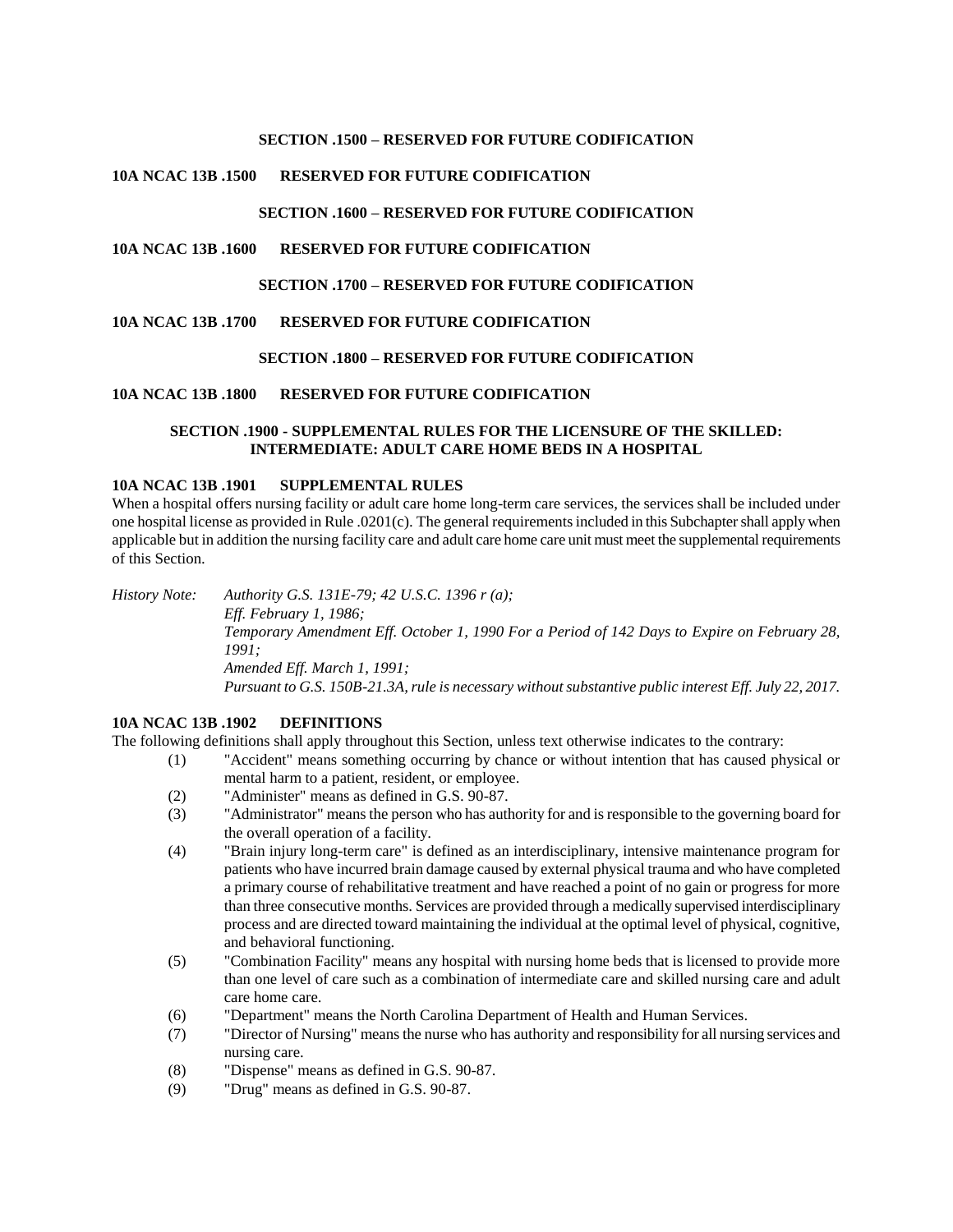### **SECTION .1500 – RESERVED FOR FUTURE CODIFICATION**

## **10A NCAC 13B .1500 RESERVED FOR FUTURE CODIFICATION**

## **SECTION .1600 – RESERVED FOR FUTURE CODIFICATION**

## **10A NCAC 13B .1600 RESERVED FOR FUTURE CODIFICATION**

### **SECTION .1700 – RESERVED FOR FUTURE CODIFICATION**

### **10A NCAC 13B .1700 RESERVED FOR FUTURE CODIFICATION**

### **SECTION .1800 – RESERVED FOR FUTURE CODIFICATION**

### **10A NCAC 13B .1800 RESERVED FOR FUTURE CODIFICATION**

# **SECTION .1900 - SUPPLEMENTAL RULES FOR THE LICENSURE OF THE SKILLED: INTERMEDIATE: ADULT CARE HOME BEDS IN A HOSPITAL**

### **10A NCAC 13B .1901 SUPPLEMENTAL RULES**

When a hospital offers nursing facility or adult care home long-term care services, the services shall be included under one hospital license as provided in Rule .0201(c). The general requirements included in this Subchapter shall apply when applicable but in addition the nursing facility care and adult care home care unit must meet the supplemental requirements of this Section.

*History Note: Authority G.S. 131E-79; 42 U.S.C. 1396 r (a); Eff. February 1, 1986; Temporary Amendment Eff. October 1, 1990 For a Period of 142 Days to Expire on February 28, 1991; Amended Eff. March 1, 1991; Pursuant to G.S. 150B-21.3A, rule is necessary without substantive public interest Eff. July 22, 2017.*

### **10A NCAC 13B .1902 DEFINITIONS**

The following definitions shall apply throughout this Section, unless text otherwise indicates to the contrary:

- (1) "Accident" means something occurring by chance or without intention that has caused physical or mental harm to a patient, resident, or employee.
- (2) "Administer" means as defined in G.S. 90-87.
- (3) "Administrator" means the person who has authority for and is responsible to the governing board for the overall operation of a facility.
- (4) "Brain injury long-term care" is defined as an interdisciplinary, intensive maintenance program for patients who have incurred brain damage caused by external physical trauma and who have completed a primary course of rehabilitative treatment and have reached a point of no gain or progress for more than three consecutive months. Services are provided through a medically supervised interdisciplinary process and are directed toward maintaining the individual at the optimal level of physical, cognitive, and behavioral functioning.
- (5) "Combination Facility" means any hospital with nursing home beds that is licensed to provide more than one level of care such as a combination of intermediate care and skilled nursing care and adult care home care.
- (6) "Department" means the North Carolina Department of Health and Human Services.
- (7) "Director of Nursing" means the nurse who has authority and responsibility for all nursing services and nursing care.
- (8) "Dispense" means as defined in G.S. 90-87.
- (9) "Drug" means as defined in G.S. 90-87.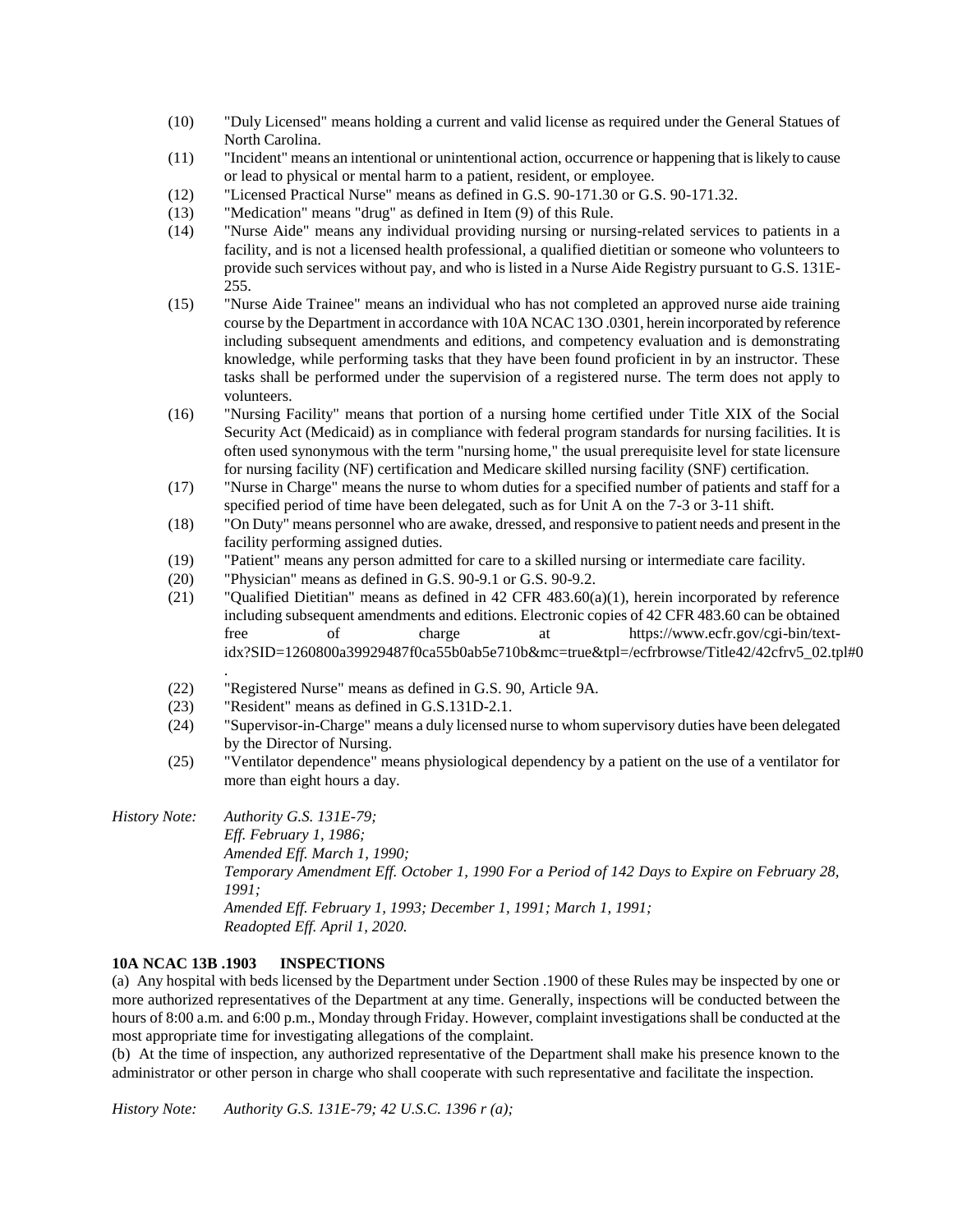- (10) "Duly Licensed" means holding a current and valid license as required under the General Statues of North Carolina.
- (11) "Incident" means an intentional or unintentional action, occurrence or happening that is likely to cause or lead to physical or mental harm to a patient, resident, or employee.
- (12) "Licensed Practical Nurse" means as defined in G.S. 90-171.30 or G.S. 90-171.32.
- (13) "Medication" means "drug" as defined in Item (9) of this Rule.
- (14) "Nurse Aide" means any individual providing nursing or nursing-related services to patients in a facility, and is not a licensed health professional, a qualified dietitian or someone who volunteers to provide such services without pay, and who is listed in a Nurse Aide Registry pursuant to G.S. 131E-255.
- (15) "Nurse Aide Trainee" means an individual who has not completed an approved nurse aide training course by the Department in accordance with 10A NCAC 13O .0301, herein incorporated by reference including subsequent amendments and editions, and competency evaluation and is demonstrating knowledge, while performing tasks that they have been found proficient in by an instructor. These tasks shall be performed under the supervision of a registered nurse. The term does not apply to volunteers.
- (16) "Nursing Facility" means that portion of a nursing home certified under Title XIX of the Social Security Act (Medicaid) as in compliance with federal program standards for nursing facilities. It is often used synonymous with the term "nursing home," the usual prerequisite level for state licensure for nursing facility (NF) certification and Medicare skilled nursing facility (SNF) certification.
- (17) "Nurse in Charge" means the nurse to whom duties for a specified number of patients and staff for a specified period of time have been delegated, such as for Unit A on the 7-3 or 3-11 shift.
- (18) "On Duty" means personnel who are awake, dressed, and responsive to patient needs and present in the facility performing assigned duties.
- (19) "Patient" means any person admitted for care to a skilled nursing or intermediate care facility.
- (20) "Physician" means as defined in G.S. 90-9.1 or G.S. 90-9.2.
- (21) "Qualified Dietitian" means as defined in 42 CFR  $483.60(a)(1)$ , herein incorporated by reference including subsequent amendments and editions. Electronic copies of 42 CFR 483.60 can be obtained free of charge at https://www.ecfr.gov/cgi-bin/textidx?SID=1260800a39929487f0ca55b0ab5e710b&mc=true&tpl=/ecfrbrowse/Title42/42cfrv5\_02.tpl#0
- (22) "Registered Nurse" means as defined in G.S. 90, Article 9A.
- (23) "Resident" means as defined in G.S.131D-2.1.
- (24) "Supervisor-in-Charge" means a duly licensed nurse to whom supervisory duties have been delegated by the Director of Nursing.
- (25) "Ventilator dependence" means physiological dependency by a patient on the use of a ventilator for more than eight hours a day.

*History Note: Authority G.S. 131E-79; Eff. February 1, 1986; Amended Eff. March 1, 1990; Temporary Amendment Eff. October 1, 1990 For a Period of 142 Days to Expire on February 28, 1991; Amended Eff. February 1, 1993; December 1, 1991; March 1, 1991; Readopted Eff. April 1, 2020.*

### **10A NCAC 13B .1903 INSPECTIONS**

.

(a) Any hospital with beds licensed by the Department under Section .1900 of these Rules may be inspected by one or more authorized representatives of the Department at any time. Generally, inspections will be conducted between the hours of 8:00 a.m. and 6:00 p.m., Monday through Friday. However, complaint investigations shall be conducted at the most appropriate time for investigating allegations of the complaint.

(b) At the time of inspection, any authorized representative of the Department shall make his presence known to the administrator or other person in charge who shall cooperate with such representative and facilitate the inspection.

*History Note: Authority G.S. 131E-79; 42 U.S.C. 1396 r (a);*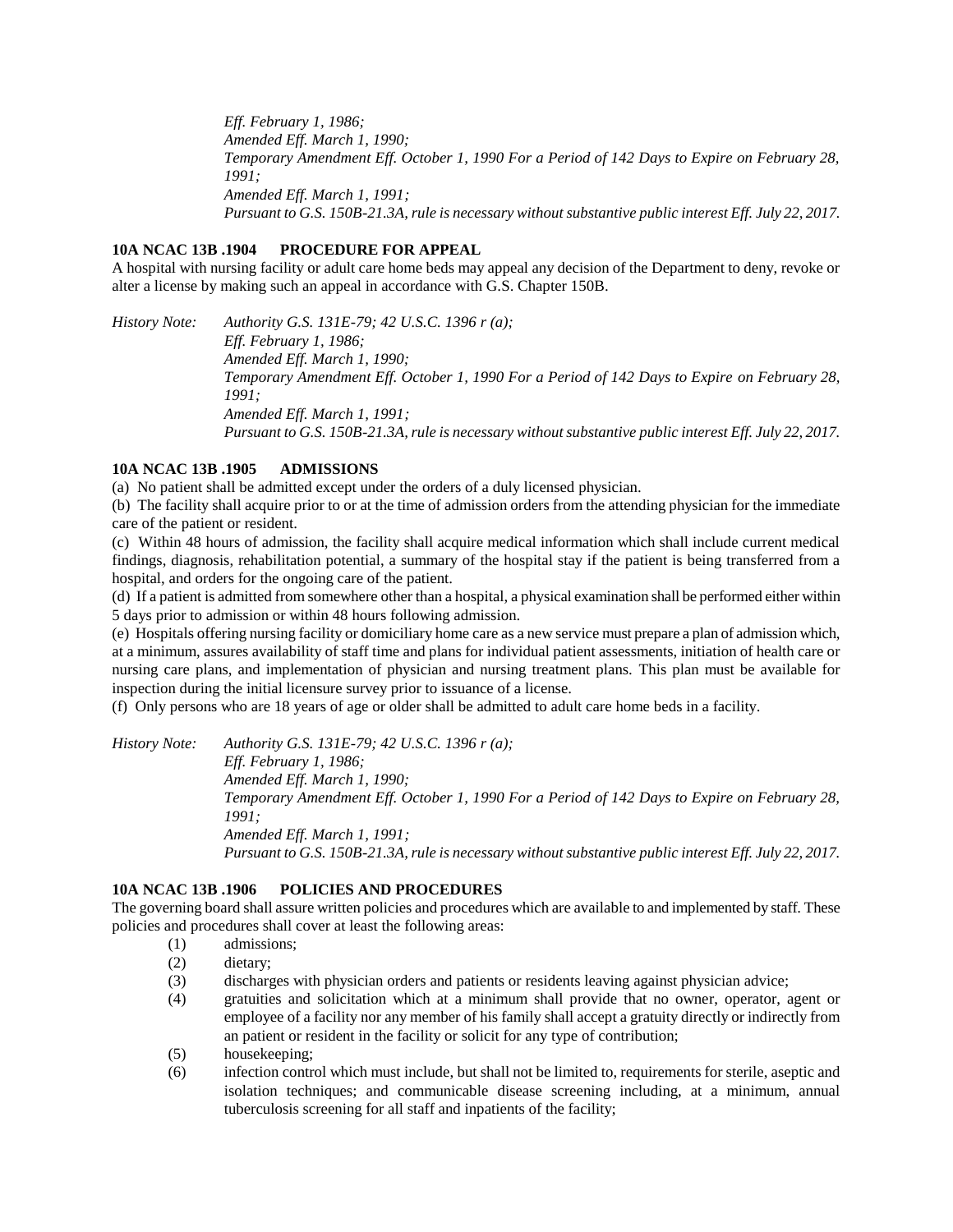*Eff. February 1, 1986; Amended Eff. March 1, 1990; Temporary Amendment Eff. October 1, 1990 For a Period of 142 Days to Expire on February 28, 1991; Amended Eff. March 1, 1991; Pursuant to G.S. 150B-21.3A, rule is necessary without substantive public interest Eff. July 22, 2017.*

### **10A NCAC 13B .1904 PROCEDURE FOR APPEAL**

A hospital with nursing facility or adult care home beds may appeal any decision of the Department to deny, revoke or alter a license by making such an appeal in accordance with G.S. Chapter 150B.

*History Note: Authority G.S. 131E-79; 42 U.S.C. 1396 r (a); Eff. February 1, 1986; Amended Eff. March 1, 1990; Temporary Amendment Eff. October 1, 1990 For a Period of 142 Days to Expire on February 28, 1991; Amended Eff. March 1, 1991; Pursuant to G.S. 150B-21.3A, rule is necessary without substantive public interest Eff. July 22, 2017.*

### **10A NCAC 13B .1905 ADMISSIONS**

(a) No patient shall be admitted except under the orders of a duly licensed physician.

(b) The facility shall acquire prior to or at the time of admission orders from the attending physician for the immediate care of the patient or resident.

(c) Within 48 hours of admission, the facility shall acquire medical information which shall include current medical findings, diagnosis, rehabilitation potential, a summary of the hospital stay if the patient is being transferred from a hospital, and orders for the ongoing care of the patient.

(d) If a patient is admitted from somewhere other than a hospital, a physical examination shall be performed either within 5 days prior to admission or within 48 hours following admission.

(e) Hospitals offering nursing facility or domiciliary home care as a new service must prepare a plan of admission which, at a minimum, assures availability of staff time and plans for individual patient assessments, initiation of health care or nursing care plans, and implementation of physician and nursing treatment plans. This plan must be available for inspection during the initial licensure survey prior to issuance of a license.

(f) Only persons who are 18 years of age or older shall be admitted to adult care home beds in a facility.

*History Note: Authority G.S. 131E-79; 42 U.S.C. 1396 r (a);*

*Eff. February 1, 1986;*

*Amended Eff. March 1, 1990; Temporary Amendment Eff. October 1, 1990 For a Period of 142 Days to Expire on February 28, 1991;*

*Amended Eff. March 1, 1991; Pursuant to G.S. 150B-21.3A, rule is necessary without substantive public interest Eff. July 22, 2017.*

# **10A NCAC 13B .1906 POLICIES AND PROCEDURES**

The governing board shall assure written policies and procedures which are available to and implemented by staff. These policies and procedures shall cover at least the following areas:

- (1) admissions;
- (2) dietary;
- (3) discharges with physician orders and patients or residents leaving against physician advice;
- (4) gratuities and solicitation which at a minimum shall provide that no owner, operator, agent or employee of a facility nor any member of his family shall accept a gratuity directly or indirectly from an patient or resident in the facility or solicit for any type of contribution;
- (5) housekeeping;
- (6) infection control which must include, but shall not be limited to, requirements for sterile, aseptic and isolation techniques; and communicable disease screening including, at a minimum, annual tuberculosis screening for all staff and inpatients of the facility;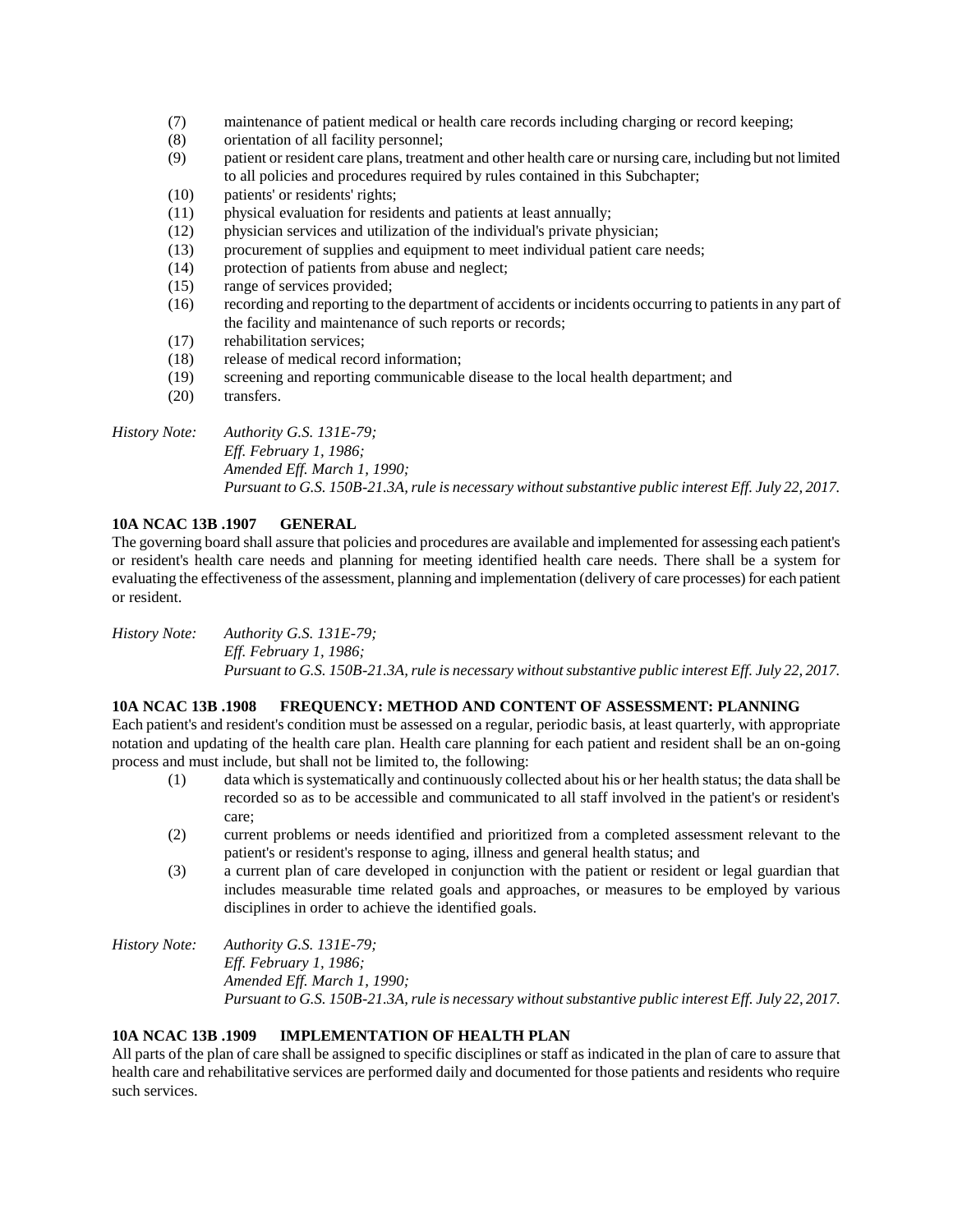- (7) maintenance of patient medical or health care records including charging or record keeping;
- (8) orientation of all facility personnel;
- (9) patient or resident care plans, treatment and other health care or nursing care, including but not limited to all policies and procedures required by rules contained in this Subchapter;
- (10) patients' or residents' rights;
- (11) physical evaluation for residents and patients at least annually;
- (12) physician services and utilization of the individual's private physician;
- (13) procurement of supplies and equipment to meet individual patient care needs;
- (14) protection of patients from abuse and neglect;
- (15) range of services provided;
- (16) recording and reporting to the department of accidents or incidents occurring to patients in any part of the facility and maintenance of such reports or records;
- (17) rehabilitation services;
- (18) release of medical record information;
- (19) screening and reporting communicable disease to the local health department; and
- (20) transfers.

# *History Note: Authority G.S. 131E-79; Eff. February 1, 1986; Amended Eff. March 1, 1990; Pursuant to G.S. 150B-21.3A, rule is necessary without substantive public interest Eff. July 22, 2017.*

# **10A NCAC 13B .1907 GENERAL**

The governing board shall assure that policies and procedures are available and implemented for assessing each patient's or resident's health care needs and planning for meeting identified health care needs. There shall be a system for evaluating the effectiveness of the assessment, planning and implementation (delivery of care processes) for each patient or resident.

*History Note: Authority G.S. 131E-79; Eff. February 1, 1986; Pursuant to G.S. 150B-21.3A, rule is necessary without substantive public interest Eff. July 22, 2017.*

# **10A NCAC 13B .1908 FREQUENCY: METHOD AND CONTENT OF ASSESSMENT: PLANNING**

Each patient's and resident's condition must be assessed on a regular, periodic basis, at least quarterly, with appropriate notation and updating of the health care plan. Health care planning for each patient and resident shall be an on-going process and must include, but shall not be limited to, the following:

- (1) data which is systematically and continuously collected about his or her health status; the data shall be recorded so as to be accessible and communicated to all staff involved in the patient's or resident's care;
- (2) current problems or needs identified and prioritized from a completed assessment relevant to the patient's or resident's response to aging, illness and general health status; and
- (3) a current plan of care developed in conjunction with the patient or resident or legal guardian that includes measurable time related goals and approaches, or measures to be employed by various disciplines in order to achieve the identified goals.

## *History Note: Authority G.S. 131E-79; Eff. February 1, 1986; Amended Eff. March 1, 1990; Pursuant to G.S. 150B-21.3A, rule is necessary without substantive public interest Eff. July 22, 2017.*

# **10A NCAC 13B .1909 IMPLEMENTATION OF HEALTH PLAN**

All parts of the plan of care shall be assigned to specific disciplines or staff as indicated in the plan of care to assure that health care and rehabilitative services are performed daily and documented for those patients and residents who require such services.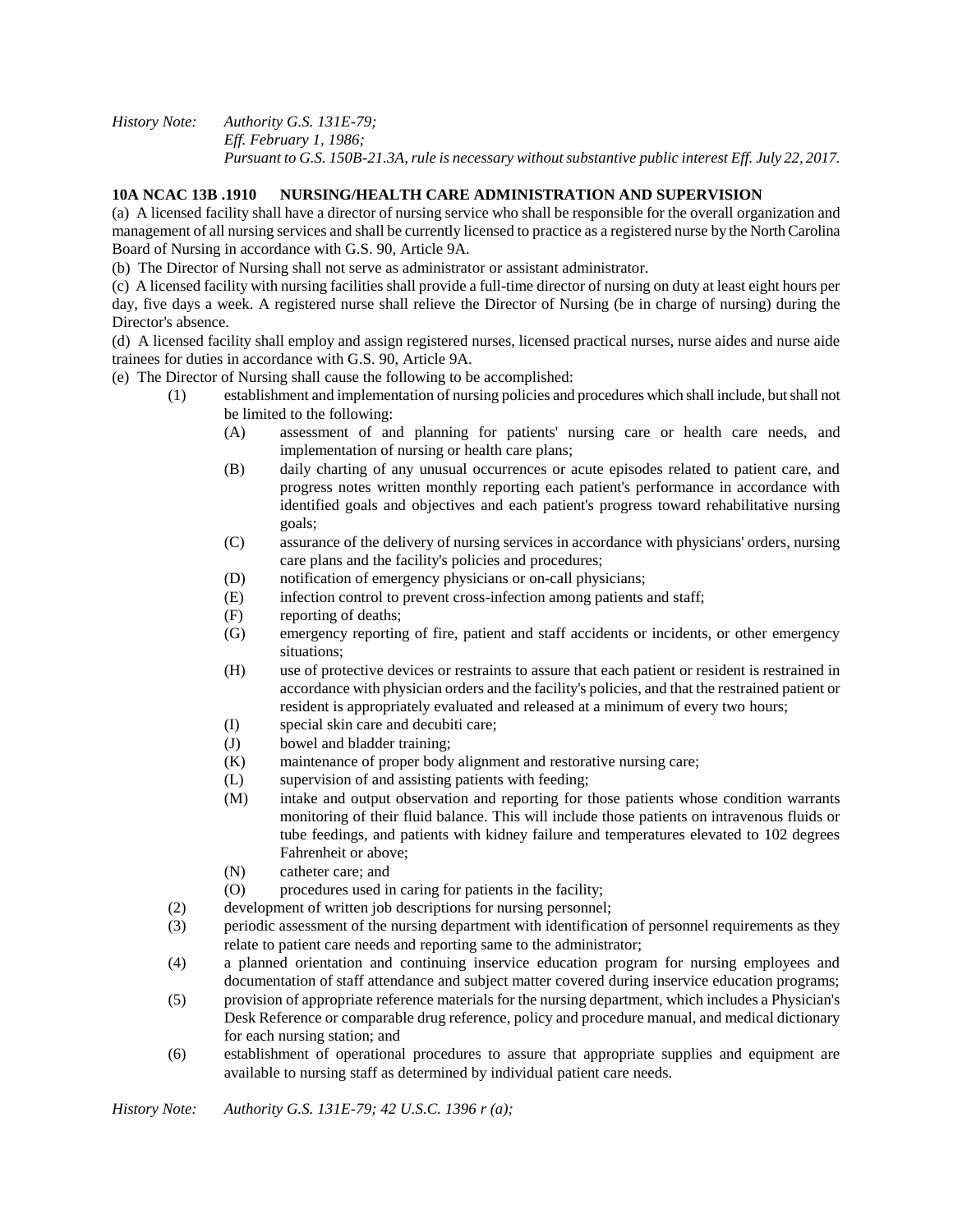*History Note: Authority G.S. 131E-79; Eff. February 1, 1986; Pursuant to G.S. 150B-21.3A, rule is necessary without substantive public interest Eff. July 22, 2017.*

## **10A NCAC 13B .1910 NURSING/HEALTH CARE ADMINISTRATION AND SUPERVISION**

(a) A licensed facility shall have a director of nursing service who shall be responsible for the overall organization and management of all nursing services and shall be currently licensed to practice as a registered nurse by the North Carolina Board of Nursing in accordance with G.S. 90, Article 9A.

(b) The Director of Nursing shall not serve as administrator or assistant administrator.

(c) A licensed facility with nursing facilities shall provide a full-time director of nursing on duty at least eight hours per day, five days a week. A registered nurse shall relieve the Director of Nursing (be in charge of nursing) during the Director's absence.

(d) A licensed facility shall employ and assign registered nurses, licensed practical nurses, nurse aides and nurse aide trainees for duties in accordance with G.S. 90, Article 9A.

(e) The Director of Nursing shall cause the following to be accomplished:

- (1) establishment and implementation of nursing policies and procedures which shall include, but shall not be limited to the following:
	- (A) assessment of and planning for patients' nursing care or health care needs, and implementation of nursing or health care plans;
	- (B) daily charting of any unusual occurrences or acute episodes related to patient care, and progress notes written monthly reporting each patient's performance in accordance with identified goals and objectives and each patient's progress toward rehabilitative nursing goals;
	- (C) assurance of the delivery of nursing services in accordance with physicians' orders, nursing care plans and the facility's policies and procedures;
	- (D) notification of emergency physicians or on-call physicians;
	- (E) infection control to prevent cross-infection among patients and staff;
	- (F) reporting of deaths;
	- (G) emergency reporting of fire, patient and staff accidents or incidents, or other emergency situations;
	- (H) use of protective devices or restraints to assure that each patient or resident is restrained in accordance with physician orders and the facility's policies, and that the restrained patient or resident is appropriately evaluated and released at a minimum of every two hours;
	- (I) special skin care and decubiti care;
	- (J) bowel and bladder training;
	- (K) maintenance of proper body alignment and restorative nursing care;
	- (L) supervision of and assisting patients with feeding;
	- (M) intake and output observation and reporting for those patients whose condition warrants monitoring of their fluid balance. This will include those patients on intravenous fluids or tube feedings, and patients with kidney failure and temperatures elevated to 102 degrees Fahrenheit or above;
	- (N) catheter care; and
	- (O) procedures used in caring for patients in the facility;
	- (2) development of written job descriptions for nursing personnel;
	- (3) periodic assessment of the nursing department with identification of personnel requirements as they relate to patient care needs and reporting same to the administrator;
	- (4) a planned orientation and continuing inservice education program for nursing employees and documentation of staff attendance and subject matter covered during inservice education programs;
	- (5) provision of appropriate reference materials for the nursing department, which includes a Physician's Desk Reference or comparable drug reference, policy and procedure manual, and medical dictionary for each nursing station; and
	- (6) establishment of operational procedures to assure that appropriate supplies and equipment are available to nursing staff as determined by individual patient care needs.

*History Note: Authority G.S. 131E-79; 42 U.S.C. 1396 r (a);*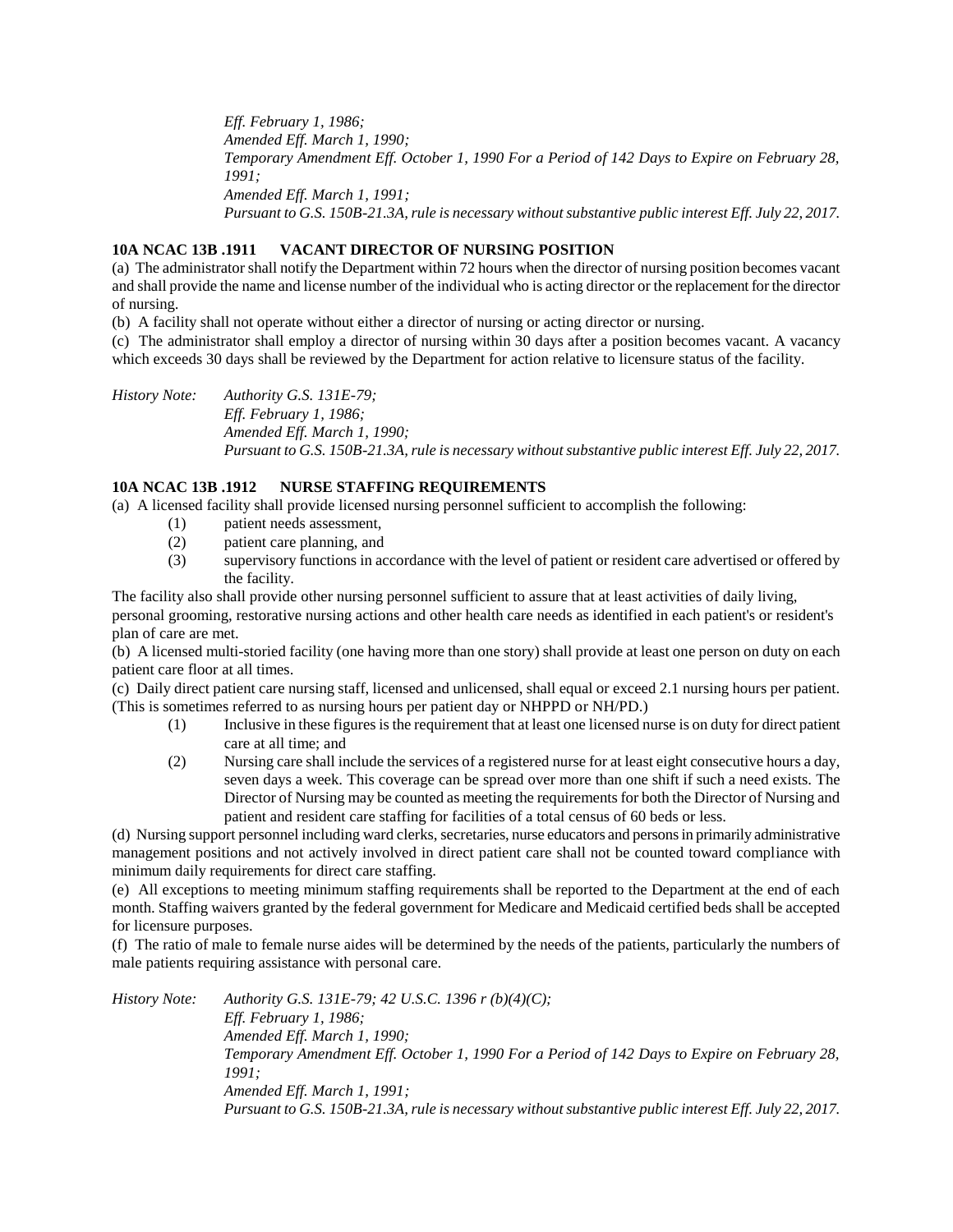*Eff. February 1, 1986; Amended Eff. March 1, 1990; Temporary Amendment Eff. October 1, 1990 For a Period of 142 Days to Expire on February 28, 1991; Amended Eff. March 1, 1991; Pursuant to G.S. 150B-21.3A, rule is necessary without substantive public interest Eff. July 22, 2017.*

## **10A NCAC 13B .1911 VACANT DIRECTOR OF NURSING POSITION**

(a) The administrator shall notify the Department within 72 hours when the director of nursing position becomes vacant and shall provide the name and license number of the individual who is acting director or the replacement for the director of nursing.

(b) A facility shall not operate without either a director of nursing or acting director or nursing.

(c) The administrator shall employ a director of nursing within 30 days after a position becomes vacant. A vacancy which exceeds 30 days shall be reviewed by the Department for action relative to licensure status of the facility.

*History Note: Authority G.S. 131E-79; Eff. February 1, 1986; Amended Eff. March 1, 1990; Pursuant to G.S. 150B-21.3A, rule is necessary without substantive public interest Eff. July 22, 2017.*

### **10A NCAC 13B .1912 NURSE STAFFING REQUIREMENTS**

(a) A licensed facility shall provide licensed nursing personnel sufficient to accomplish the following:

- (1) patient needs assessment,
- (2) patient care planning, and
- (3) supervisory functions in accordance with the level of patient or resident care advertised or offered by the facility.

The facility also shall provide other nursing personnel sufficient to assure that at least activities of daily living, personal grooming, restorative nursing actions and other health care needs as identified in each patient's or resident's plan of care are met.

(b) A licensed multi-storied facility (one having more than one story) shall provide at least one person on duty on each patient care floor at all times.

(c) Daily direct patient care nursing staff, licensed and unlicensed, shall equal or exceed 2.1 nursing hours per patient. (This is sometimes referred to as nursing hours per patient day or NHPPD or NH/PD.)

- (1) Inclusive in these figures is the requirement that at least one licensed nurse is on duty for direct patient care at all time; and
- (2) Nursing care shall include the services of a registered nurse for at least eight consecutive hours a day, seven days a week. This coverage can be spread over more than one shift if such a need exists. The Director of Nursing may be counted as meeting the requirements for both the Director of Nursing and patient and resident care staffing for facilities of a total census of 60 beds or less.

(d) Nursing support personnel including ward clerks, secretaries, nurse educators and persons in primarily administrative management positions and not actively involved in direct patient care shall not be counted toward compliance with minimum daily requirements for direct care staffing.

(e) All exceptions to meeting minimum staffing requirements shall be reported to the Department at the end of each month. Staffing waivers granted by the federal government for Medicare and Medicaid certified beds shall be accepted for licensure purposes.

(f) The ratio of male to female nurse aides will be determined by the needs of the patients, particularly the numbers of male patients requiring assistance with personal care.

*History Note: Authority G.S. 131E-79; 42 U.S.C. 1396 r (b)(4)(C); Eff. February 1, 1986; Amended Eff. March 1, 1990; Temporary Amendment Eff. October 1, 1990 For a Period of 142 Days to Expire on February 28, 1991; Amended Eff. March 1, 1991; Pursuant to G.S. 150B-21.3A, rule is necessary without substantive public interest Eff. July 22, 2017.*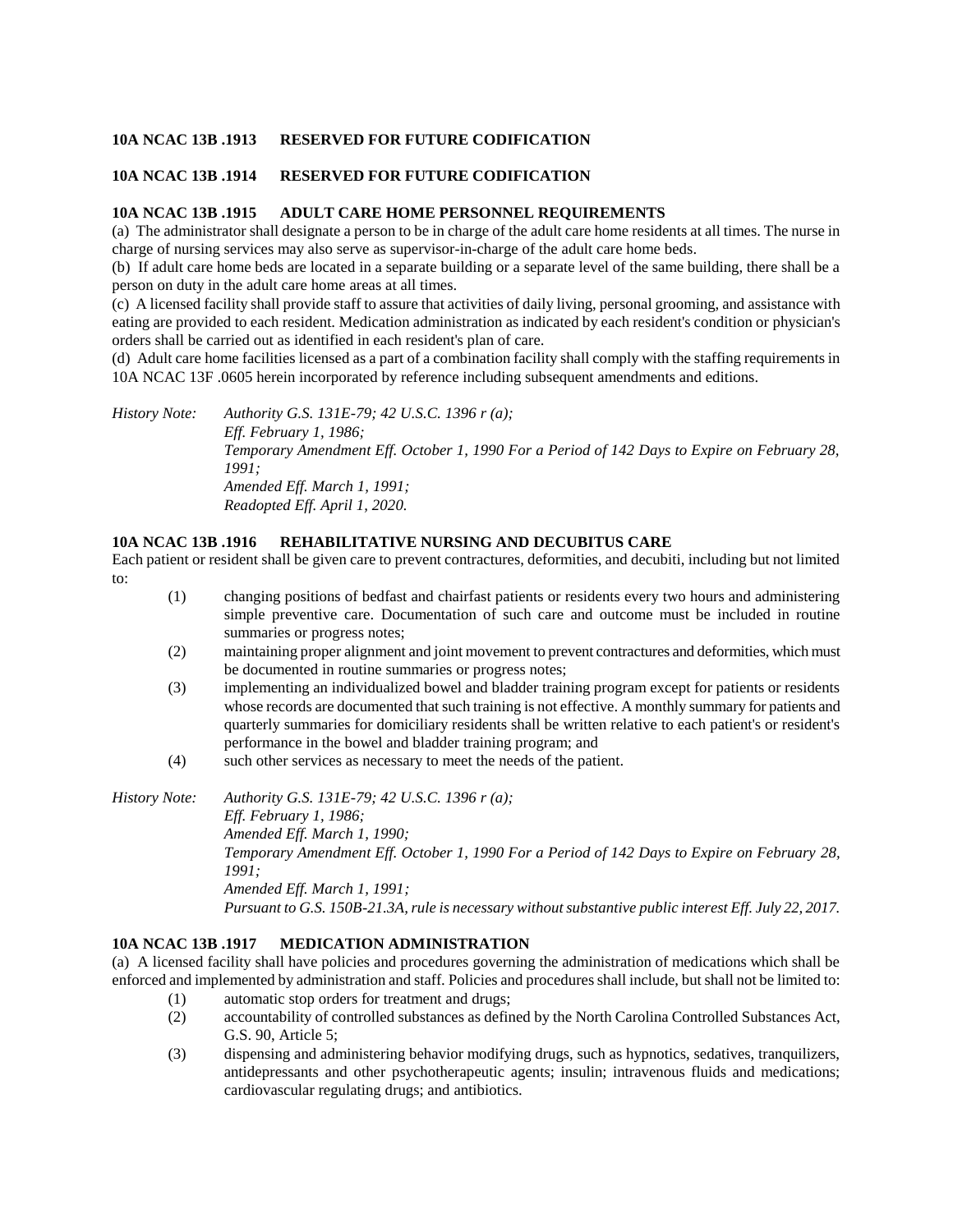## **10A NCAC 13B .1913 RESERVED FOR FUTURE CODIFICATION**

### **10A NCAC 13B .1914 RESERVED FOR FUTURE CODIFICATION**

### **10A NCAC 13B .1915 ADULT CARE HOME PERSONNEL REQUIREMENTS**

(a) The administrator shall designate a person to be in charge of the adult care home residents at all times. The nurse in charge of nursing services may also serve as supervisor-in-charge of the adult care home beds.

(b) If adult care home beds are located in a separate building or a separate level of the same building, there shall be a person on duty in the adult care home areas at all times.

(c) A licensed facility shall provide staff to assure that activities of daily living, personal grooming, and assistance with eating are provided to each resident. Medication administration as indicated by each resident's condition or physician's orders shall be carried out as identified in each resident's plan of care.

(d) Adult care home facilities licensed as a part of a combination facility shall comply with the staffing requirements in 10A NCAC 13F .0605 herein incorporated by reference including subsequent amendments and editions.

*History Note: Authority G.S. 131E-79; 42 U.S.C. 1396 r (a); Eff. February 1, 1986; Temporary Amendment Eff. October 1, 1990 For a Period of 142 Days to Expire on February 28, 1991; Amended Eff. March 1, 1991; Readopted Eff. April 1, 2020.*

### **10A NCAC 13B .1916 REHABILITATIVE NURSING AND DECUBITUS CARE**

Each patient or resident shall be given care to prevent contractures, deformities, and decubiti, including but not limited to:

- (1) changing positions of bedfast and chairfast patients or residents every two hours and administering simple preventive care. Documentation of such care and outcome must be included in routine summaries or progress notes;
- (2) maintaining proper alignment and joint movement to prevent contractures and deformities, which must be documented in routine summaries or progress notes;
- (3) implementing an individualized bowel and bladder training program except for patients or residents whose records are documented that such training is not effective. A monthly summary for patients and quarterly summaries for domiciliary residents shall be written relative to each patient's or resident's performance in the bowel and bladder training program; and
- (4) such other services as necessary to meet the needs of the patient.

*History Note: Authority G.S. 131E-79; 42 U.S.C. 1396 r (a); Eff. February 1, 1986; Amended Eff. March 1, 1990; Temporary Amendment Eff. October 1, 1990 For a Period of 142 Days to Expire on February 28, 1991; Amended Eff. March 1, 1991; Pursuant to G.S. 150B-21.3A, rule is necessary without substantive public interest Eff. July 22, 2017.*

### **10A NCAC 13B .1917 MEDICATION ADMINISTRATION**

(a) A licensed facility shall have policies and procedures governing the administration of medications which shall be enforced and implemented by administration and staff. Policies and procedures shall include, but shall not be limited to:

- (1) automatic stop orders for treatment and drugs;
- (2) accountability of controlled substances as defined by the North Carolina Controlled Substances Act, G.S. 90, Article 5;
- (3) dispensing and administering behavior modifying drugs, such as hypnotics, sedatives, tranquilizers, antidepressants and other psychotherapeutic agents; insulin; intravenous fluids and medications; cardiovascular regulating drugs; and antibiotics.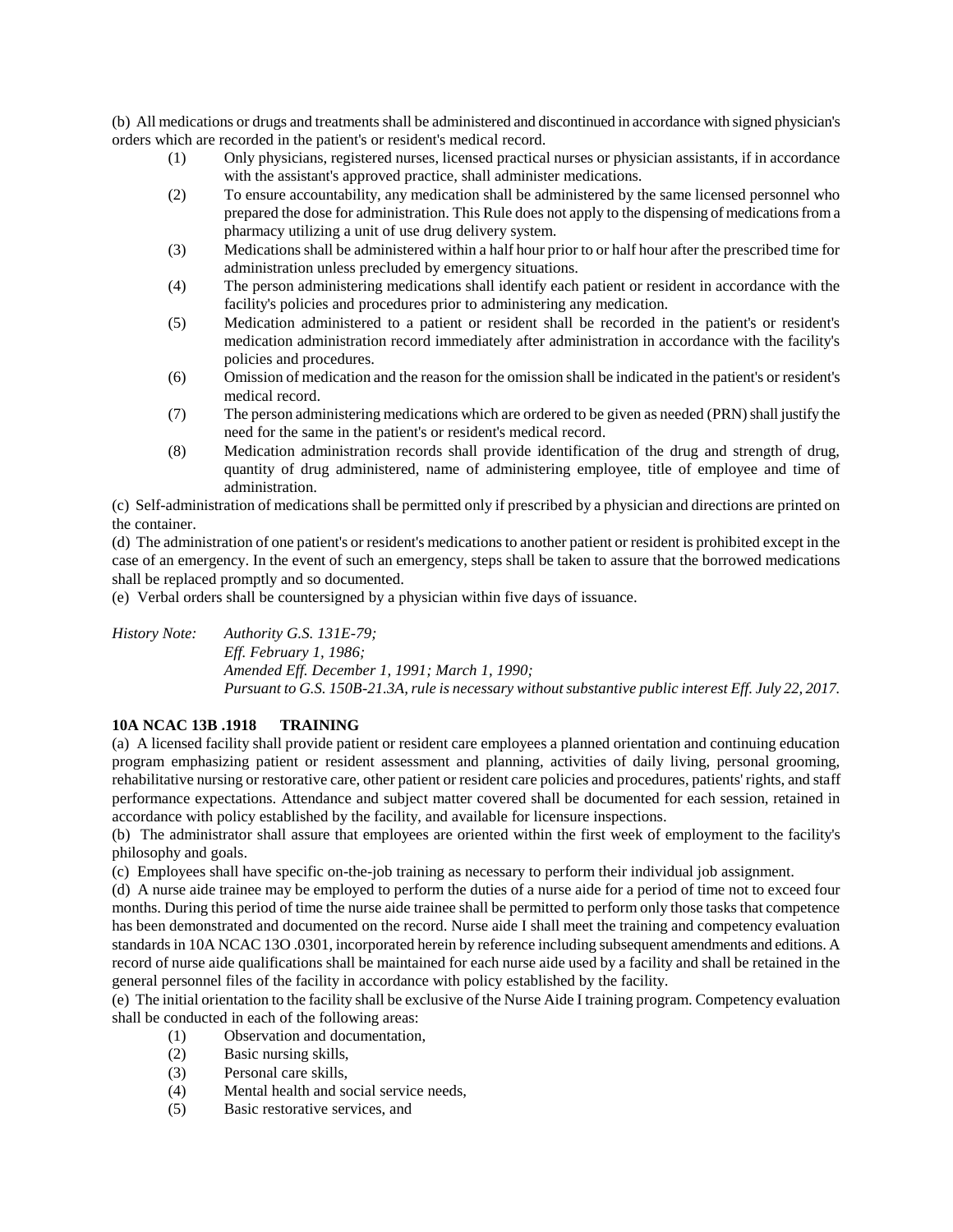(b) All medications or drugs and treatments shall be administered and discontinued in accordance with signed physician's orders which are recorded in the patient's or resident's medical record.

- (1) Only physicians, registered nurses, licensed practical nurses or physician assistants, if in accordance with the assistant's approved practice, shall administer medications.
- (2) To ensure accountability, any medication shall be administered by the same licensed personnel who prepared the dose for administration. This Rule does not apply to the dispensing of medications from a pharmacy utilizing a unit of use drug delivery system.
- (3) Medications shall be administered within a half hour prior to or half hour after the prescribed time for administration unless precluded by emergency situations.
- (4) The person administering medications shall identify each patient or resident in accordance with the facility's policies and procedures prior to administering any medication.
- (5) Medication administered to a patient or resident shall be recorded in the patient's or resident's medication administration record immediately after administration in accordance with the facility's policies and procedures.
- (6) Omission of medication and the reason for the omission shall be indicated in the patient's or resident's medical record.
- (7) The person administering medications which are ordered to be given as needed (PRN) shall justify the need for the same in the patient's or resident's medical record.
- (8) Medication administration records shall provide identification of the drug and strength of drug, quantity of drug administered, name of administering employee, title of employee and time of administration.

(c) Self-administration of medications shall be permitted only if prescribed by a physician and directions are printed on the container.

(d) The administration of one patient's or resident's medications to another patient or resident is prohibited except in the case of an emergency. In the event of such an emergency, steps shall be taken to assure that the borrowed medications shall be replaced promptly and so documented.

(e) Verbal orders shall be countersigned by a physician within five days of issuance.

*History Note: Authority G.S. 131E-79; Eff. February 1, 1986; Amended Eff. December 1, 1991; March 1, 1990; Pursuant to G.S. 150B-21.3A, rule is necessary without substantive public interest Eff. July 22, 2017.*

# **10A NCAC 13B .1918 TRAINING**

(a) A licensed facility shall provide patient or resident care employees a planned orientation and continuing education program emphasizing patient or resident assessment and planning, activities of daily living, personal grooming, rehabilitative nursing or restorative care, other patient or resident care policies and procedures, patients' rights, and staff performance expectations. Attendance and subject matter covered shall be documented for each session, retained in accordance with policy established by the facility, and available for licensure inspections.

(b) The administrator shall assure that employees are oriented within the first week of employment to the facility's philosophy and goals.

(c) Employees shall have specific on-the-job training as necessary to perform their individual job assignment.

(d) A nurse aide trainee may be employed to perform the duties of a nurse aide for a period of time not to exceed four months. During this period of time the nurse aide trainee shall be permitted to perform only those tasks that competence has been demonstrated and documented on the record. Nurse aide I shall meet the training and competency evaluation standards in 10A NCAC 13O .0301, incorporated herein by reference including subsequent amendments and editions. A record of nurse aide qualifications shall be maintained for each nurse aide used by a facility and shall be retained in the general personnel files of the facility in accordance with policy established by the facility.

(e) The initial orientation to the facility shall be exclusive of the Nurse Aide I training program. Competency evaluation shall be conducted in each of the following areas:

- (1) Observation and documentation,
- (2) Basic nursing skills,
- (3) Personal care skills,
- (4) Mental health and social service needs,
- (5) Basic restorative services, and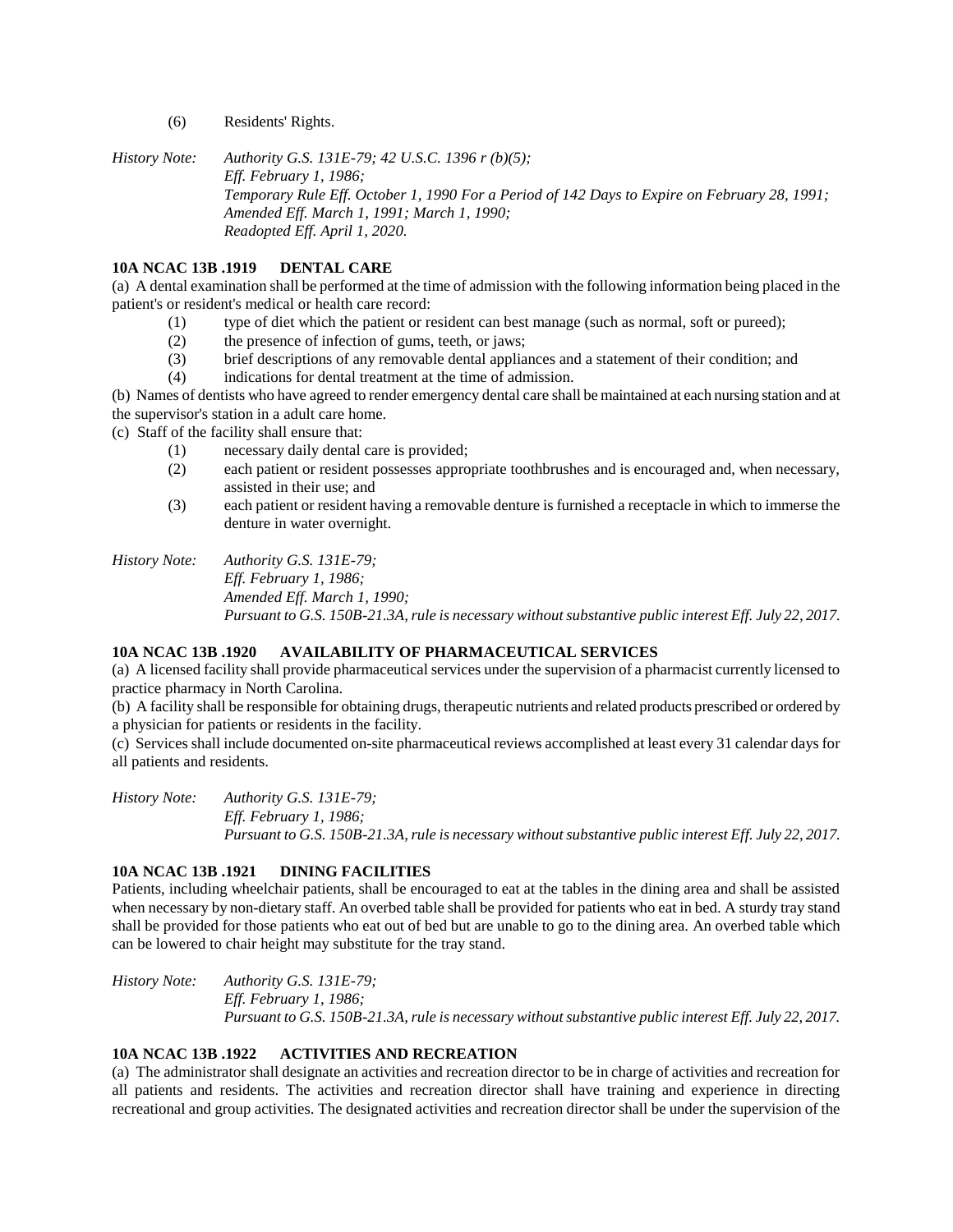(6) Residents' Rights.

*History Note: Authority G.S. 131E-79; 42 U.S.C. 1396 r (b)(5); Eff. February 1, 1986; Temporary Rule Eff. October 1, 1990 For a Period of 142 Days to Expire on February 28, 1991; Amended Eff. March 1, 1991; March 1, 1990; Readopted Eff. April 1, 2020.*

# **10A NCAC 13B .1919 DENTAL CARE**

(a) A dental examination shall be performed at the time of admission with the following information being placed in the patient's or resident's medical or health care record:

- (1) type of diet which the patient or resident can best manage (such as normal, soft or pureed);
- (2) the presence of infection of gums, teeth, or jaws;
- (3) brief descriptions of any removable dental appliances and a statement of their condition; and
- (4) indications for dental treatment at the time of admission.

(b) Names of dentists who have agreed to render emergency dental care shall be maintained at each nursing station and at the supervisor's station in a adult care home.

(c) Staff of the facility shall ensure that:

- (1) necessary daily dental care is provided;
- (2) each patient or resident possesses appropriate toothbrushes and is encouraged and, when necessary, assisted in their use; and
- (3) each patient or resident having a removable denture is furnished a receptacle in which to immerse the denture in water overnight.

# *History Note: Authority G.S. 131E-79;*

*Eff. February 1, 1986; Amended Eff. March 1, 1990; Pursuant to G.S. 150B-21.3A, rule is necessary without substantive public interest Eff. July 22, 2017.*

# **10A NCAC 13B .1920 AVAILABILITY OF PHARMACEUTICAL SERVICES**

(a) A licensed facility shall provide pharmaceutical services under the supervision of a pharmacist currently licensed to practice pharmacy in North Carolina.

(b) A facility shall be responsible for obtaining drugs, therapeutic nutrients and related products prescribed or ordered by a physician for patients or residents in the facility.

(c) Services shall include documented on-site pharmaceutical reviews accomplished at least every 31 calendar days for all patients and residents.

*History Note: Authority G.S. 131E-79; Eff. February 1, 1986; Pursuant to G.S. 150B-21.3A, rule is necessary without substantive public interest Eff. July 22, 2017.*

# **10A NCAC 13B .1921 DINING FACILITIES**

Patients, including wheelchair patients, shall be encouraged to eat at the tables in the dining area and shall be assisted when necessary by non-dietary staff. An overbed table shall be provided for patients who eat in bed. A sturdy tray stand shall be provided for those patients who eat out of bed but are unable to go to the dining area. An overbed table which can be lowered to chair height may substitute for the tray stand.

*History Note: Authority G.S. 131E-79; Eff. February 1, 1986; Pursuant to G.S. 150B-21.3A, rule is necessary without substantive public interest Eff. July 22, 2017.*

# **10A NCAC 13B .1922 ACTIVITIES AND RECREATION**

(a) The administrator shall designate an activities and recreation director to be in charge of activities and recreation for all patients and residents. The activities and recreation director shall have training and experience in directing recreational and group activities. The designated activities and recreation director shall be under the supervision of the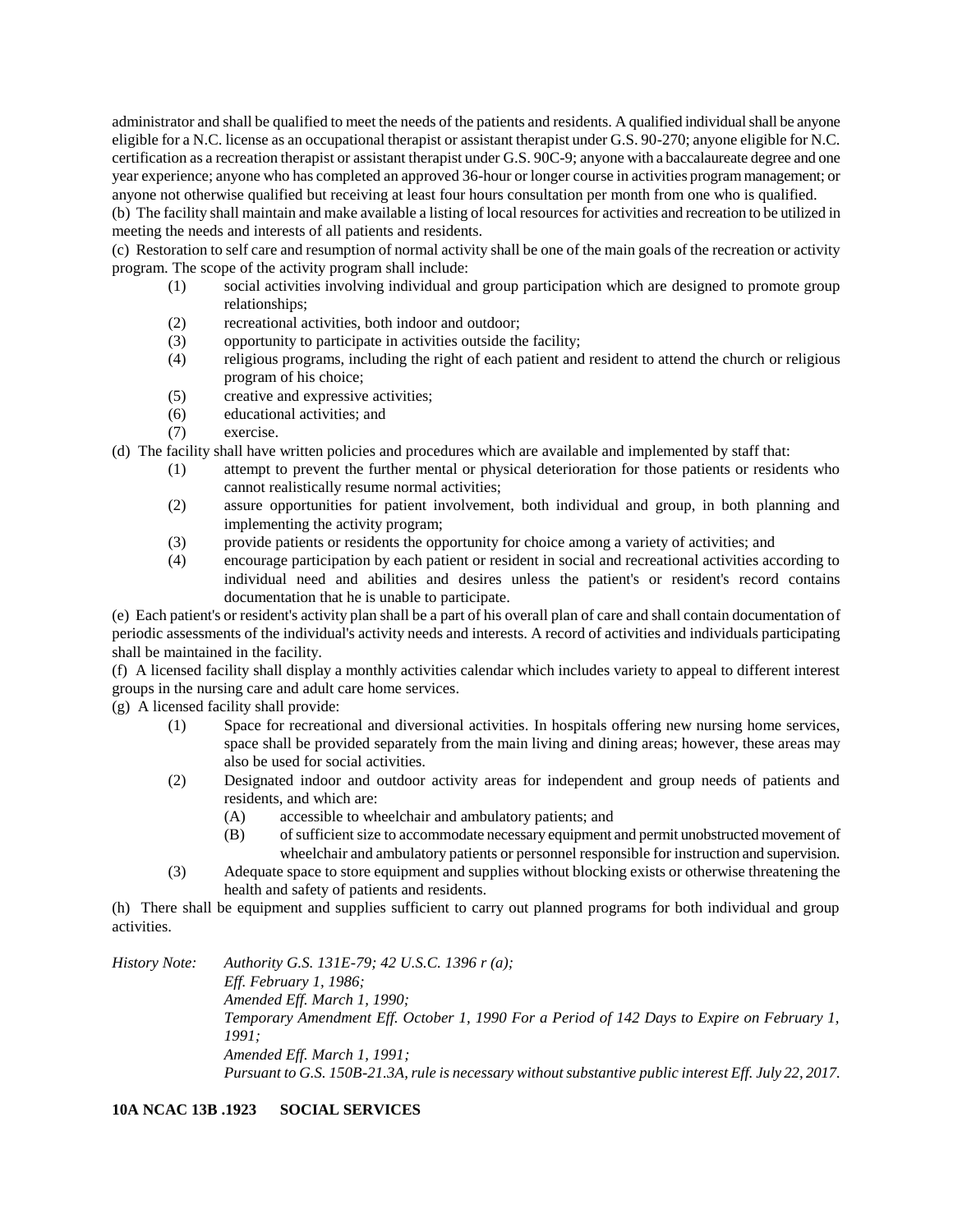administrator and shall be qualified to meet the needs of the patients and residents. A qualified individual shall be anyone eligible for a N.C. license as an occupational therapist or assistant therapist under G.S. 90-270; anyone eligible for N.C. certification as a recreation therapist or assistant therapist under G.S. 90C-9; anyone with a baccalaureate degree and one year experience; anyone who has completed an approved 36-hour or longer course in activities program management; or anyone not otherwise qualified but receiving at least four hours consultation per month from one who is qualified.

(b) The facility shall maintain and make available a listing of local resources for activities and recreation to be utilized in meeting the needs and interests of all patients and residents.

(c) Restoration to self care and resumption of normal activity shall be one of the main goals of the recreation or activity program. The scope of the activity program shall include:

- (1) social activities involving individual and group participation which are designed to promote group relationships;
- (2) recreational activities, both indoor and outdoor;
- (3) opportunity to participate in activities outside the facility;
- (4) religious programs, including the right of each patient and resident to attend the church or religious program of his choice;
- (5) creative and expressive activities;
- (6) educational activities; and
- (7) exercise.

(d) The facility shall have written policies and procedures which are available and implemented by staff that:

- (1) attempt to prevent the further mental or physical deterioration for those patients or residents who cannot realistically resume normal activities;
- (2) assure opportunities for patient involvement, both individual and group, in both planning and implementing the activity program;
- (3) provide patients or residents the opportunity for choice among a variety of activities; and
- (4) encourage participation by each patient or resident in social and recreational activities according to individual need and abilities and desires unless the patient's or resident's record contains documentation that he is unable to participate.

(e) Each patient's or resident's activity plan shall be a part of his overall plan of care and shall contain documentation of periodic assessments of the individual's activity needs and interests. A record of activities and individuals participating shall be maintained in the facility.

(f) A licensed facility shall display a monthly activities calendar which includes variety to appeal to different interest groups in the nursing care and adult care home services.

(g) A licensed facility shall provide:

- (1) Space for recreational and diversional activities. In hospitals offering new nursing home services, space shall be provided separately from the main living and dining areas; however, these areas may also be used for social activities.
- (2) Designated indoor and outdoor activity areas for independent and group needs of patients and residents, and which are:
	- (A) accessible to wheelchair and ambulatory patients; and
	- (B) of sufficient size to accommodate necessary equipment and permit unobstructed movement of wheelchair and ambulatory patients or personnel responsible for instruction and supervision.
- (3) Adequate space to store equipment and supplies without blocking exists or otherwise threatening the health and safety of patients and residents.

(h) There shall be equipment and supplies sufficient to carry out planned programs for both individual and group activities.

*History Note: Authority G.S. 131E-79; 42 U.S.C. 1396 r (a); Eff. February 1, 1986; Amended Eff. March 1, 1990; Temporary Amendment Eff. October 1, 1990 For a Period of 142 Days to Expire on February 1, 1991; Amended Eff. March 1, 1991; Pursuant to G.S. 150B-21.3A, rule is necessary without substantive public interest Eff. July 22, 2017.*

**10A NCAC 13B .1923 SOCIAL SERVICES**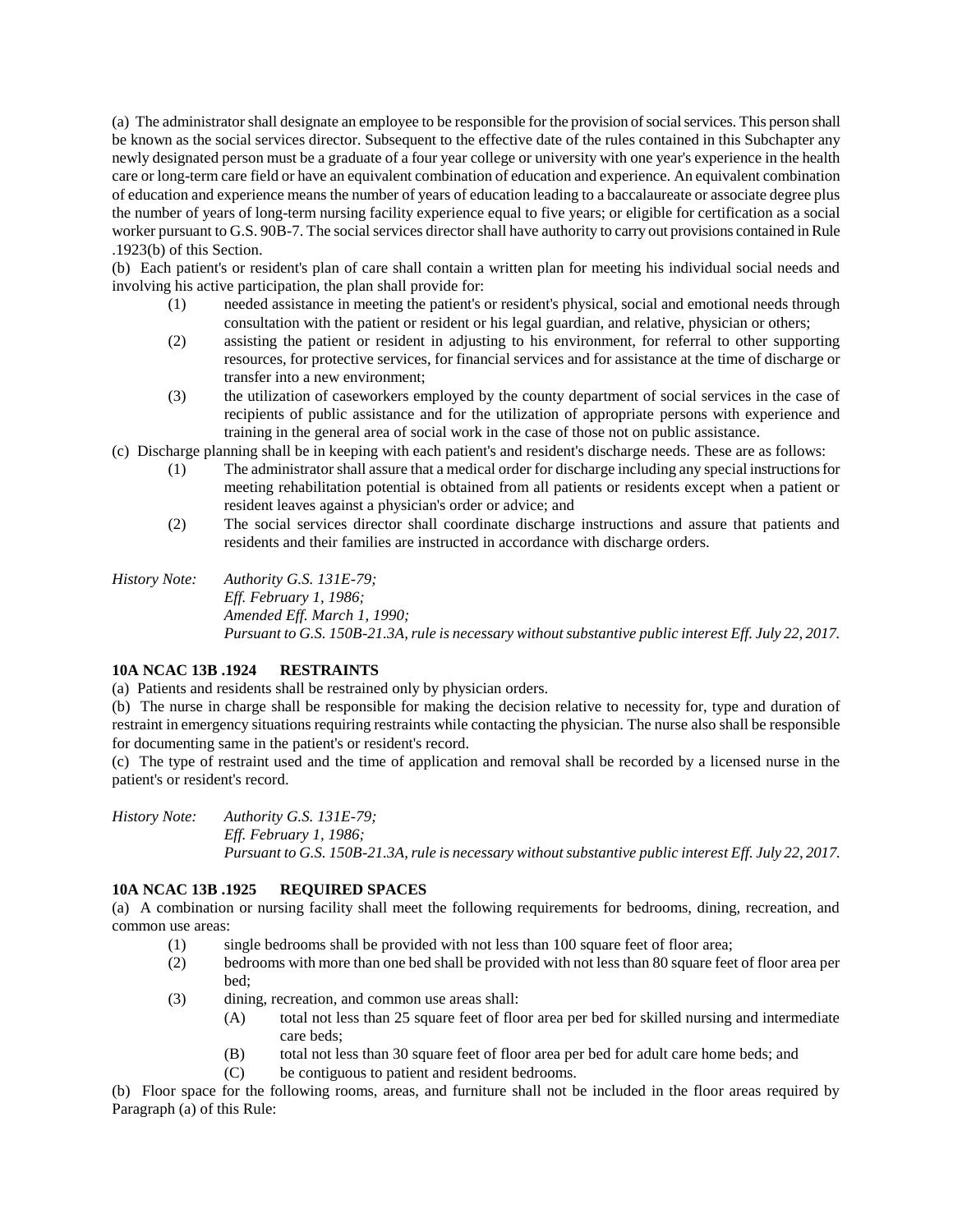(a) The administrator shall designate an employee to be responsible for the provision of social services. This person shall be known as the social services director. Subsequent to the effective date of the rules contained in this Subchapter any newly designated person must be a graduate of a four year college or university with one year's experience in the health care or long-term care field or have an equivalent combination of education and experience. An equivalent combination of education and experience means the number of years of education leading to a baccalaureate or associate degree plus the number of years of long-term nursing facility experience equal to five years; or eligible for certification as a social worker pursuant to G.S. 90B-7. The social services director shall have authority to carry out provisions contained in Rule .1923(b) of this Section.

(b) Each patient's or resident's plan of care shall contain a written plan for meeting his individual social needs and involving his active participation, the plan shall provide for:

- (1) needed assistance in meeting the patient's or resident's physical, social and emotional needs through consultation with the patient or resident or his legal guardian, and relative, physician or others;
- (2) assisting the patient or resident in adjusting to his environment, for referral to other supporting resources, for protective services, for financial services and for assistance at the time of discharge or transfer into a new environment;
- (3) the utilization of caseworkers employed by the county department of social services in the case of recipients of public assistance and for the utilization of appropriate persons with experience and training in the general area of social work in the case of those not on public assistance.
- (c) Discharge planning shall be in keeping with each patient's and resident's discharge needs. These are as follows:
	- (1) The administrator shall assure that a medical order for discharge including any special instructions for meeting rehabilitation potential is obtained from all patients or residents except when a patient or resident leaves against a physician's order or advice; and
	- (2) The social services director shall coordinate discharge instructions and assure that patients and residents and their families are instructed in accordance with discharge orders.
- *History Note: Authority G.S. 131E-79; Eff. February 1, 1986; Amended Eff. March 1, 1990; Pursuant to G.S. 150B-21.3A, rule is necessary without substantive public interest Eff. July 22, 2017.*

# **10A NCAC 13B .1924 RESTRAINTS**

(a) Patients and residents shall be restrained only by physician orders.

(b) The nurse in charge shall be responsible for making the decision relative to necessity for, type and duration of restraint in emergency situations requiring restraints while contacting the physician. The nurse also shall be responsible for documenting same in the patient's or resident's record.

(c) The type of restraint used and the time of application and removal shall be recorded by a licensed nurse in the patient's or resident's record.

*History Note: Authority G.S. 131E-79; Eff. February 1, 1986; Pursuant to G.S. 150B-21.3A, rule is necessary without substantive public interest Eff. July 22, 2017.*

# **10A NCAC 13B .1925 REQUIRED SPACES**

(a) A combination or nursing facility shall meet the following requirements for bedrooms, dining, recreation, and common use areas:

- (1) single bedrooms shall be provided with not less than 100 square feet of floor area;
- (2) bedrooms with more than one bed shall be provided with not less than 80 square feet of floor area per bed;
- (3) dining, recreation, and common use areas shall:
	- (A) total not less than 25 square feet of floor area per bed for skilled nursing and intermediate care beds;
	- (B) total not less than 30 square feet of floor area per bed for adult care home beds; and
	- (C) be contiguous to patient and resident bedrooms.

(b) Floor space for the following rooms, areas, and furniture shall not be included in the floor areas required by Paragraph (a) of this Rule: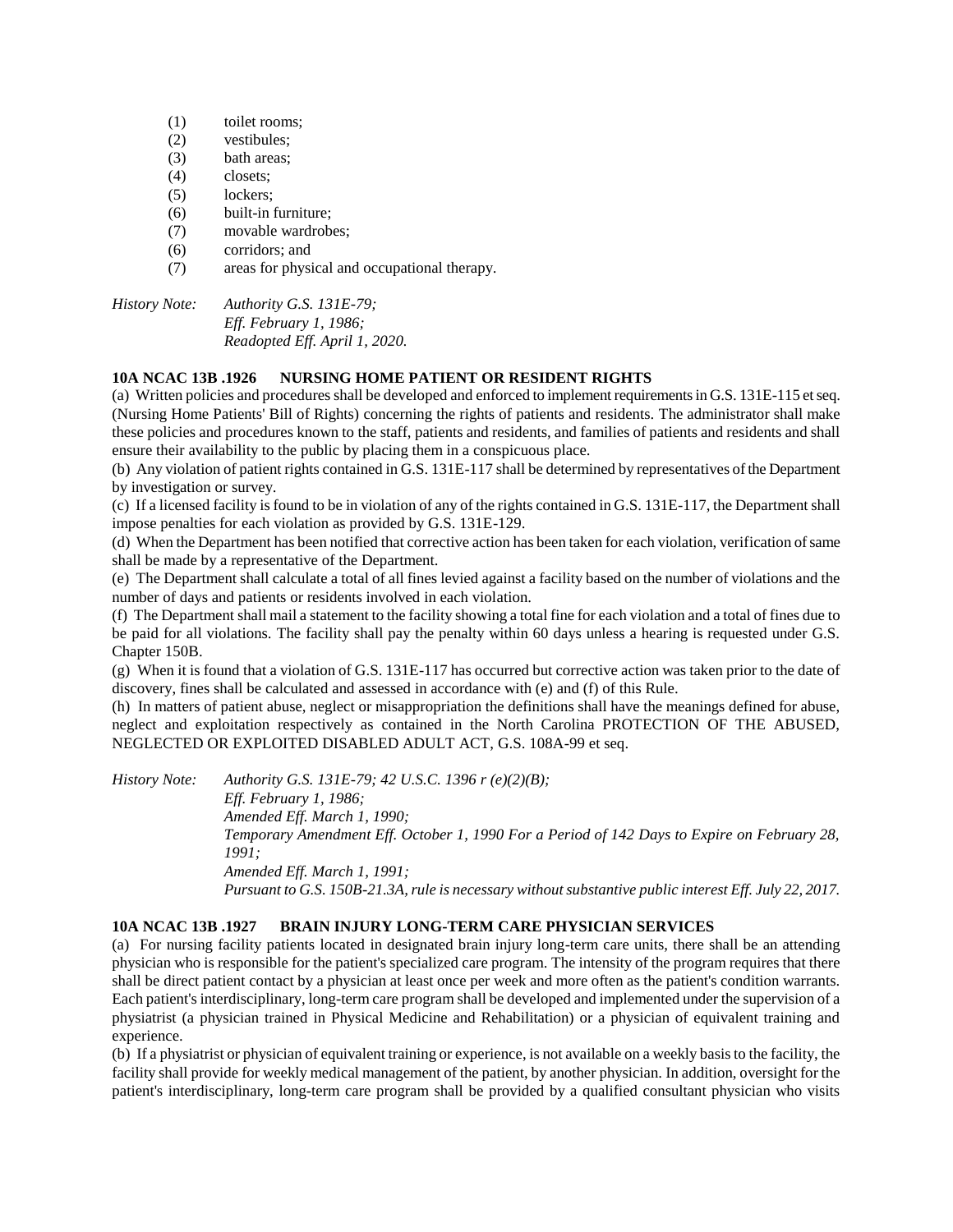- (1) toilet rooms;
- (2) vestibules;
- (3) bath areas;
- (4) closets;
- (5) lockers;
- (6) built-in furniture;
- (7) movable wardrobes;
- (6) corridors; and
- (7) areas for physical and occupational therapy.

*History Note: Authority G.S. 131E-79; Eff. February 1, 1986; Readopted Eff. April 1, 2020.*

# **10A NCAC 13B .1926 NURSING HOME PATIENT OR RESIDENT RIGHTS**

(a) Written policies and procedures shall be developed and enforced to implement requirements in G.S. 131E-115 et seq. (Nursing Home Patients' Bill of Rights) concerning the rights of patients and residents. The administrator shall make these policies and procedures known to the staff, patients and residents, and families of patients and residents and shall ensure their availability to the public by placing them in a conspicuous place.

(b) Any violation of patient rights contained in G.S. 131E-117 shall be determined by representatives of the Department by investigation or survey.

(c) If a licensed facility is found to be in violation of any of the rights contained in G.S. 131E-117, the Department shall impose penalties for each violation as provided by G.S. 131E-129.

(d) When the Department has been notified that corrective action has been taken for each violation, verification of same shall be made by a representative of the Department.

(e) The Department shall calculate a total of all fines levied against a facility based on the number of violations and the number of days and patients or residents involved in each violation.

(f) The Department shall mail a statement to the facility showing a total fine for each violation and a total of fines due to be paid for all violations. The facility shall pay the penalty within 60 days unless a hearing is requested under G.S. Chapter 150B.

(g) When it is found that a violation of G.S. 131E-117 has occurred but corrective action was taken prior to the date of discovery, fines shall be calculated and assessed in accordance with (e) and (f) of this Rule.

(h) In matters of patient abuse, neglect or misappropriation the definitions shall have the meanings defined for abuse, neglect and exploitation respectively as contained in the North Carolina PROTECTION OF THE ABUSED, NEGLECTED OR EXPLOITED DISABLED ADULT ACT, G.S. 108A-99 et seq.

*History Note: Authority G.S. 131E-79; 42 U.S.C. 1396 r (e)(2)(B); Eff. February 1, 1986; Amended Eff. March 1, 1990; Temporary Amendment Eff. October 1, 1990 For a Period of 142 Days to Expire on February 28, 1991; Amended Eff. March 1, 1991; Pursuant to G.S. 150B-21.3A, rule is necessary without substantive public interest Eff. July 22, 2017.*

# **10A NCAC 13B .1927 BRAIN INJURY LONG-TERM CARE PHYSICIAN SERVICES**

(a) For nursing facility patients located in designated brain injury long-term care units, there shall be an attending physician who is responsible for the patient's specialized care program. The intensity of the program requires that there shall be direct patient contact by a physician at least once per week and more often as the patient's condition warrants. Each patient's interdisciplinary, long-term care program shall be developed and implemented under the supervision of a physiatrist (a physician trained in Physical Medicine and Rehabilitation) or a physician of equivalent training and experience.

(b) If a physiatrist or physician of equivalent training or experience, is not available on a weekly basis to the facility, the facility shall provide for weekly medical management of the patient, by another physician. In addition, oversight for the patient's interdisciplinary, long-term care program shall be provided by a qualified consultant physician who visits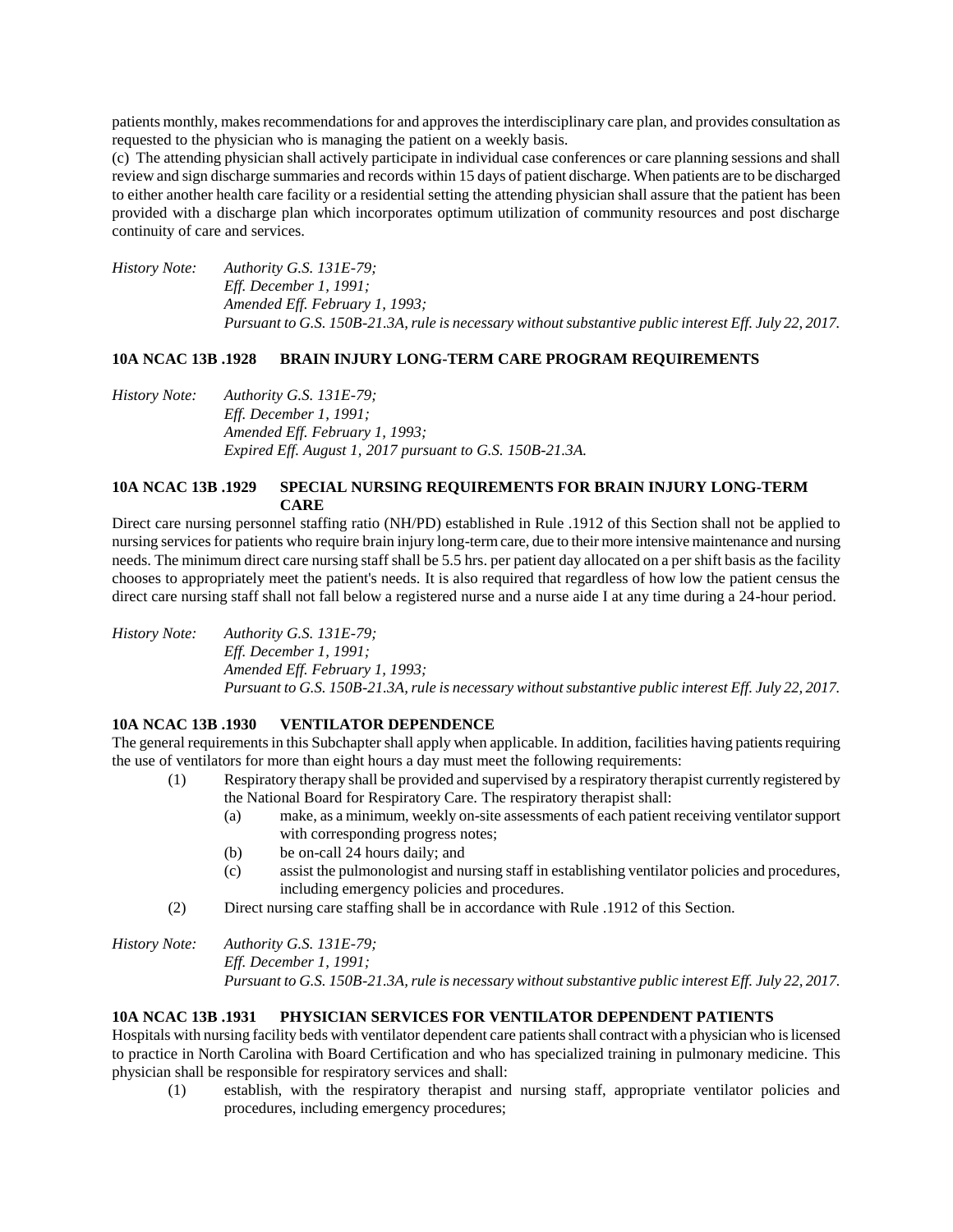patients monthly, makes recommendations for and approves the interdisciplinary care plan, and provides consultation as requested to the physician who is managing the patient on a weekly basis.

(c) The attending physician shall actively participate in individual case conferences or care planning sessions and shall review and sign discharge summaries and records within 15 days of patient discharge. When patients are to be discharged to either another health care facility or a residential setting the attending physician shall assure that the patient has been provided with a discharge plan which incorporates optimum utilization of community resources and post discharge continuity of care and services.

*History Note: Authority G.S. 131E-79; Eff. December 1, 1991; Amended Eff. February 1, 1993; Pursuant to G.S. 150B-21.3A, rule is necessary without substantive public interest Eff. July 22, 2017.*

### **10A NCAC 13B .1928 BRAIN INJURY LONG-TERM CARE PROGRAM REQUIREMENTS**

*History Note: Authority G.S. 131E-79; Eff. December 1, 1991; Amended Eff. February 1, 1993; Expired Eff. August 1, 2017 pursuant to G.S. 150B-21.3A.*

# **10A NCAC 13B .1929 SPECIAL NURSING REQUIREMENTS FOR BRAIN INJURY LONG-TERM CARE**

Direct care nursing personnel staffing ratio (NH/PD) established in Rule .1912 of this Section shall not be applied to nursing services for patients who require brain injury long-term care, due to their more intensive maintenance and nursing needs. The minimum direct care nursing staff shall be 5.5 hrs. per patient day allocated on a per shift basis as the facility chooses to appropriately meet the patient's needs. It is also required that regardless of how low the patient census the direct care nursing staff shall not fall below a registered nurse and a nurse aide I at any time during a 24-hour period.

*History Note: Authority G.S. 131E-79; Eff. December 1, 1991; Amended Eff. February 1, 1993; Pursuant to G.S. 150B-21.3A, rule is necessary without substantive public interest Eff. July 22, 2017.*

# **10A NCAC 13B .1930 VENTILATOR DEPENDENCE**

The general requirements in this Subchapter shall apply when applicable. In addition, facilities having patients requiring the use of ventilators for more than eight hours a day must meet the following requirements:

- (1) Respiratory therapy shall be provided and supervised by a respiratory therapist currently registered by the National Board for Respiratory Care. The respiratory therapist shall:
	- (a) make, as a minimum, weekly on-site assessments of each patient receiving ventilator support with corresponding progress notes;
	- (b) be on-call 24 hours daily; and
	- (c) assist the pulmonologist and nursing staff in establishing ventilator policies and procedures, including emergency policies and procedures.
- (2) Direct nursing care staffing shall be in accordance with Rule .1912 of this Section.
- *History Note: Authority G.S. 131E-79; Eff. December 1, 1991; Pursuant to G.S. 150B-21.3A, rule is necessary without substantive public interest Eff. July 22, 2017.*

# **10A NCAC 13B .1931 PHYSICIAN SERVICES FOR VENTILATOR DEPENDENT PATIENTS**

Hospitals with nursing facility beds with ventilator dependent care patients shall contract with a physician who is licensed to practice in North Carolina with Board Certification and who has specialized training in pulmonary medicine. This physician shall be responsible for respiratory services and shall:

(1) establish, with the respiratory therapist and nursing staff, appropriate ventilator policies and procedures, including emergency procedures;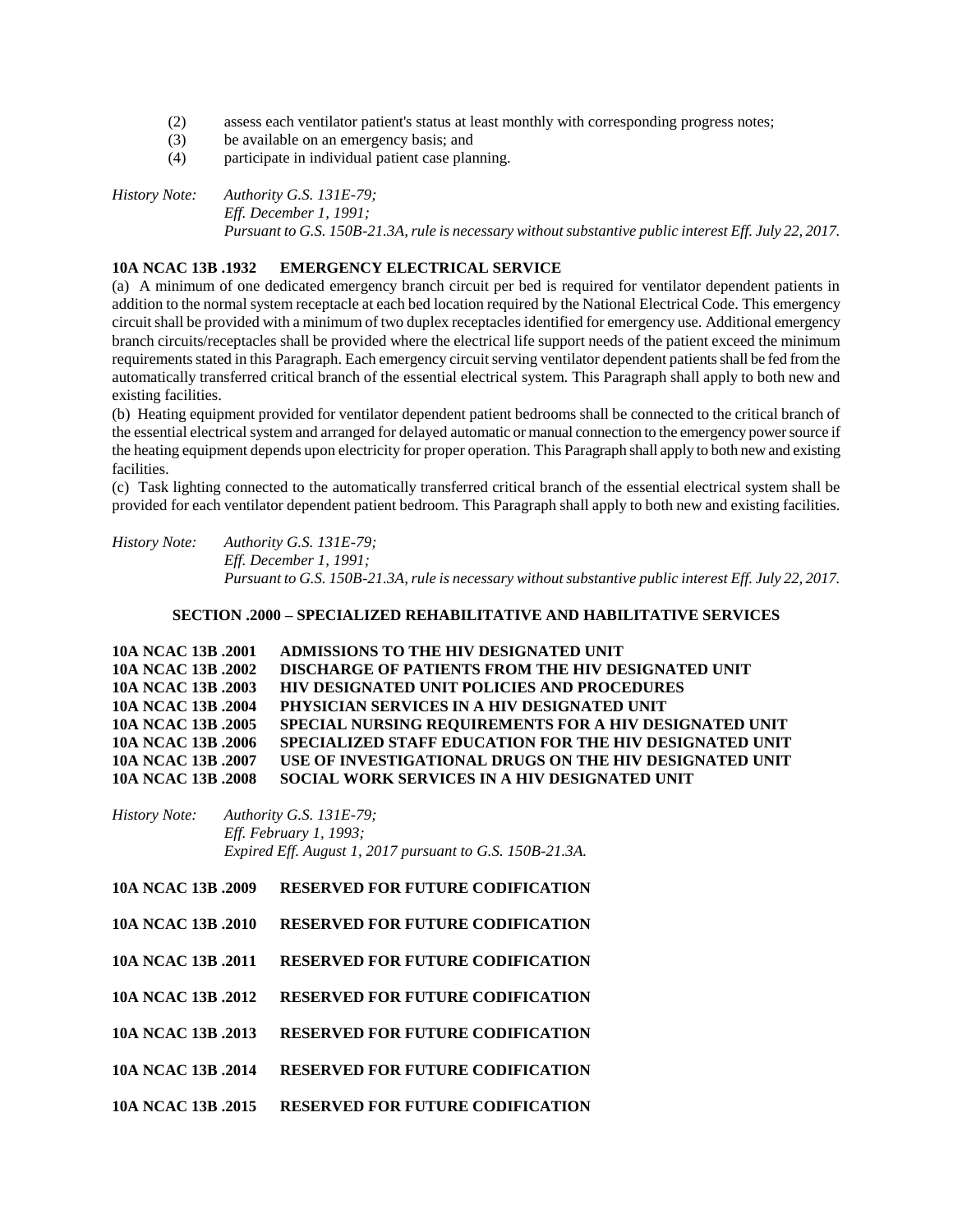- (2) assess each ventilator patient's status at least monthly with corresponding progress notes;
- (3) be available on an emergency basis; and
- (4) participate in individual patient case planning.

*History Note: Authority G.S. 131E-79; Eff. December 1, 1991; Pursuant to G.S. 150B-21.3A, rule is necessary without substantive public interest Eff. July 22, 2017.*

# **10A NCAC 13B .1932 EMERGENCY ELECTRICAL SERVICE**

(a) A minimum of one dedicated emergency branch circuit per bed is required for ventilator dependent patients in addition to the normal system receptacle at each bed location required by the National Electrical Code. This emergency circuit shall be provided with a minimum of two duplex receptacles identified for emergency use. Additional emergency branch circuits/receptacles shall be provided where the electrical life support needs of the patient exceed the minimum requirements stated in this Paragraph. Each emergency circuit serving ventilator dependent patients shall be fed from the automatically transferred critical branch of the essential electrical system. This Paragraph shall apply to both new and existing facilities.

(b) Heating equipment provided for ventilator dependent patient bedrooms shall be connected to the critical branch of the essential electrical system and arranged for delayed automatic or manual connection to the emergency power source if the heating equipment depends upon electricity for proper operation. This Paragraph shall apply to both new and existing facilities.

(c) Task lighting connected to the automatically transferred critical branch of the essential electrical system shall be provided for each ventilator dependent patient bedroom. This Paragraph shall apply to both new and existing facilities.

*History Note: Authority G.S. 131E-79; Eff. December 1, 1991; Pursuant to G.S. 150B-21.3A, rule is necessary without substantive public interest Eff. July 22, 2017.*

### **SECTION .2000 – SPECIALIZED REHABILITATIVE AND HABILITATIVE SERVICES**

| 10A NCAC 13B .2001 | ADMISSIONS TO THE HIV DESIGNATED UNIT                         |
|--------------------|---------------------------------------------------------------|
| 10A NCAC 13B .2002 | DISCHARGE OF PATIENTS FROM THE HIV DESIGNATED UNIT            |
| 10A NCAC 13B .2003 | <b>HIV DESIGNATED UNIT POLICIES AND PROCEDURES</b>            |
| 10A NCAC 13B .2004 | PHYSICIAN SERVICES IN A HIV DESIGNATED UNIT                   |
| 10A NCAC 13B .2005 | <b>SPECIAL NURSING REQUIREMENTS FOR A HIV DESIGNATED UNIT</b> |
| 10A NCAC 13B .2006 | SPECIALIZED STAFF EDUCATION FOR THE HIV DESIGNATED UNIT       |
| 10A NCAC 13B .2007 | USE OF INVESTIGATIONAL DRUGS ON THE HIV DESIGNATED UNIT       |
| 10A NCAC 13B .2008 | SOCIAL WORK SERVICES IN A HIV DESIGNATED UNIT                 |

### *History Note: Authority G.S. 131E-79; Eff. February 1, 1993; Expired Eff. August 1, 2017 pursuant to G.S. 150B-21.3A.*

- **10A NCAC 13B .2009 RESERVED FOR FUTURE CODIFICATION**
- **10A NCAC 13B .2010 RESERVED FOR FUTURE CODIFICATION**
- **10A NCAC 13B .2011 RESERVED FOR FUTURE CODIFICATION**
- **10A NCAC 13B .2012 RESERVED FOR FUTURE CODIFICATION**
- **10A NCAC 13B .2013 RESERVED FOR FUTURE CODIFICATION**
- **10A NCAC 13B .2014 RESERVED FOR FUTURE CODIFICATION**
- **10A NCAC 13B .2015 RESERVED FOR FUTURE CODIFICATION**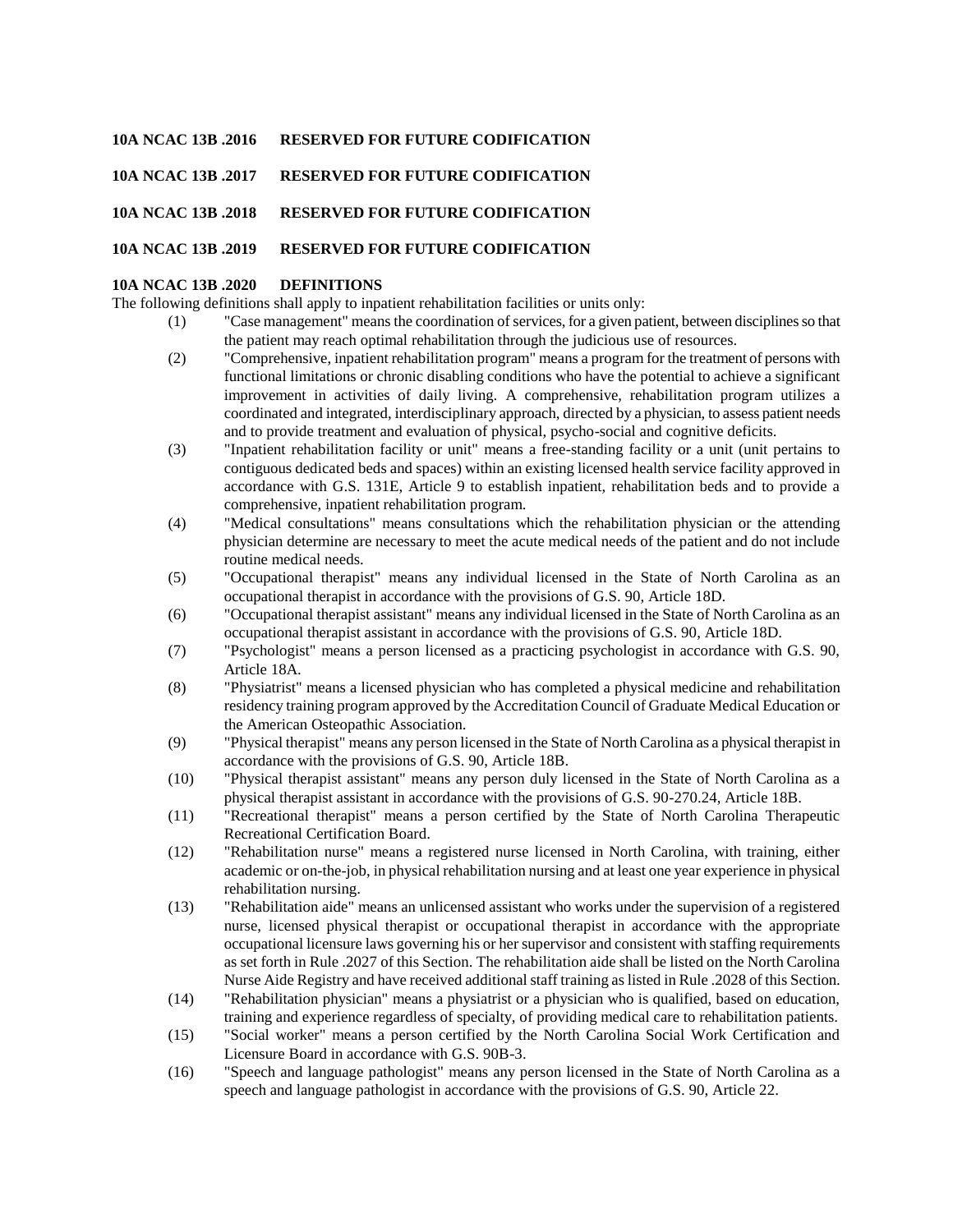## **10A NCAC 13B .2016 RESERVED FOR FUTURE CODIFICATION**

### **10A NCAC 13B .2017 RESERVED FOR FUTURE CODIFICATION**

### **10A NCAC 13B .2018 RESERVED FOR FUTURE CODIFICATION**

### **10A NCAC 13B .2019 RESERVED FOR FUTURE CODIFICATION**

#### **10A NCAC 13B .2020 DEFINITIONS**

The following definitions shall apply to inpatient rehabilitation facilities or units only:

- (1) "Case management" means the coordination of services, for a given patient, between disciplines so that the patient may reach optimal rehabilitation through the judicious use of resources.
	- (2) "Comprehensive, inpatient rehabilitation program" means a program for the treatment of persons with functional limitations or chronic disabling conditions who have the potential to achieve a significant improvement in activities of daily living. A comprehensive, rehabilitation program utilizes a coordinated and integrated, interdisciplinary approach, directed by a physician, to assess patient needs and to provide treatment and evaluation of physical, psycho-social and cognitive deficits.
	- (3) "Inpatient rehabilitation facility or unit" means a free-standing facility or a unit (unit pertains to contiguous dedicated beds and spaces) within an existing licensed health service facility approved in accordance with G.S. 131E, Article 9 to establish inpatient, rehabilitation beds and to provide a comprehensive, inpatient rehabilitation program.
	- (4) "Medical consultations" means consultations which the rehabilitation physician or the attending physician determine are necessary to meet the acute medical needs of the patient and do not include routine medical needs.
	- (5) "Occupational therapist" means any individual licensed in the State of North Carolina as an occupational therapist in accordance with the provisions of G.S. 90, Article 18D.
	- (6) "Occupational therapist assistant" means any individual licensed in the State of North Carolina as an occupational therapist assistant in accordance with the provisions of G.S. 90, Article 18D.
	- (7) "Psychologist" means a person licensed as a practicing psychologist in accordance with G.S. 90, Article 18A.
	- (8) "Physiatrist" means a licensed physician who has completed a physical medicine and rehabilitation residency training program approved by the Accreditation Council of Graduate Medical Education or the American Osteopathic Association.
	- (9) "Physical therapist" means any person licensed in the State of North Carolina as a physical therapist in accordance with the provisions of G.S. 90, Article 18B.
	- (10) "Physical therapist assistant" means any person duly licensed in the State of North Carolina as a physical therapist assistant in accordance with the provisions of G.S. 90-270.24, Article 18B.
	- (11) "Recreational therapist" means a person certified by the State of North Carolina Therapeutic Recreational Certification Board.
	- (12) "Rehabilitation nurse" means a registered nurse licensed in North Carolina, with training, either academic or on-the-job, in physical rehabilitation nursing and at least one year experience in physical rehabilitation nursing.
	- (13) "Rehabilitation aide" means an unlicensed assistant who works under the supervision of a registered nurse, licensed physical therapist or occupational therapist in accordance with the appropriate occupational licensure laws governing his or her supervisor and consistent with staffing requirements as set forth in Rule .2027 of this Section. The rehabilitation aide shall be listed on the North Carolina Nurse Aide Registry and have received additional staff training as listed in Rule .2028 of this Section.
	- (14) "Rehabilitation physician" means a physiatrist or a physician who is qualified, based on education, training and experience regardless of specialty, of providing medical care to rehabilitation patients.
	- (15) "Social worker" means a person certified by the North Carolina Social Work Certification and Licensure Board in accordance with G.S. 90B-3.
	- (16) "Speech and language pathologist" means any person licensed in the State of North Carolina as a speech and language pathologist in accordance with the provisions of G.S. 90, Article 22.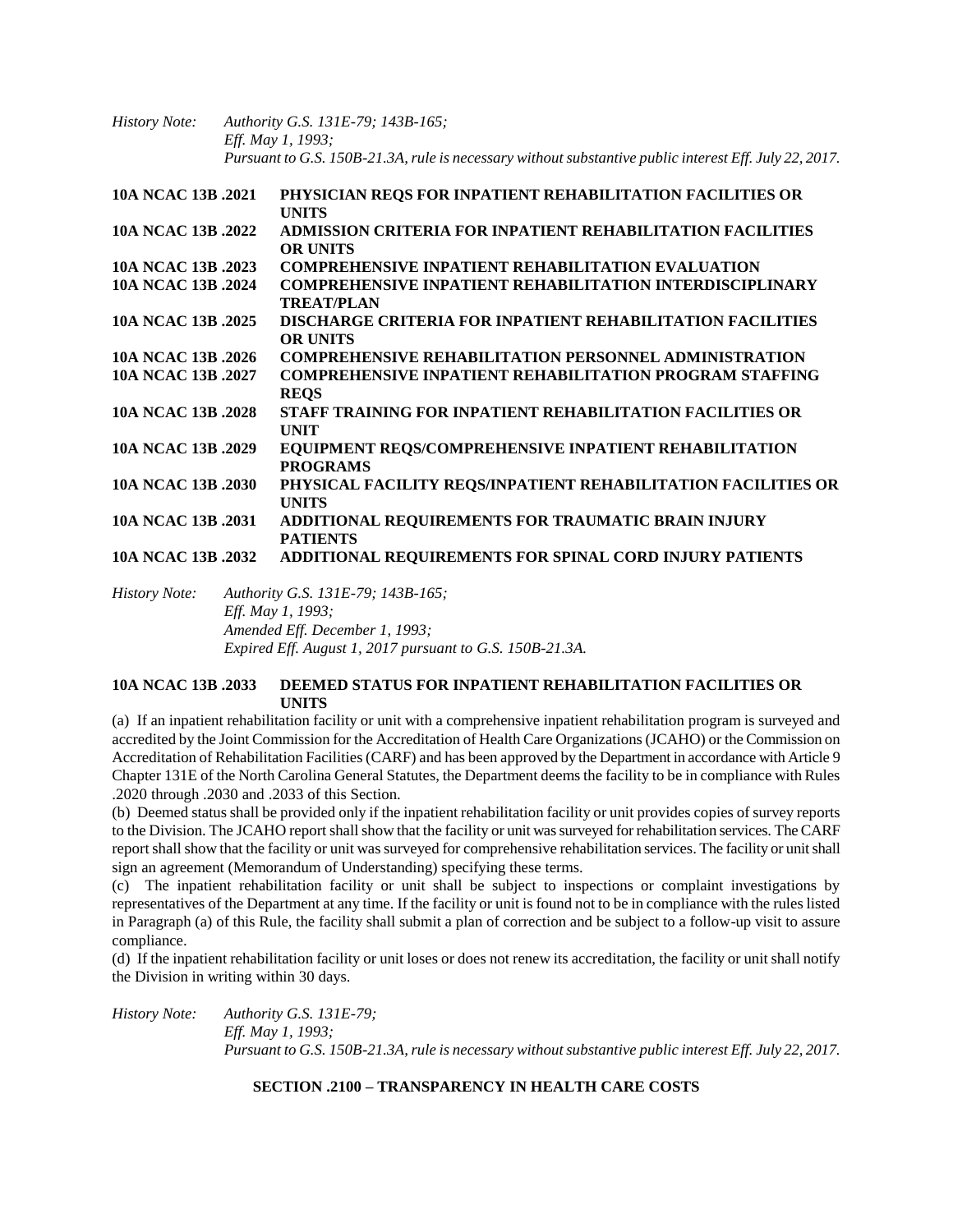*History Note: Authority G.S. 131E-79; 143B-165; Eff. May 1, 1993; Pursuant to G.S. 150B-21.3A, rule is necessary without substantive public interest Eff. July 22, 2017.*

| 10A NCAC 13B .2021 | PHYSICIAN REQS FOR INPATIENT REHABILITATION FACILITIES OR<br><b>UNITS</b>            |
|--------------------|--------------------------------------------------------------------------------------|
| 10A NCAC 13B .2022 | ADMISSION CRITERIA FOR INPATIENT REHABILITATION FACILITIES<br><b>OR UNITS</b>        |
| 10A NCAC 13B .2023 | <b>COMPREHENSIVE INPATIENT REHABILITATION EVALUATION</b>                             |
| 10A NCAC 13B .2024 | <b>COMPREHENSIVE INPATIENT REHABILITATION INTERDISCIPLINARY</b><br><b>TREAT/PLAN</b> |
| 10A NCAC 13B .2025 | <b>DISCHARGE CRITERIA FOR INPATIENT REHABILITATION FACILITIES</b><br><b>OR UNITS</b> |
| 10A NCAC 13B .2026 | <b>COMPREHENSIVE REHABILITATION PERSONNEL ADMINISTRATION</b>                         |
| 10A NCAC 13B .2027 | <b>COMPREHENSIVE INPATIENT REHABILITATION PROGRAM STAFFING</b><br><b>REOS</b>        |
| 10A NCAC 13B .2028 | STAFF TRAINING FOR INPATIENT REHABILITATION FACILITIES OR<br><b>UNIT</b>             |
| 10A NCAC 13B .2029 | EQUIPMENT REQS/COMPREHENSIVE INPATIENT REHABILITATION<br><b>PROGRAMS</b>             |
| 10A NCAC 13B .2030 | PHYSICAL FACILITY REOS/INPATIENT REHABILITATION FACILITIES OR<br><b>UNITS</b>        |
| 10A NCAC 13B .2031 | ADDITIONAL REQUIREMENTS FOR TRAUMATIC BRAIN INJURY<br><b>PATIENTS</b>                |
| 10A NCAC 13B .2032 | <b>ADDITIONAL REQUIREMENTS FOR SPINAL CORD INJURY PATIENTS</b>                       |
|                    |                                                                                      |

*History Note: Authority G.S. 131E-79; 143B-165; Eff. May 1, 1993; Amended Eff. December 1, 1993; Expired Eff. August 1, 2017 pursuant to G.S. 150B-21.3A.*

## **10A NCAC 13B .2033 DEEMED STATUS FOR INPATIENT REHABILITATION FACILITIES OR UNITS**

(a) If an inpatient rehabilitation facility or unit with a comprehensive inpatient rehabilitation program is surveyed and accredited by the Joint Commission for the Accreditation of Health Care Organizations (JCAHO) or the Commission on Accreditation of Rehabilitation Facilities (CARF) and has been approved by the Department in accordance with Article 9 Chapter 131E of the North Carolina General Statutes, the Department deems the facility to be in compliance with Rules .2020 through .2030 and .2033 of this Section.

(b) Deemed status shall be provided only if the inpatient rehabilitation facility or unit provides copies of survey reports to the Division. The JCAHO report shall show that the facility or unit was surveyed for rehabilitation services. The CARF report shall show that the facility or unit was surveyed for comprehensive rehabilitation services. The facility or unit shall sign an agreement (Memorandum of Understanding) specifying these terms.

(c) The inpatient rehabilitation facility or unit shall be subject to inspections or complaint investigations by representatives of the Department at any time. If the facility or unit is found not to be in compliance with the rules listed in Paragraph (a) of this Rule, the facility shall submit a plan of correction and be subject to a follow-up visit to assure compliance.

(d) If the inpatient rehabilitation facility or unit loses or does not renew its accreditation, the facility or unit shall notify the Division in writing within 30 days.

*History Note: Authority G.S. 131E-79; Eff. May 1, 1993; Pursuant to G.S. 150B-21.3A, rule is necessary without substantive public interest Eff. July 22, 2017.*

# **SECTION .2100 – TRANSPARENCY IN HEALTH CARE COSTS**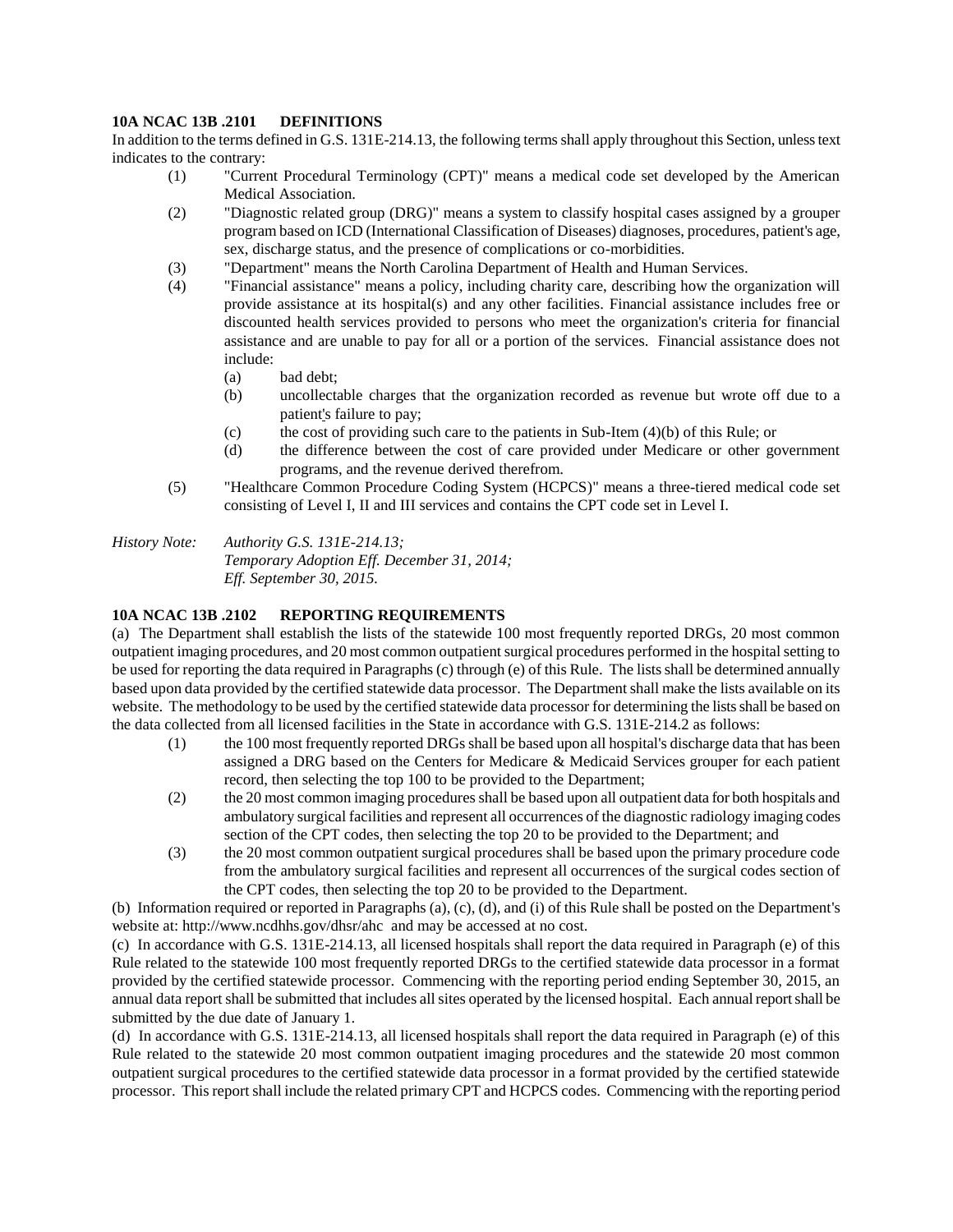## **10A NCAC 13B .2101 DEFINITIONS**

In addition to the terms defined in G.S. 131E-214.13, the following terms shall apply throughout this Section, unless text indicates to the contrary:

- (1) "Current Procedural Terminology (CPT)" means a medical code set developed by the American Medical Association.
- (2) "Diagnostic related group (DRG)" means a system to classify hospital cases assigned by a grouper program based on ICD (International Classification of Diseases) diagnoses, procedures, patient's age, sex, discharge status, and the presence of complications or co-morbidities.
- (3) "Department" means the North Carolina Department of Health and Human Services.
- (4) "Financial assistance" means a policy, including charity care, describing how the organization will provide assistance at its hospital(s) and any other facilities. Financial assistance includes free or discounted health services provided to persons who meet the organization's criteria for financial assistance and are unable to pay for all or a portion of the services. Financial assistance does not include:
	- (a) bad debt;
	- (b) uncollectable charges that the organization recorded as revenue but wrote off due to a patient's failure to pay;
	- (c) the cost of providing such care to the patients in Sub-Item (4)(b) of this Rule; or
	- (d) the difference between the cost of care provided under Medicare or other government programs, and the revenue derived therefrom.
- (5) "Healthcare Common Procedure Coding System (HCPCS)" means a three-tiered medical code set consisting of Level I, II and III services and contains the CPT code set in Level I.

*History Note: Authority G.S. 131E-214.13; Temporary Adoption Eff. December 31, 2014; Eff. September 30, 2015.*

# **10A NCAC 13B .2102 REPORTING REQUIREMENTS**

(a) The Department shall establish the lists of the statewide 100 most frequently reported DRGs, 20 most common outpatient imaging procedures, and 20 most common outpatient surgical procedures performed in the hospital setting to be used for reporting the data required in Paragraphs (c) through (e) of this Rule. The lists shall be determined annually based upon data provided by the certified statewide data processor. The Department shall make the lists available on its website. The methodology to be used by the certified statewide data processor for determining the lists shall be based on the data collected from all licensed facilities in the State in accordance with G.S. 131E-214.2 as follows:

- (1) the 100 most frequently reported DRGs shall be based upon all hospital's discharge data that has been assigned a DRG based on the Centers for Medicare & Medicaid Services grouper for each patient record, then selecting the top 100 to be provided to the Department;
- (2) the 20 most common imaging procedures shall be based upon all outpatient data for both hospitals and ambulatory surgical facilities and represent all occurrences of the diagnostic radiology imaging codes section of the CPT codes, then selecting the top 20 to be provided to the Department; and
- (3) the 20 most common outpatient surgical procedures shall be based upon the primary procedure code from the ambulatory surgical facilities and represent all occurrences of the surgical codes section of the CPT codes, then selecting the top 20 to be provided to the Department.

(b) Information required or reported in Paragraphs (a), (c), (d), and (i) of this Rule shall be posted on the Department's website at: http://www.ncdhhs.gov/dhsr/ahc and may be accessed at no cost.

(c) In accordance with G.S. 131E-214.13, all licensed hospitals shall report the data required in Paragraph (e) of this Rule related to the statewide 100 most frequently reported DRGs to the certified statewide data processor in a format provided by the certified statewide processor. Commencing with the reporting period ending September 30, 2015, an annual data report shall be submitted that includes all sites operated by the licensed hospital. Each annual report shall be submitted by the due date of January 1.

(d) In accordance with G.S. 131E-214.13, all licensed hospitals shall report the data required in Paragraph (e) of this Rule related to the statewide 20 most common outpatient imaging procedures and the statewide 20 most common outpatient surgical procedures to the certified statewide data processor in a format provided by the certified statewide processor. This report shall include the related primary CPT and HCPCS codes. Commencing with the reporting period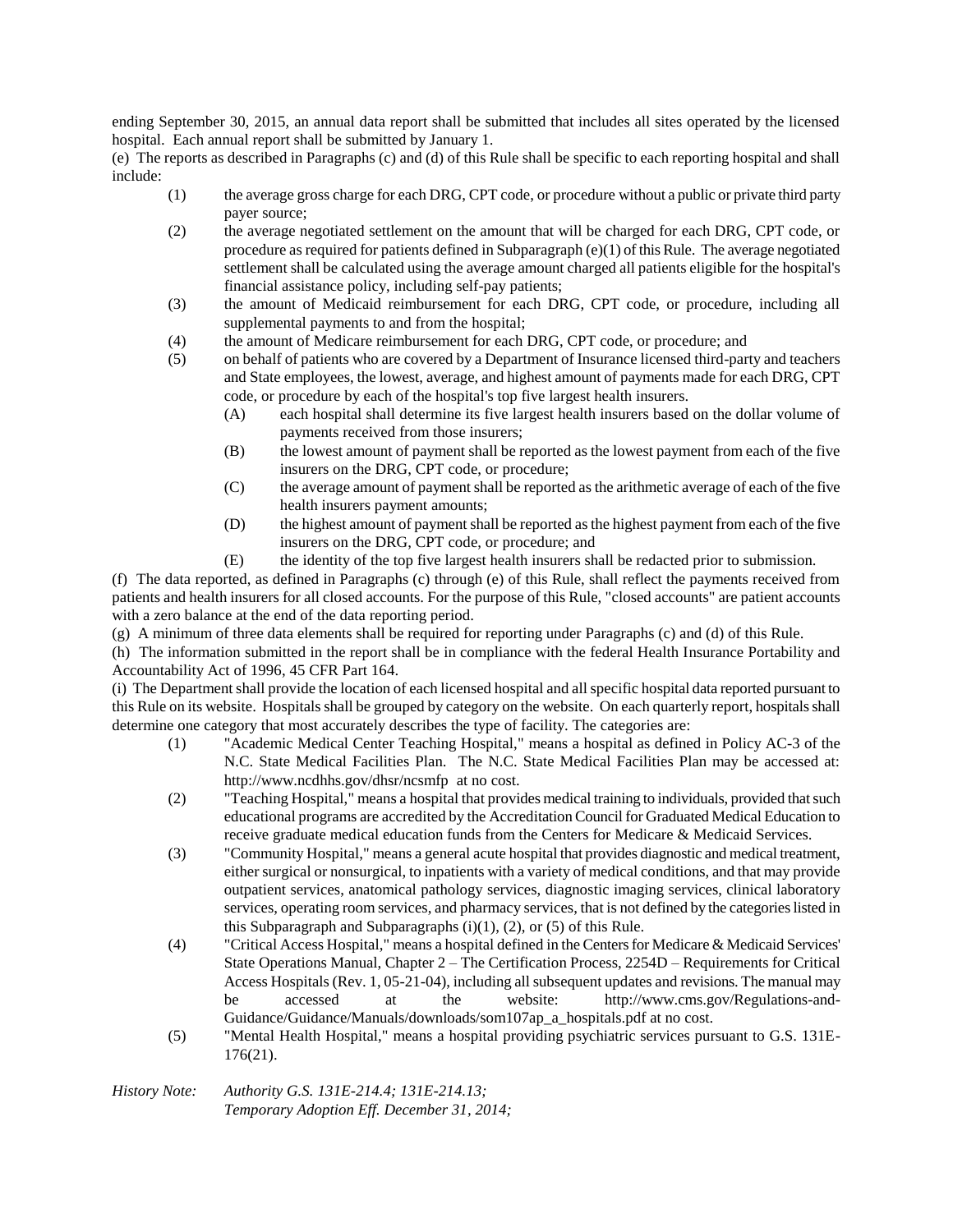ending September 30, 2015, an annual data report shall be submitted that includes all sites operated by the licensed hospital. Each annual report shall be submitted by January 1.

(e) The reports as described in Paragraphs (c) and (d) of this Rule shall be specific to each reporting hospital and shall include:

- (1) the average gross charge for each DRG, CPT code, or procedure without a public or private third party payer source;
- (2) the average negotiated settlement on the amount that will be charged for each DRG, CPT code, or procedure as required for patients defined in Subparagraph (e)(1) of this Rule. The average negotiated settlement shall be calculated using the average amount charged all patients eligible for the hospital's financial assistance policy, including self-pay patients;
- (3) the amount of Medicaid reimbursement for each DRG, CPT code, or procedure, including all supplemental payments to and from the hospital;
- (4) the amount of Medicare reimbursement for each DRG, CPT code, or procedure; and
- (5) on behalf of patients who are covered by a Department of Insurance licensed third-party and teachers and State employees, the lowest, average, and highest amount of payments made for each DRG, CPT code, or procedure by each of the hospital's top five largest health insurers.
	- (A) each hospital shall determine its five largest health insurers based on the dollar volume of payments received from those insurers;
	- (B) the lowest amount of payment shall be reported as the lowest payment from each of the five insurers on the DRG, CPT code, or procedure;
	- (C) the average amount of payment shall be reported as the arithmetic average of each of the five health insurers payment amounts;
	- (D) the highest amount of payment shall be reported as the highest payment from each of the five insurers on the DRG, CPT code, or procedure; and
	- (E) the identity of the top five largest health insurers shall be redacted prior to submission.

(f) The data reported, as defined in Paragraphs (c) through (e) of this Rule, shall reflect the payments received from patients and health insurers for all closed accounts. For the purpose of this Rule, "closed accounts" are patient accounts with a zero balance at the end of the data reporting period.

(g) A minimum of three data elements shall be required for reporting under Paragraphs (c) and (d) of this Rule.

(h) The information submitted in the report shall be in compliance with the federal Health Insurance Portability and Accountability Act of 1996, 45 CFR Part 164.

(i) The Department shall provide the location of each licensed hospital and all specific hospital data reported pursuant to this Rule on its website. Hospitals shall be grouped by category on the website. On each quarterly report, hospitals shall determine one category that most accurately describes the type of facility. The categories are:

- (1) "Academic Medical Center Teaching Hospital," means a hospital as defined in Policy AC-3 of the N.C. State Medical Facilities Plan. The N.C. State Medical Facilities Plan may be accessed at: http://www.ncdhhs.gov/dhsr/ncsmfp at no cost.
- (2) "Teaching Hospital," means a hospital that provides medical training to individuals, provided that such educational programs are accredited by the Accreditation Council for Graduated Medical Education to receive graduate medical education funds from the Centers for Medicare & Medicaid Services.
- (3) "Community Hospital," means a general acute hospital that provides diagnostic and medical treatment, either surgical or nonsurgical, to inpatients with a variety of medical conditions, and that may provide outpatient services, anatomical pathology services, diagnostic imaging services, clinical laboratory services, operating room services, and pharmacy services, that is not defined by the categories listed in this Subparagraph and Subparagraphs  $(i)(1)$ ,  $(2)$ , or  $(5)$  of this Rule.
- (4) "Critical Access Hospital," means a hospital defined in the Centers for Medicare & Medicaid Services' State Operations Manual, Chapter 2 – The Certification Process, 2254D – Requirements for Critical Access Hospitals (Rev. 1, 05-21-04), including all subsequent updates and revisions. The manual may be accessed at the website: http://www.cms.gov/Regulations-and-Guidance/Guidance/Manuals/downloads/som107ap\_a\_hospitals.pdf at no cost.
- (5) "Mental Health Hospital," means a hospital providing psychiatric services pursuant to G.S. 131E-176(21).

#### *History Note: Authority G.S. 131E-214.4; 131E-214.13; Temporary Adoption Eff. December 31, 2014;*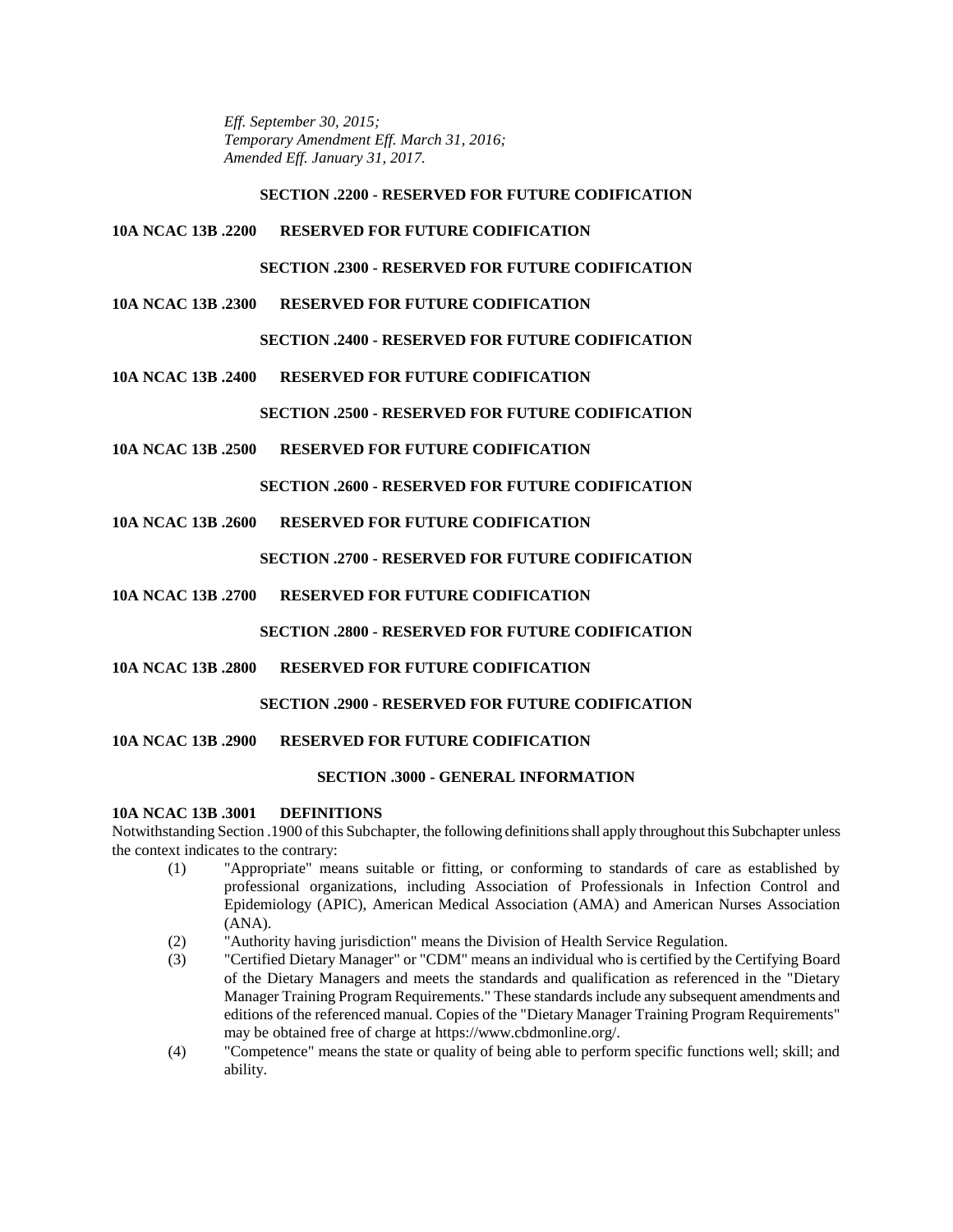*Eff. September 30, 2015; Temporary Amendment Eff. March 31, 2016; Amended Eff. January 31, 2017.*

### **SECTION .2200 - RESERVED FOR FUTURE CODIFICATION**

## **10A NCAC 13B .2200 RESERVED FOR FUTURE CODIFICATION**

**SECTION .2300 - RESERVED FOR FUTURE CODIFICATION**

**10A NCAC 13B .2300 RESERVED FOR FUTURE CODIFICATION**

# **SECTION .2400 - RESERVED FOR FUTURE CODIFICATION**

**10A NCAC 13B .2400 RESERVED FOR FUTURE CODIFICATION**

# **SECTION .2500 - RESERVED FOR FUTURE CODIFICATION**

**10A NCAC 13B .2500 RESERVED FOR FUTURE CODIFICATION**

# **SECTION .2600 - RESERVED FOR FUTURE CODIFICATION**

**10A NCAC 13B .2600 RESERVED FOR FUTURE CODIFICATION**

# **SECTION .2700 - RESERVED FOR FUTURE CODIFICATION**

**10A NCAC 13B .2700 RESERVED FOR FUTURE CODIFICATION**

# **SECTION .2800 - RESERVED FOR FUTURE CODIFICATION**

**10A NCAC 13B .2800 RESERVED FOR FUTURE CODIFICATION**

# **SECTION .2900 - RESERVED FOR FUTURE CODIFICATION**

# **10A NCAC 13B .2900 RESERVED FOR FUTURE CODIFICATION**

# **SECTION .3000 - GENERAL INFORMATION**

# **10A NCAC 13B .3001 DEFINITIONS**

Notwithstanding Section .1900 of this Subchapter, the following definitions shall apply throughout this Subchapter unless the context indicates to the contrary:

- (1) "Appropriate" means suitable or fitting, or conforming to standards of care as established by professional organizations, including Association of Professionals in Infection Control and Epidemiology (APIC), American Medical Association (AMA) and American Nurses Association (ANA).
- (2) "Authority having jurisdiction" means the Division of Health Service Regulation.
- (3) "Certified Dietary Manager" or "CDM" means an individual who is certified by the Certifying Board of the Dietary Managers and meets the standards and qualification as referenced in the "Dietary Manager Training Program Requirements." These standards include any subsequent amendments and editions of the referenced manual. Copies of the "Dietary Manager Training Program Requirements" may be obtained free of charge at https://www.cbdmonline.org/.
- (4) "Competence" means the state or quality of being able to perform specific functions well; skill; and ability.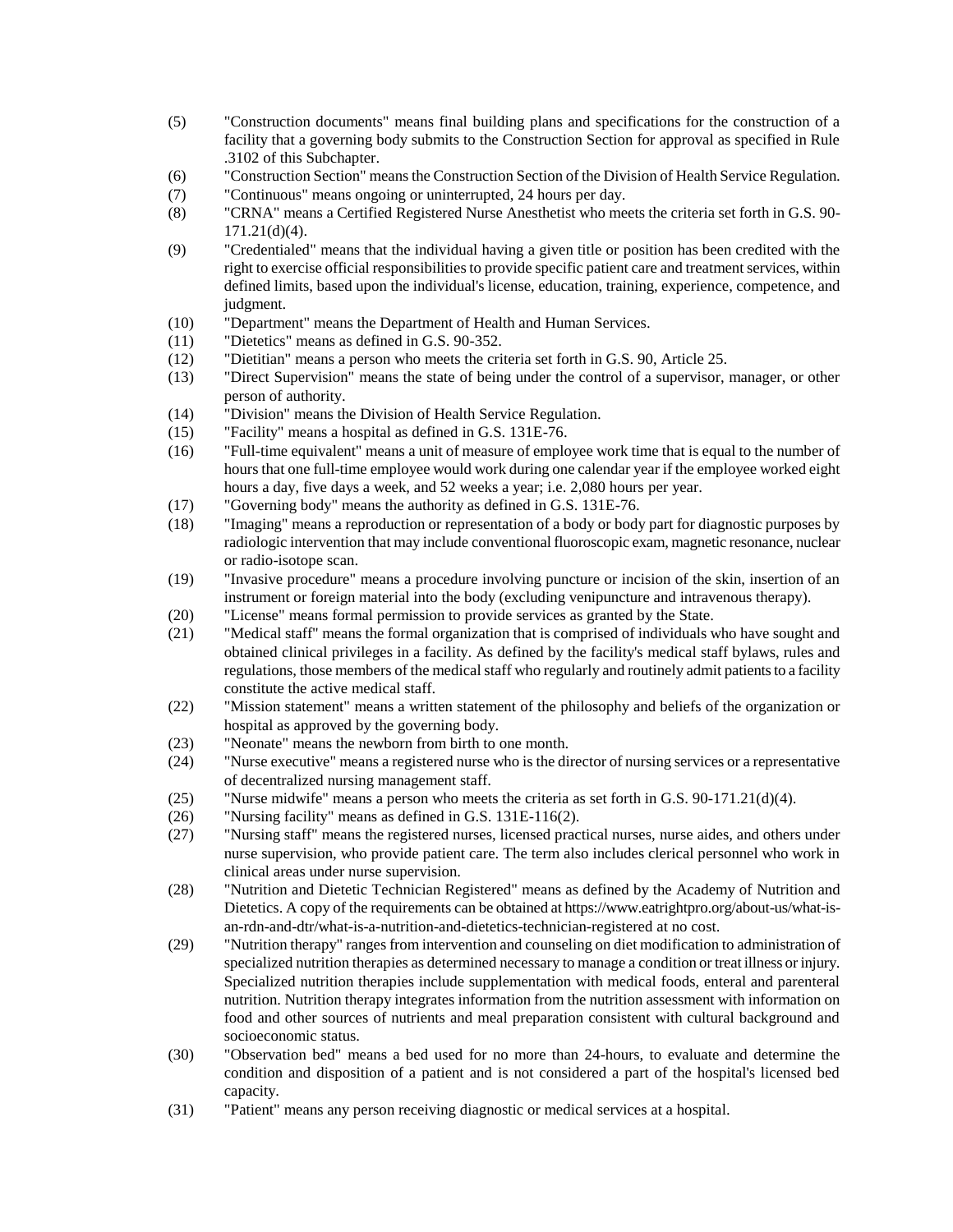- (5) "Construction documents" means final building plans and specifications for the construction of a facility that a governing body submits to the Construction Section for approval as specified in Rule .3102 of this Subchapter.
- (6) "Construction Section" means the Construction Section of the Division of Health Service Regulation.
- (7) "Continuous" means ongoing or uninterrupted, 24 hours per day.
- (8) "CRNA" means a Certified Registered Nurse Anesthetist who meets the criteria set forth in G.S. 90- 171.21(d)(4).
- (9) "Credentialed" means that the individual having a given title or position has been credited with the right to exercise official responsibilities to provide specific patient care and treatment services, within defined limits, based upon the individual's license, education, training, experience, competence, and judgment.
- (10) "Department" means the Department of Health and Human Services.
- (11) "Dietetics" means as defined in G.S. 90-352.
- (12) "Dietitian" means a person who meets the criteria set forth in G.S. 90, Article 25.
- (13) "Direct Supervision" means the state of being under the control of a supervisor, manager, or other person of authority.
- (14) "Division" means the Division of Health Service Regulation.
- (15) "Facility" means a hospital as defined in G.S. 131E-76.
- (16) "Full-time equivalent" means a unit of measure of employee work time that is equal to the number of hours that one full-time employee would work during one calendar year if the employee worked eight hours a day, five days a week, and 52 weeks a year; i.e. 2,080 hours per year.
- (17) "Governing body" means the authority as defined in G.S. 131E-76.
- (18) "Imaging" means a reproduction or representation of a body or body part for diagnostic purposes by radiologic intervention that may include conventional fluoroscopic exam, magnetic resonance, nuclear or radio-isotope scan.
- (19) "Invasive procedure" means a procedure involving puncture or incision of the skin, insertion of an instrument or foreign material into the body (excluding venipuncture and intravenous therapy).
- (20) "License" means formal permission to provide services as granted by the State.
- (21) "Medical staff" means the formal organization that is comprised of individuals who have sought and obtained clinical privileges in a facility. As defined by the facility's medical staff bylaws, rules and regulations, those members of the medical staff who regularly and routinely admit patients to a facility constitute the active medical staff.
- (22) "Mission statement" means a written statement of the philosophy and beliefs of the organization or hospital as approved by the governing body.
- (23) "Neonate" means the newborn from birth to one month.
- (24) "Nurse executive" means a registered nurse who is the director of nursing services or a representative of decentralized nursing management staff.
- (25) "Nurse midwife" means a person who meets the criteria as set forth in G.S. 90-171.21(d)(4).
- (26) "Nursing facility" means as defined in G.S. 131E-116(2).
- (27) "Nursing staff" means the registered nurses, licensed practical nurses, nurse aides, and others under nurse supervision, who provide patient care. The term also includes clerical personnel who work in clinical areas under nurse supervision.
- (28) "Nutrition and Dietetic Technician Registered" means as defined by the Academy of Nutrition and Dietetics. A copy of the requirements can be obtained at https://www.eatrightpro.org/about-us/what-isan-rdn-and-dtr/what-is-a-nutrition-and-dietetics-technician-registered at no cost.
- (29) "Nutrition therapy" ranges from intervention and counseling on diet modification to administration of specialized nutrition therapies as determined necessary to manage a condition or treat illness or injury. Specialized nutrition therapies include supplementation with medical foods, enteral and parenteral nutrition. Nutrition therapy integrates information from the nutrition assessment with information on food and other sources of nutrients and meal preparation consistent with cultural background and socioeconomic status.
- (30) "Observation bed" means a bed used for no more than 24-hours, to evaluate and determine the condition and disposition of a patient and is not considered a part of the hospital's licensed bed capacity.
- (31) "Patient" means any person receiving diagnostic or medical services at a hospital.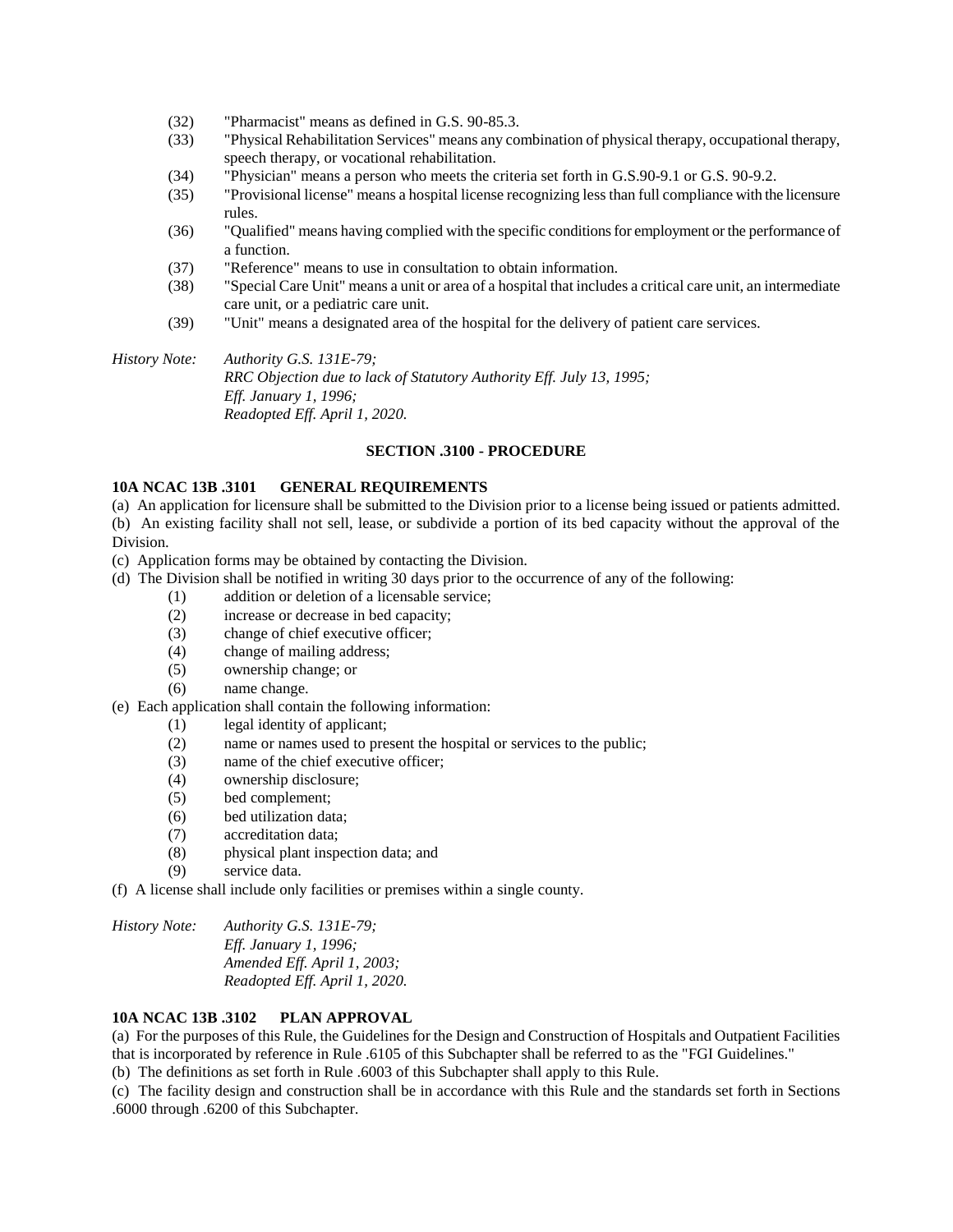- (32) "Pharmacist" means as defined in G.S. 90-85.3.
- (33) "Physical Rehabilitation Services" means any combination of physical therapy, occupational therapy, speech therapy, or vocational rehabilitation.
- (34) "Physician" means a person who meets the criteria set forth in G.S.90-9.1 or G.S. 90-9.2.
- (35) "Provisional license" means a hospital license recognizing less than full compliance with the licensure rules.
- (36) "Qualified" means having complied with the specific conditions for employment or the performance of a function.
- (37) "Reference" means to use in consultation to obtain information.
- (38) "Special Care Unit" means a unit or area of a hospital that includes a critical care unit, an intermediate care unit, or a pediatric care unit.
- (39) "Unit" means a designated area of the hospital for the delivery of patient care services.

*History Note: Authority G.S. 131E-79; RRC Objection due to lack of Statutory Authority Eff. July 13, 1995; Eff. January 1, 1996; Readopted Eff. April 1, 2020.*

### **SECTION .3100 - PROCEDURE**

## **10A NCAC 13B .3101 GENERAL REQUIREMENTS**

(a) An application for licensure shall be submitted to the Division prior to a license being issued or patients admitted. (b) An existing facility shall not sell, lease, or subdivide a portion of its bed capacity without the approval of the Division.

- (c) Application forms may be obtained by contacting the Division.
- (d) The Division shall be notified in writing 30 days prior to the occurrence of any of the following:
	- (1) addition or deletion of a licensable service;
	- (2) increase or decrease in bed capacity;
	- (3) change of chief executive officer;
	- (4) change of mailing address;
	- (5) ownership change; or
	- (6) name change.
- (e) Each application shall contain the following information:
	- (1) legal identity of applicant;
	- (2) name or names used to present the hospital or services to the public;
	- (3) name of the chief executive officer;
	- (4) ownership disclosure;
	- (5) bed complement;
	- (6) bed utilization data;
	- (7) accreditation data;
	- (8) physical plant inspection data; and
	- (9) service data.
- (f) A license shall include only facilities or premises within a single county.

*History Note: Authority G.S. 131E-79; Eff. January 1, 1996; Amended Eff. April 1, 2003; Readopted Eff. April 1, 2020.*

### **10A NCAC 13B .3102 PLAN APPROVAL**

(a) For the purposes of this Rule, the Guidelines for the Design and Construction of Hospitals and Outpatient Facilities that is incorporated by reference in Rule .6105 of this Subchapter shall be referred to as the "FGI Guidelines."

(b) The definitions as set forth in Rule .6003 of this Subchapter shall apply to this Rule.

(c) The facility design and construction shall be in accordance with this Rule and the standards set forth in Sections .6000 through .6200 of this Subchapter.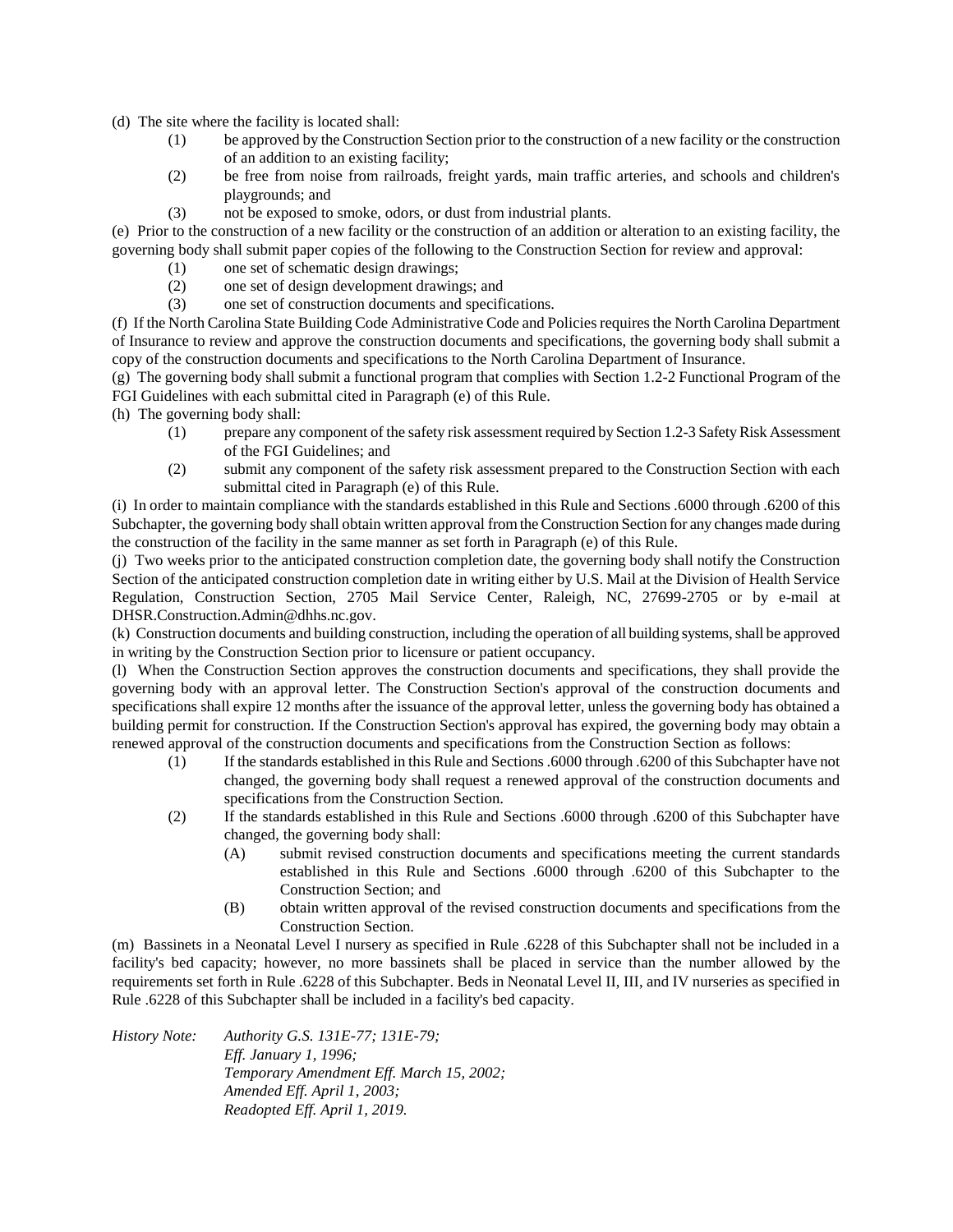(d) The site where the facility is located shall:

- (1) be approved by the Construction Section prior to the construction of a new facility or the construction of an addition to an existing facility;
- (2) be free from noise from railroads, freight yards, main traffic arteries, and schools and children's playgrounds; and
- (3) not be exposed to smoke, odors, or dust from industrial plants.

(e) Prior to the construction of a new facility or the construction of an addition or alteration to an existing facility, the governing body shall submit paper copies of the following to the Construction Section for review and approval:

- (1) one set of schematic design drawings;
- (2) one set of design development drawings; and
- (3) one set of construction documents and specifications.

(f) If the North Carolina State Building Code Administrative Code and Policies requires the North Carolina Department of Insurance to review and approve the construction documents and specifications, the governing body shall submit a copy of the construction documents and specifications to the North Carolina Department of Insurance.

(g) The governing body shall submit a functional program that complies with Section 1.2-2 Functional Program of the FGI Guidelines with each submittal cited in Paragraph (e) of this Rule.

(h) The governing body shall:

- (1) prepare any component of the safety risk assessment required by Section 1.2-3 Safety Risk Assessment of the FGI Guidelines; and
- (2) submit any component of the safety risk assessment prepared to the Construction Section with each submittal cited in Paragraph (e) of this Rule.

(i) In order to maintain compliance with the standards established in this Rule and Sections .6000 through .6200 of this Subchapter, the governing body shall obtain written approval from the Construction Section for any changes made during the construction of the facility in the same manner as set forth in Paragraph (e) of this Rule.

(j) Two weeks prior to the anticipated construction completion date, the governing body shall notify the Construction Section of the anticipated construction completion date in writing either by U.S. Mail at the Division of Health Service Regulation, Construction Section, 2705 Mail Service Center, Raleigh, NC, 27699-2705 or by e-mail at DHSR.Construction.Admin@dhhs.nc.gov.

(k) Construction documents and building construction, including the operation of all building systems, shall be approved in writing by the Construction Section prior to licensure or patient occupancy.

(l) When the Construction Section approves the construction documents and specifications, they shall provide the governing body with an approval letter. The Construction Section's approval of the construction documents and specifications shall expire 12 months after the issuance of the approval letter, unless the governing body has obtained a building permit for construction. If the Construction Section's approval has expired, the governing body may obtain a renewed approval of the construction documents and specifications from the Construction Section as follows:

- (1) If the standards established in this Rule and Sections .6000 through .6200 of this Subchapter have not changed, the governing body shall request a renewed approval of the construction documents and specifications from the Construction Section.
- (2) If the standards established in this Rule and Sections .6000 through .6200 of this Subchapter have changed, the governing body shall:
	- (A) submit revised construction documents and specifications meeting the current standards established in this Rule and Sections .6000 through .6200 of this Subchapter to the Construction Section; and
	- (B) obtain written approval of the revised construction documents and specifications from the Construction Section.

(m) Bassinets in a Neonatal Level I nursery as specified in Rule .6228 of this Subchapter shall not be included in a facility's bed capacity; however, no more bassinets shall be placed in service than the number allowed by the requirements set forth in Rule .6228 of this Subchapter. Beds in Neonatal Level II, III, and IV nurseries as specified in Rule .6228 of this Subchapter shall be included in a facility's bed capacity.

*History Note: Authority G.S. 131E-77; 131E-79; Eff. January 1, 1996; Temporary Amendment Eff. March 15, 2002; Amended Eff. April 1, 2003; Readopted Eff. April 1, 2019.*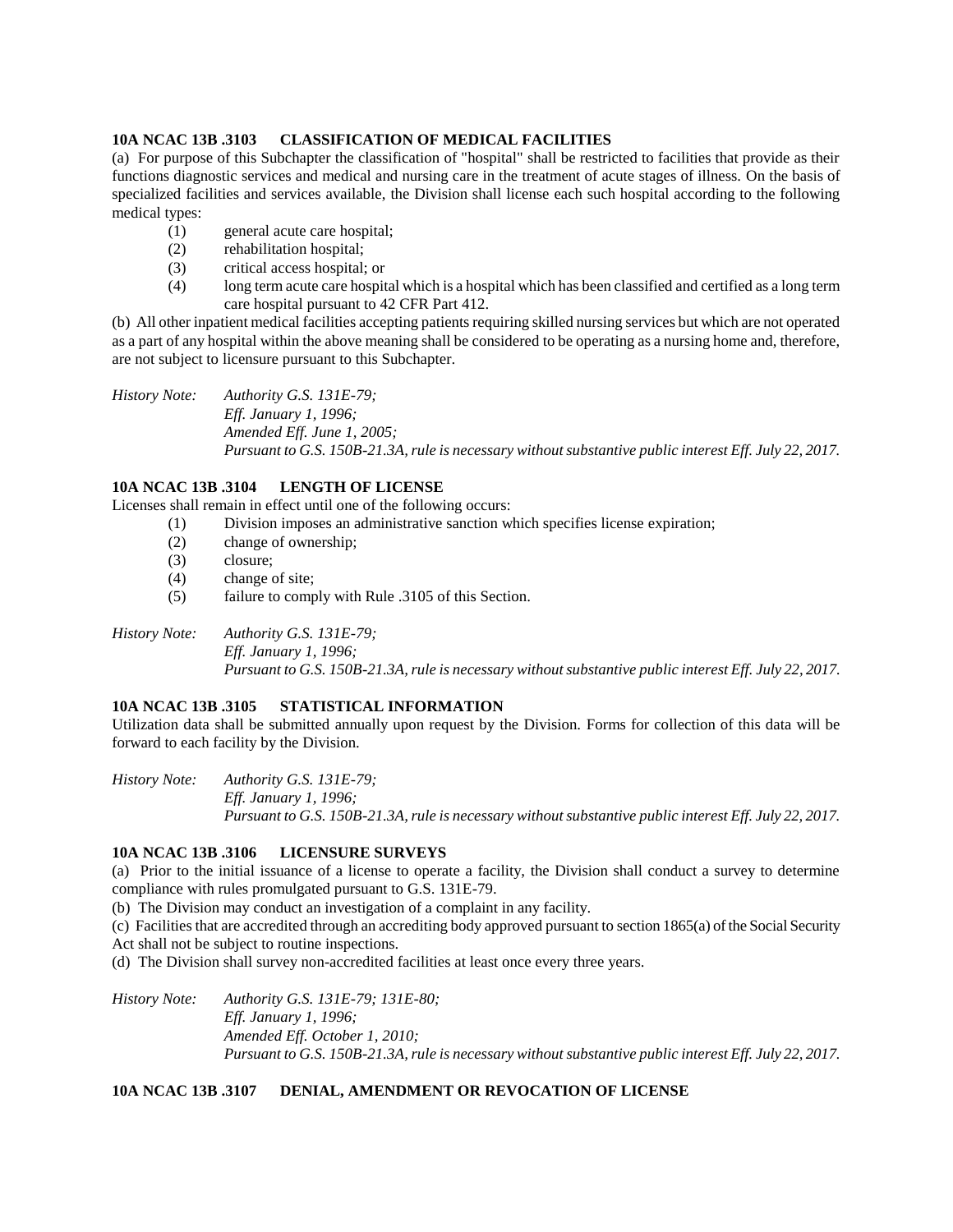## **10A NCAC 13B .3103 CLASSIFICATION OF MEDICAL FACILITIES**

(a) For purpose of this Subchapter the classification of "hospital" shall be restricted to facilities that provide as their functions diagnostic services and medical and nursing care in the treatment of acute stages of illness. On the basis of specialized facilities and services available, the Division shall license each such hospital according to the following medical types:

- (1) general acute care hospital;
- (2) rehabilitation hospital;
- (3) critical access hospital; or
- (4) long term acute care hospital which is a hospital which has been classified and certified as a long term care hospital pursuant to 42 CFR Part 412.

(b) All other inpatient medical facilities accepting patients requiring skilled nursing services but which are not operated as a part of any hospital within the above meaning shall be considered to be operating as a nursing home and, therefore, are not subject to licensure pursuant to this Subchapter.

*History Note: Authority G.S. 131E-79; Eff. January 1, 1996; Amended Eff. June 1, 2005; Pursuant to G.S. 150B-21.3A, rule is necessary without substantive public interest Eff. July 22, 2017.*

# **10A NCAC 13B .3104 LENGTH OF LICENSE**

Licenses shall remain in effect until one of the following occurs:

(1) Division imposes an administrative sanction which specifies license expiration;

- (2) change of ownership;
- (3) closure;
- (4) change of site;
- (5) failure to comply with Rule .3105 of this Section.

*History Note: Authority G.S. 131E-79; Eff. January 1, 1996; Pursuant to G.S. 150B-21.3A, rule is necessary without substantive public interest Eff. July 22, 2017.*

### **10A NCAC 13B .3105 STATISTICAL INFORMATION**

Utilization data shall be submitted annually upon request by the Division. Forms for collection of this data will be forward to each facility by the Division.

*History Note: Authority G.S. 131E-79; Eff. January 1, 1996; Pursuant to G.S. 150B-21.3A, rule is necessary without substantive public interest Eff. July 22, 2017.*

### **10A NCAC 13B .3106 LICENSURE SURVEYS**

(a) Prior to the initial issuance of a license to operate a facility, the Division shall conduct a survey to determine compliance with rules promulgated pursuant to G.S. 131E-79.

(b) The Division may conduct an investigation of a complaint in any facility.

(c) Facilities that are accredited through an accrediting body approved pursuant to section 1865(a) of the Social Security Act shall not be subject to routine inspections.

(d) The Division shall survey non-accredited facilities at least once every three years.

*History Note: Authority G.S. 131E-79; 131E-80; Eff. January 1, 1996; Amended Eff. October 1, 2010; Pursuant to G.S. 150B-21.3A, rule is necessary without substantive public interest Eff. July 22, 2017.*

# **10A NCAC 13B .3107 DENIAL, AMENDMENT OR REVOCATION OF LICENSE**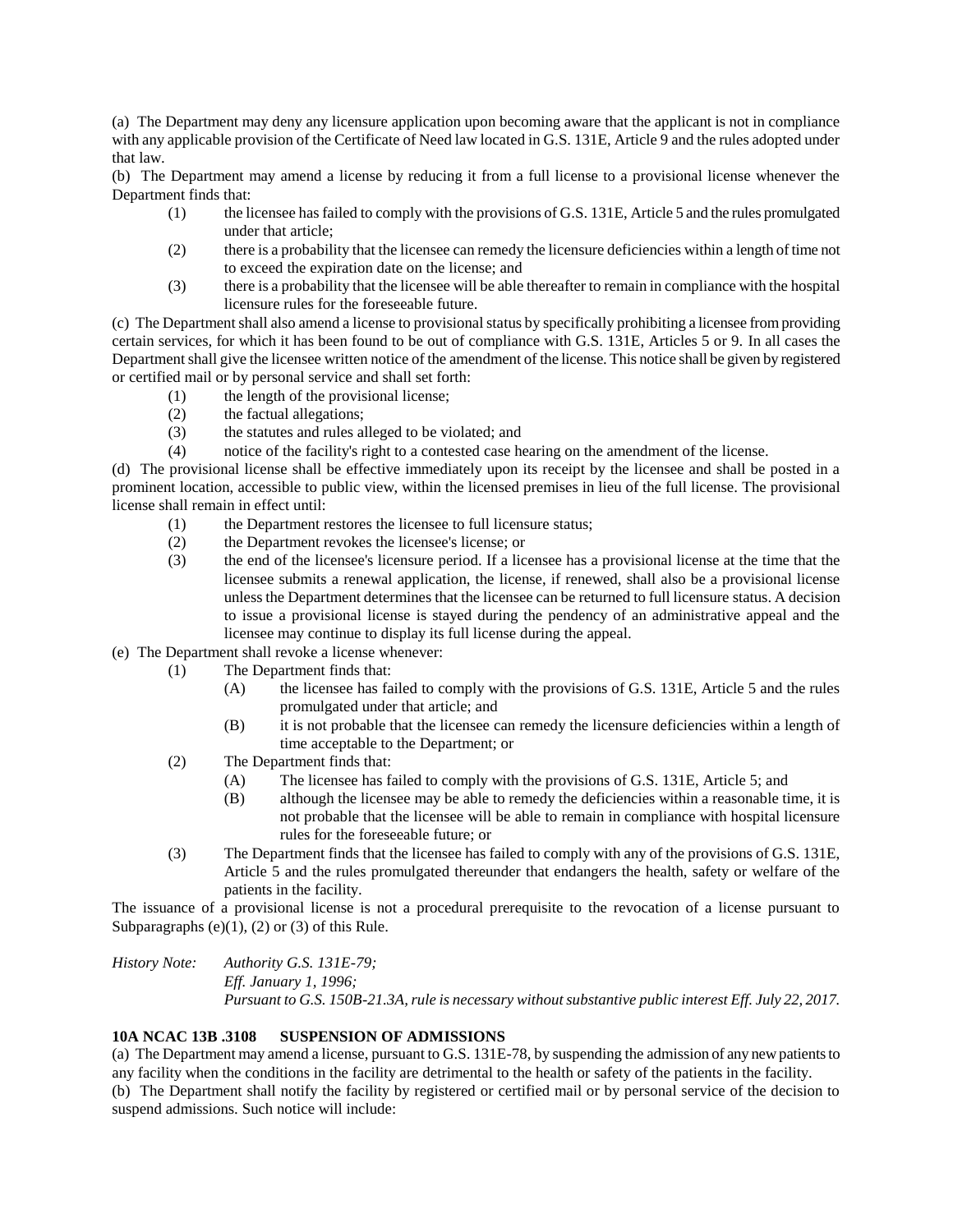(a) The Department may deny any licensure application upon becoming aware that the applicant is not in compliance with any applicable provision of the Certificate of Need law located in G.S. 131E, Article 9 and the rules adopted under that law.

(b) The Department may amend a license by reducing it from a full license to a provisional license whenever the Department finds that:

- (1) the licensee has failed to comply with the provisions of G.S. 131E, Article 5 and the rules promulgated under that article;
- (2) there is a probability that the licensee can remedy the licensure deficiencies within a length of time not to exceed the expiration date on the license; and
- (3) there is a probability that the licensee will be able thereafter to remain in compliance with the hospital licensure rules for the foreseeable future.

(c) The Department shall also amend a license to provisional status by specifically prohibiting a licensee from providing certain services, for which it has been found to be out of compliance with G.S. 131E, Articles 5 or 9. In all cases the Department shall give the licensee written notice of the amendment of the license. This notice shall be given by registered or certified mail or by personal service and shall set forth:

- (1) the length of the provisional license;
- (2) the factual allegations;
- (3) the statutes and rules alleged to be violated; and
- (4) notice of the facility's right to a contested case hearing on the amendment of the license.

(d) The provisional license shall be effective immediately upon its receipt by the licensee and shall be posted in a prominent location, accessible to public view, within the licensed premises in lieu of the full license. The provisional license shall remain in effect until:

- (1) the Department restores the licensee to full licensure status;
- (2) the Department revokes the licensee's license; or
- (3) the end of the licensee's licensure period. If a licensee has a provisional license at the time that the licensee submits a renewal application, the license, if renewed, shall also be a provisional license unless the Department determines that the licensee can be returned to full licensure status. A decision to issue a provisional license is stayed during the pendency of an administrative appeal and the licensee may continue to display its full license during the appeal.
- (e) The Department shall revoke a license whenever:
	- (1) The Department finds that:
		- (A) the licensee has failed to comply with the provisions of G.S. 131E, Article 5 and the rules promulgated under that article; and
		- (B) it is not probable that the licensee can remedy the licensure deficiencies within a length of time acceptable to the Department; or
	- (2) The Department finds that:
		- (A) The licensee has failed to comply with the provisions of G.S. 131E, Article 5; and
		- (B) although the licensee may be able to remedy the deficiencies within a reasonable time, it is not probable that the licensee will be able to remain in compliance with hospital licensure rules for the foreseeable future; or
	- (3) The Department finds that the licensee has failed to comply with any of the provisions of G.S. 131E, Article 5 and the rules promulgated thereunder that endangers the health, safety or welfare of the patients in the facility.

The issuance of a provisional license is not a procedural prerequisite to the revocation of a license pursuant to Subparagraphs (e) $(1)$ ,  $(2)$  or  $(3)$  of this Rule.

*History Note: Authority G.S. 131E-79; Eff. January 1, 1996; Pursuant to G.S. 150B-21.3A, rule is necessary without substantive public interest Eff. July 22, 2017.*

# **10A NCAC 13B .3108 SUSPENSION OF ADMISSIONS**

(a) The Department may amend a license, pursuant to G.S. 131E-78, by suspending the admission of any new patients to any facility when the conditions in the facility are detrimental to the health or safety of the patients in the facility. (b) The Department shall notify the facility by registered or certified mail or by personal service of the decision to suspend admissions. Such notice will include: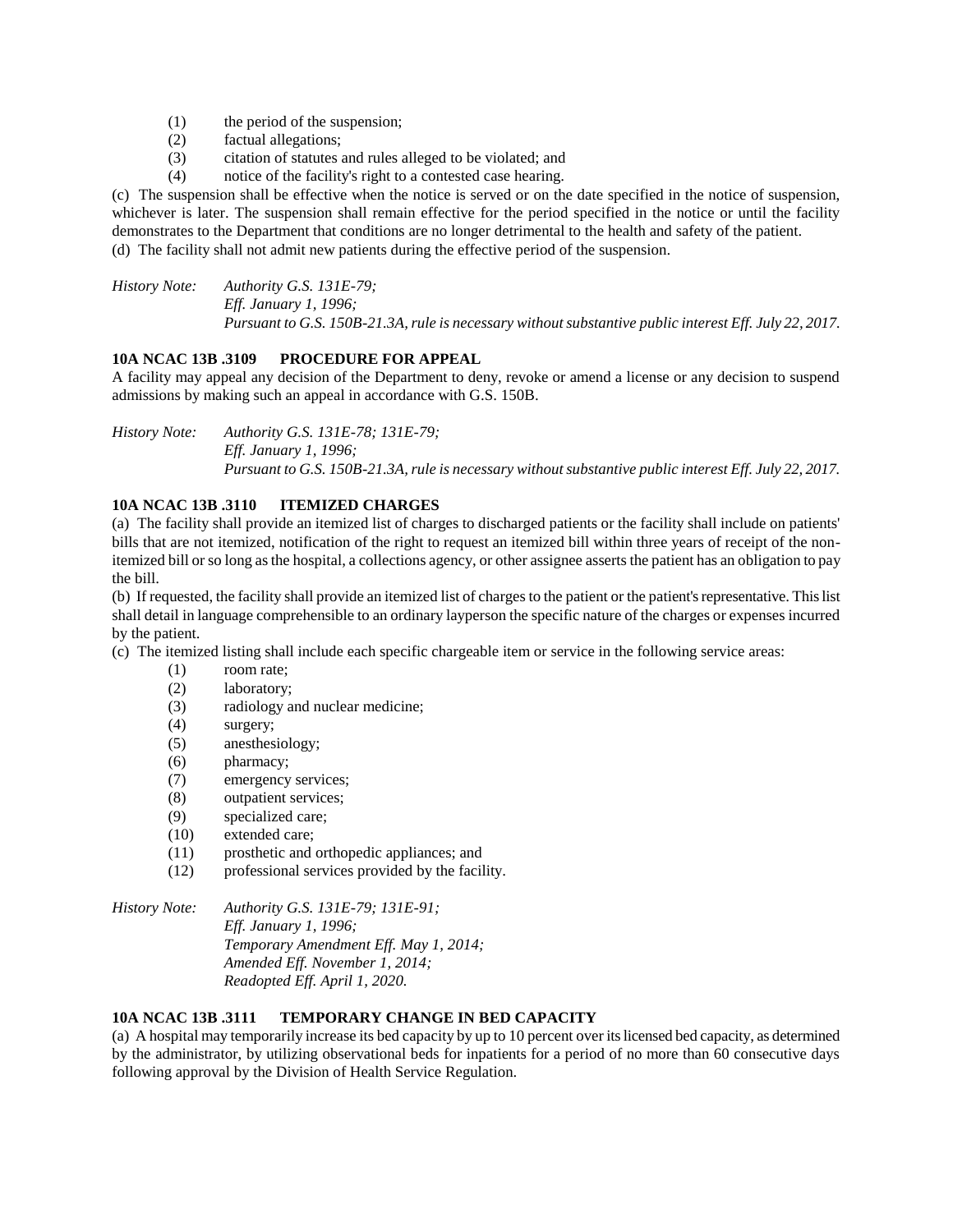- (1) the period of the suspension;
- (2) factual allegations;
- (3) citation of statutes and rules alleged to be violated; and
- (4) notice of the facility's right to a contested case hearing.

(c) The suspension shall be effective when the notice is served or on the date specified in the notice of suspension, whichever is later. The suspension shall remain effective for the period specified in the notice or until the facility demonstrates to the Department that conditions are no longer detrimental to the health and safety of the patient. (d) The facility shall not admit new patients during the effective period of the suspension.

*History Note: Authority G.S. 131E-79; Eff. January 1, 1996; Pursuant to G.S. 150B-21.3A, rule is necessary without substantive public interest Eff. July 22, 2017.*

# **10A NCAC 13B .3109 PROCEDURE FOR APPEAL**

A facility may appeal any decision of the Department to deny, revoke or amend a license or any decision to suspend admissions by making such an appeal in accordance with G.S. 150B.

*History Note: Authority G.S. 131E-78; 131E-79; Eff. January 1, 1996; Pursuant to G.S. 150B-21.3A, rule is necessary without substantive public interest Eff. July 22, 2017.*

# **10A NCAC 13B .3110 ITEMIZED CHARGES**

(a) The facility shall provide an itemized list of charges to discharged patients or the facility shall include on patients' bills that are not itemized, notification of the right to request an itemized bill within three years of receipt of the nonitemized bill or so long as the hospital, a collections agency, or other assignee asserts the patient has an obligation to pay the bill.

(b) If requested, the facility shall provide an itemized list of charges to the patient or the patient's representative. This list shall detail in language comprehensible to an ordinary layperson the specific nature of the charges or expenses incurred by the patient.

(c) The itemized listing shall include each specific chargeable item or service in the following service areas:

- (1) room rate;
- (2) laboratory;
- (3) radiology and nuclear medicine;
- (4) surgery;
- (5) anesthesiology;
- (6) pharmacy;
- (7) emergency services;
- (8) outpatient services;
- (9) specialized care;
- (10) extended care;
- (11) prosthetic and orthopedic appliances; and
- (12) professional services provided by the facility.

*History Note: Authority G.S. 131E-79; 131E-91;*

*Eff. January 1, 1996; Temporary Amendment Eff. May 1, 2014; Amended Eff. November 1, 2014; Readopted Eff. April 1, 2020.*

# **10A NCAC 13B .3111 TEMPORARY CHANGE IN BED CAPACITY**

(a) A hospital may temporarily increase its bed capacity by up to 10 percent over its licensed bed capacity, as determined by the administrator, by utilizing observational beds for inpatients for a period of no more than 60 consecutive days following approval by the Division of Health Service Regulation.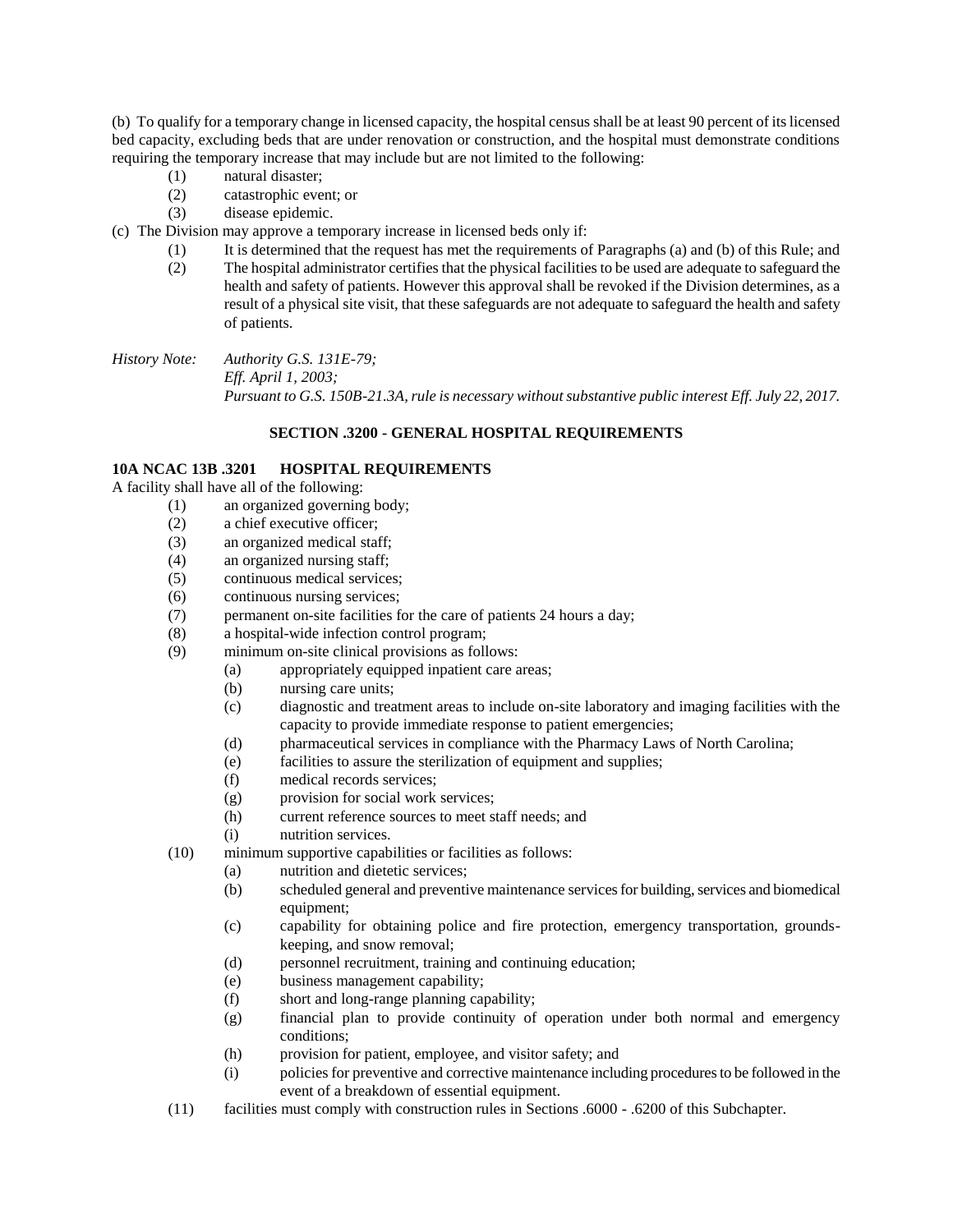(b) To qualify for a temporary change in licensed capacity, the hospital census shall be at least 90 percent of its licensed bed capacity, excluding beds that are under renovation or construction, and the hospital must demonstrate conditions requiring the temporary increase that may include but are not limited to the following:

- (1) natural disaster;
- (2) catastrophic event; or
- (3) disease epidemic.
- (c) The Division may approve a temporary increase in licensed beds only if:
	- (1) It is determined that the request has met the requirements of Paragraphs (a) and (b) of this Rule; and
	- (2) The hospital administrator certifies that the physical facilities to be used are adequate to safeguard the health and safety of patients. However this approval shall be revoked if the Division determines, as a result of a physical site visit, that these safeguards are not adequate to safeguard the health and safety of patients.

*History Note: Authority G.S. 131E-79; Eff. April 1, 2003; Pursuant to G.S. 150B-21.3A, rule is necessary without substantive public interest Eff. July 22, 2017.*

### **SECTION .3200 - GENERAL HOSPITAL REQUIREMENTS**

### **10A NCAC 13B .3201 HOSPITAL REQUIREMENTS**

A facility shall have all of the following:

- (1) an organized governing body;
- (2) a chief executive officer;
- (3) an organized medical staff;
- (4) an organized nursing staff;
- (5) continuous medical services;
- (6) continuous nursing services;
- (7) permanent on-site facilities for the care of patients 24 hours a day;
- (8) a hospital-wide infection control program;
- (9) minimum on-site clinical provisions as follows:
	- (a) appropriately equipped inpatient care areas;
	- (b) nursing care units;
	- (c) diagnostic and treatment areas to include on-site laboratory and imaging facilities with the capacity to provide immediate response to patient emergencies;
	- (d) pharmaceutical services in compliance with the Pharmacy Laws of North Carolina;
	- (e) facilities to assure the sterilization of equipment and supplies;
	- (f) medical records services;
	- (g) provision for social work services;
	- (h) current reference sources to meet staff needs; and
	- (i) nutrition services.
- (10) minimum supportive capabilities or facilities as follows:
	- (a) nutrition and dietetic services;
	- (b) scheduled general and preventive maintenance services for building, services and biomedical equipment;
	- (c) capability for obtaining police and fire protection, emergency transportation, groundskeeping, and snow removal;
	- (d) personnel recruitment, training and continuing education;
	- (e) business management capability;
	- (f) short and long-range planning capability;
	- (g) financial plan to provide continuity of operation under both normal and emergency conditions;
	- (h) provision for patient, employee, and visitor safety; and
	- (i) policies for preventive and corrective maintenance including procedures to be followed in the event of a breakdown of essential equipment.
- (11) facilities must comply with construction rules in Sections .6000 .6200 of this Subchapter.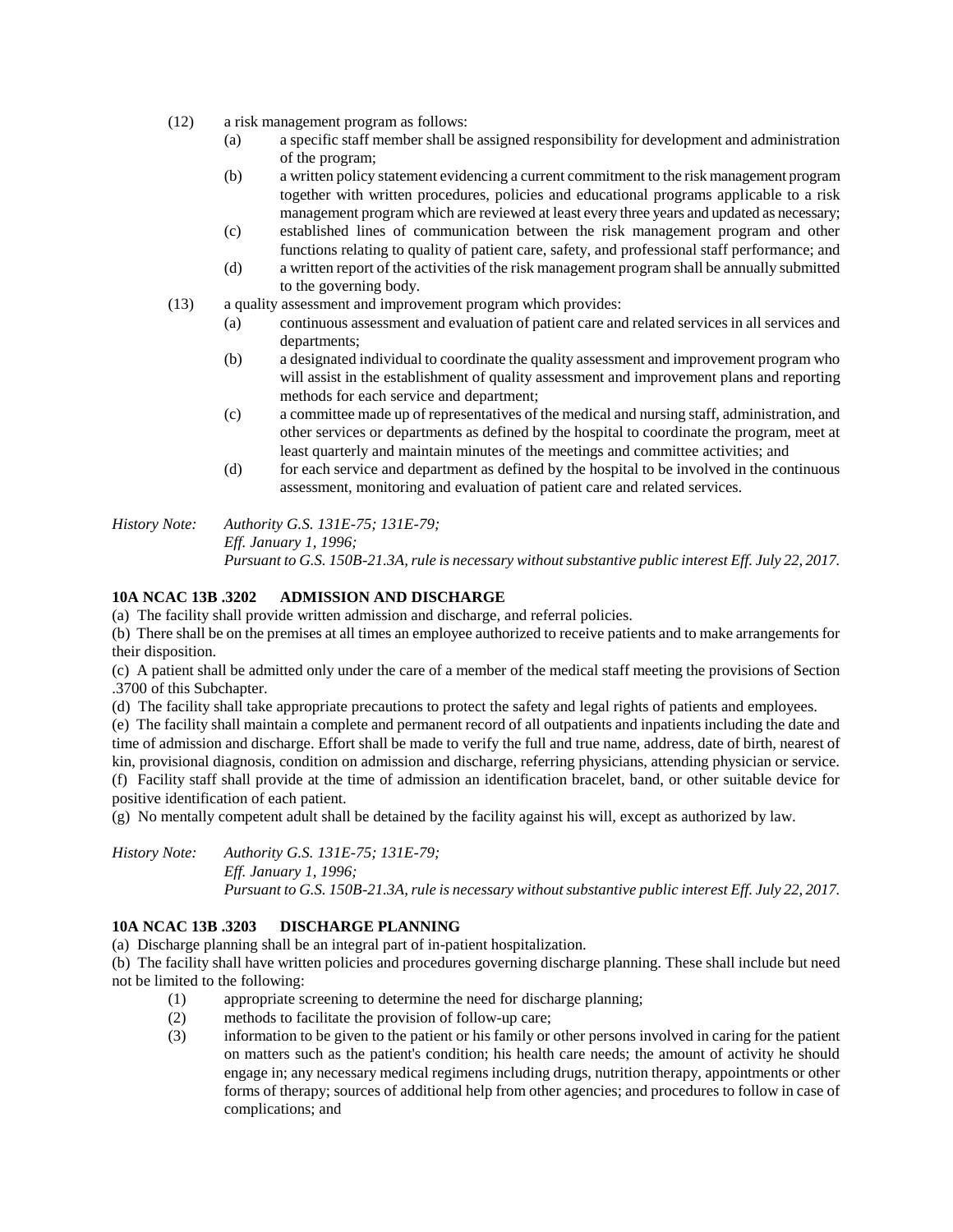- (12) a risk management program as follows:
	- (a) a specific staff member shall be assigned responsibility for development and administration of the program;
	- (b) a written policy statement evidencing a current commitment to the risk management program together with written procedures, policies and educational programs applicable to a risk management program which are reviewed at least every three years and updated as necessary;
	- (c) established lines of communication between the risk management program and other functions relating to quality of patient care, safety, and professional staff performance; and
	- (d) a written report of the activities of the risk management program shall be annually submitted to the governing body.
- (13) a quality assessment and improvement program which provides:
	- (a) continuous assessment and evaluation of patient care and related services in all services and departments;
	- (b) a designated individual to coordinate the quality assessment and improvement program who will assist in the establishment of quality assessment and improvement plans and reporting methods for each service and department;
	- (c) a committee made up of representatives of the medical and nursing staff, administration, and other services or departments as defined by the hospital to coordinate the program, meet at least quarterly and maintain minutes of the meetings and committee activities; and
	- (d) for each service and department as defined by the hospital to be involved in the continuous assessment, monitoring and evaluation of patient care and related services.

*History Note: Authority G.S. 131E-75; 131E-79; Eff. January 1, 1996; Pursuant to G.S. 150B-21.3A, rule is necessary without substantive public interest Eff. July 22, 2017.*

# **10A NCAC 13B .3202 ADMISSION AND DISCHARGE**

(a) The facility shall provide written admission and discharge, and referral policies.

(b) There shall be on the premises at all times an employee authorized to receive patients and to make arrangements for their disposition.

(c) A patient shall be admitted only under the care of a member of the medical staff meeting the provisions of Section .3700 of this Subchapter.

(d) The facility shall take appropriate precautions to protect the safety and legal rights of patients and employees.

(e) The facility shall maintain a complete and permanent record of all outpatients and inpatients including the date and time of admission and discharge. Effort shall be made to verify the full and true name, address, date of birth, nearest of kin, provisional diagnosis, condition on admission and discharge, referring physicians, attending physician or service. (f) Facility staff shall provide at the time of admission an identification bracelet, band, or other suitable device for

positive identification of each patient.

(g) No mentally competent adult shall be detained by the facility against his will, except as authorized by law.

*History Note: Authority G.S. 131E-75; 131E-79; Eff. January 1, 1996; Pursuant to G.S. 150B-21.3A, rule is necessary without substantive public interest Eff. July 22, 2017.*

# **10A NCAC 13B .3203 DISCHARGE PLANNING**

(a) Discharge planning shall be an integral part of in-patient hospitalization.

(b) The facility shall have written policies and procedures governing discharge planning. These shall include but need not be limited to the following:

- (1) appropriate screening to determine the need for discharge planning;
- (2) methods to facilitate the provision of follow-up care;
- (3) information to be given to the patient or his family or other persons involved in caring for the patient on matters such as the patient's condition; his health care needs; the amount of activity he should engage in; any necessary medical regimens including drugs, nutrition therapy, appointments or other forms of therapy; sources of additional help from other agencies; and procedures to follow in case of complications; and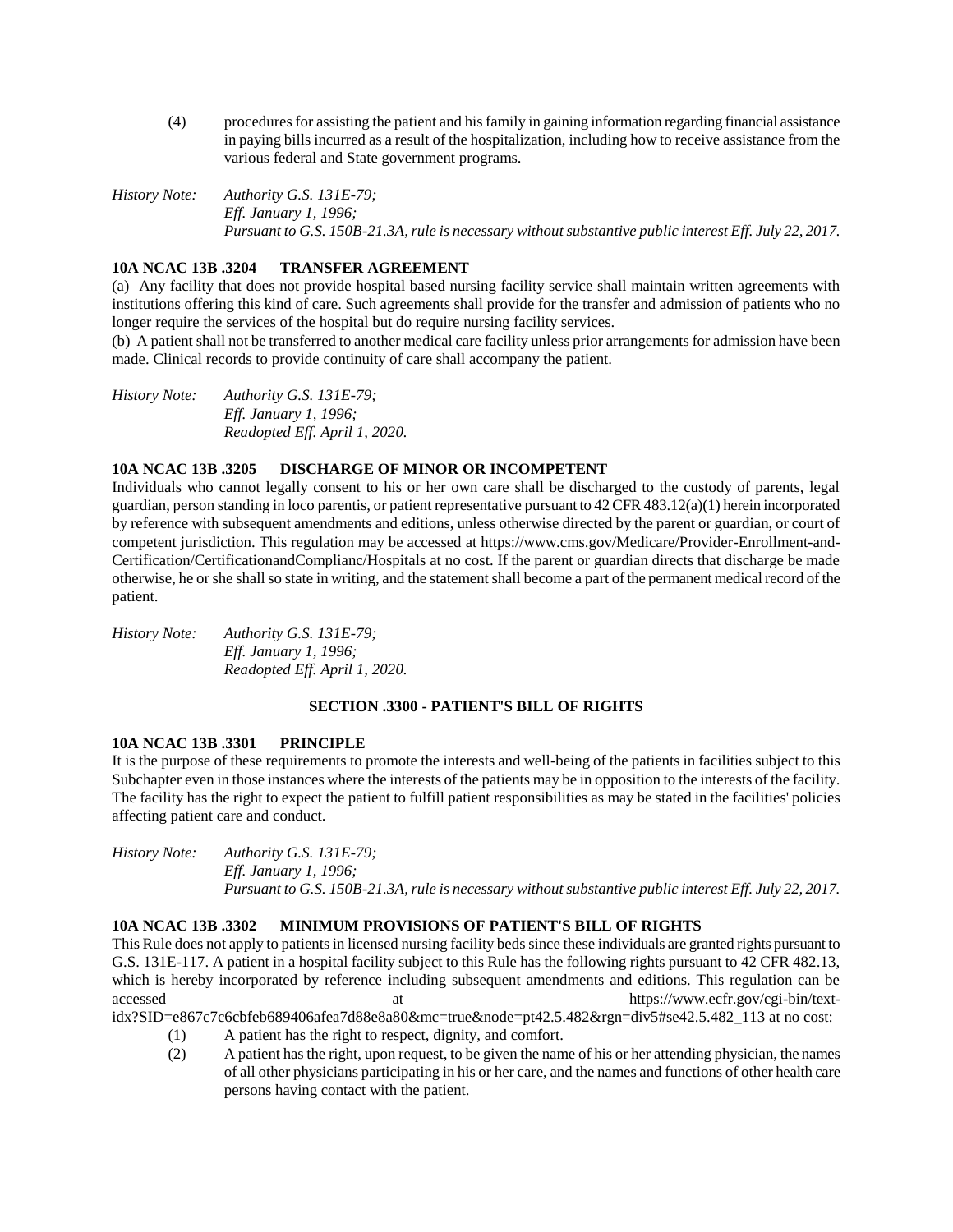(4) procedures for assisting the patient and his family in gaining information regarding financial assistance in paying bills incurred as a result of the hospitalization, including how to receive assistance from the various federal and State government programs.

*History Note: Authority G.S. 131E-79; Eff. January 1, 1996; Pursuant to G.S. 150B-21.3A, rule is necessary without substantive public interest Eff. July 22, 2017.*

# **10A NCAC 13B .3204 TRANSFER AGREEMENT**

(a) Any facility that does not provide hospital based nursing facility service shall maintain written agreements with institutions offering this kind of care. Such agreements shall provide for the transfer and admission of patients who no longer require the services of the hospital but do require nursing facility services.

(b) A patient shall not be transferred to another medical care facility unless prior arrangements for admission have been made. Clinical records to provide continuity of care shall accompany the patient.

*History Note: Authority G.S. 131E-79; Eff. January 1, 1996; Readopted Eff. April 1, 2020.*

### **10A NCAC 13B .3205 DISCHARGE OF MINOR OR INCOMPETENT**

Individuals who cannot legally consent to his or her own care shall be discharged to the custody of parents, legal guardian, person standing in loco parentis, or patient representative pursuant to 42 CFR 483.12(a)(1) herein incorporated by reference with subsequent amendments and editions, unless otherwise directed by the parent or guardian, or court of competent jurisdiction. This regulation may be accessed at https://www.cms.gov/Medicare/Provider-Enrollment-and-Certification/CertificationandComplianc/Hospitals at no cost. If the parent or guardian directs that discharge be made otherwise, he or she shall so state in writing, and the statement shall become a part of the permanent medical record of the patient.

*History Note: Authority G.S. 131E-79; Eff. January 1, 1996; Readopted Eff. April 1, 2020.*

# **SECTION .3300 - PATIENT'S BILL OF RIGHTS**

### **10A NCAC 13B .3301 PRINCIPLE**

It is the purpose of these requirements to promote the interests and well-being of the patients in facilities subject to this Subchapter even in those instances where the interests of the patients may be in opposition to the interests of the facility. The facility has the right to expect the patient to fulfill patient responsibilities as may be stated in the facilities' policies affecting patient care and conduct.

*History Note: Authority G.S. 131E-79; Eff. January 1, 1996; Pursuant to G.S. 150B-21.3A, rule is necessary without substantive public interest Eff. July 22, 2017.*

### **10A NCAC 13B .3302 MINIMUM PROVISIONS OF PATIENT'S BILL OF RIGHTS**

This Rule does not apply to patients in licensed nursing facility beds since these individuals are granted rights pursuant to G.S. 131E-117. A patient in a hospital facility subject to this Rule has the following rights pursuant to 42 CFR 482.13, which is hereby incorporated by reference including subsequent amendments and editions. This regulation can be accessed at the https://www.ecfr.gov/cgi-bin/text-

idx?SID=e867c7c6cbfeb689406afea7d88e8a80&mc=true&node=pt42.5.482&rgn=div5#se42.5.482\_113 at no cost:

- (1) A patient has the right to respect, dignity, and comfort.
- (2) A patient has the right, upon request, to be given the name of his or her attending physician, the names of all other physicians participating in his or her care, and the names and functions of other health care persons having contact with the patient.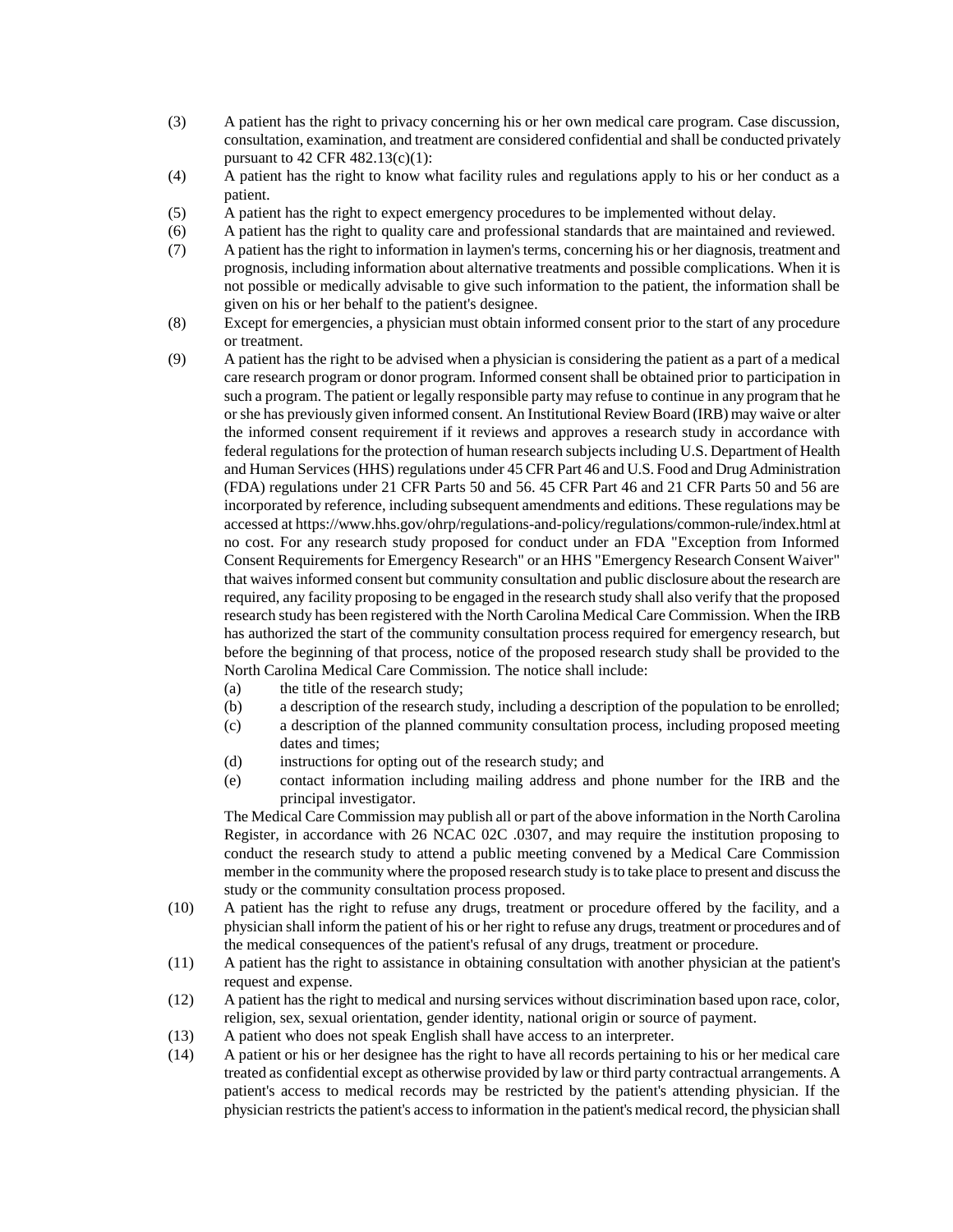- (3) A patient has the right to privacy concerning his or her own medical care program. Case discussion, consultation, examination, and treatment are considered confidential and shall be conducted privately pursuant to  $42$  CFR  $482.13(c)(1)$ :
- (4) A patient has the right to know what facility rules and regulations apply to his or her conduct as a patient.
- (5) A patient has the right to expect emergency procedures to be implemented without delay.
- (6) A patient has the right to quality care and professional standards that are maintained and reviewed.
- (7) A patient has the right to information in laymen's terms, concerning his or her diagnosis, treatment and prognosis, including information about alternative treatments and possible complications. When it is not possible or medically advisable to give such information to the patient, the information shall be given on his or her behalf to the patient's designee.
- (8) Except for emergencies, a physician must obtain informed consent prior to the start of any procedure or treatment.
- (9) A patient has the right to be advised when a physician is considering the patient as a part of a medical care research program or donor program. Informed consent shall be obtained prior to participation in such a program. The patient or legally responsible party may refuse to continue in any program that he or she has previously given informed consent. An Institutional Review Board (IRB) may waive or alter the informed consent requirement if it reviews and approves a research study in accordance with federal regulations for the protection of human research subjects including U.S. Department of Health and Human Services (HHS) regulations under 45 CFR Part 46 and U.S. Food and Drug Administration (FDA) regulations under 21 CFR Parts 50 and 56. 45 CFR Part 46 and 21 CFR Parts 50 and 56 are incorporated by reference, including subsequent amendments and editions. These regulations may be accessed at https://www.hhs.gov/ohrp/regulations-and-policy/regulations/common-rule/index.html at no cost. For any research study proposed for conduct under an FDA "Exception from Informed Consent Requirements for Emergency Research" or an HHS "Emergency Research Consent Waiver" that waives informed consent but community consultation and public disclosure about the research are required, any facility proposing to be engaged in the research study shall also verify that the proposed research study has been registered with the North Carolina Medical Care Commission. When the IRB has authorized the start of the community consultation process required for emergency research, but before the beginning of that process, notice of the proposed research study shall be provided to the North Carolina Medical Care Commission. The notice shall include:
	- (a) the title of the research study;
	- (b) a description of the research study, including a description of the population to be enrolled;
	- (c) a description of the planned community consultation process, including proposed meeting dates and times;
	- (d) instructions for opting out of the research study; and
	- (e) contact information including mailing address and phone number for the IRB and the principal investigator.

The Medical Care Commission may publish all or part of the above information in the North Carolina Register, in accordance with 26 NCAC 02C .0307, and may require the institution proposing to conduct the research study to attend a public meeting convened by a Medical Care Commission member in the community where the proposed research study is to take place to present and discuss the study or the community consultation process proposed.

- (10) A patient has the right to refuse any drugs, treatment or procedure offered by the facility, and a physician shall inform the patient of his or her right to refuse any drugs, treatment or procedures and of the medical consequences of the patient's refusal of any drugs, treatment or procedure.
- (11) A patient has the right to assistance in obtaining consultation with another physician at the patient's request and expense.
- (12) A patient has the right to medical and nursing services without discrimination based upon race, color, religion, sex, sexual orientation, gender identity, national origin or source of payment.
- (13) A patient who does not speak English shall have access to an interpreter.
- (14) A patient or his or her designee has the right to have all records pertaining to his or her medical care treated as confidential except as otherwise provided by law or third party contractual arrangements. A patient's access to medical records may be restricted by the patient's attending physician. If the physician restricts the patient's access to information in the patient's medical record, the physician shall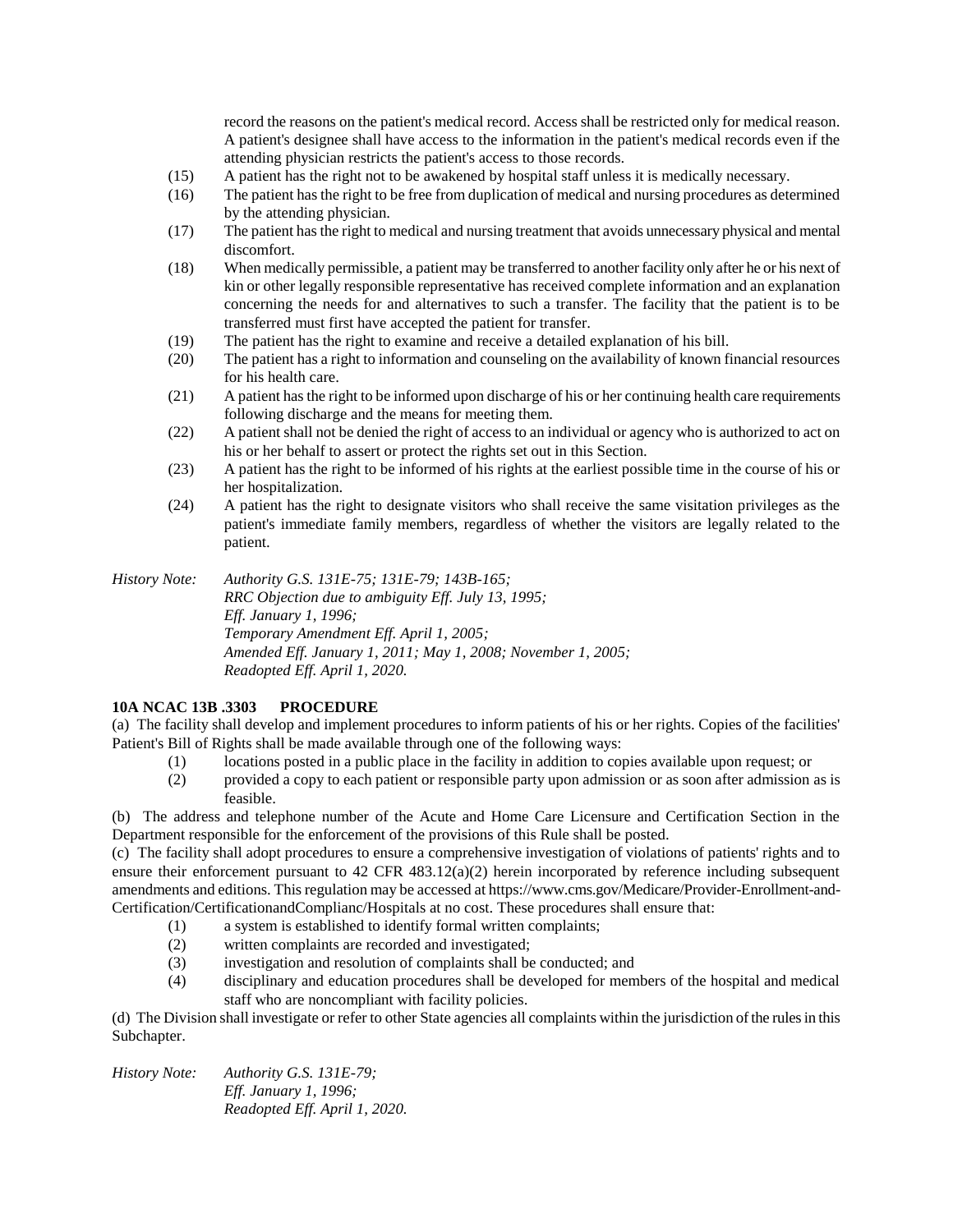record the reasons on the patient's medical record. Access shall be restricted only for medical reason. A patient's designee shall have access to the information in the patient's medical records even if the attending physician restricts the patient's access to those records.

- (15) A patient has the right not to be awakened by hospital staff unless it is medically necessary.
- (16) The patient has the right to be free from duplication of medical and nursing procedures as determined by the attending physician.
- (17) The patient has the right to medical and nursing treatment that avoids unnecessary physical and mental discomfort.
- (18) When medically permissible, a patient may be transferred to another facility only after he or his next of kin or other legally responsible representative has received complete information and an explanation concerning the needs for and alternatives to such a transfer. The facility that the patient is to be transferred must first have accepted the patient for transfer.
- (19) The patient has the right to examine and receive a detailed explanation of his bill.
- (20) The patient has a right to information and counseling on the availability of known financial resources for his health care.
- (21) A patient has the right to be informed upon discharge of his or her continuing health care requirements following discharge and the means for meeting them.
- (22) A patient shall not be denied the right of access to an individual or agency who is authorized to act on his or her behalf to assert or protect the rights set out in this Section.
- (23) A patient has the right to be informed of his rights at the earliest possible time in the course of his or her hospitalization.
- (24) A patient has the right to designate visitors who shall receive the same visitation privileges as the patient's immediate family members, regardless of whether the visitors are legally related to the patient.

*History Note: Authority G.S. 131E-75; 131E-79; 143B-165; RRC Objection due to ambiguity Eff. July 13, 1995; Eff. January 1, 1996; Temporary Amendment Eff. April 1, 2005; Amended Eff. January 1, 2011; May 1, 2008; November 1, 2005; Readopted Eff. April 1, 2020.*

# **10A NCAC 13B .3303 PROCEDURE**

(a) The facility shall develop and implement procedures to inform patients of his or her rights. Copies of the facilities' Patient's Bill of Rights shall be made available through one of the following ways:

- (1) locations posted in a public place in the facility in addition to copies available upon request; or
	- (2) provided a copy to each patient or responsible party upon admission or as soon after admission as is feasible.

(b) The address and telephone number of the Acute and Home Care Licensure and Certification Section in the Department responsible for the enforcement of the provisions of this Rule shall be posted.

(c) The facility shall adopt procedures to ensure a comprehensive investigation of violations of patients' rights and to ensure their enforcement pursuant to 42 CFR 483.12(a)(2) herein incorporated by reference including subsequent amendments and editions. This regulation may be accessed at https://www.cms.gov/Medicare/Provider-Enrollment-and-Certification/CertificationandComplianc/Hospitals at no cost. These procedures shall ensure that:

- (1) a system is established to identify formal written complaints;
- (2) written complaints are recorded and investigated;
- (3) investigation and resolution of complaints shall be conducted; and
- (4) disciplinary and education procedures shall be developed for members of the hospital and medical staff who are noncompliant with facility policies.

(d) The Division shall investigate or refer to other State agencies all complaints within the jurisdiction of the rules in this Subchapter.

*History Note: Authority G.S. 131E-79; Eff. January 1, 1996; Readopted Eff. April 1, 2020.*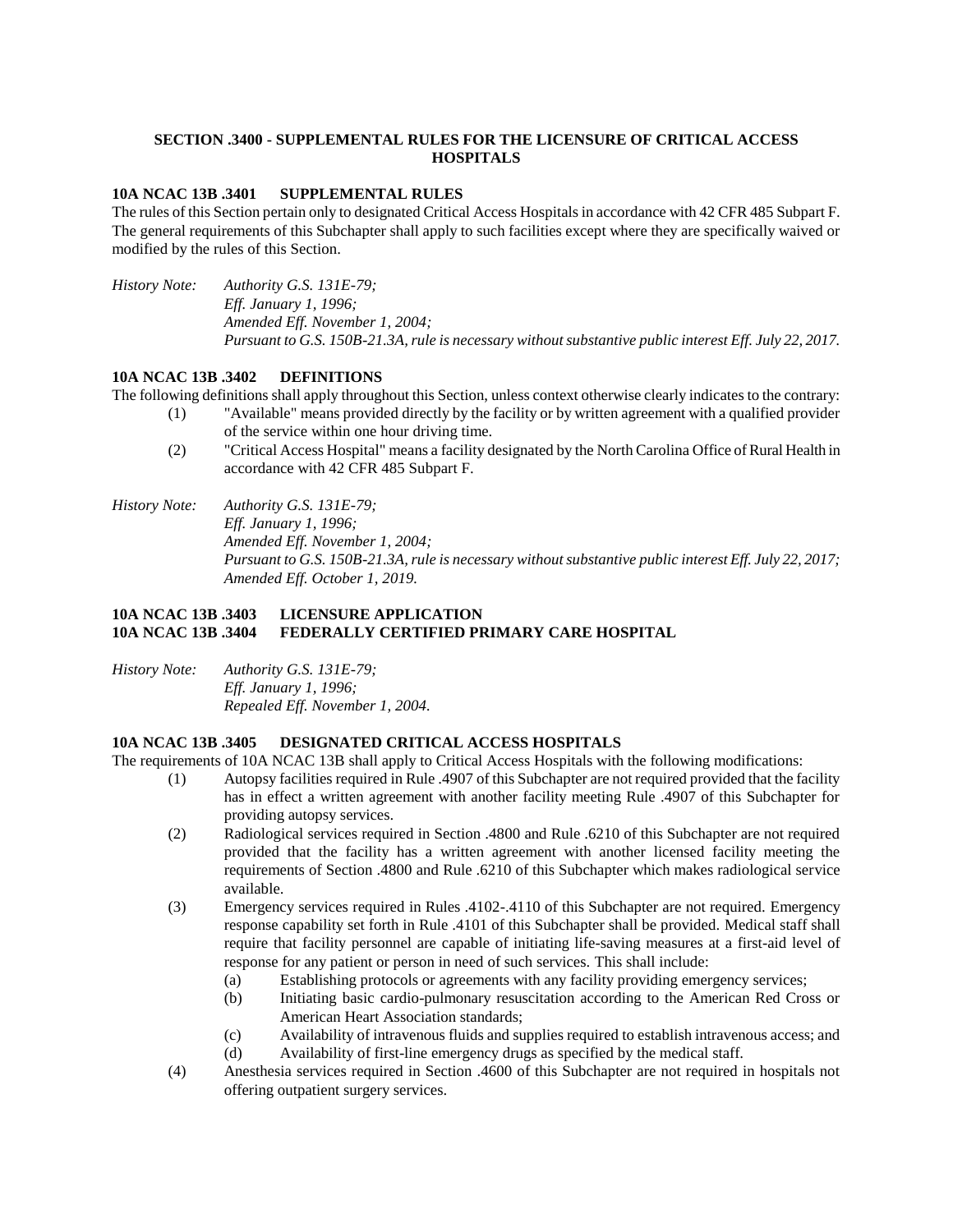# **SECTION .3400 - SUPPLEMENTAL RULES FOR THE LICENSURE OF CRITICAL ACCESS HOSPITALS**

### **10A NCAC 13B .3401 SUPPLEMENTAL RULES**

The rules of this Section pertain only to designated Critical Access Hospitals in accordance with 42 CFR 485 Subpart F. The general requirements of this Subchapter shall apply to such facilities except where they are specifically waived or modified by the rules of this Section.

*History Note: Authority G.S. 131E-79; Eff. January 1, 1996; Amended Eff. November 1, 2004; Pursuant to G.S. 150B-21.3A, rule is necessary without substantive public interest Eff. July 22, 2017.*

### **10A NCAC 13B .3402 DEFINITIONS**

The following definitions shall apply throughout this Section, unless context otherwise clearly indicates to the contrary:

- (1) "Available" means provided directly by the facility or by written agreement with a qualified provider of the service within one hour driving time.
- (2) "Critical Access Hospital" means a facility designated by the North Carolina Office of Rural Health in accordance with 42 CFR 485 Subpart F.
- *History Note: Authority G.S. 131E-79; Eff. January 1, 1996; Amended Eff. November 1, 2004; Pursuant to G.S. 150B-21.3A, rule is necessary without substantive public interest Eff. July 22, 2017; Amended Eff. October 1, 2019.*

# **10A NCAC 13B .3403 LICENSURE APPLICATION 10A NCAC 13B .3404 FEDERALLY CERTIFIED PRIMARY CARE HOSPITAL**

*History Note: Authority G.S. 131E-79; Eff. January 1, 1996; Repealed Eff. November 1, 2004.*

### **10A NCAC 13B .3405 DESIGNATED CRITICAL ACCESS HOSPITALS**

The requirements of 10A NCAC 13B shall apply to Critical Access Hospitals with the following modifications:

- (1) Autopsy facilities required in Rule .4907 of this Subchapter are not required provided that the facility has in effect a written agreement with another facility meeting Rule .4907 of this Subchapter for providing autopsy services.
- (2) Radiological services required in Section .4800 and Rule .6210 of this Subchapter are not required provided that the facility has a written agreement with another licensed facility meeting the requirements of Section .4800 and Rule .6210 of this Subchapter which makes radiological service available.
- (3) Emergency services required in Rules .4102-.4110 of this Subchapter are not required. Emergency response capability set forth in Rule .4101 of this Subchapter shall be provided. Medical staff shall require that facility personnel are capable of initiating life-saving measures at a first-aid level of response for any patient or person in need of such services. This shall include:
	- (a) Establishing protocols or agreements with any facility providing emergency services;
	- (b) Initiating basic cardio-pulmonary resuscitation according to the American Red Cross or American Heart Association standards;
	- (c) Availability of intravenous fluids and supplies required to establish intravenous access; and
	- (d) Availability of first-line emergency drugs as specified by the medical staff.
- (4) Anesthesia services required in Section .4600 of this Subchapter are not required in hospitals not offering outpatient surgery services.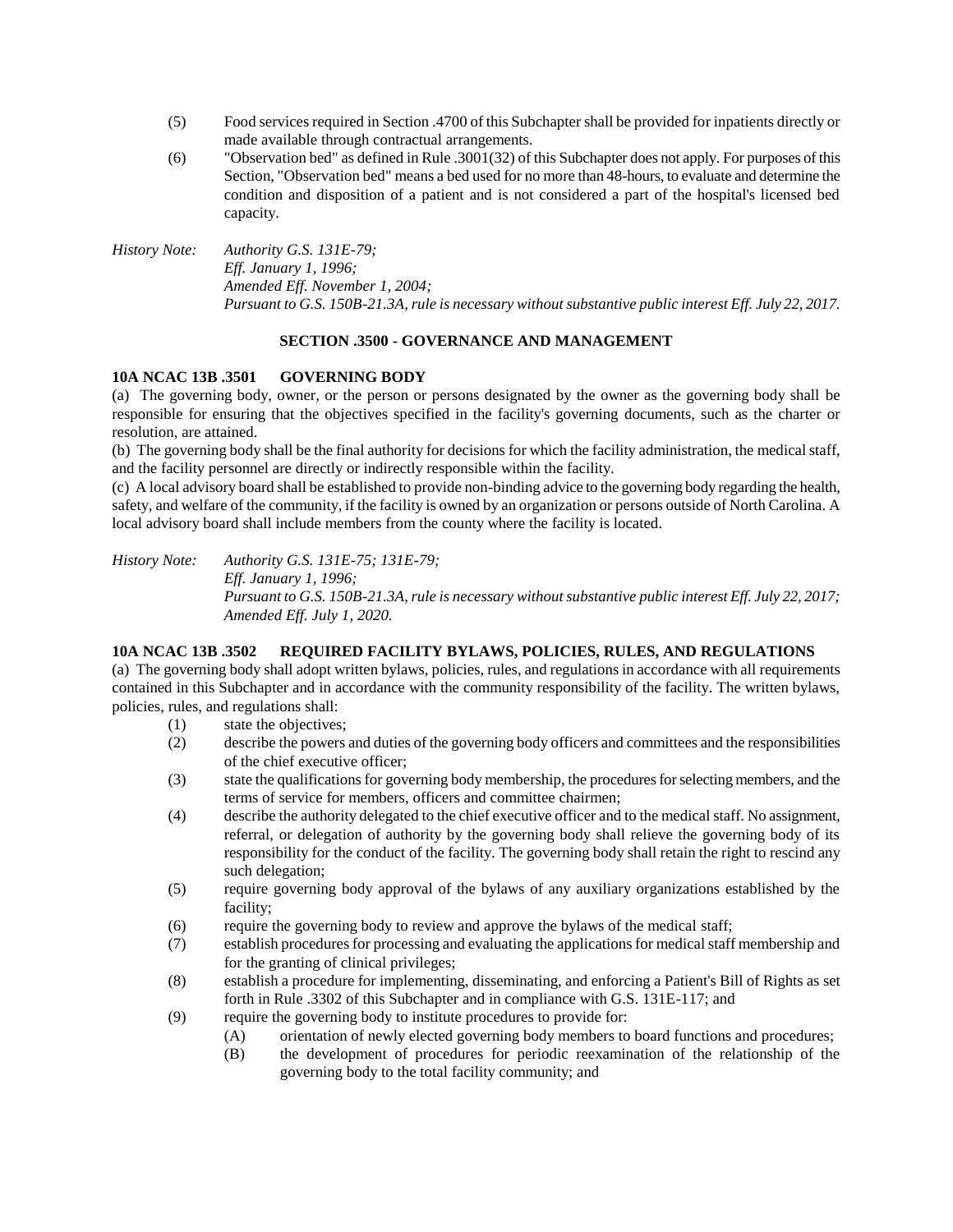- (5) Food services required in Section .4700 of this Subchapter shall be provided for inpatients directly or made available through contractual arrangements.
- (6) "Observation bed" as defined in Rule .3001(32) of this Subchapter does not apply. For purposes of this Section, "Observation bed" means a bed used for no more than 48-hours, to evaluate and determine the condition and disposition of a patient and is not considered a part of the hospital's licensed bed capacity.

*History Note: Authority G.S. 131E-79; Eff. January 1, 1996; Amended Eff. November 1, 2004; Pursuant to G.S. 150B-21.3A, rule is necessary without substantive public interest Eff. July 22, 2017.*

# **SECTION .3500 - GOVERNANCE AND MANAGEMENT**

## **10A NCAC 13B .3501 GOVERNING BODY**

(a) The governing body, owner, or the person or persons designated by the owner as the governing body shall be responsible for ensuring that the objectives specified in the facility's governing documents, such as the charter or resolution, are attained.

(b) The governing body shall be the final authority for decisions for which the facility administration, the medical staff, and the facility personnel are directly or indirectly responsible within the facility.

(c) A local advisory board shall be established to provide non-binding advice to the governing body regarding the health, safety, and welfare of the community, if the facility is owned by an organization or persons outside of North Carolina. A local advisory board shall include members from the county where the facility is located.

*History Note: Authority G.S. 131E-75; 131E-79; Eff. January 1, 1996; Pursuant to G.S. 150B-21.3A, rule is necessary without substantive public interest Eff. July 22, 2017; Amended Eff. July 1, 2020.*

### **10A NCAC 13B .3502 REQUIRED FACILITY BYLAWS, POLICIES, RULES, AND REGULATIONS**

(a) The governing body shall adopt written bylaws, policies, rules, and regulations in accordance with all requirements contained in this Subchapter and in accordance with the community responsibility of the facility. The written bylaws, policies, rules, and regulations shall:

- (1) state the objectives;
- (2) describe the powers and duties of the governing body officers and committees and the responsibilities of the chief executive officer;
- (3) state the qualifications for governing body membership, the procedures for selecting members, and the terms of service for members, officers and committee chairmen;
- (4) describe the authority delegated to the chief executive officer and to the medical staff. No assignment, referral, or delegation of authority by the governing body shall relieve the governing body of its responsibility for the conduct of the facility. The governing body shall retain the right to rescind any such delegation;
- (5) require governing body approval of the bylaws of any auxiliary organizations established by the facility;
- (6) require the governing body to review and approve the bylaws of the medical staff;
- (7) establish procedures for processing and evaluating the applications for medical staff membership and for the granting of clinical privileges;
- (8) establish a procedure for implementing, disseminating, and enforcing a Patient's Bill of Rights as set forth in Rule .3302 of this Subchapter and in compliance with G.S. 131E-117; and
- (9) require the governing body to institute procedures to provide for:
	- (A) orientation of newly elected governing body members to board functions and procedures;
	- (B) the development of procedures for periodic reexamination of the relationship of the governing body to the total facility community; and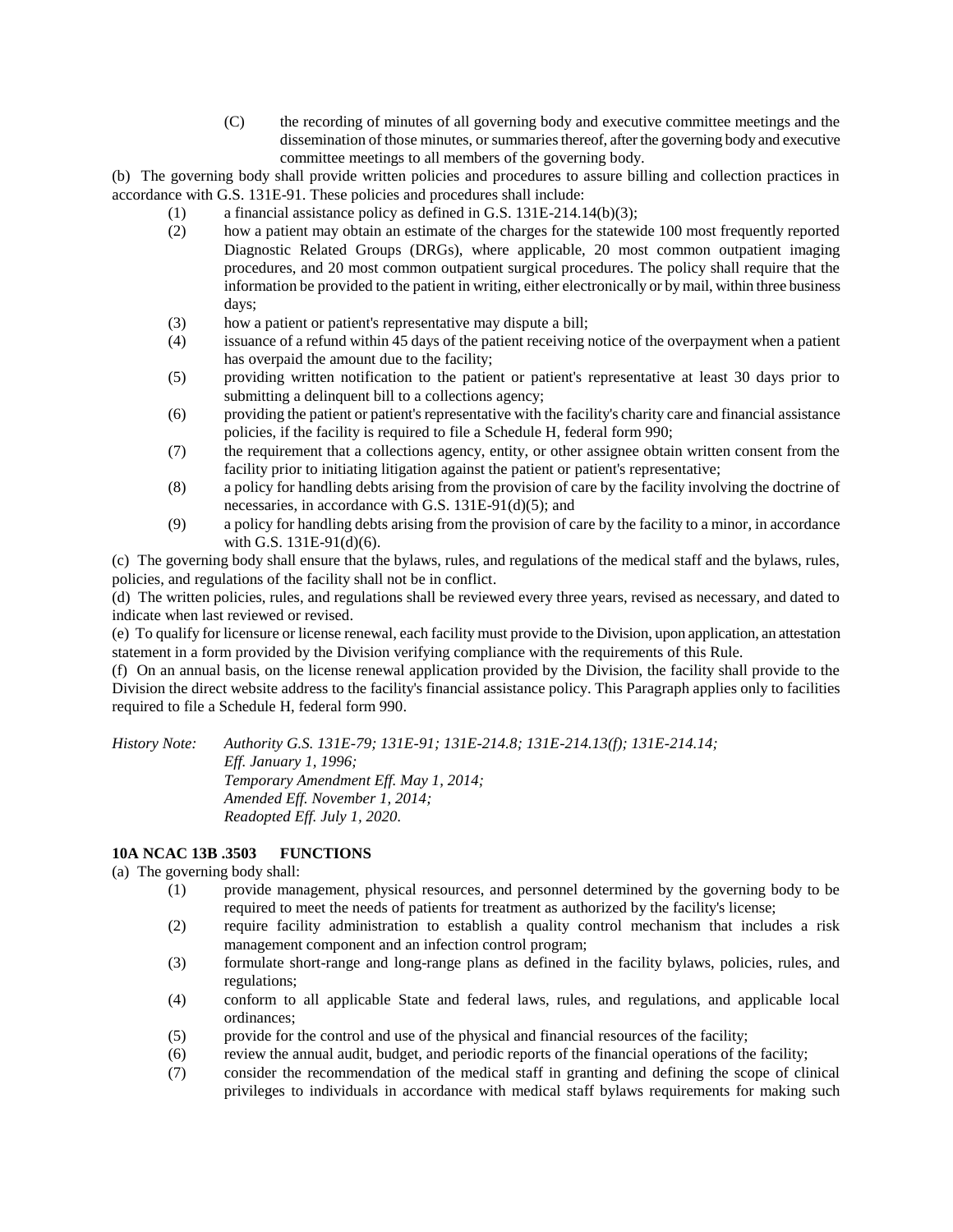(C) the recording of minutes of all governing body and executive committee meetings and the dissemination of those minutes, or summaries thereof, after the governing body and executive committee meetings to all members of the governing body.

(b) The governing body shall provide written policies and procedures to assure billing and collection practices in accordance with G.S. 131E-91. These policies and procedures shall include:

- (1) a financial assistance policy as defined in G.S. 131E-214.14(b)(3);
- (2) how a patient may obtain an estimate of the charges for the statewide 100 most frequently reported Diagnostic Related Groups (DRGs), where applicable, 20 most common outpatient imaging procedures, and 20 most common outpatient surgical procedures. The policy shall require that the information be provided to the patient in writing, either electronically or by mail, within three business days;
- (3) how a patient or patient's representative may dispute a bill;
- (4) issuance of a refund within 45 days of the patient receiving notice of the overpayment when a patient has overpaid the amount due to the facility;
- (5) providing written notification to the patient or patient's representative at least 30 days prior to submitting a delinquent bill to a collections agency;
- (6) providing the patient or patient's representative with the facility's charity care and financial assistance policies, if the facility is required to file a Schedule H, federal form 990;
- (7) the requirement that a collections agency, entity, or other assignee obtain written consent from the facility prior to initiating litigation against the patient or patient's representative;
- (8) a policy for handling debts arising from the provision of care by the facility involving the doctrine of necessaries, in accordance with G.S. 131E-91(d)(5); and
- (9) a policy for handling debts arising from the provision of care by the facility to a minor, in accordance with G.S. 131E-91(d)(6).

(c) The governing body shall ensure that the bylaws, rules, and regulations of the medical staff and the bylaws, rules, policies, and regulations of the facility shall not be in conflict.

(d) The written policies, rules, and regulations shall be reviewed every three years, revised as necessary, and dated to indicate when last reviewed or revised.

(e) To qualify for licensure or license renewal, each facility must provide to the Division, upon application, an attestation statement in a form provided by the Division verifying compliance with the requirements of this Rule.

(f) On an annual basis, on the license renewal application provided by the Division, the facility shall provide to the Division the direct website address to the facility's financial assistance policy. This Paragraph applies only to facilities required to file a Schedule H, federal form 990.

*History Note: Authority G.S. 131E-79; 131E-91; 131E-214.8; 131E-214.13(f); 131E-214.14; Eff. January 1, 1996; Temporary Amendment Eff. May 1, 2014; Amended Eff. November 1, 2014; Readopted Eff. July 1, 2020.*

### **10A NCAC 13B .3503 FUNCTIONS**

(a) The governing body shall:

- (1) provide management, physical resources, and personnel determined by the governing body to be required to meet the needs of patients for treatment as authorized by the facility's license;
- (2) require facility administration to establish a quality control mechanism that includes a risk management component and an infection control program;
- (3) formulate short-range and long-range plans as defined in the facility bylaws, policies, rules, and regulations;
- (4) conform to all applicable State and federal laws, rules, and regulations, and applicable local ordinances;
- (5) provide for the control and use of the physical and financial resources of the facility;
- (6) review the annual audit, budget, and periodic reports of the financial operations of the facility;
- (7) consider the recommendation of the medical staff in granting and defining the scope of clinical privileges to individuals in accordance with medical staff bylaws requirements for making such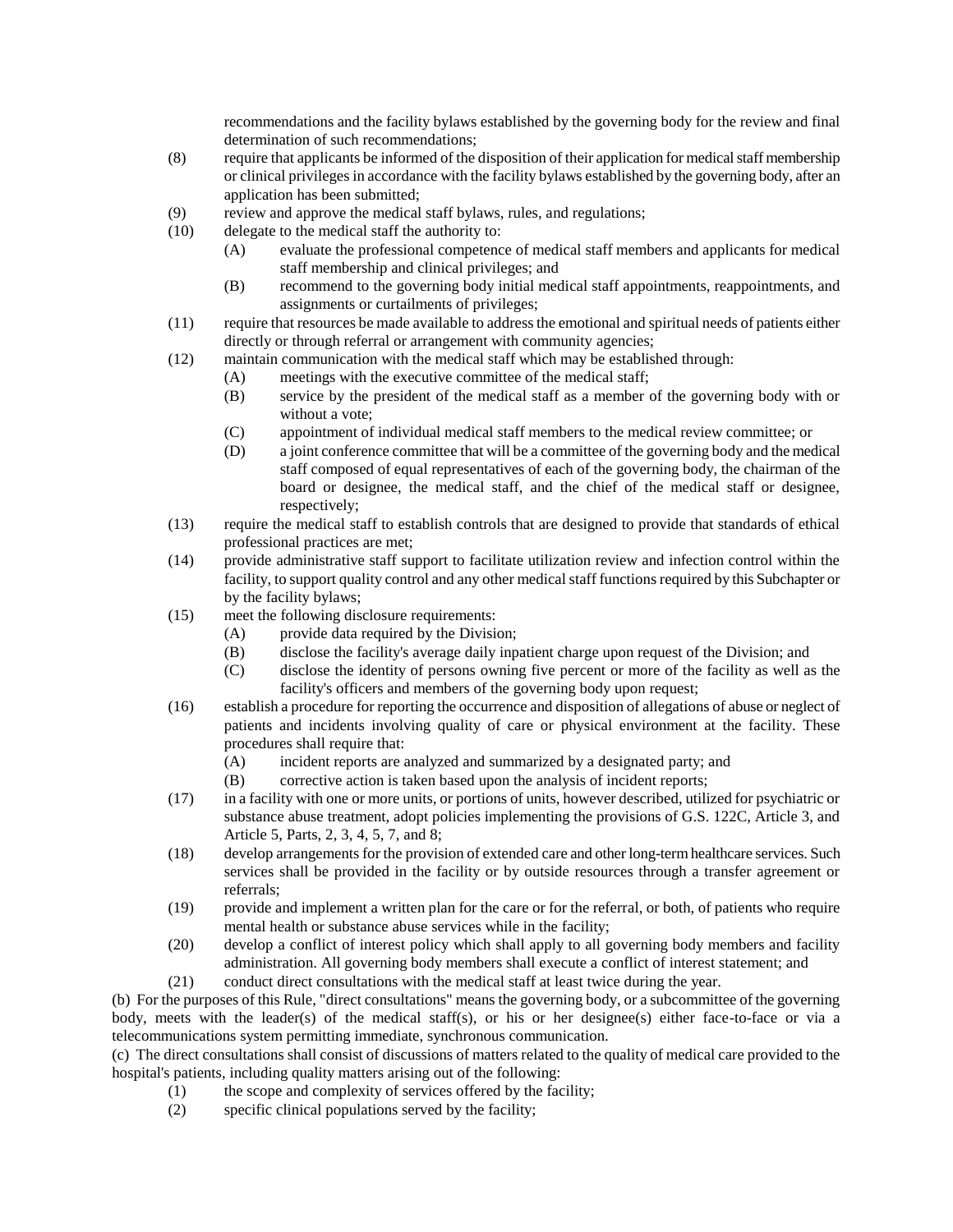recommendations and the facility bylaws established by the governing body for the review and final determination of such recommendations;

- (8) require that applicants be informed of the disposition of their application for medical staff membership or clinical privileges in accordance with the facility bylaws established by the governing body, after an application has been submitted;
- (9) review and approve the medical staff bylaws, rules, and regulations;
- (10) delegate to the medical staff the authority to:
	- (A) evaluate the professional competence of medical staff members and applicants for medical staff membership and clinical privileges; and
	- (B) recommend to the governing body initial medical staff appointments, reappointments, and assignments or curtailments of privileges;
- (11) require that resources be made available to address the emotional and spiritual needs of patients either directly or through referral or arrangement with community agencies;
- (12) maintain communication with the medical staff which may be established through:
	- (A) meetings with the executive committee of the medical staff;
	- (B) service by the president of the medical staff as a member of the governing body with or without a vote;
	- (C) appointment of individual medical staff members to the medical review committee; or
	- (D) a joint conference committee that will be a committee of the governing body and the medical staff composed of equal representatives of each of the governing body, the chairman of the board or designee, the medical staff, and the chief of the medical staff or designee, respectively;
- (13) require the medical staff to establish controls that are designed to provide that standards of ethical professional practices are met;
- (14) provide administrative staff support to facilitate utilization review and infection control within the facility, to support quality control and any other medical staff functions required by this Subchapter or by the facility bylaws;
- (15) meet the following disclosure requirements:
	- (A) provide data required by the Division;
	- (B) disclose the facility's average daily inpatient charge upon request of the Division; and
	- (C) disclose the identity of persons owning five percent or more of the facility as well as the facility's officers and members of the governing body upon request;
- (16) establish a procedure for reporting the occurrence and disposition of allegations of abuse or neglect of patients and incidents involving quality of care or physical environment at the facility. These procedures shall require that:
	- (A) incident reports are analyzed and summarized by a designated party; and
	- (B) corrective action is taken based upon the analysis of incident reports;
- (17) in a facility with one or more units, or portions of units, however described, utilized for psychiatric or substance abuse treatment, adopt policies implementing the provisions of G.S. 122C, Article 3, and Article 5, Parts, 2, 3, 4, 5, 7, and 8;
- (18) develop arrangements for the provision of extended care and other long-term healthcare services. Such services shall be provided in the facility or by outside resources through a transfer agreement or referrals;
- (19) provide and implement a written plan for the care or for the referral, or both, of patients who require mental health or substance abuse services while in the facility;
- (20) develop a conflict of interest policy which shall apply to all governing body members and facility administration. All governing body members shall execute a conflict of interest statement; and
- (21) conduct direct consultations with the medical staff at least twice during the year.

(b) For the purposes of this Rule, "direct consultations" means the governing body, or a subcommittee of the governing body, meets with the leader(s) of the medical staff(s), or his or her designee(s) either face-to-face or via a telecommunications system permitting immediate, synchronous communication.

(c) The direct consultations shall consist of discussions of matters related to the quality of medical care provided to the hospital's patients, including quality matters arising out of the following:

- (1) the scope and complexity of services offered by the facility;
- (2) specific clinical populations served by the facility;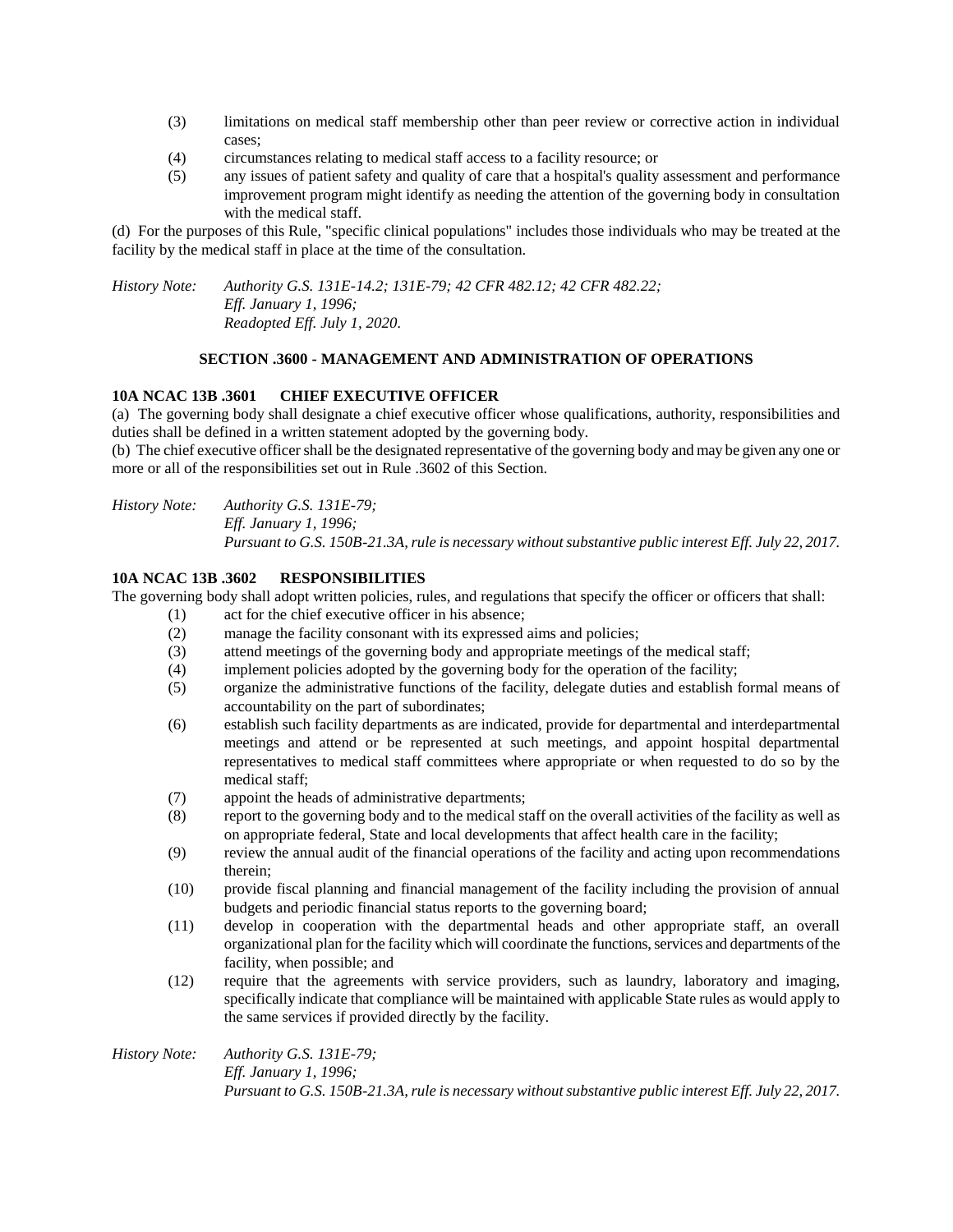- (3) limitations on medical staff membership other than peer review or corrective action in individual cases;
- (4) circumstances relating to medical staff access to a facility resource; or
- (5) any issues of patient safety and quality of care that a hospital's quality assessment and performance improvement program might identify as needing the attention of the governing body in consultation with the medical staff.

(d) For the purposes of this Rule, "specific clinical populations" includes those individuals who may be treated at the facility by the medical staff in place at the time of the consultation.

*History Note: Authority G.S. 131E-14.2; 131E-79; 42 CFR 482.12; 42 CFR 482.22; Eff. January 1, 1996; Readopted Eff. July 1, 2020.*

## **SECTION .3600 - MANAGEMENT AND ADMINISTRATION OF OPERATIONS**

## **10A NCAC 13B .3601 CHIEF EXECUTIVE OFFICER**

(a) The governing body shall designate a chief executive officer whose qualifications, authority, responsibilities and duties shall be defined in a written statement adopted by the governing body.

(b) The chief executive officer shall be the designated representative of the governing body and may be given any one or more or all of the responsibilities set out in Rule .3602 of this Section.

*History Note: Authority G.S. 131E-79; Eff. January 1, 1996; Pursuant to G.S. 150B-21.3A, rule is necessary without substantive public interest Eff. July 22, 2017.*

### **10A NCAC 13B .3602 RESPONSIBILITIES**

The governing body shall adopt written policies, rules, and regulations that specify the officer or officers that shall:

- (1) act for the chief executive officer in his absence;
- (2) manage the facility consonant with its expressed aims and policies;
- (3) attend meetings of the governing body and appropriate meetings of the medical staff;
- (4) implement policies adopted by the governing body for the operation of the facility;
- (5) organize the administrative functions of the facility, delegate duties and establish formal means of accountability on the part of subordinates;
- (6) establish such facility departments as are indicated, provide for departmental and interdepartmental meetings and attend or be represented at such meetings, and appoint hospital departmental representatives to medical staff committees where appropriate or when requested to do so by the medical staff;
- (7) appoint the heads of administrative departments;
- (8) report to the governing body and to the medical staff on the overall activities of the facility as well as on appropriate federal, State and local developments that affect health care in the facility;
- (9) review the annual audit of the financial operations of the facility and acting upon recommendations therein;
- (10) provide fiscal planning and financial management of the facility including the provision of annual budgets and periodic financial status reports to the governing board;
- (11) develop in cooperation with the departmental heads and other appropriate staff, an overall organizational plan for the facility which will coordinate the functions, services and departments of the facility, when possible; and
- (12) require that the agreements with service providers, such as laundry, laboratory and imaging, specifically indicate that compliance will be maintained with applicable State rules as would apply to the same services if provided directly by the facility.

*History Note: Authority G.S. 131E-79; Eff. January 1, 1996; Pursuant to G.S. 150B-21.3A, rule is necessary without substantive public interest Eff. July 22, 2017.*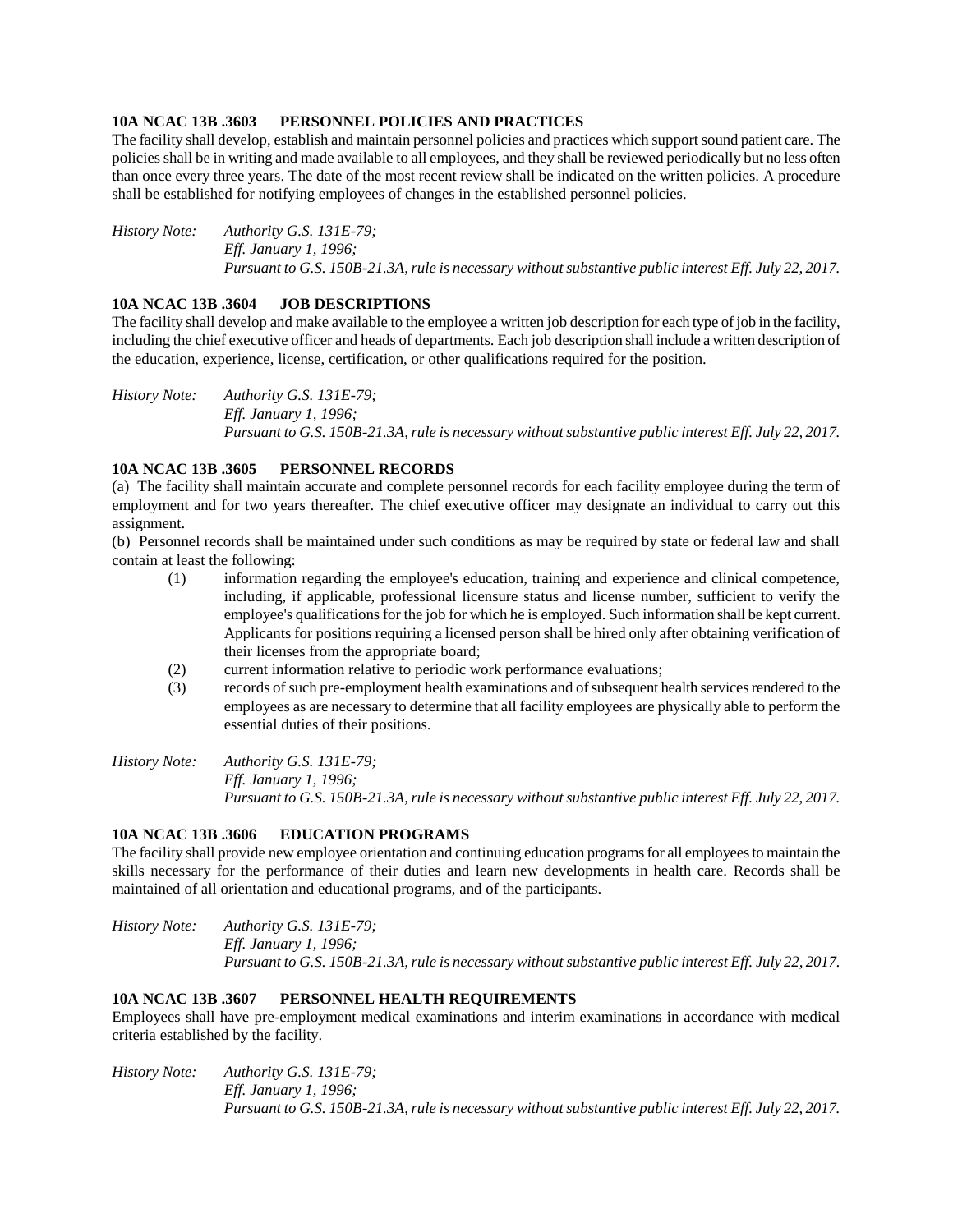#### **10A NCAC 13B .3603 PERSONNEL POLICIES AND PRACTICES**

The facility shall develop, establish and maintain personnel policies and practices which support sound patient care. The policies shall be in writing and made available to all employees, and they shall be reviewed periodically but no less often than once every three years. The date of the most recent review shall be indicated on the written policies. A procedure shall be established for notifying employees of changes in the established personnel policies.

*History Note: Authority G.S. 131E-79; Eff. January 1, 1996; Pursuant to G.S. 150B-21.3A, rule is necessary without substantive public interest Eff. July 22, 2017.*

#### **10A NCAC 13B .3604 JOB DESCRIPTIONS**

The facility shall develop and make available to the employee a written job description for each type of job in the facility, including the chief executive officer and heads of departments. Each job description shall include a written description of the education, experience, license, certification, or other qualifications required for the position.

*History Note: Authority G.S. 131E-79; Eff. January 1, 1996; Pursuant to G.S. 150B-21.3A, rule is necessary without substantive public interest Eff. July 22, 2017.*

#### **10A NCAC 13B .3605 PERSONNEL RECORDS**

(a) The facility shall maintain accurate and complete personnel records for each facility employee during the term of employment and for two years thereafter. The chief executive officer may designate an individual to carry out this assignment.

(b) Personnel records shall be maintained under such conditions as may be required by state or federal law and shall contain at least the following:

- (1) information regarding the employee's education, training and experience and clinical competence, including, if applicable, professional licensure status and license number, sufficient to verify the employee's qualifications for the job for which he is employed. Such information shall be kept current. Applicants for positions requiring a licensed person shall be hired only after obtaining verification of their licenses from the appropriate board;
- (2) current information relative to periodic work performance evaluations;
- (3) records of such pre-employment health examinations and of subsequent health services rendered to the employees as are necessary to determine that all facility employees are physically able to perform the essential duties of their positions.

*History Note: Authority G.S. 131E-79; Eff. January 1, 1996; Pursuant to G.S. 150B-21.3A, rule is necessary without substantive public interest Eff. July 22, 2017.*

## **10A NCAC 13B .3606 EDUCATION PROGRAMS**

The facility shall provide new employee orientation and continuing education programs for all employees to maintain the skills necessary for the performance of their duties and learn new developments in health care. Records shall be maintained of all orientation and educational programs, and of the participants.

*History Note: Authority G.S. 131E-79; Eff. January 1, 1996; Pursuant to G.S. 150B-21.3A, rule is necessary without substantive public interest Eff. July 22, 2017.*

#### **10A NCAC 13B .3607 PERSONNEL HEALTH REQUIREMENTS**

Employees shall have pre-employment medical examinations and interim examinations in accordance with medical criteria established by the facility.

*History Note: Authority G.S. 131E-79; Eff. January 1, 1996; Pursuant to G.S. 150B-21.3A, rule is necessary without substantive public interest Eff. July 22, 2017.*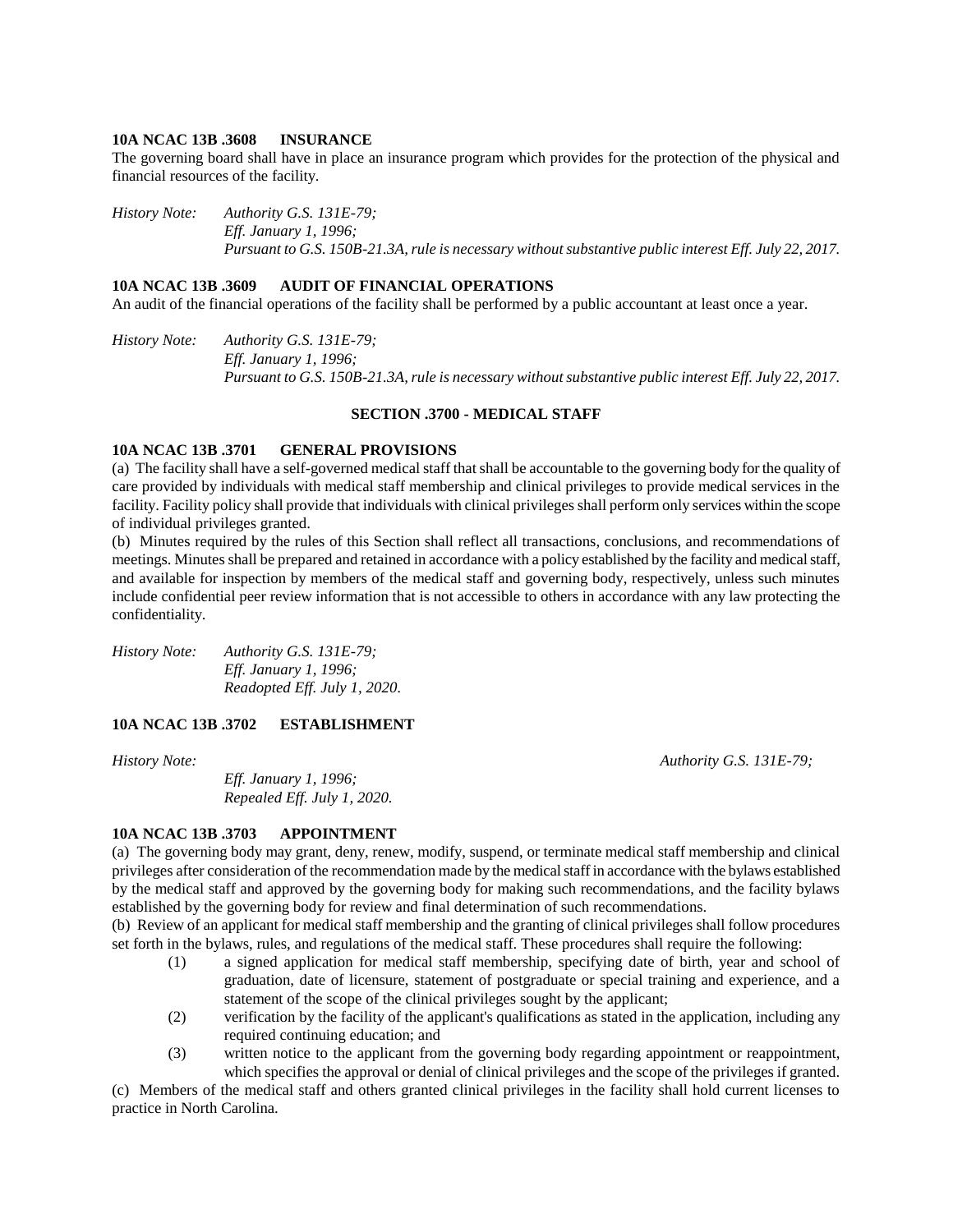#### **10A NCAC 13B .3608 INSURANCE**

The governing board shall have in place an insurance program which provides for the protection of the physical and financial resources of the facility.

*History Note: Authority G.S. 131E-79; Eff. January 1, 1996; Pursuant to G.S. 150B-21.3A, rule is necessary without substantive public interest Eff. July 22, 2017.*

#### **10A NCAC 13B .3609 AUDIT OF FINANCIAL OPERATIONS**

An audit of the financial operations of the facility shall be performed by a public accountant at least once a year.

*History Note: Authority G.S. 131E-79; Eff. January 1, 1996; Pursuant to G.S. 150B-21.3A, rule is necessary without substantive public interest Eff. July 22, 2017.*

#### **SECTION .3700 - MEDICAL STAFF**

#### **10A NCAC 13B .3701 GENERAL PROVISIONS**

(a) The facility shall have a self-governed medical staff thatshall be accountable to the governing body for the quality of care provided by individuals with medical staff membership and clinical privileges to provide medical services in the facility. Facility policy shall provide that individuals with clinical privileges shall perform only services within the scope of individual privileges granted.

(b) Minutes required by the rules of this Section shall reflect all transactions, conclusions, and recommendations of meetings. Minutes shall be prepared and retained in accordance with a policy established by the facility and medical staff, and available for inspection by members of the medical staff and governing body, respectively, unless such minutes include confidential peer review information that is not accessible to others in accordance with any law protecting the confidentiality.

*History Note: Authority G.S. 131E-79; Eff. January 1, 1996; Readopted Eff. July 1, 2020.*

## **10A NCAC 13B .3702 ESTABLISHMENT**

*Eff. January 1, 1996; Repealed Eff. July 1, 2020.*

*History Note: Authority G.S. 131E-79;*

#### **10A NCAC 13B .3703 APPOINTMENT**

(a) The governing body may grant, deny, renew, modify, suspend, or terminate medical staff membership and clinical privileges after consideration of the recommendation made by the medical staff in accordance with the bylaws established by the medical staff and approved by the governing body for making such recommendations, and the facility bylaws established by the governing body for review and final determination of such recommendations.

(b) Review of an applicant for medical staff membership and the granting of clinical privileges shall follow procedures set forth in the bylaws, rules, and regulations of the medical staff. These procedures shall require the following:

- (1) a signed application for medical staff membership, specifying date of birth, year and school of graduation, date of licensure, statement of postgraduate or special training and experience, and a statement of the scope of the clinical privileges sought by the applicant;
- (2) verification by the facility of the applicant's qualifications as stated in the application, including any required continuing education; and
- (3) written notice to the applicant from the governing body regarding appointment or reappointment, which specifies the approval or denial of clinical privileges and the scope of the privileges if granted.

(c) Members of the medical staff and others granted clinical privileges in the facility shall hold current licenses to practice in North Carolina.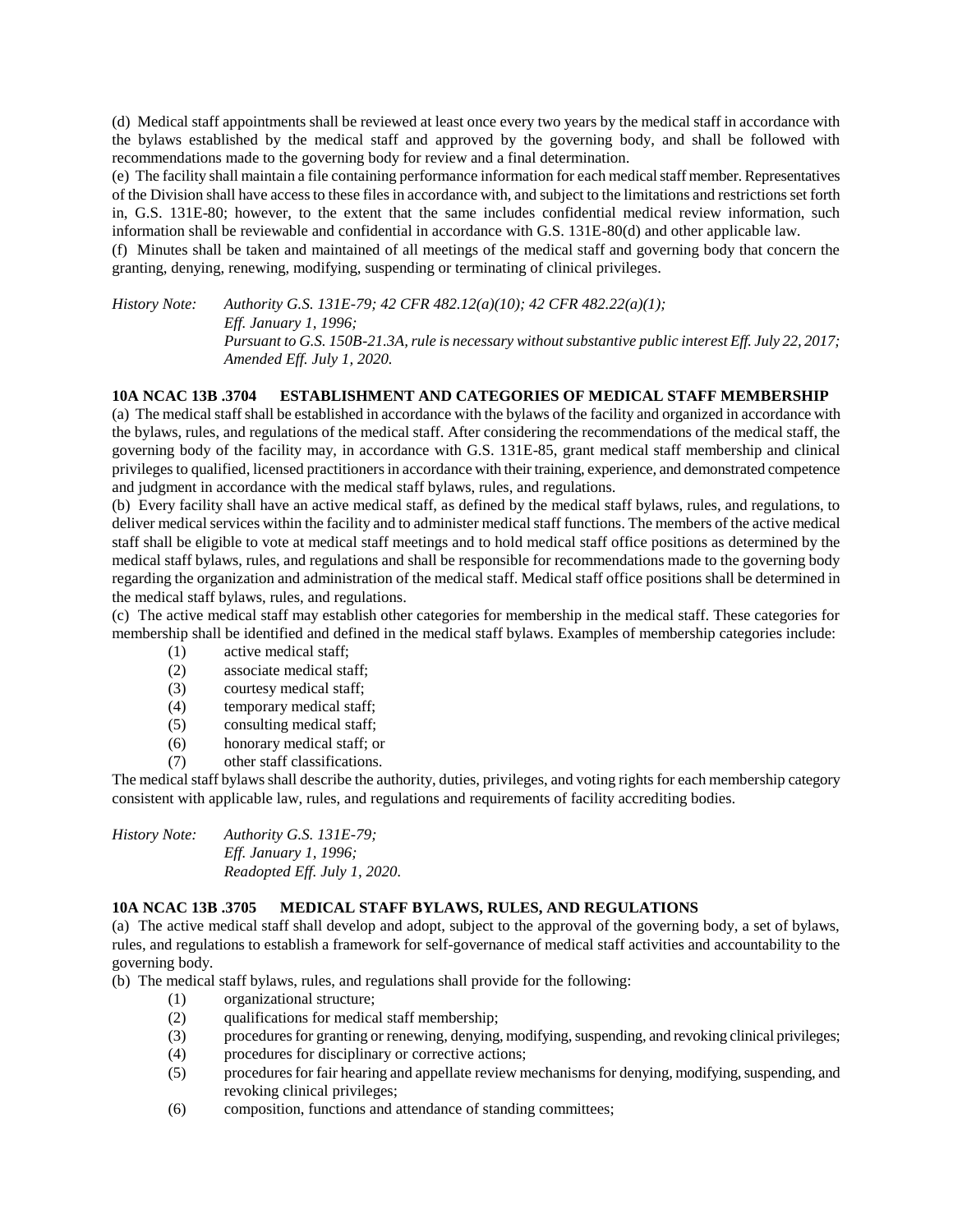(d) Medical staff appointments shall be reviewed at least once every two years by the medical staff in accordance with the bylaws established by the medical staff and approved by the governing body, and shall be followed with recommendations made to the governing body for review and a final determination.

(e) The facility shall maintain a file containing performance information for each medical staff member. Representatives of the Division shall have access to these files in accordance with, and subject to the limitations and restrictions set forth in, G.S. 131E-80; however, to the extent that the same includes confidential medical review information, such information shall be reviewable and confidential in accordance with G.S. 131E-80(d) and other applicable law.

(f) Minutes shall be taken and maintained of all meetings of the medical staff and governing body that concern the granting, denying, renewing, modifying, suspending or terminating of clinical privileges.

*History Note: Authority G.S. 131E-79; 42 CFR 482.12(a)(10); 42 CFR 482.22(a)(1); Eff. January 1, 1996; Pursuant to G.S. 150B-21.3A, rule is necessary without substantive public interest Eff. July 22, 2017; Amended Eff. July 1, 2020.*

#### **10A NCAC 13B .3704 ESTABLISHMENT AND CATEGORIES OF MEDICAL STAFF MEMBERSHIP**

(a) The medical staff shall be established in accordance with the bylaws of the facility and organized in accordance with the bylaws, rules, and regulations of the medical staff. After considering the recommendations of the medical staff, the governing body of the facility may, in accordance with G.S. 131E-85, grant medical staff membership and clinical privileges to qualified, licensed practitioners in accordance with their training, experience, and demonstrated competence and judgment in accordance with the medical staff bylaws, rules, and regulations.

(b) Every facility shall have an active medical staff, as defined by the medical staff bylaws, rules, and regulations, to deliver medical services within the facility and to administer medical staff functions. The members of the active medical staff shall be eligible to vote at medical staff meetings and to hold medical staff office positions as determined by the medical staff bylaws, rules, and regulations and shall be responsible for recommendations made to the governing body regarding the organization and administration of the medical staff. Medical staff office positions shall be determined in the medical staff bylaws, rules, and regulations.

(c) The active medical staff may establish other categories for membership in the medical staff. These categories for membership shall be identified and defined in the medical staff bylaws. Examples of membership categories include:

- (1) active medical staff;
- (2) associate medical staff;
- (3) courtesy medical staff;
- (4) temporary medical staff;
- (5) consulting medical staff;
- (6) honorary medical staff; or<br>
(7) other staff classifications.
- other staff classifications.

The medical staff bylaws shall describe the authority, duties, privileges, and voting rights for each membership category consistent with applicable law, rules, and regulations and requirements of facility accrediting bodies.

*History Note: Authority G.S. 131E-79; Eff. January 1, 1996; Readopted Eff. July 1, 2020.*

## **10A NCAC 13B .3705 MEDICAL STAFF BYLAWS, RULES, AND REGULATIONS**

(a) The active medical staff shall develop and adopt, subject to the approval of the governing body, a set of bylaws, rules, and regulations to establish a framework for self-governance of medical staff activities and accountability to the governing body.

(b) The medical staff bylaws, rules, and regulations shall provide for the following:

- (1) organizational structure;
- (2) qualifications for medical staff membership;
- (3) procedures for granting or renewing, denying, modifying, suspending, and revoking clinical privileges;
- (4) procedures for disciplinary or corrective actions;
- (5) procedures for fair hearing and appellate review mechanisms for denying, modifying, suspending, and revoking clinical privileges;
- (6) composition, functions and attendance of standing committees;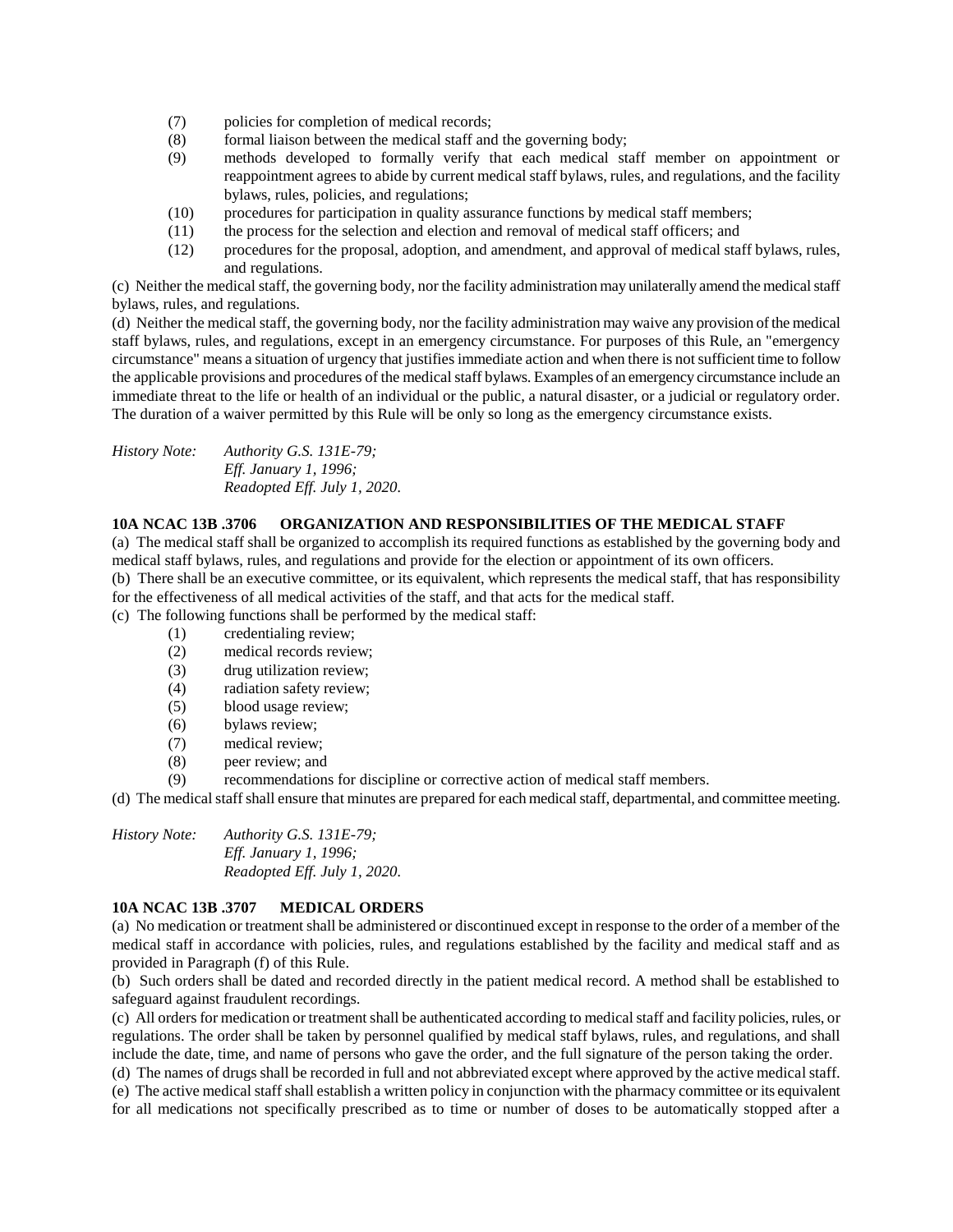- (7) policies for completion of medical records;
- (8) formal liaison between the medical staff and the governing body;
- (9) methods developed to formally verify that each medical staff member on appointment or reappointment agrees to abide by current medical staff bylaws, rules, and regulations, and the facility bylaws, rules, policies, and regulations;
- (10) procedures for participation in quality assurance functions by medical staff members;
- (11) the process for the selection and election and removal of medical staff officers; and
- (12) procedures for the proposal, adoption, and amendment, and approval of medical staff bylaws, rules, and regulations.

(c) Neither the medical staff, the governing body, nor the facility administration may unilaterally amend the medical staff bylaws, rules, and regulations.

(d) Neither the medical staff, the governing body, nor the facility administration may waive any provision of the medical staff bylaws, rules, and regulations, except in an emergency circumstance. For purposes of this Rule, an "emergency circumstance" means a situation of urgency that justifies immediate action and when there is not sufficient time to follow the applicable provisions and procedures of the medical staff bylaws. Examples of an emergency circumstance include an immediate threat to the life or health of an individual or the public, a natural disaster, or a judicial or regulatory order. The duration of a waiver permitted by this Rule will be only so long as the emergency circumstance exists.

*History Note: Authority G.S. 131E-79; Eff. January 1, 1996; Readopted Eff. July 1, 2020.*

#### **10A NCAC 13B .3706 ORGANIZATION AND RESPONSIBILITIES OF THE MEDICAL STAFF**

(a) The medical staff shall be organized to accomplish its required functions as established by the governing body and medical staff bylaws, rules, and regulations and provide for the election or appointment of its own officers. (b) There shall be an executive committee, or its equivalent, which represents the medical staff, that has responsibility for the effectiveness of all medical activities of the staff, and that acts for the medical staff.

(c) The following functions shall be performed by the medical staff:

- (1) credentialing review;
- (2) medical records review;
- (3) drug utilization review;
- (4) radiation safety review;
- (5) blood usage review;
- (6) bylaws review;
- (7) medical review;
- (8) peer review; and
- (9) recommendations for discipline or corrective action of medical staff members.

(d) The medical staff shall ensure that minutes are prepared for each medicalstaff, departmental, and committee meeting.

*History Note: Authority G.S. 131E-79; Eff. January 1, 1996; Readopted Eff. July 1, 2020.*

## **10A NCAC 13B .3707 MEDICAL ORDERS**

(a) No medication or treatment shall be administered or discontinued except in response to the order of a member of the medical staff in accordance with policies, rules, and regulations established by the facility and medical staff and as provided in Paragraph (f) of this Rule.

(b) Such orders shall be dated and recorded directly in the patient medical record. A method shall be established to safeguard against fraudulent recordings.

(c) All orders for medication or treatment shall be authenticated according to medical staff and facility policies, rules, or regulations. The order shall be taken by personnel qualified by medical staff bylaws, rules, and regulations, and shall include the date, time, and name of persons who gave the order, and the full signature of the person taking the order.

(d) The names of drugs shall be recorded in full and not abbreviated except where approved by the active medical staff.

(e) The active medical staff shall establish a written policy in conjunction with the pharmacy committee or its equivalent for all medications not specifically prescribed as to time or number of doses to be automatically stopped after a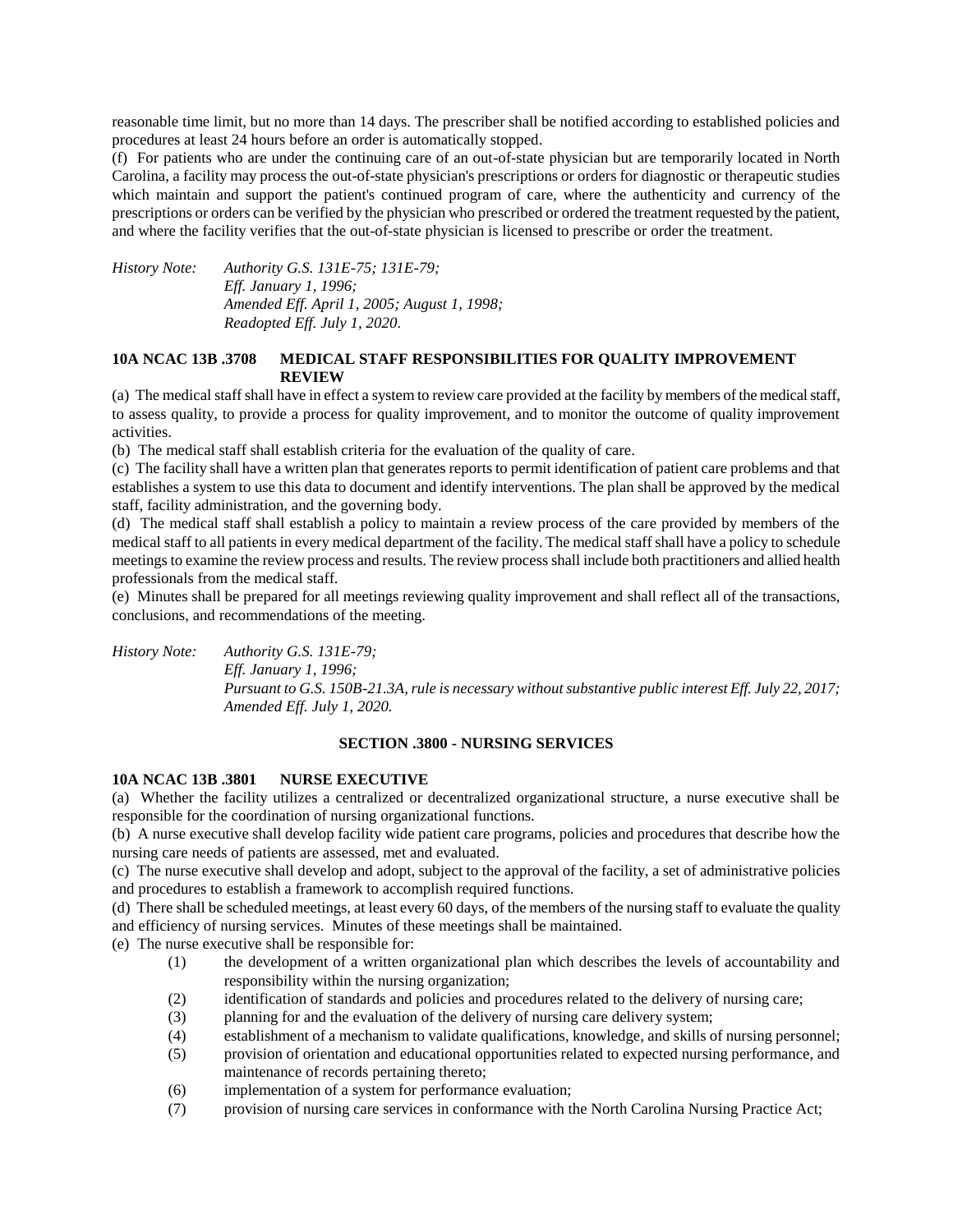reasonable time limit, but no more than 14 days. The prescriber shall be notified according to established policies and procedures at least 24 hours before an order is automatically stopped.

(f) For patients who are under the continuing care of an out-of-state physician but are temporarily located in North Carolina, a facility may process the out-of-state physician's prescriptions or orders for diagnostic or therapeutic studies which maintain and support the patient's continued program of care, where the authenticity and currency of the prescriptions or orders can be verified by the physician who prescribed or ordered the treatment requested by the patient, and where the facility verifies that the out-of-state physician is licensed to prescribe or order the treatment.

*History Note: Authority G.S. 131E-75; 131E-79; Eff. January 1, 1996; Amended Eff. April 1, 2005; August 1, 1998; Readopted Eff. July 1, 2020.*

#### **10A NCAC 13B .3708 MEDICAL STAFF RESPONSIBILITIES FOR QUALITY IMPROVEMENT REVIEW**

(a) The medical staff shall have in effect a system to review care provided at the facility by members of the medical staff, to assess quality, to provide a process for quality improvement, and to monitor the outcome of quality improvement activities.

(b) The medical staff shall establish criteria for the evaluation of the quality of care.

(c) The facility shall have a written plan that generates reports to permit identification of patient care problems and that establishes a system to use this data to document and identify interventions. The plan shall be approved by the medical staff, facility administration, and the governing body.

(d) The medical staff shall establish a policy to maintain a review process of the care provided by members of the medical staff to all patients in every medical department of the facility. The medical staff shall have a policy to schedule meetings to examine the review process and results. The review process shall include both practitioners and allied health professionals from the medical staff.

(e) Minutes shall be prepared for all meetings reviewing quality improvement and shall reflect all of the transactions, conclusions, and recommendations of the meeting.

*History Note: Authority G.S. 131E-79; Eff. January 1, 1996; Pursuant to G.S. 150B-21.3A, rule is necessary without substantive public interest Eff. July 22, 2017; Amended Eff. July 1, 2020.*

## **SECTION .3800 - NURSING SERVICES**

#### **10A NCAC 13B .3801 NURSE EXECUTIVE**

(a) Whether the facility utilizes a centralized or decentralized organizational structure, a nurse executive shall be responsible for the coordination of nursing organizational functions.

(b) A nurse executive shall develop facility wide patient care programs, policies and procedures that describe how the nursing care needs of patients are assessed, met and evaluated.

(c) The nurse executive shall develop and adopt, subject to the approval of the facility, a set of administrative policies and procedures to establish a framework to accomplish required functions.

(d) There shall be scheduled meetings, at least every 60 days, of the members of the nursing staff to evaluate the quality and efficiency of nursing services. Minutes of these meetings shall be maintained.

- (e) The nurse executive shall be responsible for:
	- (1) the development of a written organizational plan which describes the levels of accountability and responsibility within the nursing organization;
	- (2) identification of standards and policies and procedures related to the delivery of nursing care;
	- (3) planning for and the evaluation of the delivery of nursing care delivery system;
	- (4) establishment of a mechanism to validate qualifications, knowledge, and skills of nursing personnel;
	- (5) provision of orientation and educational opportunities related to expected nursing performance, and maintenance of records pertaining thereto;
	- (6) implementation of a system for performance evaluation;
	- (7) provision of nursing care services in conformance with the North Carolina Nursing Practice Act;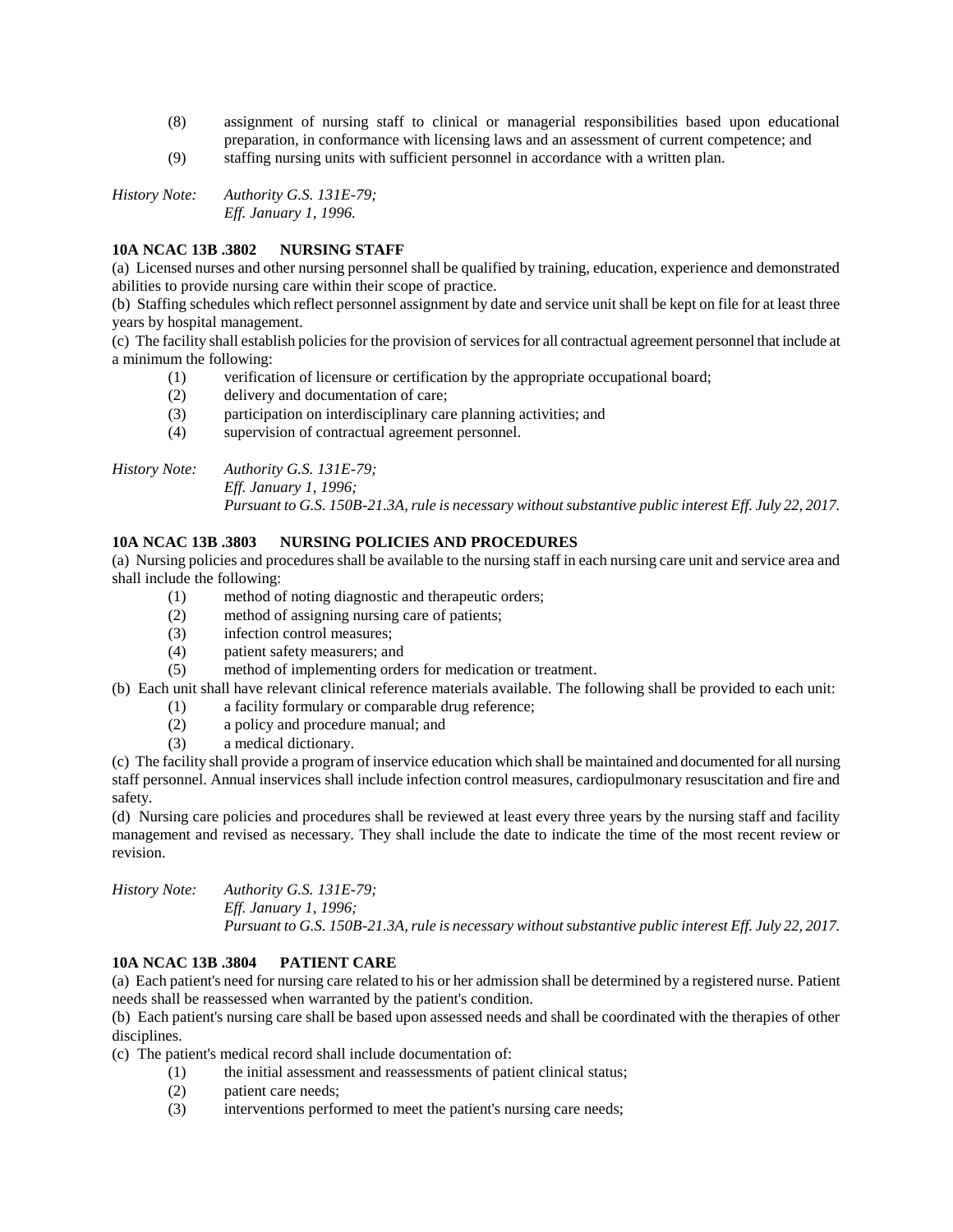- (8) assignment of nursing staff to clinical or managerial responsibilities based upon educational preparation, in conformance with licensing laws and an assessment of current competence; and
- (9) staffing nursing units with sufficient personnel in accordance with a written plan.

*History Note: Authority G.S. 131E-79; Eff. January 1, 1996.*

# **10A NCAC 13B .3802 NURSING STAFF**

(a) Licensed nurses and other nursing personnel shall be qualified by training, education, experience and demonstrated abilities to provide nursing care within their scope of practice.

(b) Staffing schedules which reflect personnel assignment by date and service unit shall be kept on file for at least three years by hospital management.

(c) The facility shall establish policies for the provision of services for all contractual agreement personnel that include at a minimum the following:

- (1) verification of licensure or certification by the appropriate occupational board;
- (2) delivery and documentation of care;
- (3) participation on interdisciplinary care planning activities; and
- (4) supervision of contractual agreement personnel.

*History Note: Authority G.S. 131E-79; Eff. January 1, 1996;*

*Pursuant to G.S. 150B-21.3A, rule is necessary without substantive public interest Eff. July 22, 2017.*

## **10A NCAC 13B .3803 NURSING POLICIES AND PROCEDURES**

(a) Nursing policies and procedures shall be available to the nursing staff in each nursing care unit and service area and shall include the following:

- (1) method of noting diagnostic and therapeutic orders;
- (2) method of assigning nursing care of patients;
- (3) infection control measures;
- (4) patient safety measurers; and
- (5) method of implementing orders for medication or treatment.
- (b) Each unit shall have relevant clinical reference materials available. The following shall be provided to each unit:
	- (1) a facility formulary or comparable drug reference;
		- (2) a policy and procedure manual; and
		- (3) a medical dictionary.

(c) The facility shall provide a program of inservice education which shall be maintained and documented for all nursing staff personnel. Annual inservices shall include infection control measures, cardiopulmonary resuscitation and fire and safety.

(d) Nursing care policies and procedures shall be reviewed at least every three years by the nursing staff and facility management and revised as necessary. They shall include the date to indicate the time of the most recent review or revision.

*History Note: Authority G.S. 131E-79; Eff. January 1, 1996; Pursuant to G.S. 150B-21.3A, rule is necessary without substantive public interest Eff. July 22, 2017.*

## **10A NCAC 13B .3804 PATIENT CARE**

(a) Each patient's need for nursing care related to his or her admission shall be determined by a registered nurse. Patient needs shall be reassessed when warranted by the patient's condition.

(b) Each patient's nursing care shall be based upon assessed needs and shall be coordinated with the therapies of other disciplines.

- (c) The patient's medical record shall include documentation of:
	- (1) the initial assessment and reassessments of patient clinical status;
	- (2) patient care needs;
	- (3) interventions performed to meet the patient's nursing care needs;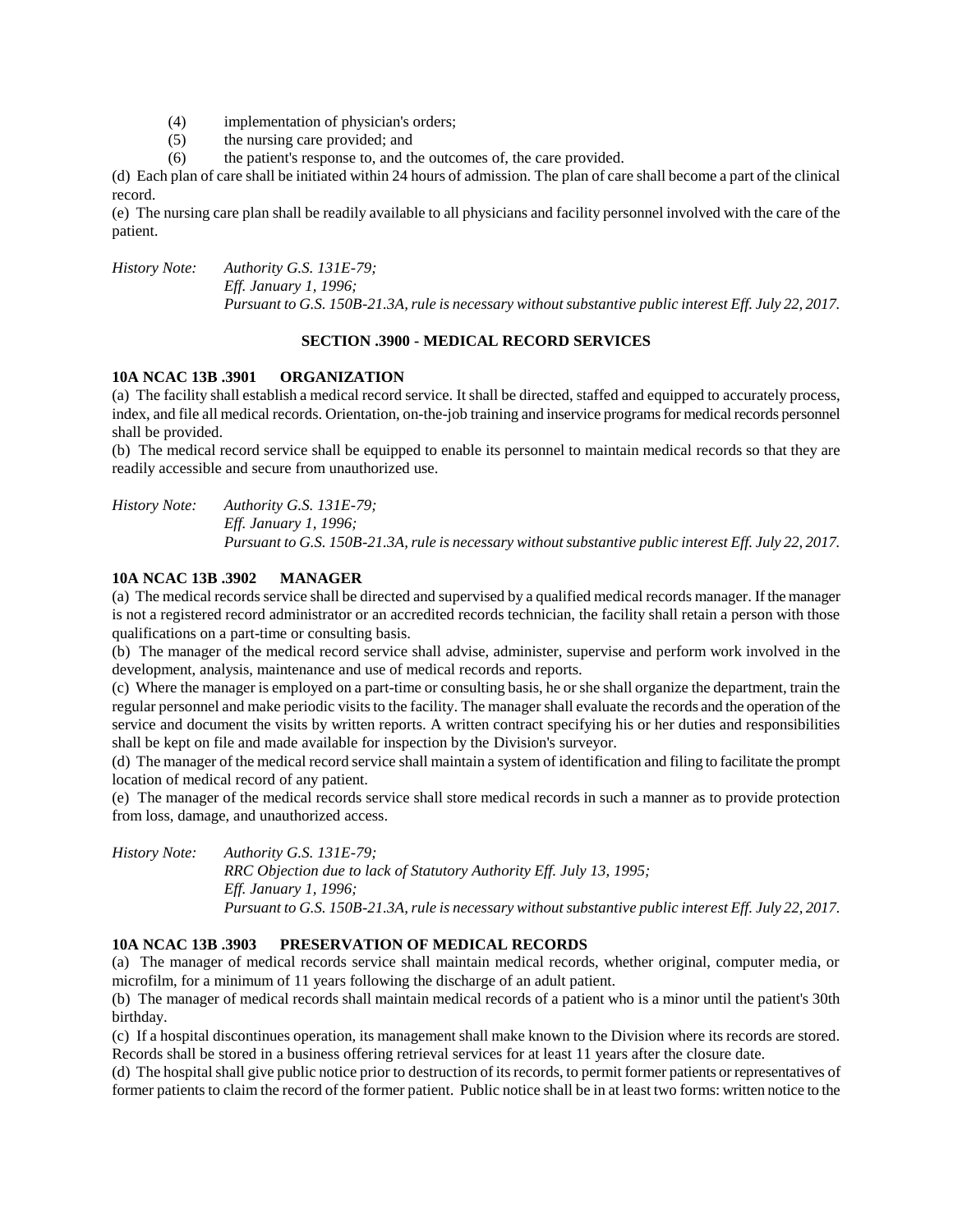- (4) implementation of physician's orders;
- (5) the nursing care provided; and
- (6) the patient's response to, and the outcomes of, the care provided.

(d) Each plan of care shall be initiated within 24 hours of admission. The plan of care shall become a part of the clinical record.

(e) The nursing care plan shall be readily available to all physicians and facility personnel involved with the care of the patient.

*History Note: Authority G.S. 131E-79; Eff. January 1, 1996; Pursuant to G.S. 150B-21.3A, rule is necessary without substantive public interest Eff. July 22, 2017.*

## **SECTION .3900 - MEDICAL RECORD SERVICES**

#### **10A NCAC 13B .3901 ORGANIZATION**

(a) The facility shall establish a medical record service. It shall be directed, staffed and equipped to accurately process, index, and file all medical records. Orientation, on-the-job training and inservice programs for medical records personnel shall be provided.

(b) The medical record service shall be equipped to enable its personnel to maintain medical records so that they are readily accessible and secure from unauthorized use.

*History Note: Authority G.S. 131E-79; Eff. January 1, 1996; Pursuant to G.S. 150B-21.3A, rule is necessary without substantive public interest Eff. July 22, 2017.*

## **10A NCAC 13B .3902 MANAGER**

(a) The medical records service shall be directed and supervised by a qualified medical records manager. If the manager is not a registered record administrator or an accredited records technician, the facility shall retain a person with those qualifications on a part-time or consulting basis.

(b) The manager of the medical record service shall advise, administer, supervise and perform work involved in the development, analysis, maintenance and use of medical records and reports.

(c) Where the manager is employed on a part-time or consulting basis, he or she shall organize the department, train the regular personnel and make periodic visits to the facility. The manager shall evaluate the records and the operation of the service and document the visits by written reports. A written contract specifying his or her duties and responsibilities shall be kept on file and made available for inspection by the Division's surveyor.

(d) The manager of the medical record service shall maintain a system of identification and filing to facilitate the prompt location of medical record of any patient.

(e) The manager of the medical records service shall store medical records in such a manner as to provide protection from loss, damage, and unauthorized access.

*History Note: Authority G.S. 131E-79; RRC Objection due to lack of Statutory Authority Eff. July 13, 1995; Eff. January 1, 1996; Pursuant to G.S. 150B-21.3A, rule is necessary without substantive public interest Eff. July 22, 2017.*

## **10A NCAC 13B .3903 PRESERVATION OF MEDICAL RECORDS**

(a) The manager of medical records service shall maintain medical records, whether original, computer media, or microfilm, for a minimum of 11 years following the discharge of an adult patient.

(b) The manager of medical records shall maintain medical records of a patient who is a minor until the patient's 30th birthday.

(c) If a hospital discontinues operation, its management shall make known to the Division where its records are stored. Records shall be stored in a business offering retrieval services for at least 11 years after the closure date.

(d) The hospital shall give public notice prior to destruction of its records, to permit former patients or representatives of former patients to claim the record of the former patient. Public notice shall be in at least two forms: written notice to the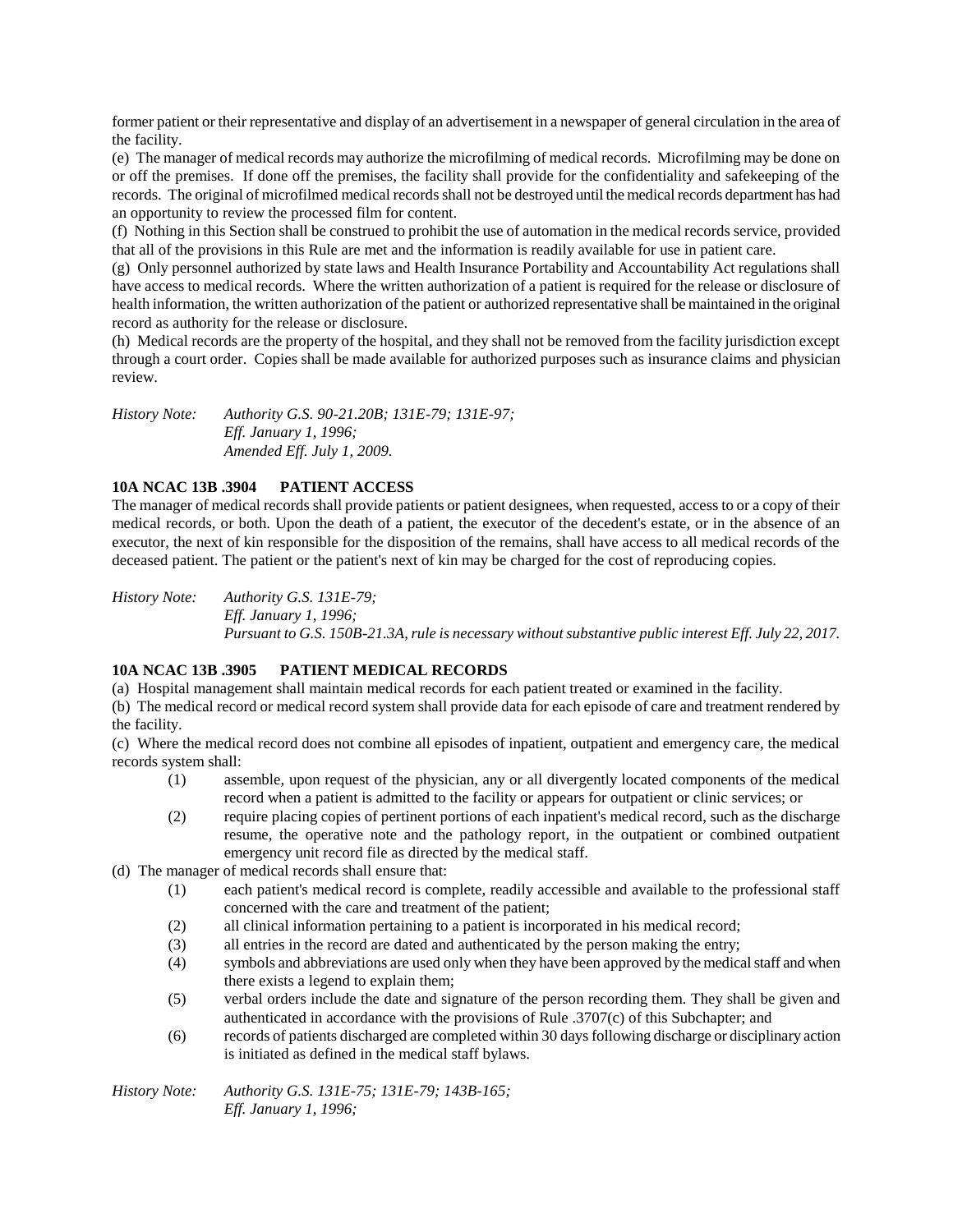former patient or their representative and display of an advertisement in a newspaper of general circulation in the area of the facility.

(e) The manager of medical records may authorize the microfilming of medical records. Microfilming may be done on or off the premises. If done off the premises, the facility shall provide for the confidentiality and safekeeping of the records. The original of microfilmed medical records shall not be destroyed until the medical records department has had an opportunity to review the processed film for content.

(f) Nothing in this Section shall be construed to prohibit the use of automation in the medical records service, provided that all of the provisions in this Rule are met and the information is readily available for use in patient care.

(g) Only personnel authorized by state laws and Health Insurance Portability and Accountability Act regulations shall have access to medical records. Where the written authorization of a patient is required for the release or disclosure of health information, the written authorization of the patient or authorized representative shall be maintained in the original record as authority for the release or disclosure.

(h) Medical records are the property of the hospital, and they shall not be removed from the facility jurisdiction except through a court order. Copies shall be made available for authorized purposes such as insurance claims and physician review.

*History Note: Authority G.S. 90-21.20B; 131E-79; 131E-97; Eff. January 1, 1996; Amended Eff. July 1, 2009.*

# **10A NCAC 13B .3904 PATIENT ACCESS**

The manager of medical records shall provide patients or patient designees, when requested, access to or a copy of their medical records, or both. Upon the death of a patient, the executor of the decedent's estate, or in the absence of an executor, the next of kin responsible for the disposition of the remains, shall have access to all medical records of the deceased patient. The patient or the patient's next of kin may be charged for the cost of reproducing copies.

*History Note: Authority G.S. 131E-79; Eff. January 1, 1996; Pursuant to G.S. 150B-21.3A, rule is necessary without substantive public interest Eff. July 22, 2017.*

## **10A NCAC 13B .3905 PATIENT MEDICAL RECORDS**

(a) Hospital management shall maintain medical records for each patient treated or examined in the facility.

(b) The medical record or medical record system shall provide data for each episode of care and treatment rendered by the facility.

(c) Where the medical record does not combine all episodes of inpatient, outpatient and emergency care, the medical records system shall:

- (1) assemble, upon request of the physician, any or all divergently located components of the medical record when a patient is admitted to the facility or appears for outpatient or clinic services; or
- (2) require placing copies of pertinent portions of each inpatient's medical record, such as the discharge resume, the operative note and the pathology report, in the outpatient or combined outpatient emergency unit record file as directed by the medical staff.
- (d) The manager of medical records shall ensure that:
	- (1) each patient's medical record is complete, readily accessible and available to the professional staff concerned with the care and treatment of the patient;
	- (2) all clinical information pertaining to a patient is incorporated in his medical record;
	- (3) all entries in the record are dated and authenticated by the person making the entry;
	- (4) symbols and abbreviations are used only when they have been approved by the medical staff and when there exists a legend to explain them;
	- (5) verbal orders include the date and signature of the person recording them. They shall be given and authenticated in accordance with the provisions of Rule .3707(c) of this Subchapter; and
	- (6) records of patients discharged are completed within 30 days following discharge or disciplinary action is initiated as defined in the medical staff bylaws.

*History Note: Authority G.S. 131E-75; 131E-79; 143B-165; Eff. January 1, 1996;*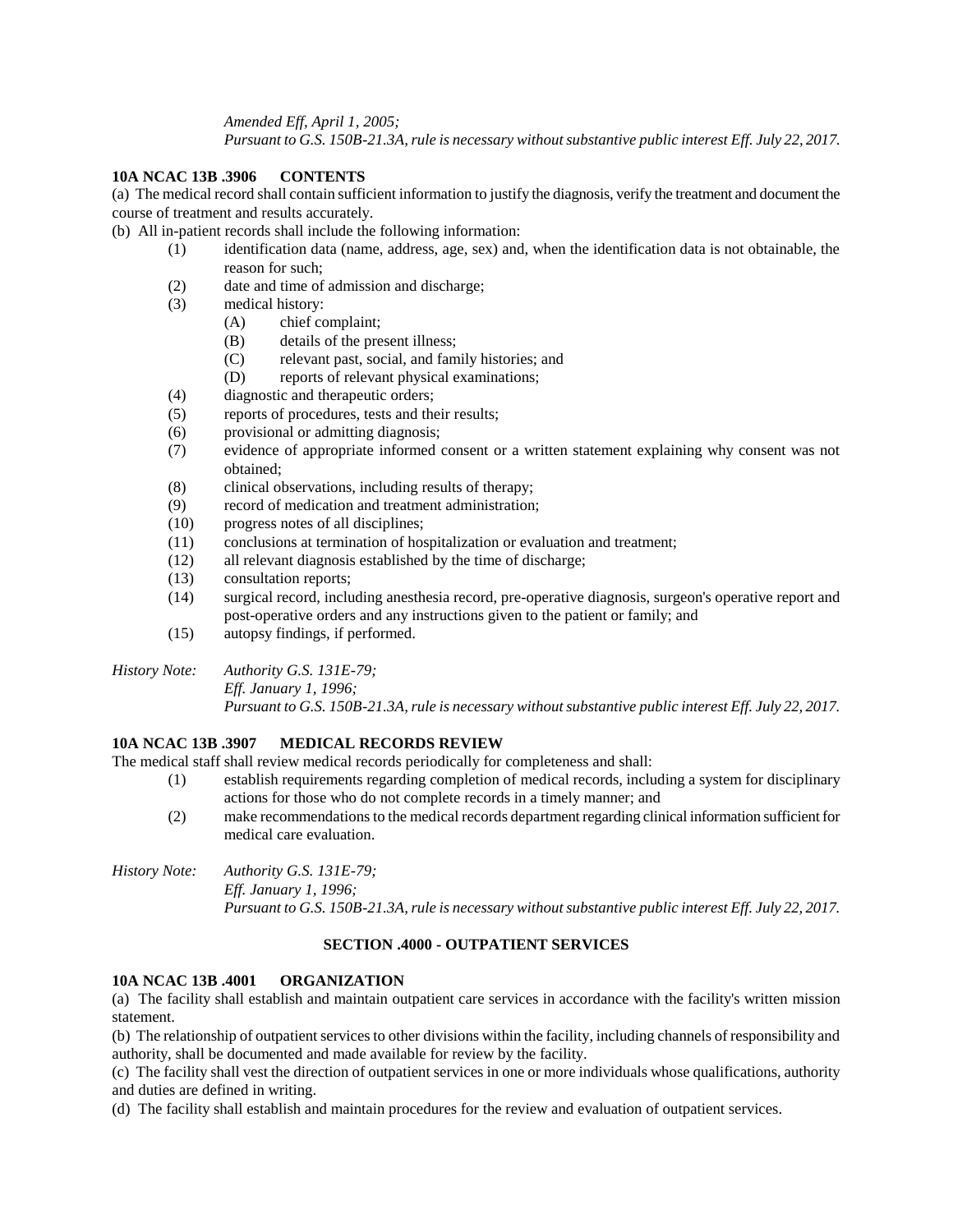*Amended Eff, April 1, 2005;*

*Pursuant to G.S. 150B-21.3A, rule is necessary without substantive public interest Eff. July 22, 2017.*

#### **10A NCAC 13B .3906 CONTENTS**

(a) The medical record shall contain sufficient information to justify the diagnosis, verify the treatment and document the course of treatment and results accurately.

(b) All in-patient records shall include the following information:

- (1) identification data (name, address, age, sex) and, when the identification data is not obtainable, the reason for such;
- (2) date and time of admission and discharge;
- (3) medical history:
	- (A) chief complaint;
	- (B) details of the present illness;
	- (C) relevant past, social, and family histories; and
	- (D) reports of relevant physical examinations;
- (4) diagnostic and therapeutic orders;
- (5) reports of procedures, tests and their results;
- (6) provisional or admitting diagnosis;
- (7) evidence of appropriate informed consent or a written statement explaining why consent was not obtained;
- (8) clinical observations, including results of therapy;
- (9) record of medication and treatment administration;
- (10) progress notes of all disciplines;
- (11) conclusions at termination of hospitalization or evaluation and treatment;
- (12) all relevant diagnosis established by the time of discharge;
- (13) consultation reports;
- (14) surgical record, including anesthesia record, pre-operative diagnosis, surgeon's operative report and post-operative orders and any instructions given to the patient or family; and
- (15) autopsy findings, if performed.
- *History Note: Authority G.S. 131E-79;*

*Eff. January 1, 1996;*

*Pursuant to G.S. 150B-21.3A, rule is necessary without substantive public interest Eff. July 22, 2017.*

#### **10A NCAC 13B .3907 MEDICAL RECORDS REVIEW**

The medical staff shall review medical records periodically for completeness and shall:

- (1) establish requirements regarding completion of medical records, including a system for disciplinary actions for those who do not complete records in a timely manner; and
- (2) make recommendations to the medical records department regarding clinical information sufficient for medical care evaluation.

#### *History Note: Authority G.S. 131E-79; Eff. January 1, 1996; Pursuant to G.S. 150B-21.3A, rule is necessary without substantive public interest Eff. July 22, 2017.*

#### **SECTION .4000 - OUTPATIENT SERVICES**

#### **10A NCAC 13B .4001 ORGANIZATION**

(a) The facility shall establish and maintain outpatient care services in accordance with the facility's written mission statement.

(b) The relationship of outpatient services to other divisions within the facility, including channels of responsibility and authority, shall be documented and made available for review by the facility.

(c) The facility shall vest the direction of outpatient services in one or more individuals whose qualifications, authority and duties are defined in writing.

(d) The facility shall establish and maintain procedures for the review and evaluation of outpatient services.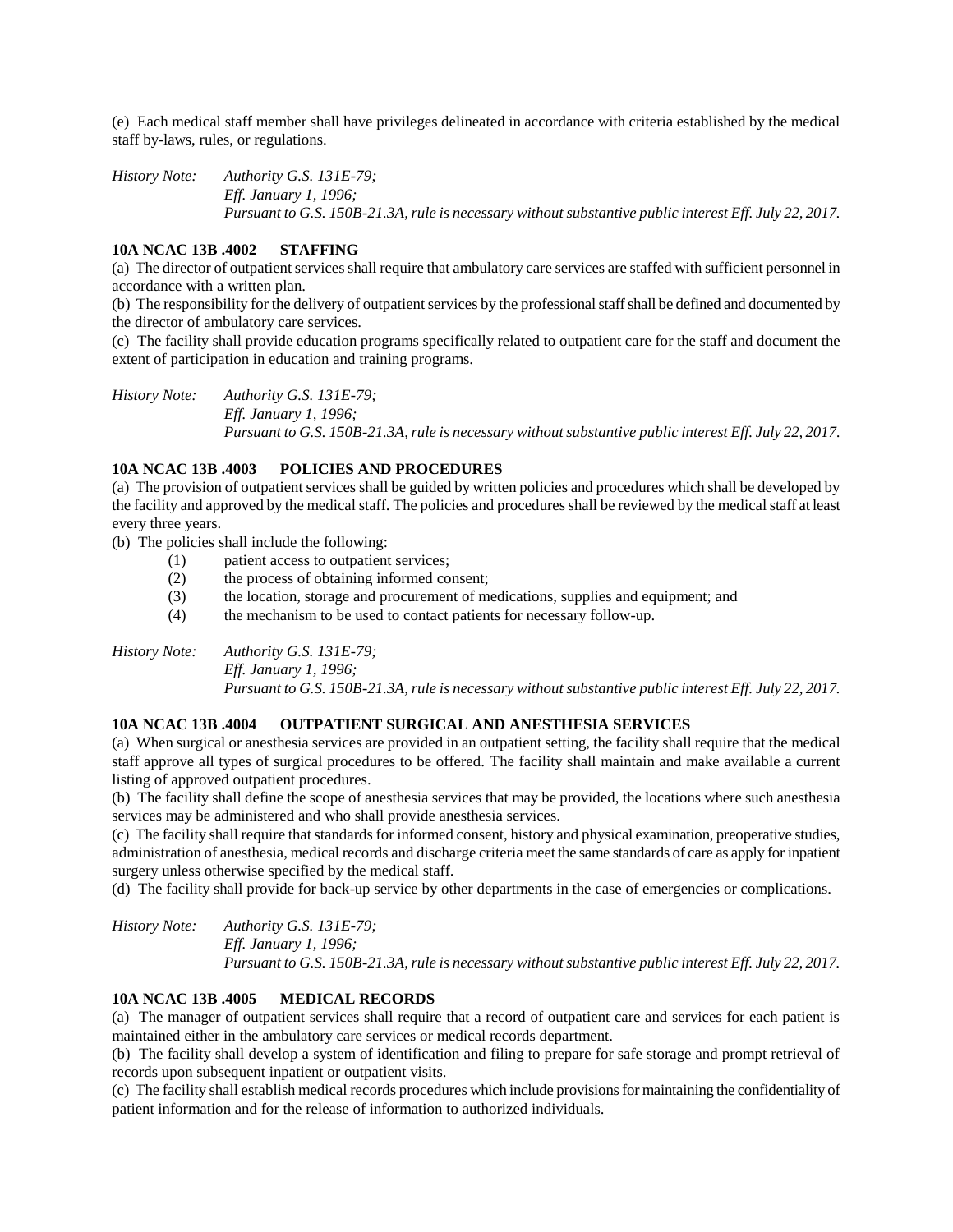(e) Each medical staff member shall have privileges delineated in accordance with criteria established by the medical staff by-laws, rules, or regulations.

*History Note: Authority G.S. 131E-79; Eff. January 1, 1996; Pursuant to G.S. 150B-21.3A, rule is necessary without substantive public interest Eff. July 22, 2017.*

#### **10A NCAC 13B .4002 STAFFING**

(a) The director of outpatient services shall require that ambulatory care services are staffed with sufficient personnel in accordance with a written plan.

(b) The responsibility for the delivery of outpatient services by the professional staff shall be defined and documented by the director of ambulatory care services.

(c) The facility shall provide education programs specifically related to outpatient care for the staff and document the extent of participation in education and training programs.

*History Note: Authority G.S. 131E-79; Eff. January 1, 1996; Pursuant to G.S. 150B-21.3A, rule is necessary without substantive public interest Eff. July 22, 2017.*

#### **10A NCAC 13B .4003 POLICIES AND PROCEDURES**

(a) The provision of outpatient services shall be guided by written policies and procedures which shall be developed by the facility and approved by the medical staff. The policies and procedures shall be reviewed by the medical staff at least every three years.

(b) The policies shall include the following:

- (1) patient access to outpatient services;
- (2) the process of obtaining informed consent;
- (3) the location, storage and procurement of medications, supplies and equipment; and
- (4) the mechanism to be used to contact patients for necessary follow-up.

*History Note: Authority G.S. 131E-79; Eff. January 1, 1996; Pursuant to G.S. 150B-21.3A, rule is necessary without substantive public interest Eff. July 22, 2017.*

#### **10A NCAC 13B .4004 OUTPATIENT SURGICAL AND ANESTHESIA SERVICES**

(a) When surgical or anesthesia services are provided in an outpatient setting, the facility shall require that the medical staff approve all types of surgical procedures to be offered. The facility shall maintain and make available a current listing of approved outpatient procedures.

(b) The facility shall define the scope of anesthesia services that may be provided, the locations where such anesthesia services may be administered and who shall provide anesthesia services.

(c) The facility shall require that standards for informed consent, history and physical examination, preoperative studies, administration of anesthesia, medical records and discharge criteria meet the same standards of care as apply for inpatient surgery unless otherwise specified by the medical staff.

(d) The facility shall provide for back-up service by other departments in the case of emergencies or complications.

*History Note: Authority G.S. 131E-79; Eff. January 1, 1996; Pursuant to G.S. 150B-21.3A, rule is necessary without substantive public interest Eff. July 22, 2017.*

# **10A NCAC 13B .4005 MEDICAL RECORDS**

(a) The manager of outpatient services shall require that a record of outpatient care and services for each patient is maintained either in the ambulatory care services or medical records department.

(b) The facility shall develop a system of identification and filing to prepare for safe storage and prompt retrieval of records upon subsequent inpatient or outpatient visits.

(c) The facility shall establish medical records procedures which include provisions for maintaining the confidentiality of patient information and for the release of information to authorized individuals.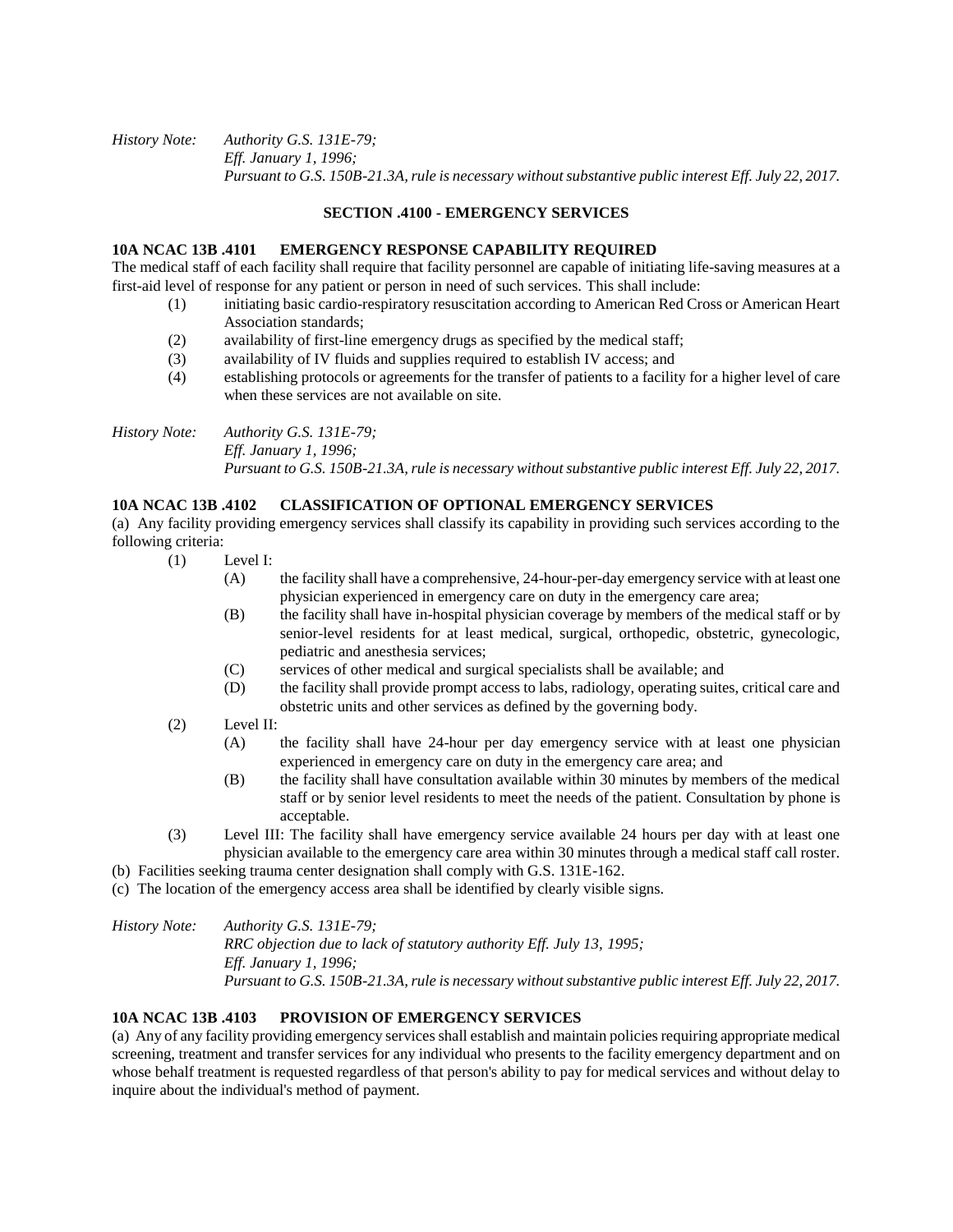#### *History Note: Authority G.S. 131E-79; Eff. January 1, 1996; Pursuant to G.S. 150B-21.3A, rule is necessary without substantive public interest Eff. July 22, 2017.*

#### **SECTION .4100 - EMERGENCY SERVICES**

## **10A NCAC 13B .4101 EMERGENCY RESPONSE CAPABILITY REQUIRED**

The medical staff of each facility shall require that facility personnel are capable of initiating life-saving measures at a first-aid level of response for any patient or person in need of such services. This shall include:

- (1) initiating basic cardio-respiratory resuscitation according to American Red Cross or American Heart Association standards;
- (2) availability of first-line emergency drugs as specified by the medical staff;
- (3) availability of IV fluids and supplies required to establish IV access; and
- (4) establishing protocols or agreements for the transfer of patients to a facility for a higher level of care when these services are not available on site.

*History Note: Authority G.S. 131E-79; Eff. January 1, 1996; Pursuant to G.S. 150B-21.3A, rule is necessary without substantive public interest Eff. July 22, 2017.*

#### **10A NCAC 13B .4102 CLASSIFICATION OF OPTIONAL EMERGENCY SERVICES**

(a) Any facility providing emergency services shall classify its capability in providing such services according to the following criteria:

- (1) Level I:
	- (A) the facility shall have a comprehensive, 24-hour-per-day emergency service with at least one physician experienced in emergency care on duty in the emergency care area;
	- (B) the facility shall have in-hospital physician coverage by members of the medical staff or by senior-level residents for at least medical, surgical, orthopedic, obstetric, gynecologic, pediatric and anesthesia services;
	- (C) services of other medical and surgical specialists shall be available; and
	- (D) the facility shall provide prompt access to labs, radiology, operating suites, critical care and obstetric units and other services as defined by the governing body.
- (2) Level II:
	- (A) the facility shall have 24-hour per day emergency service with at least one physician experienced in emergency care on duty in the emergency care area; and
	- (B) the facility shall have consultation available within 30 minutes by members of the medical staff or by senior level residents to meet the needs of the patient. Consultation by phone is acceptable.
- (3) Level III: The facility shall have emergency service available 24 hours per day with at least one physician available to the emergency care area within 30 minutes through a medical staff call roster.
- (b) Facilities seeking trauma center designation shall comply with G.S. 131E-162.
- (c) The location of the emergency access area shall be identified by clearly visible signs.

*History Note: Authority G.S. 131E-79; RRC objection due to lack of statutory authority Eff. July 13, 1995; Eff. January 1, 1996; Pursuant to G.S. 150B-21.3A, rule is necessary without substantive public interest Eff. July 22, 2017.*

# **10A NCAC 13B .4103 PROVISION OF EMERGENCY SERVICES**

(a) Any of any facility providing emergency services shall establish and maintain policies requiring appropriate medical screening, treatment and transfer services for any individual who presents to the facility emergency department and on whose behalf treatment is requested regardless of that person's ability to pay for medical services and without delay to inquire about the individual's method of payment.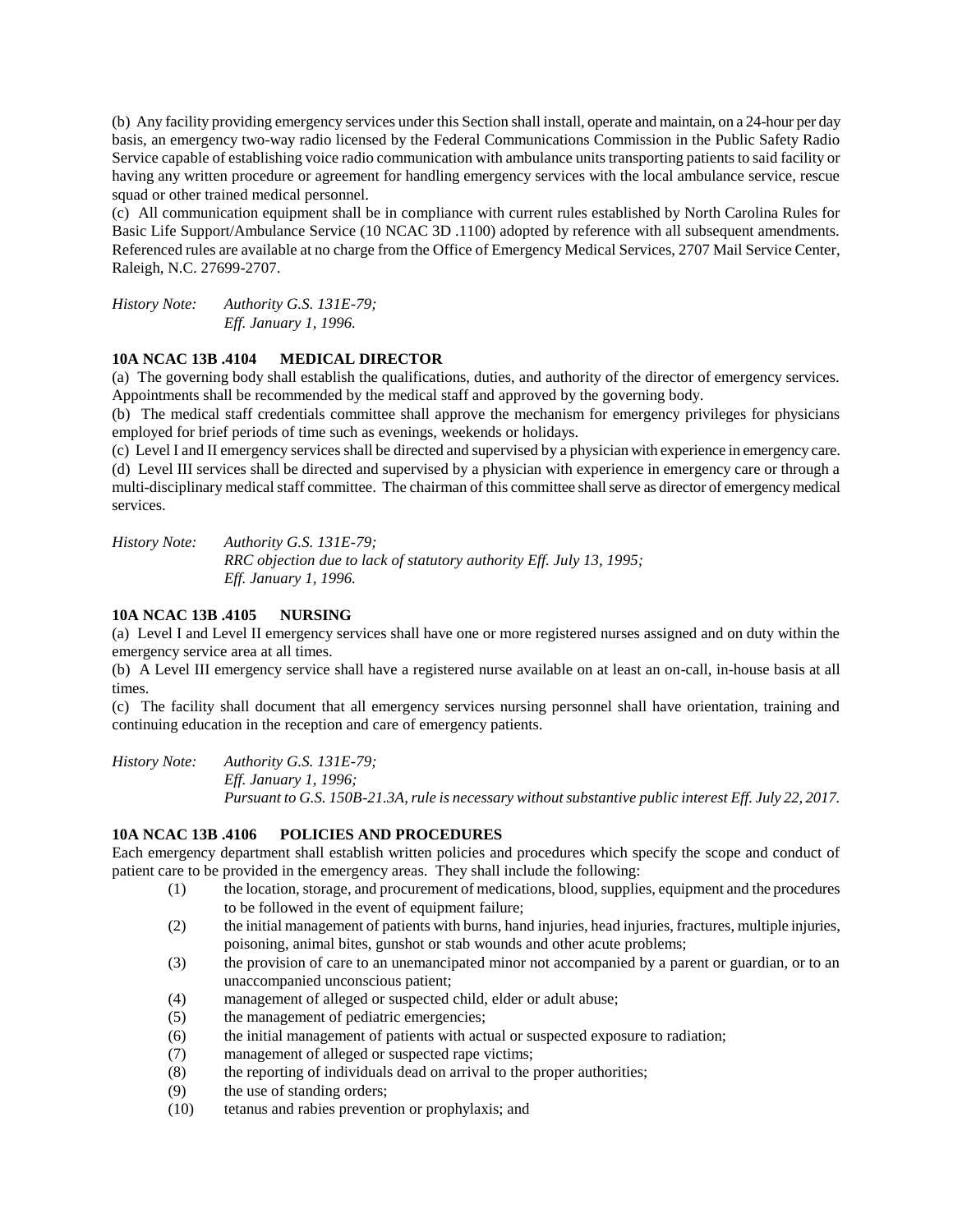(b) Any facility providing emergency services under this Section shall install, operate and maintain, on a 24-hour per day basis, an emergency two-way radio licensed by the Federal Communications Commission in the Public Safety Radio Service capable of establishing voice radio communication with ambulance units transporting patients to said facility or having any written procedure or agreement for handling emergency services with the local ambulance service, rescue squad or other trained medical personnel.

(c) All communication equipment shall be in compliance with current rules established by North Carolina Rules for Basic Life Support/Ambulance Service (10 NCAC 3D .1100) adopted by reference with all subsequent amendments. Referenced rules are available at no charge from the Office of Emergency Medical Services, 2707 Mail Service Center, Raleigh, N.C. 27699-2707.

*History Note: Authority G.S. 131E-79; Eff. January 1, 1996.*

# **10A NCAC 13B .4104 MEDICAL DIRECTOR**

(a) The governing body shall establish the qualifications, duties, and authority of the director of emergency services. Appointments shall be recommended by the medical staff and approved by the governing body.

(b) The medical staff credentials committee shall approve the mechanism for emergency privileges for physicians employed for brief periods of time such as evenings, weekends or holidays.

(c) Level I and II emergency services shall be directed and supervised by a physician with experience in emergency care. (d) Level III services shall be directed and supervised by a physician with experience in emergency care or through a multi-disciplinary medical staff committee. The chairman of this committee shall serve as director of emergency medical services.

*History Note: Authority G.S. 131E-79; RRC objection due to lack of statutory authority Eff. July 13, 1995; Eff. January 1, 1996.*

# **10A NCAC 13B .4105 NURSING**

(a) Level I and Level II emergency services shall have one or more registered nurses assigned and on duty within the emergency service area at all times.

(b) A Level III emergency service shall have a registered nurse available on at least an on-call, in-house basis at all times.

(c) The facility shall document that all emergency services nursing personnel shall have orientation, training and continuing education in the reception and care of emergency patients.

*History Note: Authority G.S. 131E-79; Eff. January 1, 1996; Pursuant to G.S. 150B-21.3A, rule is necessary without substantive public interest Eff. July 22, 2017.*

## **10A NCAC 13B .4106 POLICIES AND PROCEDURES**

Each emergency department shall establish written policies and procedures which specify the scope and conduct of patient care to be provided in the emergency areas. They shall include the following:

- (1) the location, storage, and procurement of medications, blood, supplies, equipment and the procedures to be followed in the event of equipment failure;
- (2) the initial management of patients with burns, hand injuries, head injuries, fractures, multiple injuries, poisoning, animal bites, gunshot or stab wounds and other acute problems;
- (3) the provision of care to an unemancipated minor not accompanied by a parent or guardian, or to an unaccompanied unconscious patient;
- (4) management of alleged or suspected child, elder or adult abuse;
- (5) the management of pediatric emergencies;
- (6) the initial management of patients with actual or suspected exposure to radiation;
- (7) management of alleged or suspected rape victims;
- (8) the reporting of individuals dead on arrival to the proper authorities;
- (9) the use of standing orders;
- (10) tetanus and rabies prevention or prophylaxis; and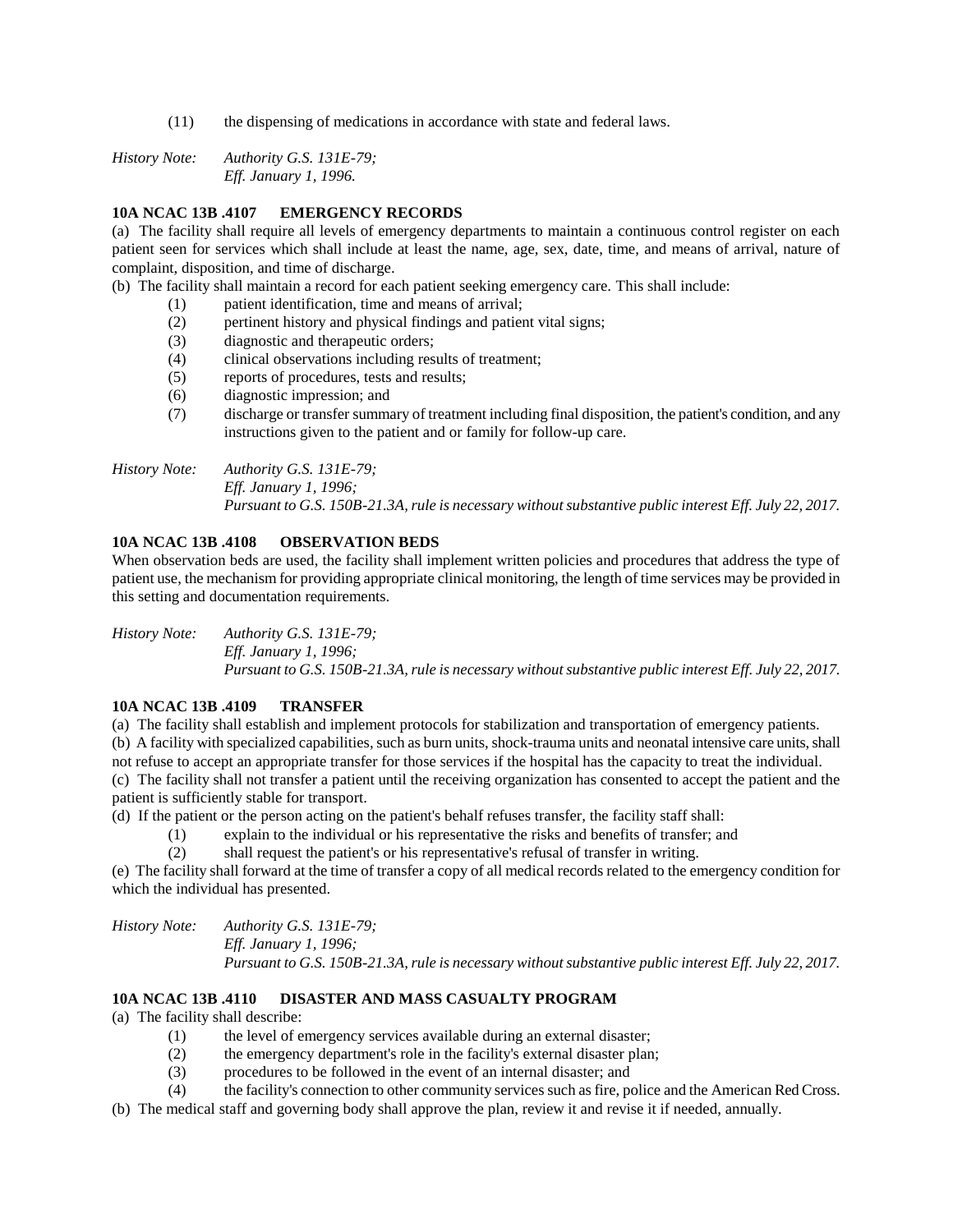(11) the dispensing of medications in accordance with state and federal laws.

*History Note: Authority G.S. 131E-79; Eff. January 1, 1996.*

## **10A NCAC 13B .4107 EMERGENCY RECORDS**

(a) The facility shall require all levels of emergency departments to maintain a continuous control register on each patient seen for services which shall include at least the name, age, sex, date, time, and means of arrival, nature of complaint, disposition, and time of discharge.

(b) The facility shall maintain a record for each patient seeking emergency care. This shall include:

- (1) patient identification, time and means of arrival;
- (2) pertinent history and physical findings and patient vital signs;
- (3) diagnostic and therapeutic orders;
- (4) clinical observations including results of treatment;
- (5) reports of procedures, tests and results;
- (6) diagnostic impression; and
- (7) discharge or transfer summary of treatment including final disposition, the patient's condition, and any instructions given to the patient and or family for follow-up care.

*History Note: Authority G.S. 131E-79; Eff. January 1, 1996; Pursuant to G.S. 150B-21.3A, rule is necessary without substantive public interest Eff. July 22, 2017.*

## **10A NCAC 13B .4108 OBSERVATION BEDS**

When observation beds are used, the facility shall implement written policies and procedures that address the type of patient use, the mechanism for providing appropriate clinical monitoring, the length of time services may be provided in this setting and documentation requirements.

*History Note: Authority G.S. 131E-79; Eff. January 1, 1996; Pursuant to G.S. 150B-21.3A, rule is necessary without substantive public interest Eff. July 22, 2017.*

## **10A NCAC 13B .4109 TRANSFER**

(a) The facility shall establish and implement protocols for stabilization and transportation of emergency patients. (b) A facility with specialized capabilities, such as burn units, shock-trauma units and neonatal intensive care units, shall not refuse to accept an appropriate transfer for those services if the hospital has the capacity to treat the individual. (c) The facility shall not transfer a patient until the receiving organization has consented to accept the patient and the patient is sufficiently stable for transport.

(d) If the patient or the person acting on the patient's behalf refuses transfer, the facility staff shall:

- (1) explain to the individual or his representative the risks and benefits of transfer; and
- (2) shall request the patient's or his representative's refusal of transfer in writing.

(e) The facility shall forward at the time of transfer a copy of all medical records related to the emergency condition for which the individual has presented.

*History Note: Authority G.S. 131E-79; Eff. January 1, 1996; Pursuant to G.S. 150B-21.3A, rule is necessary without substantive public interest Eff. July 22, 2017.*

# **10A NCAC 13B .4110 DISASTER AND MASS CASUALTY PROGRAM**

(a) The facility shall describe:

- (1) the level of emergency services available during an external disaster;
- (2) the emergency department's role in the facility's external disaster plan;
- (3) procedures to be followed in the event of an internal disaster; and
- (4) the facility's connection to other community services such as fire, police and the American Red Cross.
- (b) The medical staff and governing body shall approve the plan, review it and revise it if needed, annually.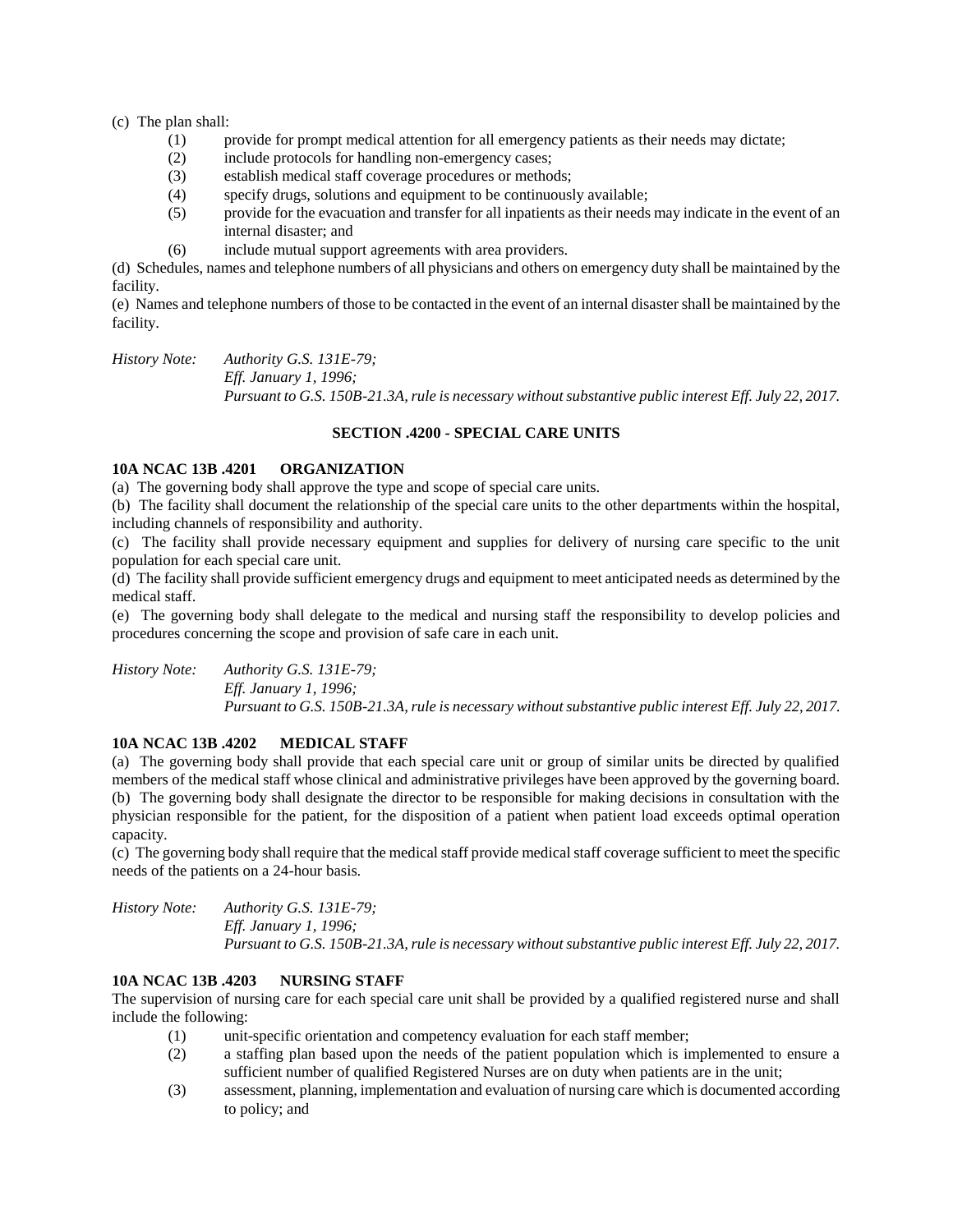(c) The plan shall:

- (1) provide for prompt medical attention for all emergency patients as their needs may dictate;
- (2) include protocols for handling non-emergency cases;
- (3) establish medical staff coverage procedures or methods;
- (4) specify drugs, solutions and equipment to be continuously available;
- (5) provide for the evacuation and transfer for all inpatients as their needs may indicate in the event of an internal disaster; and
- (6) include mutual support agreements with area providers.

(d) Schedules, names and telephone numbers of all physicians and others on emergency duty shall be maintained by the facility.

(e) Names and telephone numbers of those to be contacted in the event of an internal disaster shall be maintained by the facility.

*History Note: Authority G.S. 131E-79;*

*Eff. January 1, 1996;*

*Pursuant to G.S. 150B-21.3A, rule is necessary without substantive public interest Eff. July 22, 2017.*

# **SECTION .4200 - SPECIAL CARE UNITS**

## **10A NCAC 13B .4201 ORGANIZATION**

(a) The governing body shall approve the type and scope of special care units.

(b) The facility shall document the relationship of the special care units to the other departments within the hospital, including channels of responsibility and authority.

(c) The facility shall provide necessary equipment and supplies for delivery of nursing care specific to the unit population for each special care unit.

(d) The facility shall provide sufficient emergency drugs and equipment to meet anticipated needs as determined by the medical staff.

(e) The governing body shall delegate to the medical and nursing staff the responsibility to develop policies and procedures concerning the scope and provision of safe care in each unit.

*History Note: Authority G.S. 131E-79; Eff. January 1, 1996; Pursuant to G.S. 150B-21.3A, rule is necessary without substantive public interest Eff. July 22, 2017.*

# **10A NCAC 13B .4202 MEDICAL STAFF**

(a) The governing body shall provide that each special care unit or group of similar units be directed by qualified members of the medical staff whose clinical and administrative privileges have been approved by the governing board. (b) The governing body shall designate the director to be responsible for making decisions in consultation with the physician responsible for the patient, for the disposition of a patient when patient load exceeds optimal operation capacity.

(c) The governing body shall require that the medical staff provide medical staff coverage sufficient to meet the specific needs of the patients on a 24-hour basis.

*History Note: Authority G.S. 131E-79; Eff. January 1, 1996;*

*Pursuant to G.S. 150B-21.3A, rule is necessary without substantive public interest Eff. July 22, 2017.*

# **10A NCAC 13B .4203 NURSING STAFF**

The supervision of nursing care for each special care unit shall be provided by a qualified registered nurse and shall include the following:

- (1) unit-specific orientation and competency evaluation for each staff member;
- (2) a staffing plan based upon the needs of the patient population which is implemented to ensure a sufficient number of qualified Registered Nurses are on duty when patients are in the unit;
- (3) assessment, planning, implementation and evaluation of nursing care which is documented according to policy; and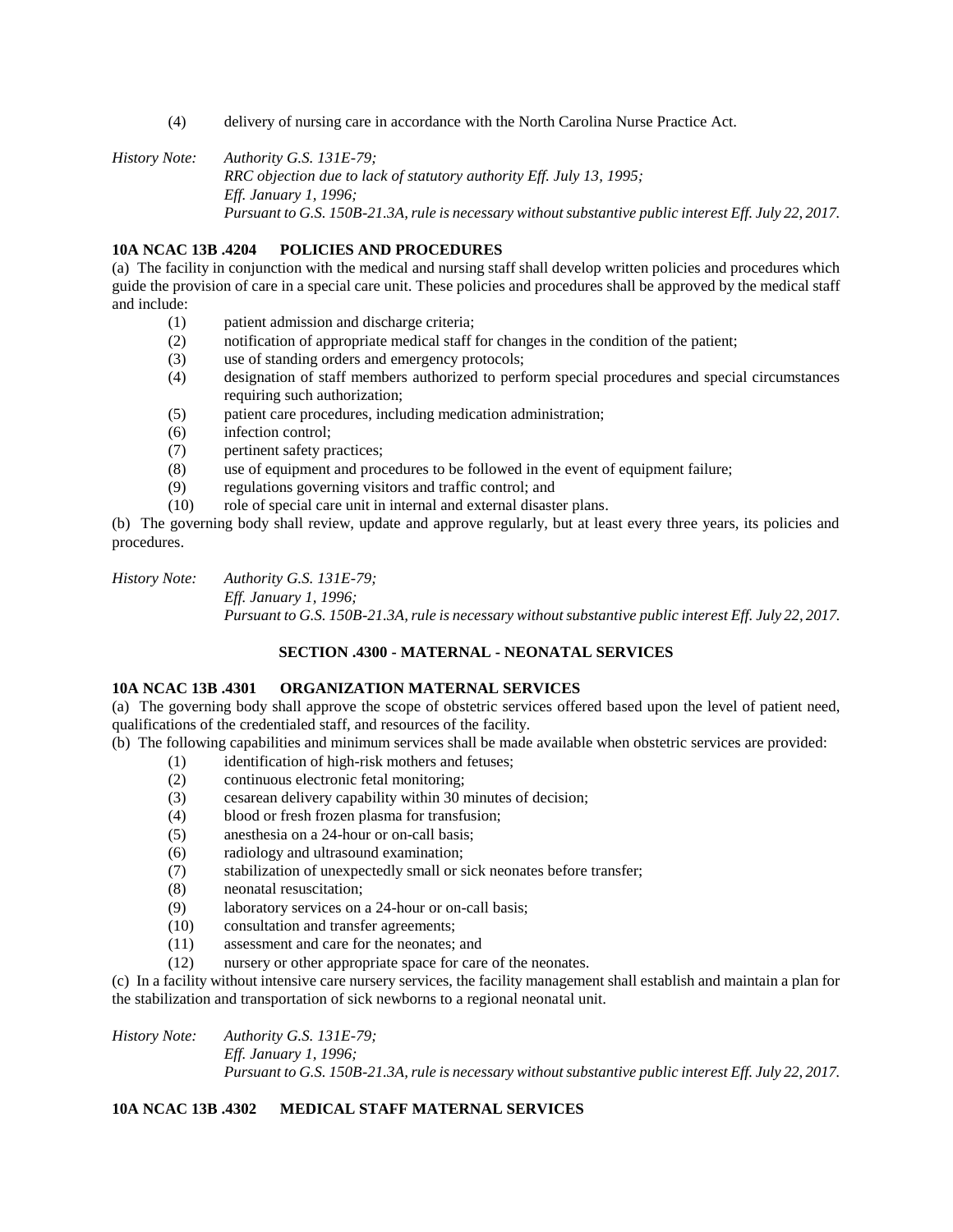(4) delivery of nursing care in accordance with the North Carolina Nurse Practice Act.

*History Note: Authority G.S. 131E-79; RRC objection due to lack of statutory authority Eff. July 13, 1995; Eff. January 1, 1996; Pursuant to G.S. 150B-21.3A, rule is necessary without substantive public interest Eff. July 22, 2017.*

# **10A NCAC 13B .4204 POLICIES AND PROCEDURES**

(a) The facility in conjunction with the medical and nursing staff shall develop written policies and procedures which guide the provision of care in a special care unit. These policies and procedures shall be approved by the medical staff and include:

- (1) patient admission and discharge criteria;
- (2) notification of appropriate medical staff for changes in the condition of the patient;
- (3) use of standing orders and emergency protocols;
- (4) designation of staff members authorized to perform special procedures and special circumstances requiring such authorization;
- (5) patient care procedures, including medication administration;
- (6) infection control;
- (7) pertinent safety practices;
- (8) use of equipment and procedures to be followed in the event of equipment failure;
- (9) regulations governing visitors and traffic control; and
- (10) role of special care unit in internal and external disaster plans.

(b) The governing body shall review, update and approve regularly, but at least every three years, its policies and procedures.

*History Note: Authority G.S. 131E-79;*

*Eff. January 1, 1996; Pursuant to G.S. 150B-21.3A, rule is necessary without substantive public interest Eff. July 22, 2017.*

## **SECTION .4300 - MATERNAL - NEONATAL SERVICES**

# **10A NCAC 13B .4301 ORGANIZATION MATERNAL SERVICES**

(a) The governing body shall approve the scope of obstetric services offered based upon the level of patient need, qualifications of the credentialed staff, and resources of the facility.

(b) The following capabilities and minimum services shall be made available when obstetric services are provided:

- (1) identification of high-risk mothers and fetuses;
- (2) continuous electronic fetal monitoring;
- (3) cesarean delivery capability within 30 minutes of decision;
- (4) blood or fresh frozen plasma for transfusion;
- (5) anesthesia on a 24-hour or on-call basis;
- (6) radiology and ultrasound examination;
- (7) stabilization of unexpectedly small or sick neonates before transfer;
- (8) neonatal resuscitation;
- (9) laboratory services on a 24-hour or on-call basis;
- (10) consultation and transfer agreements;
- (11) assessment and care for the neonates; and
- (12) nursery or other appropriate space for care of the neonates.

(c) In a facility without intensive care nursery services, the facility management shall establish and maintain a plan for the stabilization and transportation of sick newborns to a regional neonatal unit.

*History Note: Authority G.S. 131E-79; Eff. January 1, 1996; Pursuant to G.S. 150B-21.3A, rule is necessary without substantive public interest Eff. July 22, 2017.*

## **10A NCAC 13B .4302 MEDICAL STAFF MATERNAL SERVICES**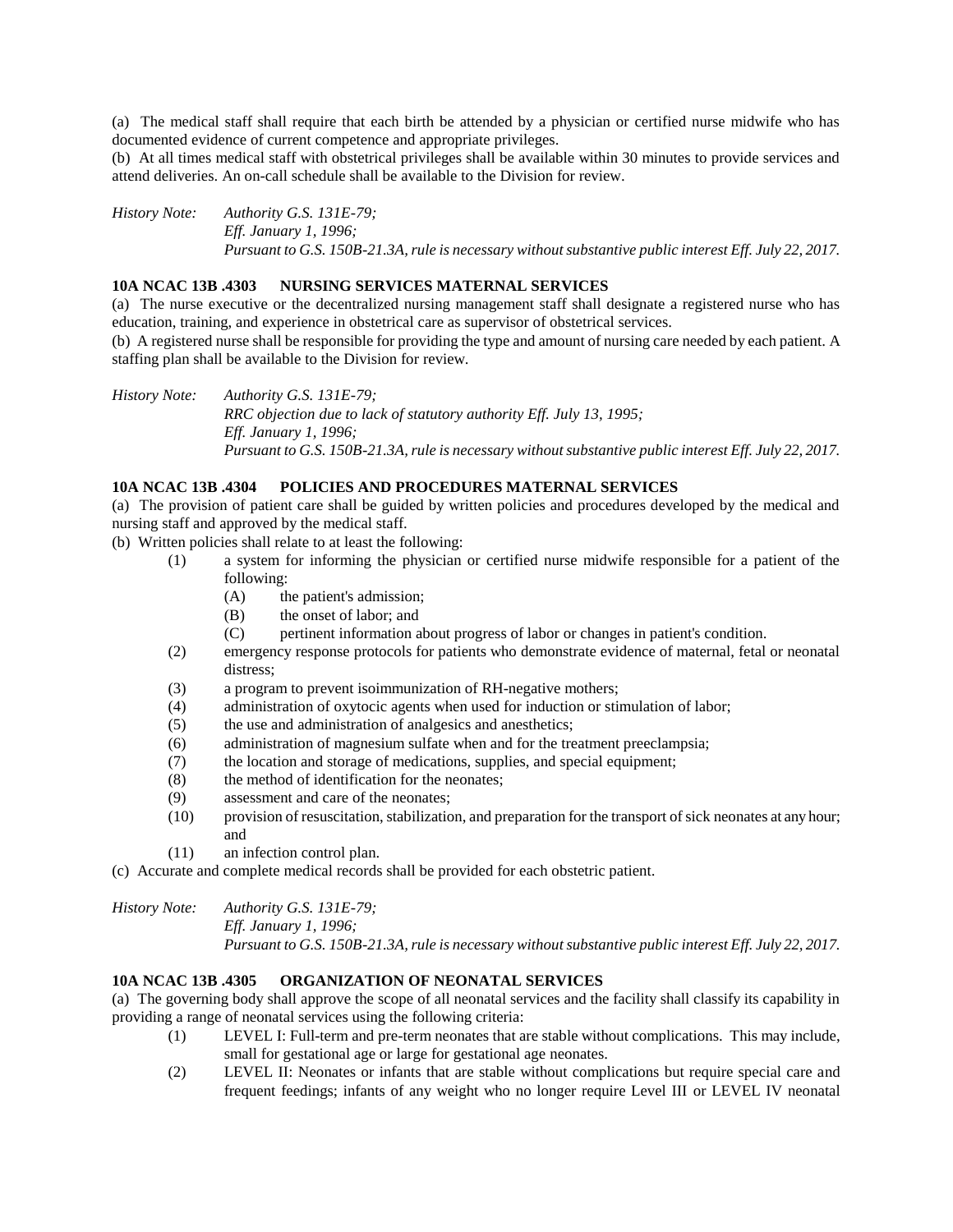(a) The medical staff shall require that each birth be attended by a physician or certified nurse midwife who has documented evidence of current competence and appropriate privileges.

(b) At all times medical staff with obstetrical privileges shall be available within 30 minutes to provide services and attend deliveries. An on-call schedule shall be available to the Division for review.

*History Note: Authority G.S. 131E-79; Eff. January 1, 1996; Pursuant to G.S. 150B-21.3A, rule is necessary without substantive public interest Eff. July 22, 2017.*

#### **10A NCAC 13B .4303 NURSING SERVICES MATERNAL SERVICES**

(a) The nurse executive or the decentralized nursing management staff shall designate a registered nurse who has education, training, and experience in obstetrical care as supervisor of obstetrical services.

(b) A registered nurse shall be responsible for providing the type and amount of nursing care needed by each patient. A staffing plan shall be available to the Division for review.

*History Note: Authority G.S. 131E-79; RRC objection due to lack of statutory authority Eff. July 13, 1995; Eff. January 1, 1996; Pursuant to G.S. 150B-21.3A, rule is necessary without substantive public interest Eff. July 22, 2017.*

#### **10A NCAC 13B .4304 POLICIES AND PROCEDURES MATERNAL SERVICES**

(a) The provision of patient care shall be guided by written policies and procedures developed by the medical and nursing staff and approved by the medical staff.

(b) Written policies shall relate to at least the following:

- (1) a system for informing the physician or certified nurse midwife responsible for a patient of the following:
	- (A) the patient's admission;
	- (B) the onset of labor; and
	- (C) pertinent information about progress of labor or changes in patient's condition.
- (2) emergency response protocols for patients who demonstrate evidence of maternal, fetal or neonatal distress;
- (3) a program to prevent isoimmunization of RH-negative mothers;
- (4) administration of oxytocic agents when used for induction or stimulation of labor;
- (5) the use and administration of analgesics and anesthetics;
- (6) administration of magnesium sulfate when and for the treatment preeclampsia;
- (7) the location and storage of medications, supplies, and special equipment;
- (8) the method of identification for the neonates;
- (9) assessment and care of the neonates;
- (10) provision of resuscitation, stabilization, and preparation for the transport of sick neonates at any hour; and
- (11) an infection control plan.
- (c) Accurate and complete medical records shall be provided for each obstetric patient.

*History Note: Authority G.S. 131E-79; Eff. January 1, 1996; Pursuant to G.S. 150B-21.3A, rule is necessary without substantive public interest Eff. July 22, 2017.*

## **10A NCAC 13B .4305 ORGANIZATION OF NEONATAL SERVICES**

(a) The governing body shall approve the scope of all neonatal services and the facility shall classify its capability in providing a range of neonatal services using the following criteria:

- (1) LEVEL I: Full-term and pre-term neonates that are stable without complications. This may include, small for gestational age or large for gestational age neonates.
- (2) LEVEL II: Neonates or infants that are stable without complications but require special care and frequent feedings; infants of any weight who no longer require Level III or LEVEL IV neonatal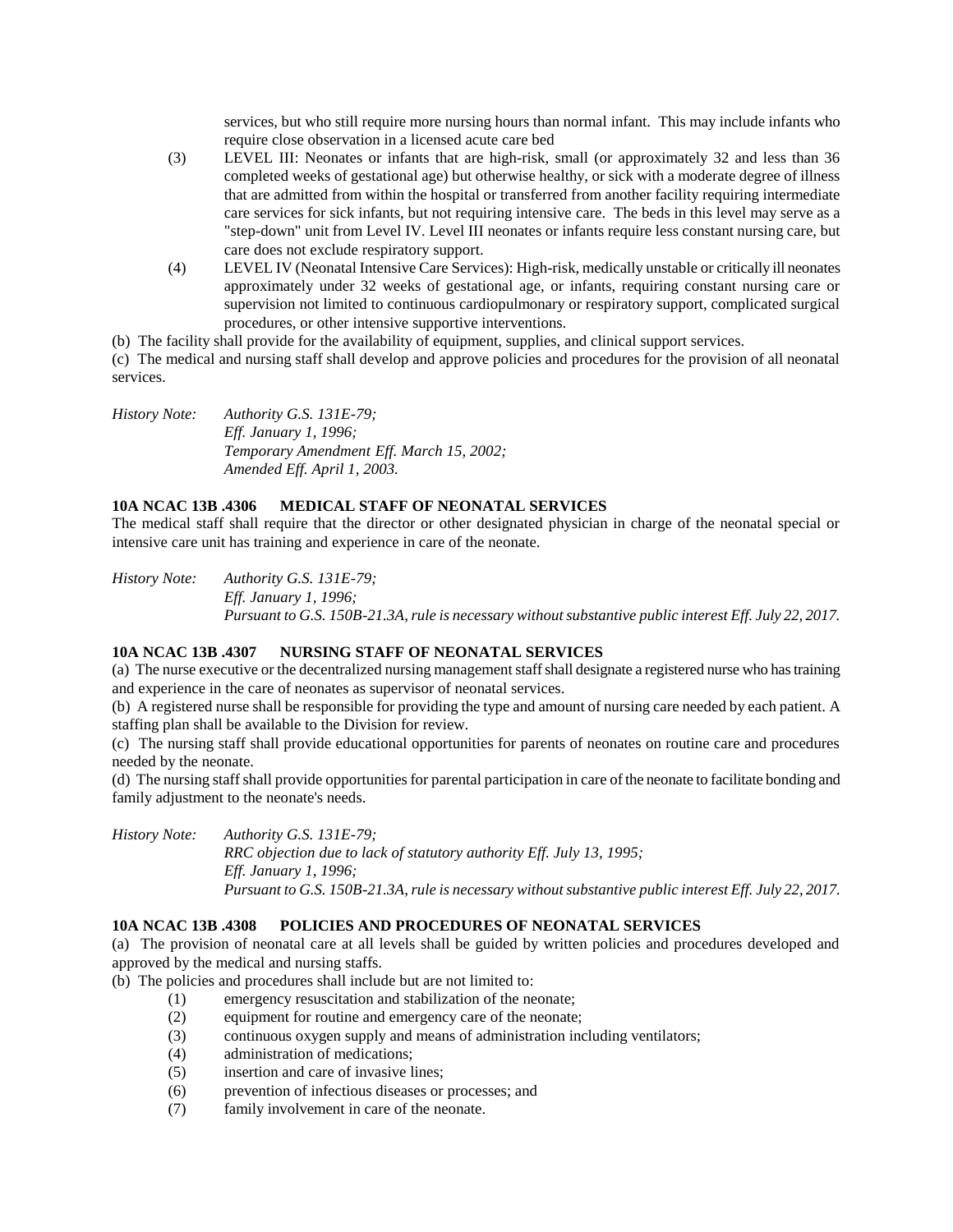services, but who still require more nursing hours than normal infant. This may include infants who require close observation in a licensed acute care bed

- (3) LEVEL III: Neonates or infants that are high-risk, small (or approximately 32 and less than 36 completed weeks of gestational age) but otherwise healthy, or sick with a moderate degree of illness that are admitted from within the hospital or transferred from another facility requiring intermediate care services for sick infants, but not requiring intensive care. The beds in this level may serve as a "step-down" unit from Level IV. Level III neonates or infants require less constant nursing care, but care does not exclude respiratory support.
- (4) LEVEL IV (Neonatal Intensive Care Services): High-risk, medically unstable or critically ill neonates approximately under 32 weeks of gestational age, or infants, requiring constant nursing care or supervision not limited to continuous cardiopulmonary or respiratory support, complicated surgical procedures, or other intensive supportive interventions.

(b) The facility shall provide for the availability of equipment, supplies, and clinical support services.

(c) The medical and nursing staff shall develop and approve policies and procedures for the provision of all neonatal services.

*History Note: Authority G.S. 131E-79; Eff. January 1, 1996; Temporary Amendment Eff. March 15, 2002; Amended Eff. April 1, 2003.*

# **10A NCAC 13B .4306 MEDICAL STAFF OF NEONATAL SERVICES**

The medical staff shall require that the director or other designated physician in charge of the neonatal special or intensive care unit has training and experience in care of the neonate.

*History Note: Authority G.S. 131E-79; Eff. January 1, 1996; Pursuant to G.S. 150B-21.3A, rule is necessary without substantive public interest Eff. July 22, 2017.*

#### **10A NCAC 13B .4307 NURSING STAFF OF NEONATAL SERVICES**

(a) The nurse executive or the decentralized nursing management staff shall designate a registered nurse who has training and experience in the care of neonates as supervisor of neonatal services.

(b) A registered nurse shall be responsible for providing the type and amount of nursing care needed by each patient. A staffing plan shall be available to the Division for review.

(c) The nursing staff shall provide educational opportunities for parents of neonates on routine care and procedures needed by the neonate.

(d) The nursing staff shall provide opportunities for parental participation in care of the neonate to facilitate bonding and family adjustment to the neonate's needs.

*History Note: Authority G.S. 131E-79;*

*RRC objection due to lack of statutory authority Eff. July 13, 1995; Eff. January 1, 1996; Pursuant to G.S. 150B-21.3A, rule is necessary without substantive public interest Eff. July 22, 2017.*

# **10A NCAC 13B .4308 POLICIES AND PROCEDURES OF NEONATAL SERVICES**

(a) The provision of neonatal care at all levels shall be guided by written policies and procedures developed and approved by the medical and nursing staffs.

(b) The policies and procedures shall include but are not limited to:

- (1) emergency resuscitation and stabilization of the neonate;
- (2) equipment for routine and emergency care of the neonate;
- (3) continuous oxygen supply and means of administration including ventilators;
- (4) administration of medications;
- (5) insertion and care of invasive lines;
- (6) prevention of infectious diseases or processes; and
- (7) family involvement in care of the neonate.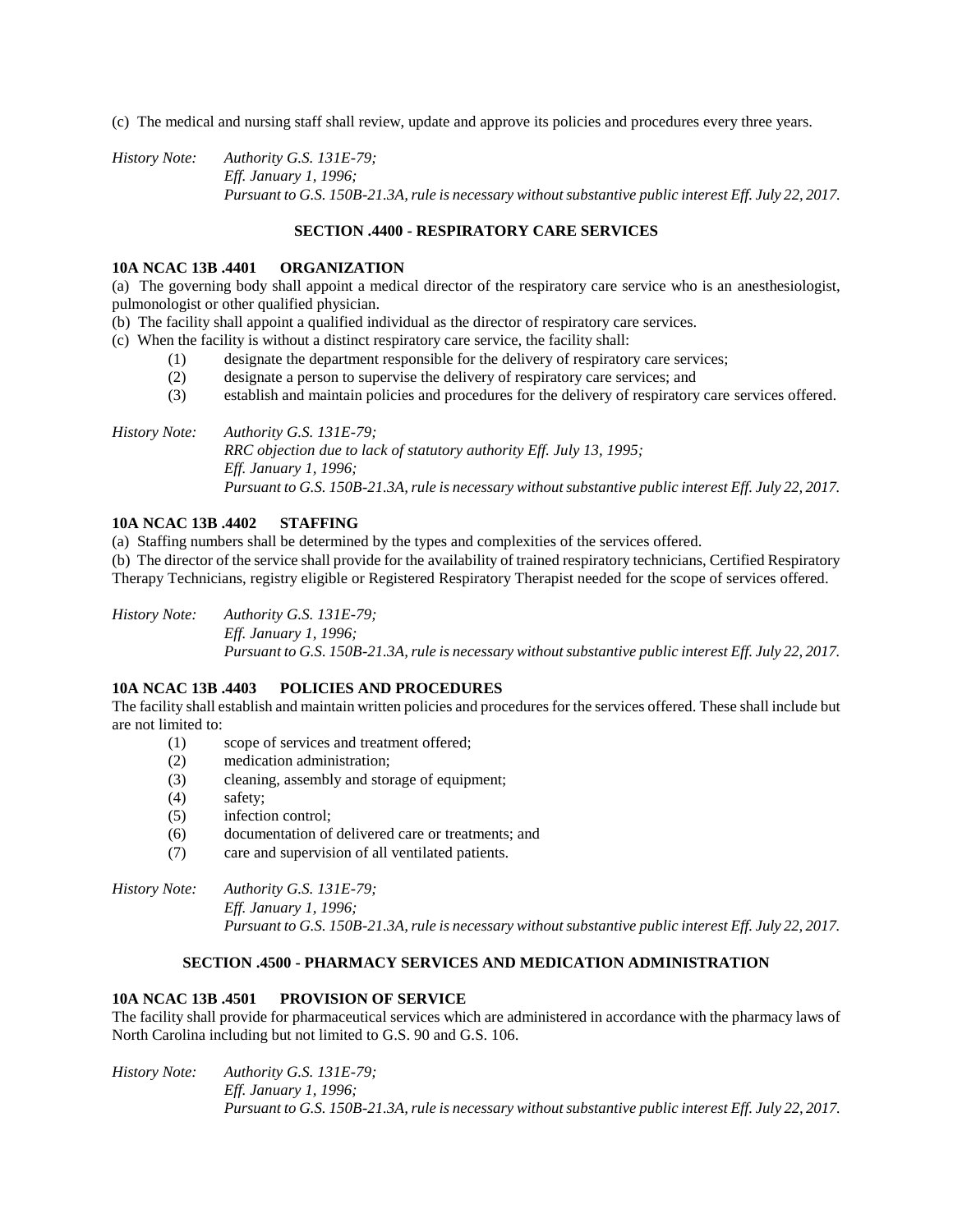(c) The medical and nursing staff shall review, update and approve its policies and procedures every three years.

*History Note: Authority G.S. 131E-79; Eff. January 1, 1996; Pursuant to G.S. 150B-21.3A, rule is necessary without substantive public interest Eff. July 22, 2017.*

# **SECTION .4400 - RESPIRATORY CARE SERVICES**

#### **10A NCAC 13B .4401 ORGANIZATION**

(a) The governing body shall appoint a medical director of the respiratory care service who is an anesthesiologist, pulmonologist or other qualified physician.

(b) The facility shall appoint a qualified individual as the director of respiratory care services.

(c) When the facility is without a distinct respiratory care service, the facility shall:

- (1) designate the department responsible for the delivery of respiratory care services;
- (2) designate a person to supervise the delivery of respiratory care services; and
- (3) establish and maintain policies and procedures for the delivery of respiratory care services offered.

*History Note: Authority G.S. 131E-79; RRC objection due to lack of statutory authority Eff. July 13, 1995; Eff. January 1, 1996; Pursuant to G.S. 150B-21.3A, rule is necessary without substantive public interest Eff. July 22, 2017.*

# **10A NCAC 13B .4402 STAFFING**

(a) Staffing numbers shall be determined by the types and complexities of the services offered.

(b) The director of the service shall provide for the availability of trained respiratory technicians, Certified Respiratory Therapy Technicians, registry eligible or Registered Respiratory Therapist needed for the scope of services offered.

*History Note: Authority G.S. 131E-79; Eff. January 1, 1996; Pursuant to G.S. 150B-21.3A, rule is necessary without substantive public interest Eff. July 22, 2017.*

## **10A NCAC 13B .4403 POLICIES AND PROCEDURES**

The facility shall establish and maintain written policies and procedures for the services offered. These shall include but are not limited to:

- (1) scope of services and treatment offered;
- (2) medication administration;
- (3) cleaning, assembly and storage of equipment;
- (4) safety;
- (5) infection control;
- (6) documentation of delivered care or treatments; and
- (7) care and supervision of all ventilated patients.

*History Note: Authority G.S. 131E-79; Eff. January 1, 1996; Pursuant to G.S. 150B-21.3A, rule is necessary without substantive public interest Eff. July 22, 2017.*

## **SECTION .4500 - PHARMACY SERVICES AND MEDICATION ADMINISTRATION**

## **10A NCAC 13B .4501 PROVISION OF SERVICE**

The facility shall provide for pharmaceutical services which are administered in accordance with the pharmacy laws of North Carolina including but not limited to G.S. 90 and G.S. 106.

*History Note: Authority G.S. 131E-79; Eff. January 1, 1996; Pursuant to G.S. 150B-21.3A, rule is necessary without substantive public interest Eff. July 22, 2017.*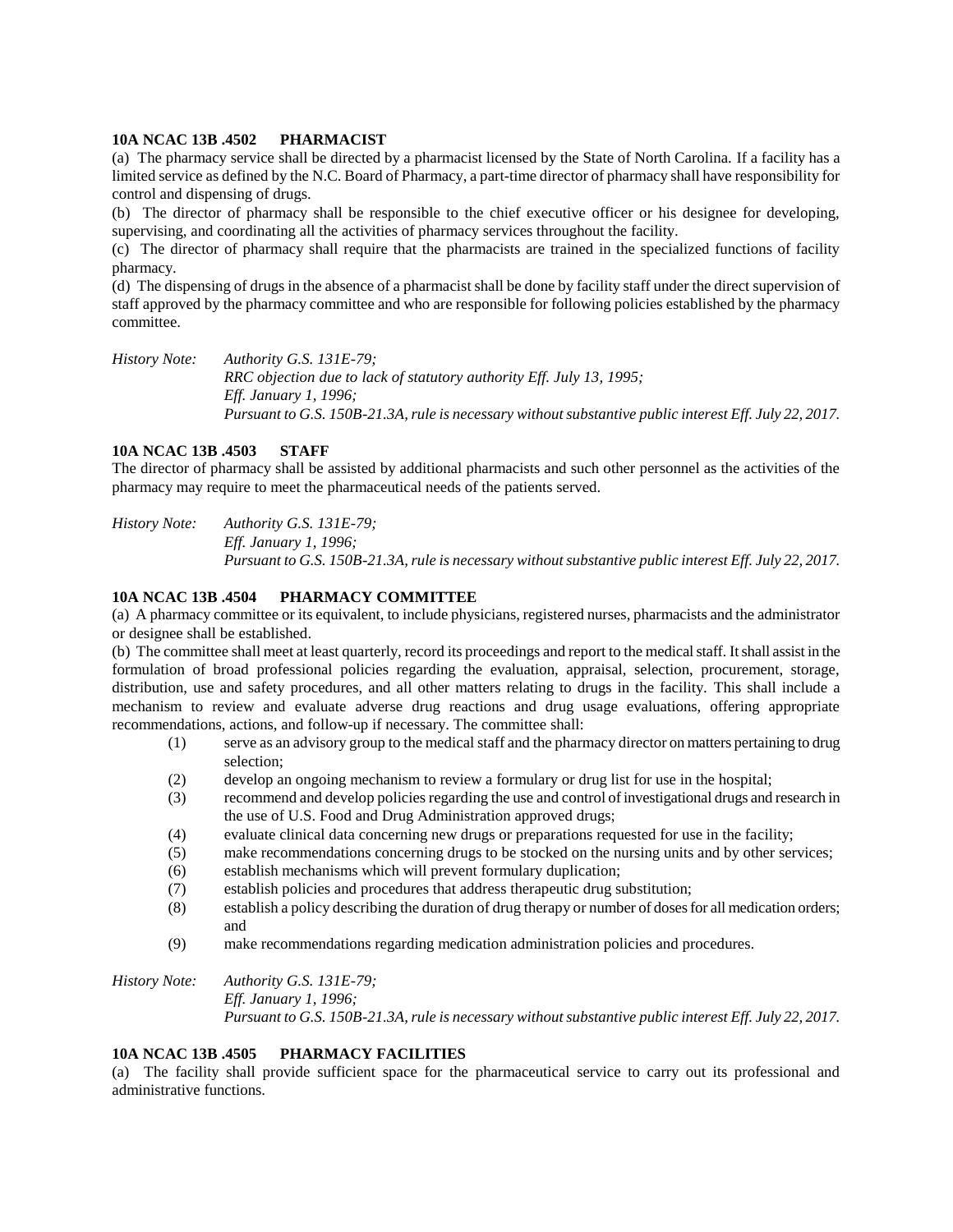#### **10A NCAC 13B .4502 PHARMACIST**

(a) The pharmacy service shall be directed by a pharmacist licensed by the State of North Carolina. If a facility has a limited service as defined by the N.C. Board of Pharmacy, a part-time director of pharmacy shall have responsibility for control and dispensing of drugs.

(b) The director of pharmacy shall be responsible to the chief executive officer or his designee for developing, supervising, and coordinating all the activities of pharmacy services throughout the facility.

(c) The director of pharmacy shall require that the pharmacists are trained in the specialized functions of facility pharmacy.

(d) The dispensing of drugs in the absence of a pharmacist shall be done by facility staff under the direct supervision of staff approved by the pharmacy committee and who are responsible for following policies established by the pharmacy committee.

*History Note: Authority G.S. 131E-79; RRC objection due to lack of statutory authority Eff. July 13, 1995; Eff. January 1, 1996; Pursuant to G.S. 150B-21.3A, rule is necessary without substantive public interest Eff. July 22, 2017.*

## **10A NCAC 13B .4503 STAFF**

The director of pharmacy shall be assisted by additional pharmacists and such other personnel as the activities of the pharmacy may require to meet the pharmaceutical needs of the patients served.

*History Note: Authority G.S. 131E-79; Eff. January 1, 1996; Pursuant to G.S. 150B-21.3A, rule is necessary without substantive public interest Eff. July 22, 2017.*

## **10A NCAC 13B .4504 PHARMACY COMMITTEE**

(a) A pharmacy committee or its equivalent, to include physicians, registered nurses, pharmacists and the administrator or designee shall be established.

(b) The committee shall meet at least quarterly, record its proceedings and report to the medical staff. It shall assist in the formulation of broad professional policies regarding the evaluation, appraisal, selection, procurement, storage, distribution, use and safety procedures, and all other matters relating to drugs in the facility. This shall include a mechanism to review and evaluate adverse drug reactions and drug usage evaluations, offering appropriate recommendations, actions, and follow-up if necessary. The committee shall:

- (1) serve as an advisory group to the medical staff and the pharmacy director on matters pertaining to drug selection;
- (2) develop an ongoing mechanism to review a formulary or drug list for use in the hospital;
- (3) recommend and develop policies regarding the use and control of investigational drugs and research in the use of U.S. Food and Drug Administration approved drugs;
- (4) evaluate clinical data concerning new drugs or preparations requested for use in the facility;
- (5) make recommendations concerning drugs to be stocked on the nursing units and by other services;
- (6) establish mechanisms which will prevent formulary duplication;
- (7) establish policies and procedures that address therapeutic drug substitution;
- (8) establish a policy describing the duration of drug therapy or number of doses for all medication orders; and
- (9) make recommendations regarding medication administration policies and procedures.

*History Note: Authority G.S. 131E-79; Eff. January 1, 1996; Pursuant to G.S. 150B-21.3A, rule is necessary without substantive public interest Eff. July 22, 2017.*

# **10A NCAC 13B .4505 PHARMACY FACILITIES**

(a) The facility shall provide sufficient space for the pharmaceutical service to carry out its professional and administrative functions.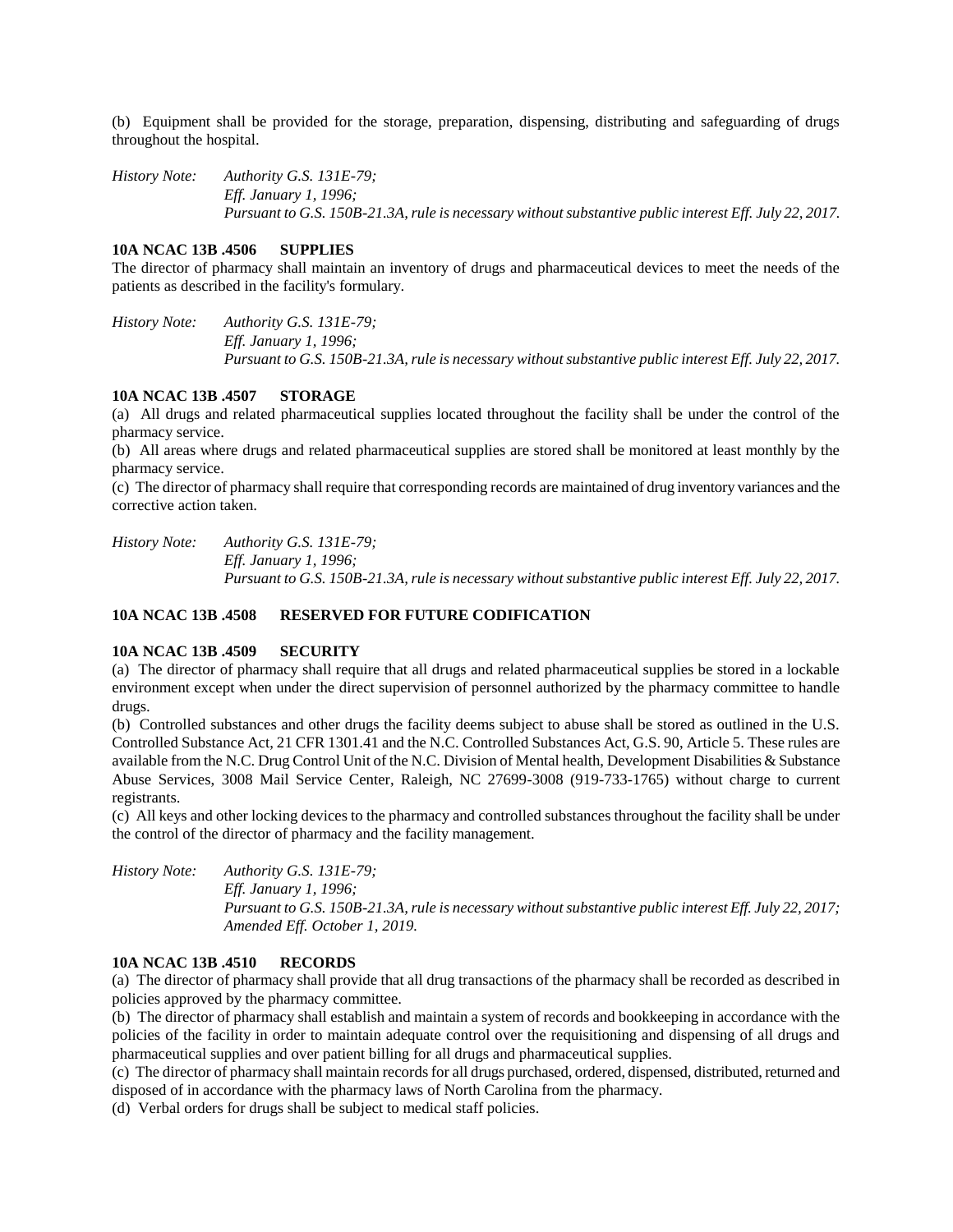(b) Equipment shall be provided for the storage, preparation, dispensing, distributing and safeguarding of drugs throughout the hospital.

*History Note: Authority G.S. 131E-79; Eff. January 1, 1996; Pursuant to G.S. 150B-21.3A, rule is necessary without substantive public interest Eff. July 22, 2017.*

#### **10A NCAC 13B .4506 SUPPLIES**

The director of pharmacy shall maintain an inventory of drugs and pharmaceutical devices to meet the needs of the patients as described in the facility's formulary.

*History Note: Authority G.S. 131E-79; Eff. January 1, 1996; Pursuant to G.S. 150B-21.3A, rule is necessary without substantive public interest Eff. July 22, 2017.*

#### **10A NCAC 13B .4507 STORAGE**

(a) All drugs and related pharmaceutical supplies located throughout the facility shall be under the control of the pharmacy service.

(b) All areas where drugs and related pharmaceutical supplies are stored shall be monitored at least monthly by the pharmacy service.

(c) The director of pharmacy shall require that corresponding records are maintained of drug inventory variances and the corrective action taken.

*History Note: Authority G.S. 131E-79; Eff. January 1, 1996; Pursuant to G.S. 150B-21.3A, rule is necessary without substantive public interest Eff. July 22, 2017.*

## **10A NCAC 13B .4508 RESERVED FOR FUTURE CODIFICATION**

#### **10A NCAC 13B .4509 SECURITY**

(a) The director of pharmacy shall require that all drugs and related pharmaceutical supplies be stored in a lockable environment except when under the direct supervision of personnel authorized by the pharmacy committee to handle drugs.

(b) Controlled substances and other drugs the facility deems subject to abuse shall be stored as outlined in the U.S. Controlled Substance Act, 21 CFR 1301.41 and the N.C. Controlled Substances Act, G.S. 90, Article 5. These rules are available from the N.C. Drug Control Unit of the N.C. Division of Mental health, Development Disabilities & Substance Abuse Services, 3008 Mail Service Center, Raleigh, NC 27699-3008 (919-733-1765) without charge to current registrants.

(c) All keys and other locking devices to the pharmacy and controlled substances throughout the facility shall be under the control of the director of pharmacy and the facility management.

*History Note: Authority G.S. 131E-79; Eff. January 1, 1996; Pursuant to G.S. 150B-21.3A, rule is necessary without substantive public interest Eff. July 22, 2017; Amended Eff. October 1, 2019.*

# **10A NCAC 13B .4510 RECORDS**

(a) The director of pharmacy shall provide that all drug transactions of the pharmacy shall be recorded as described in policies approved by the pharmacy committee.

(b) The director of pharmacy shall establish and maintain a system of records and bookkeeping in accordance with the policies of the facility in order to maintain adequate control over the requisitioning and dispensing of all drugs and pharmaceutical supplies and over patient billing for all drugs and pharmaceutical supplies.

(c) The director of pharmacy shall maintain records for all drugs purchased, ordered, dispensed, distributed, returned and disposed of in accordance with the pharmacy laws of North Carolina from the pharmacy.

(d) Verbal orders for drugs shall be subject to medical staff policies.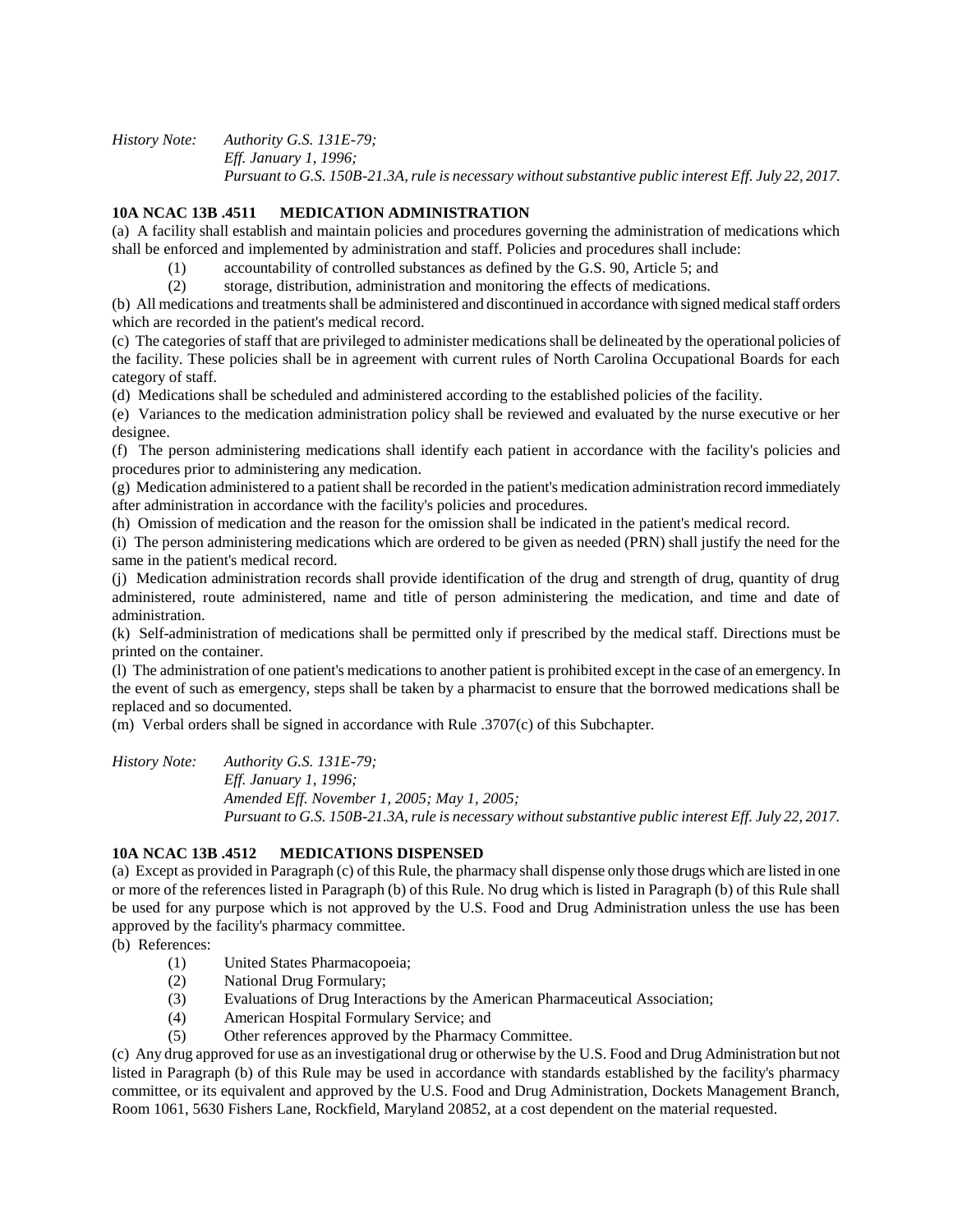*History Note: Authority G.S. 131E-79; Eff. January 1, 1996; Pursuant to G.S. 150B-21.3A, rule is necessary without substantive public interest Eff. July 22, 2017.*

# **10A NCAC 13B .4511 MEDICATION ADMINISTRATION**

(a) A facility shall establish and maintain policies and procedures governing the administration of medications which shall be enforced and implemented by administration and staff. Policies and procedures shall include:

- (1) accountability of controlled substances as defined by the G.S. 90, Article 5; and
- (2) storage, distribution, administration and monitoring the effects of medications.

(b) All medications and treatments shall be administered and discontinued in accordance with signed medical staff orders which are recorded in the patient's medical record.

(c) The categories of staff that are privileged to administer medications shall be delineated by the operational policies of the facility. These policies shall be in agreement with current rules of North Carolina Occupational Boards for each category of staff.

(d) Medications shall be scheduled and administered according to the established policies of the facility.

(e) Variances to the medication administration policy shall be reviewed and evaluated by the nurse executive or her designee.

(f) The person administering medications shall identify each patient in accordance with the facility's policies and procedures prior to administering any medication.

(g) Medication administered to a patient shall be recorded in the patient's medication administration record immediately after administration in accordance with the facility's policies and procedures.

(h) Omission of medication and the reason for the omission shall be indicated in the patient's medical record.

(i) The person administering medications which are ordered to be given as needed (PRN) shall justify the need for the same in the patient's medical record.

(j) Medication administration records shall provide identification of the drug and strength of drug, quantity of drug administered, route administered, name and title of person administering the medication, and time and date of administration.

(k) Self-administration of medications shall be permitted only if prescribed by the medical staff. Directions must be printed on the container.

(l) The administration of one patient's medications to another patient is prohibited except in the case of an emergency. In the event of such as emergency, steps shall be taken by a pharmacist to ensure that the borrowed medications shall be replaced and so documented.

(m) Verbal orders shall be signed in accordance with Rule .3707(c) of this Subchapter.

*History Note: Authority G.S. 131E-79;*

*Eff. January 1, 1996; Amended Eff. November 1, 2005; May 1, 2005; Pursuant to G.S. 150B-21.3A, rule is necessary without substantive public interest Eff. July 22, 2017.*

## **10A NCAC 13B .4512 MEDICATIONS DISPENSED**

(a) Except as provided in Paragraph (c) of this Rule, the pharmacy shall dispense only those drugs which are listed in one or more of the references listed in Paragraph (b) of this Rule. No drug which is listed in Paragraph (b) of this Rule shall be used for any purpose which is not approved by the U.S. Food and Drug Administration unless the use has been approved by the facility's pharmacy committee.

(b) References:

- (1) United States Pharmacopoeia;
- (2) National Drug Formulary;
- (3) Evaluations of Drug Interactions by the American Pharmaceutical Association;
- (4) American Hospital Formulary Service; and
- (5) Other references approved by the Pharmacy Committee.

(c) Any drug approved for use as an investigational drug or otherwise by the U.S. Food and Drug Administration but not listed in Paragraph (b) of this Rule may be used in accordance with standards established by the facility's pharmacy committee, or its equivalent and approved by the U.S. Food and Drug Administration, Dockets Management Branch, Room 1061, 5630 Fishers Lane, Rockfield, Maryland 20852, at a cost dependent on the material requested.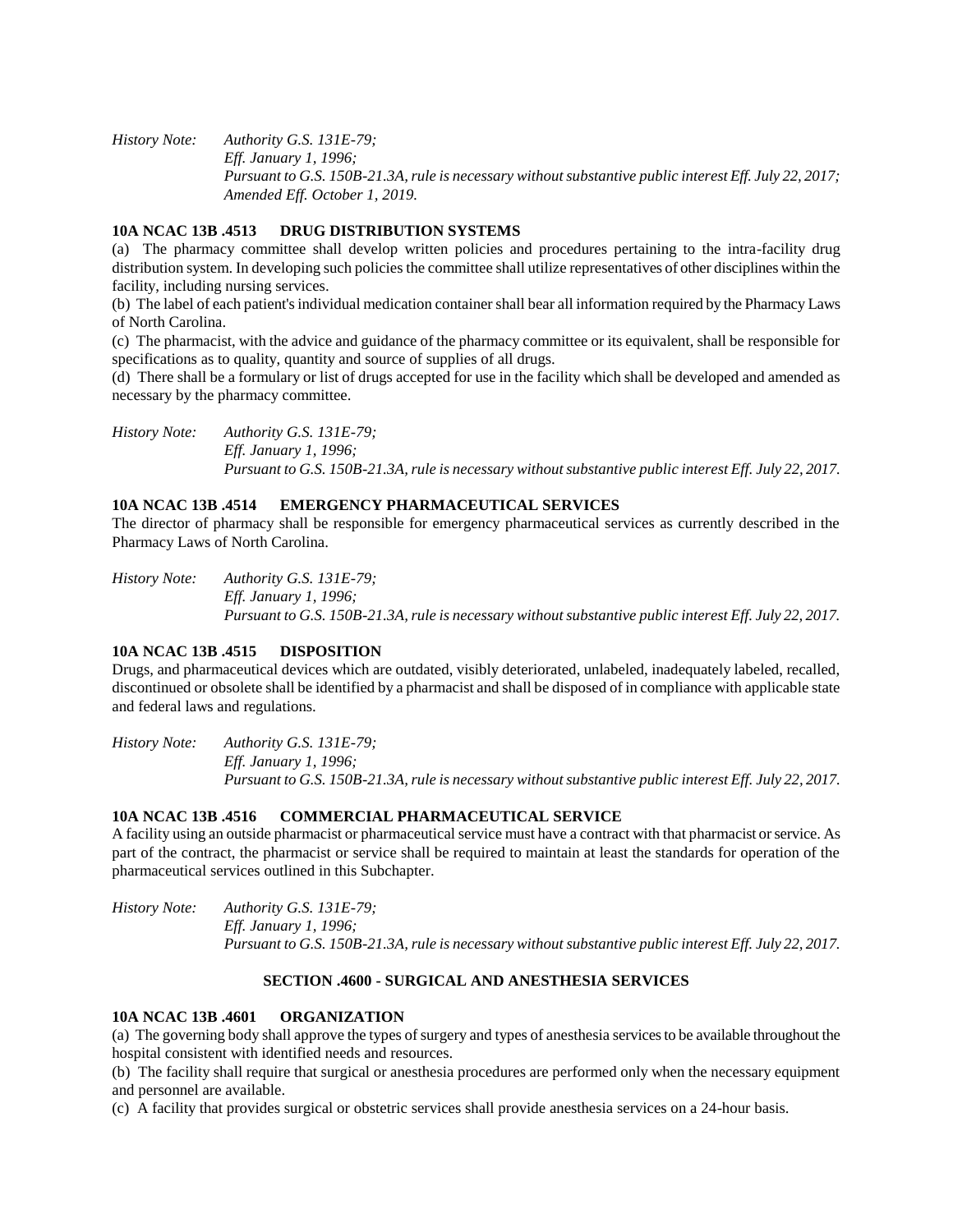*History Note: Authority G.S. 131E-79; Eff. January 1, 1996; Pursuant to G.S. 150B-21.3A, rule is necessary without substantive public interest Eff. July 22, 2017; Amended Eff. October 1, 2019.*

## **10A NCAC 13B .4513 DRUG DISTRIBUTION SYSTEMS**

(a) The pharmacy committee shall develop written policies and procedures pertaining to the intra-facility drug distribution system. In developing such policies the committee shall utilize representatives of other disciplines within the facility, including nursing services.

(b) The label of each patient's individual medication container shall bear all information required by the Pharmacy Laws of North Carolina.

(c) The pharmacist, with the advice and guidance of the pharmacy committee or its equivalent, shall be responsible for specifications as to quality, quantity and source of supplies of all drugs.

(d) There shall be a formulary or list of drugs accepted for use in the facility which shall be developed and amended as necessary by the pharmacy committee.

*History Note: Authority G.S. 131E-79; Eff. January 1, 1996; Pursuant to G.S. 150B-21.3A, rule is necessary without substantive public interest Eff. July 22, 2017.*

#### **10A NCAC 13B .4514 EMERGENCY PHARMACEUTICAL SERVICES**

The director of pharmacy shall be responsible for emergency pharmaceutical services as currently described in the Pharmacy Laws of North Carolina.

*History Note: Authority G.S. 131E-79; Eff. January 1, 1996; Pursuant to G.S. 150B-21.3A, rule is necessary without substantive public interest Eff. July 22, 2017.*

## **10A NCAC 13B .4515 DISPOSITION**

Drugs, and pharmaceutical devices which are outdated, visibly deteriorated, unlabeled, inadequately labeled, recalled, discontinued or obsolete shall be identified by a pharmacist and shall be disposed of in compliance with applicable state and federal laws and regulations.

*History Note: Authority G.S. 131E-79; Eff. January 1, 1996; Pursuant to G.S. 150B-21.3A, rule is necessary without substantive public interest Eff. July 22, 2017.* 

#### **10A NCAC 13B .4516 COMMERCIAL PHARMACEUTICAL SERVICE**

A facility using an outside pharmacist or pharmaceutical service must have a contract with that pharmacist or service. As part of the contract, the pharmacist or service shall be required to maintain at least the standards for operation of the pharmaceutical services outlined in this Subchapter.

*History Note: Authority G.S. 131E-79; Eff. January 1, 1996; Pursuant to G.S. 150B-21.3A, rule is necessary without substantive public interest Eff. July 22, 2017.*

## **SECTION .4600 - SURGICAL AND ANESTHESIA SERVICES**

#### **10A NCAC 13B .4601 ORGANIZATION**

(a) The governing body shall approve the types of surgery and types of anesthesia services to be available throughout the hospital consistent with identified needs and resources.

(b) The facility shall require that surgical or anesthesia procedures are performed only when the necessary equipment and personnel are available.

(c) A facility that provides surgical or obstetric services shall provide anesthesia services on a 24-hour basis.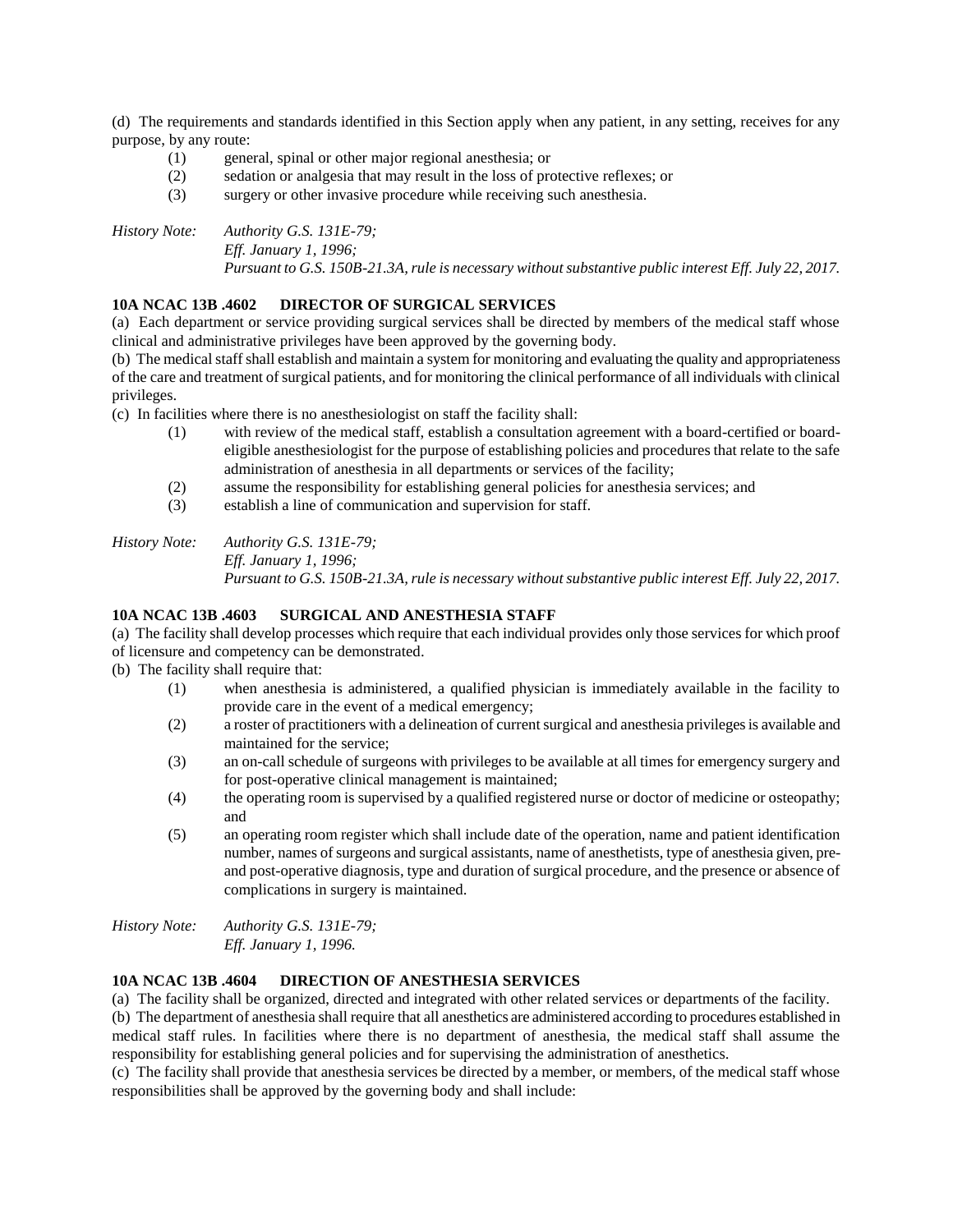(d) The requirements and standards identified in this Section apply when any patient, in any setting, receives for any purpose, by any route:

- (1) general, spinal or other major regional anesthesia; or
- (2) sedation or analgesia that may result in the loss of protective reflexes; or
- (3) surgery or other invasive procedure while receiving such anesthesia.

*History Note: Authority G.S. 131E-79; Eff. January 1, 1996; Pursuant to G.S. 150B-21.3A, rule is necessary without substantive public interest Eff. July 22, 2017.*

# **10A NCAC 13B .4602 DIRECTOR OF SURGICAL SERVICES**

(a) Each department or service providing surgical services shall be directed by members of the medical staff whose clinical and administrative privileges have been approved by the governing body.

(b) The medical staff shall establish and maintain a system for monitoring and evaluating the quality and appropriateness of the care and treatment of surgical patients, and for monitoring the clinical performance of all individuals with clinical privileges.

(c) In facilities where there is no anesthesiologist on staff the facility shall:

- (1) with review of the medical staff, establish a consultation agreement with a board-certified or boardeligible anesthesiologist for the purpose of establishing policies and procedures that relate to the safe administration of anesthesia in all departments or services of the facility;
- (2) assume the responsibility for establishing general policies for anesthesia services; and
- (3) establish a line of communication and supervision for staff.

*History Note: Authority G.S. 131E-79; Eff. January 1, 1996; Pursuant to G.S. 150B-21.3A, rule is necessary without substantive public interest Eff. July 22, 2017.*

#### **10A NCAC 13B .4603 SURGICAL AND ANESTHESIA STAFF**

(a) The facility shall develop processes which require that each individual provides only those services for which proof of licensure and competency can be demonstrated.

(b) The facility shall require that:

- (1) when anesthesia is administered, a qualified physician is immediately available in the facility to provide care in the event of a medical emergency;
- (2) a roster of practitioners with a delineation of current surgical and anesthesia privileges is available and maintained for the service;
- (3) an on-call schedule of surgeons with privileges to be available at all times for emergency surgery and for post-operative clinical management is maintained;
- (4) the operating room is supervised by a qualified registered nurse or doctor of medicine or osteopathy; and
- (5) an operating room register which shall include date of the operation, name and patient identification number, names of surgeons and surgical assistants, name of anesthetists, type of anesthesia given, preand post-operative diagnosis, type and duration of surgical procedure, and the presence or absence of complications in surgery is maintained.

*History Note: Authority G.S. 131E-79; Eff. January 1, 1996.*

## **10A NCAC 13B .4604 DIRECTION OF ANESTHESIA SERVICES**

(a) The facility shall be organized, directed and integrated with other related services or departments of the facility.

(b) The department of anesthesia shall require that all anesthetics are administered according to procedures established in medical staff rules. In facilities where there is no department of anesthesia, the medical staff shall assume the responsibility for establishing general policies and for supervising the administration of anesthetics.

(c) The facility shall provide that anesthesia services be directed by a member, or members, of the medical staff whose responsibilities shall be approved by the governing body and shall include: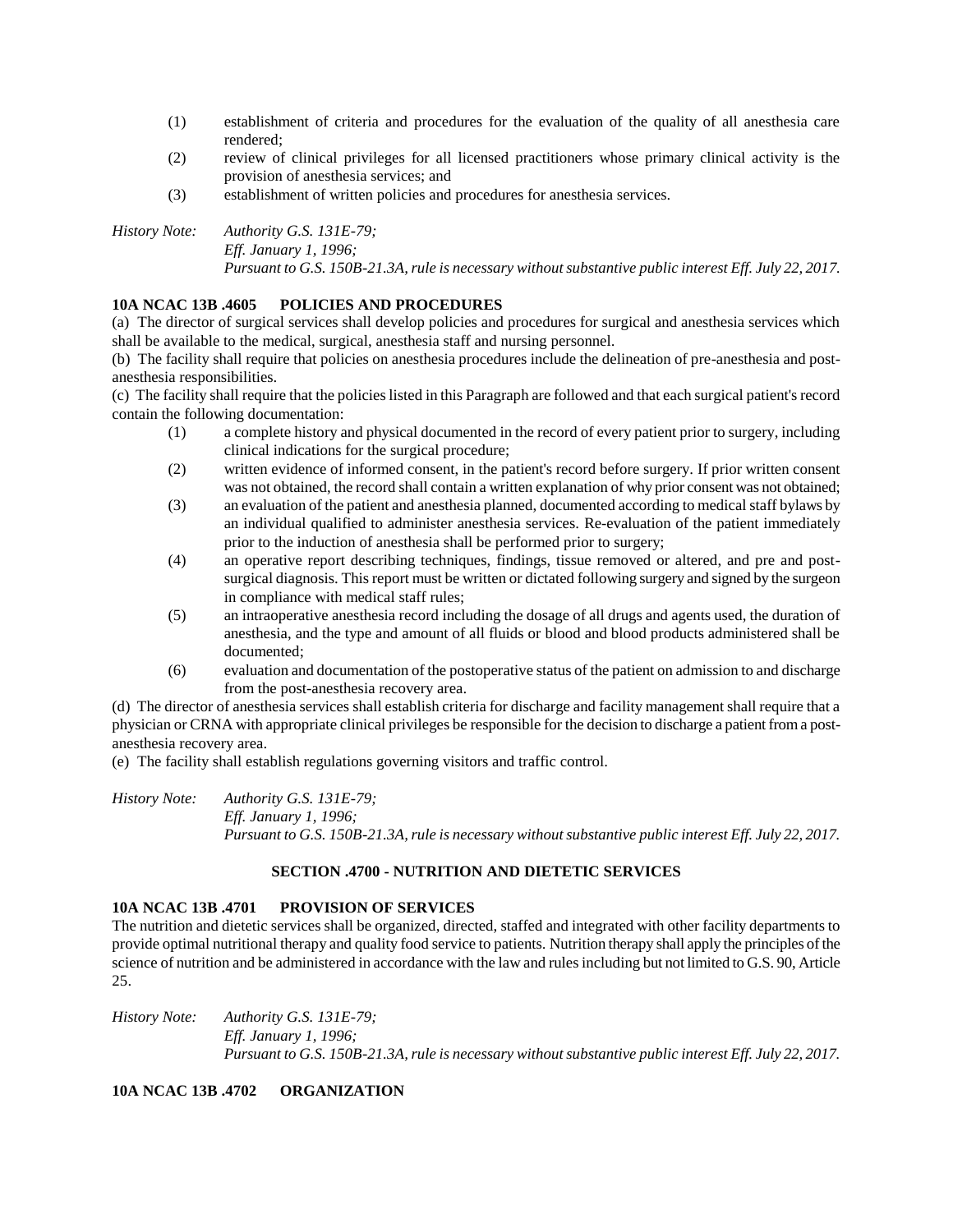- (1) establishment of criteria and procedures for the evaluation of the quality of all anesthesia care rendered;
- (2) review of clinical privileges for all licensed practitioners whose primary clinical activity is the provision of anesthesia services; and
- (3) establishment of written policies and procedures for anesthesia services.

*History Note: Authority G.S. 131E-79; Eff. January 1, 1996;*

*Pursuant to G.S. 150B-21.3A, rule is necessary without substantive public interest Eff. July 22, 2017.*

# **10A NCAC 13B .4605 POLICIES AND PROCEDURES**

(a) The director of surgical services shall develop policies and procedures for surgical and anesthesia services which shall be available to the medical, surgical, anesthesia staff and nursing personnel.

(b) The facility shall require that policies on anesthesia procedures include the delineation of pre-anesthesia and postanesthesia responsibilities.

(c) The facility shall require that the policies listed in this Paragraph are followed and that each surgical patient's record contain the following documentation:

- (1) a complete history and physical documented in the record of every patient prior to surgery, including clinical indications for the surgical procedure;
- (2) written evidence of informed consent, in the patient's record before surgery. If prior written consent was not obtained, the record shall contain a written explanation of why prior consent was not obtained;
- (3) an evaluation of the patient and anesthesia planned, documented according to medical staff bylaws by an individual qualified to administer anesthesia services. Re-evaluation of the patient immediately prior to the induction of anesthesia shall be performed prior to surgery;
- (4) an operative report describing techniques, findings, tissue removed or altered, and pre and postsurgical diagnosis. This report must be written or dictated following surgery and signed by the surgeon in compliance with medical staff rules;
- (5) an intraoperative anesthesia record including the dosage of all drugs and agents used, the duration of anesthesia, and the type and amount of all fluids or blood and blood products administered shall be documented;
- (6) evaluation and documentation of the postoperative status of the patient on admission to and discharge from the post-anesthesia recovery area.

(d) The director of anesthesia services shall establish criteria for discharge and facility management shall require that a physician or CRNA with appropriate clinical privileges be responsible for the decision to discharge a patient from a postanesthesia recovery area.

(e) The facility shall establish regulations governing visitors and traffic control.

*History Note: Authority G.S. 131E-79; Eff. January 1, 1996; Pursuant to G.S. 150B-21.3A, rule is necessary without substantive public interest Eff. July 22, 2017.*

## **SECTION .4700 - NUTRITION AND DIETETIC SERVICES**

## **10A NCAC 13B .4701 PROVISION OF SERVICES**

The nutrition and dietetic services shall be organized, directed, staffed and integrated with other facility departments to provide optimal nutritional therapy and quality food service to patients. Nutrition therapy shall apply the principles of the science of nutrition and be administered in accordance with the law and rules including but not limited to G.S. 90, Article 25.

*History Note: Authority G.S. 131E-79; Eff. January 1, 1996; Pursuant to G.S. 150B-21.3A, rule is necessary without substantive public interest Eff. July 22, 2017.*

**10A NCAC 13B .4702 ORGANIZATION**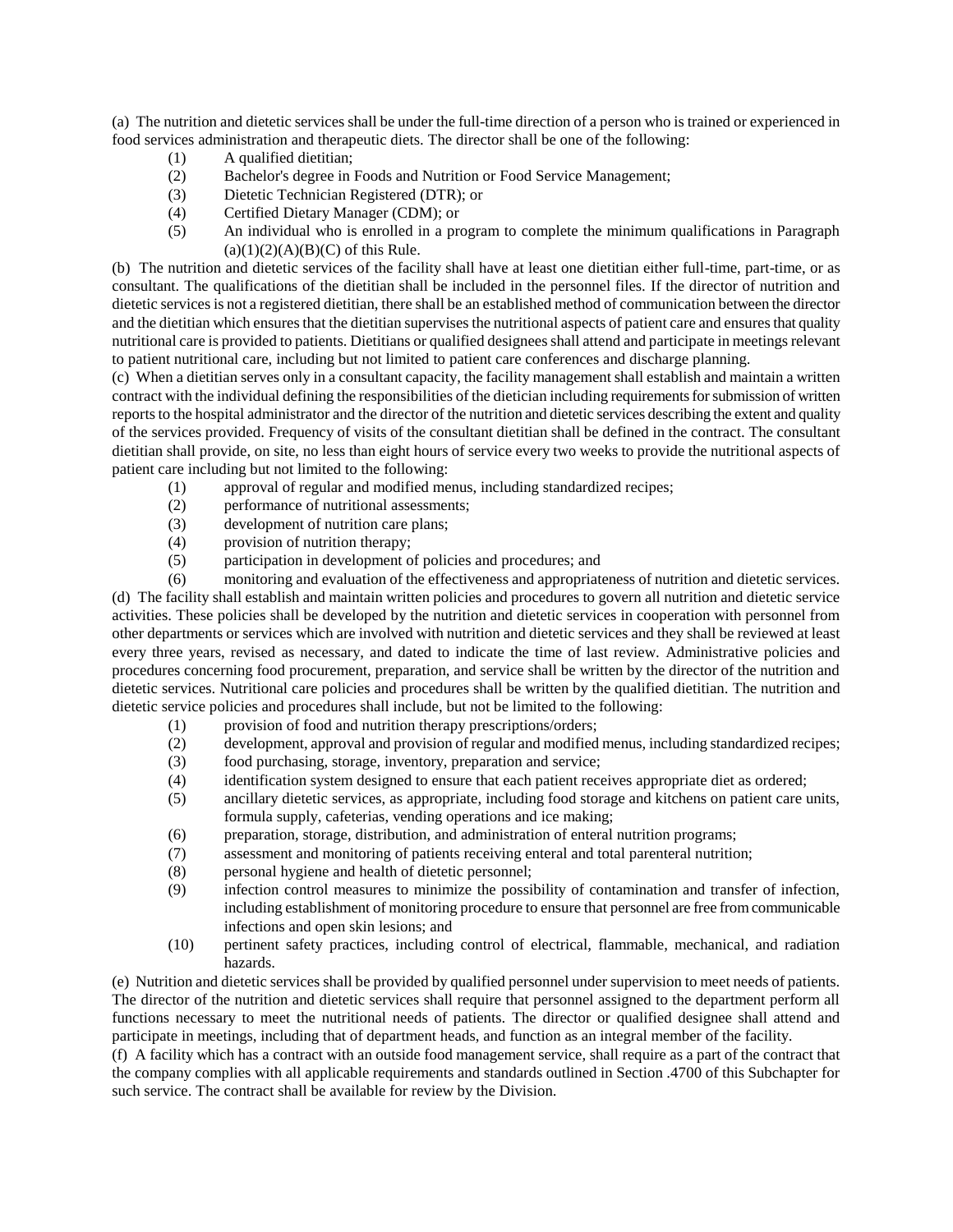(a) The nutrition and dietetic services shall be under the full-time direction of a person who is trained or experienced in food services administration and therapeutic diets. The director shall be one of the following:

- (1) A qualified dietitian;
- (2) Bachelor's degree in Foods and Nutrition or Food Service Management;
- (3) Dietetic Technician Registered (DTR); or
- (4) Certified Dietary Manager (CDM); or
- (5) An individual who is enrolled in a program to complete the minimum qualifications in Paragraph  $(a)(1)(2)(A)(B)(C)$  of this Rule.

(b) The nutrition and dietetic services of the facility shall have at least one dietitian either full-time, part-time, or as consultant. The qualifications of the dietitian shall be included in the personnel files. If the director of nutrition and dietetic services is not a registered dietitian, there shall be an established method of communication between the director and the dietitian which ensures that the dietitian supervises the nutritional aspects of patient care and ensures that quality nutritional care is provided to patients. Dietitians or qualified designees shall attend and participate in meetings relevant to patient nutritional care, including but not limited to patient care conferences and discharge planning.

(c) When a dietitian serves only in a consultant capacity, the facility management shall establish and maintain a written contract with the individual defining the responsibilities of the dietician including requirements for submission of written reports to the hospital administrator and the director of the nutrition and dietetic services describing the extent and quality of the services provided. Frequency of visits of the consultant dietitian shall be defined in the contract. The consultant dietitian shall provide, on site, no less than eight hours of service every two weeks to provide the nutritional aspects of patient care including but not limited to the following:

- (1) approval of regular and modified menus, including standardized recipes;
- (2) performance of nutritional assessments;
- (3) development of nutrition care plans;
- (4) provision of nutrition therapy;
- (5) participation in development of policies and procedures; and

(6) monitoring and evaluation of the effectiveness and appropriateness of nutrition and dietetic services. (d) The facility shall establish and maintain written policies and procedures to govern all nutrition and dietetic service activities. These policies shall be developed by the nutrition and dietetic services in cooperation with personnel from other departments or services which are involved with nutrition and dietetic services and they shall be reviewed at least every three years, revised as necessary, and dated to indicate the time of last review. Administrative policies and procedures concerning food procurement, preparation, and service shall be written by the director of the nutrition and dietetic services. Nutritional care policies and procedures shall be written by the qualified dietitian. The nutrition and dietetic service policies and procedures shall include, but not be limited to the following:

- (1) provision of food and nutrition therapy prescriptions/orders;
- (2) development, approval and provision of regular and modified menus, including standardized recipes;
- (3) food purchasing, storage, inventory, preparation and service;
- (4) identification system designed to ensure that each patient receives appropriate diet as ordered;
- (5) ancillary dietetic services, as appropriate, including food storage and kitchens on patient care units, formula supply, cafeterias, vending operations and ice making;
- (6) preparation, storage, distribution, and administration of enteral nutrition programs;
- (7) assessment and monitoring of patients receiving enteral and total parenteral nutrition;
- (8) personal hygiene and health of dietetic personnel;
- (9) infection control measures to minimize the possibility of contamination and transfer of infection, including establishment of monitoring procedure to ensure that personnel are free from communicable infections and open skin lesions; and
- (10) pertinent safety practices, including control of electrical, flammable, mechanical, and radiation hazards.

(e) Nutrition and dietetic services shall be provided by qualified personnel under supervision to meet needs of patients. The director of the nutrition and dietetic services shall require that personnel assigned to the department perform all functions necessary to meet the nutritional needs of patients. The director or qualified designee shall attend and participate in meetings, including that of department heads, and function as an integral member of the facility.

(f) A facility which has a contract with an outside food management service, shall require as a part of the contract that the company complies with all applicable requirements and standards outlined in Section .4700 of this Subchapter for such service. The contract shall be available for review by the Division.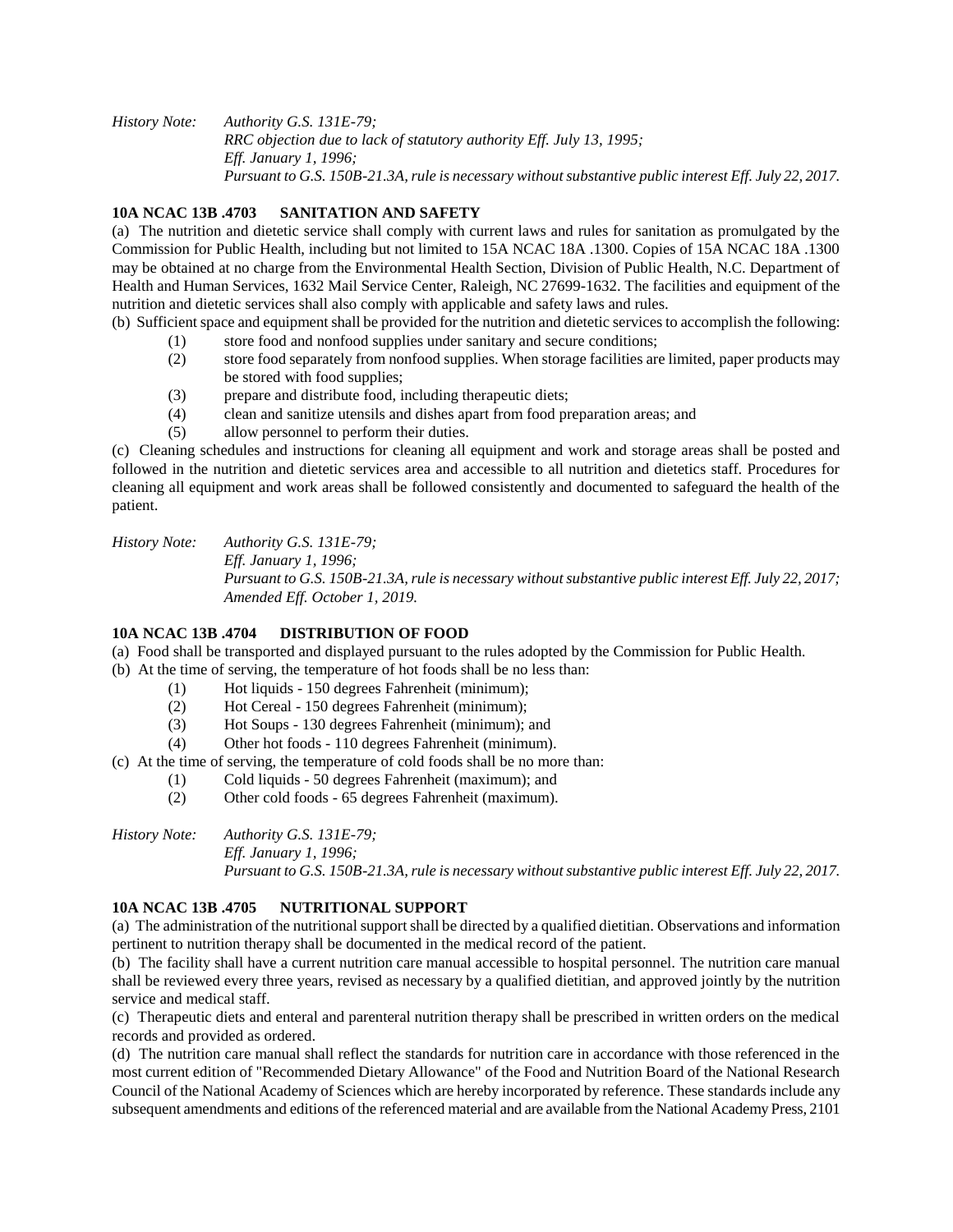*History Note: Authority G.S. 131E-79; RRC objection due to lack of statutory authority Eff. July 13, 1995; Eff. January 1, 1996; Pursuant to G.S. 150B-21.3A, rule is necessary without substantive public interest Eff. July 22, 2017.*

# **10A NCAC 13B .4703 SANITATION AND SAFETY**

(a) The nutrition and dietetic service shall comply with current laws and rules for sanitation as promulgated by the Commission for Public Health, including but not limited to 15A NCAC 18A .1300. Copies of 15A NCAC 18A .1300 may be obtained at no charge from the Environmental Health Section, Division of Public Health, N.C. Department of Health and Human Services, 1632 Mail Service Center, Raleigh, NC 27699-1632. The facilities and equipment of the nutrition and dietetic services shall also comply with applicable and safety laws and rules.

(b) Sufficient space and equipment shall be provided for the nutrition and dietetic services to accomplish the following:

- (1) store food and nonfood supplies under sanitary and secure conditions;
- (2) store food separately from nonfood supplies. When storage facilities are limited, paper products may be stored with food supplies;
- (3) prepare and distribute food, including therapeutic diets;
- (4) clean and sanitize utensils and dishes apart from food preparation areas; and
- (5) allow personnel to perform their duties.

(c) Cleaning schedules and instructions for cleaning all equipment and work and storage areas shall be posted and followed in the nutrition and dietetic services area and accessible to all nutrition and dietetics staff. Procedures for cleaning all equipment and work areas shall be followed consistently and documented to safeguard the health of the patient.

*History Note: Authority G.S. 131E-79; Eff. January 1, 1996; Pursuant to G.S. 150B-21.3A, rule is necessary without substantive public interest Eff. July 22, 2017; Amended Eff. October 1, 2019.*

# **10A NCAC 13B .4704 DISTRIBUTION OF FOOD**

(a) Food shall be transported and displayed pursuant to the rules adopted by the Commission for Public Health.

(b) At the time of serving, the temperature of hot foods shall be no less than:

- (1) Hot liquids 150 degrees Fahrenheit (minimum);
- (2) Hot Cereal 150 degrees Fahrenheit (minimum);
- (3) Hot Soups 130 degrees Fahrenheit (minimum); and
- (4) Other hot foods 110 degrees Fahrenheit (minimum).

(c) At the time of serving, the temperature of cold foods shall be no more than:

- (1) Cold liquids 50 degrees Fahrenheit (maximum); and
- (2) Other cold foods 65 degrees Fahrenheit (maximum).

*History Note: Authority G.S. 131E-79;*

*Eff. January 1, 1996; Pursuant to G.S. 150B-21.3A, rule is necessary without substantive public interest Eff. July 22, 2017.*

## **10A NCAC 13B .4705 NUTRITIONAL SUPPORT**

(a) The administration of the nutritional support shall be directed by a qualified dietitian. Observations and information pertinent to nutrition therapy shall be documented in the medical record of the patient.

(b) The facility shall have a current nutrition care manual accessible to hospital personnel. The nutrition care manual shall be reviewed every three years, revised as necessary by a qualified dietitian, and approved jointly by the nutrition service and medical staff.

(c) Therapeutic diets and enteral and parenteral nutrition therapy shall be prescribed in written orders on the medical records and provided as ordered.

(d) The nutrition care manual shall reflect the standards for nutrition care in accordance with those referenced in the most current edition of "Recommended Dietary Allowance" of the Food and Nutrition Board of the National Research Council of the National Academy of Sciences which are hereby incorporated by reference. These standards include any subsequent amendments and editions of the referenced material and are available from the National Academy Press, 2101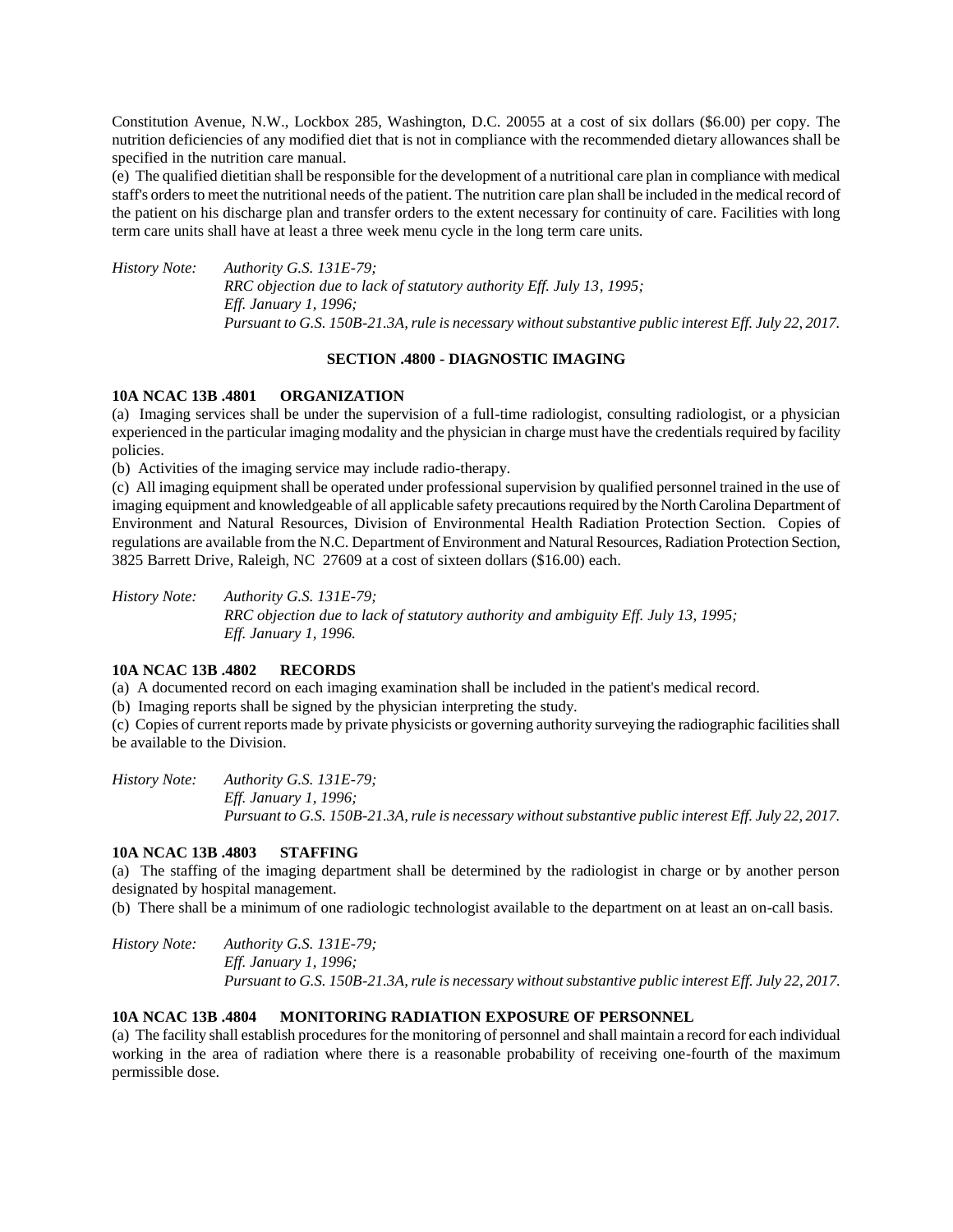Constitution Avenue, N.W., Lockbox 285, Washington, D.C. 20055 at a cost of six dollars (\$6.00) per copy. The nutrition deficiencies of any modified diet that is not in compliance with the recommended dietary allowances shall be specified in the nutrition care manual.

(e) The qualified dietitian shall be responsible for the development of a nutritional care plan in compliance with medical staff's orders to meet the nutritional needs of the patient. The nutrition care plan shall be included in the medical record of the patient on his discharge plan and transfer orders to the extent necessary for continuity of care. Facilities with long term care units shall have at least a three week menu cycle in the long term care units.

*History Note: Authority G.S. 131E-79; RRC objection due to lack of statutory authority Eff. July 13, 1995; Eff. January 1, 1996; Pursuant to G.S. 150B-21.3A, rule is necessary without substantive public interest Eff. July 22, 2017.*

# **SECTION .4800 - DIAGNOSTIC IMAGING**

#### **10A NCAC 13B .4801 ORGANIZATION**

(a) Imaging services shall be under the supervision of a full-time radiologist, consulting radiologist, or a physician experienced in the particular imaging modality and the physician in charge must have the credentials required by facility policies.

(b) Activities of the imaging service may include radio-therapy.

(c) All imaging equipment shall be operated under professional supervision by qualified personnel trained in the use of imaging equipment and knowledgeable of all applicable safety precautions required by the North Carolina Department of Environment and Natural Resources, Division of Environmental Health Radiation Protection Section. Copies of regulations are available from the N.C. Department of Environment and Natural Resources, Radiation Protection Section, 3825 Barrett Drive, Raleigh, NC 27609 at a cost of sixteen dollars (\$16.00) each.

*History Note: Authority G.S. 131E-79; RRC objection due to lack of statutory authority and ambiguity Eff. July 13, 1995; Eff. January 1, 1996.*

#### **10A NCAC 13B .4802 RECORDS**

(a) A documented record on each imaging examination shall be included in the patient's medical record.

(b) Imaging reports shall be signed by the physician interpreting the study.

(c) Copies of current reports made by private physicists or governing authority surveying the radiographic facilities shall be available to the Division.

*History Note: Authority G.S. 131E-79; Eff. January 1, 1996; Pursuant to G.S. 150B-21.3A, rule is necessary without substantive public interest Eff. July 22, 2017.*

#### **10A NCAC 13B .4803 STAFFING**

(a) The staffing of the imaging department shall be determined by the radiologist in charge or by another person designated by hospital management.

(b) There shall be a minimum of one radiologic technologist available to the department on at least an on-call basis.

*History Note: Authority G.S. 131E-79; Eff. January 1, 1996; Pursuant to G.S. 150B-21.3A, rule is necessary without substantive public interest Eff. July 22, 2017.*

# **10A NCAC 13B .4804 MONITORING RADIATION EXPOSURE OF PERSONNEL**

(a) The facility shall establish procedures for the monitoring of personnel and shall maintain a record for each individual working in the area of radiation where there is a reasonable probability of receiving one-fourth of the maximum permissible dose.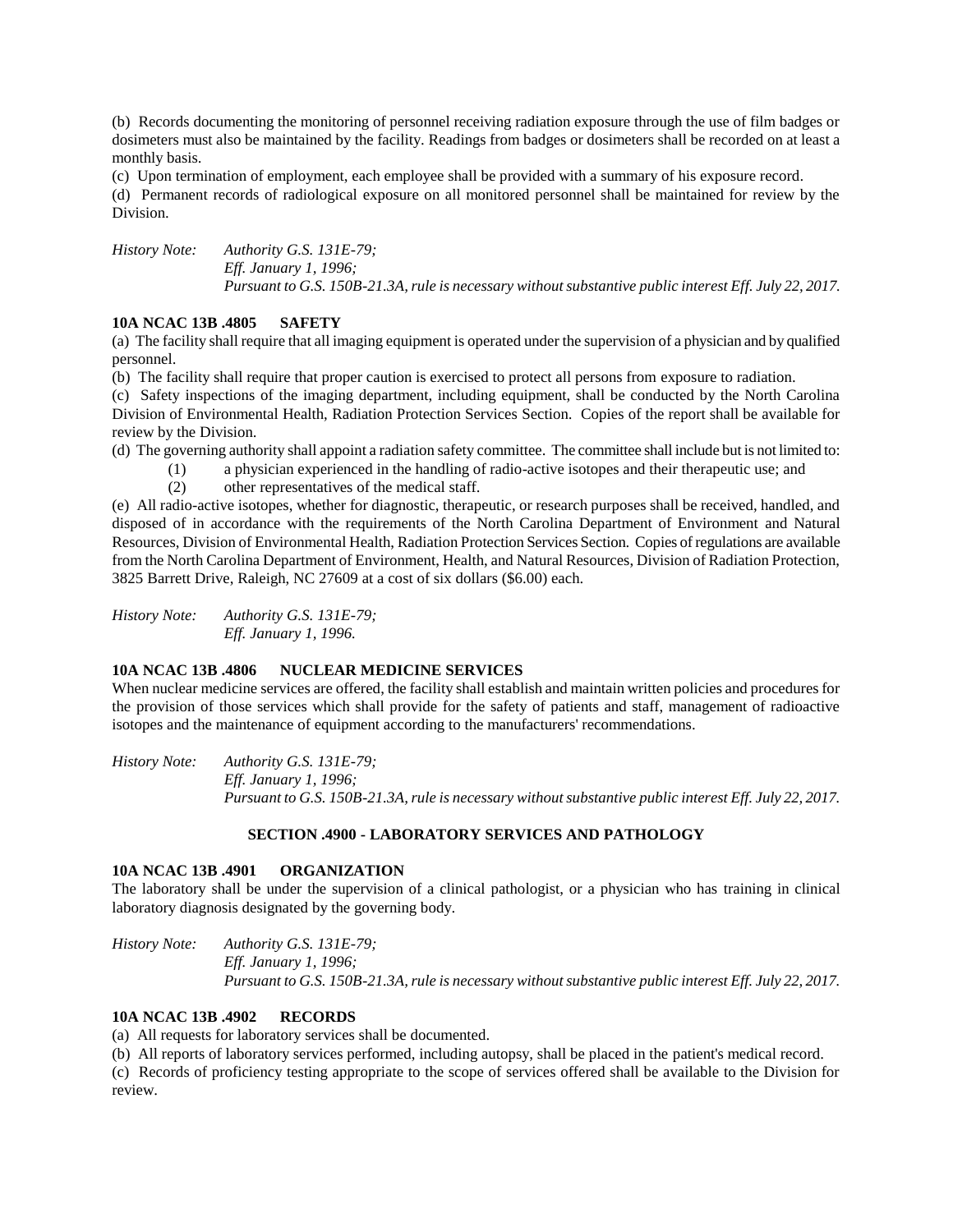(b) Records documenting the monitoring of personnel receiving radiation exposure through the use of film badges or dosimeters must also be maintained by the facility. Readings from badges or dosimeters shall be recorded on at least a monthly basis.

(c) Upon termination of employment, each employee shall be provided with a summary of his exposure record.

(d) Permanent records of radiological exposure on all monitored personnel shall be maintained for review by the Division.

*History Note: Authority G.S. 131E-79; Eff. January 1, 1996; Pursuant to G.S. 150B-21.3A, rule is necessary without substantive public interest Eff. July 22, 2017.*

## **10A NCAC 13B .4805 SAFETY**

(a) The facility shall require that all imaging equipment is operated under the supervision of a physician and by qualified personnel.

(b) The facility shall require that proper caution is exercised to protect all persons from exposure to radiation.

(c) Safety inspections of the imaging department, including equipment, shall be conducted by the North Carolina Division of Environmental Health, Radiation Protection Services Section. Copies of the report shall be available for review by the Division.

(d) The governing authority shall appoint a radiation safety committee. The committee shall include but is not limited to:

- (1) a physician experienced in the handling of radio-active isotopes and their therapeutic use; and
- (2) other representatives of the medical staff.

(e) All radio-active isotopes, whether for diagnostic, therapeutic, or research purposes shall be received, handled, and disposed of in accordance with the requirements of the North Carolina Department of Environment and Natural Resources, Division of Environmental Health, Radiation Protection Services Section. Copies of regulations are available from the North Carolina Department of Environment, Health, and Natural Resources, Division of Radiation Protection, 3825 Barrett Drive, Raleigh, NC 27609 at a cost of six dollars (\$6.00) each.

*History Note: Authority G.S. 131E-79; Eff. January 1, 1996.*

## **10A NCAC 13B .4806 NUCLEAR MEDICINE SERVICES**

When nuclear medicine services are offered, the facility shall establish and maintain written policies and procedures for the provision of those services which shall provide for the safety of patients and staff, management of radioactive isotopes and the maintenance of equipment according to the manufacturers' recommendations.

*History Note: Authority G.S. 131E-79; Eff. January 1, 1996; Pursuant to G.S. 150B-21.3A, rule is necessary without substantive public interest Eff. July 22, 2017.*

## **SECTION .4900 - LABORATORY SERVICES AND PATHOLOGY**

## **10A NCAC 13B .4901 ORGANIZATION**

The laboratory shall be under the supervision of a clinical pathologist, or a physician who has training in clinical laboratory diagnosis designated by the governing body.

*History Note: Authority G.S. 131E-79; Eff. January 1, 1996; Pursuant to G.S. 150B-21.3A, rule is necessary without substantive public interest Eff. July 22, 2017.*

## **10A NCAC 13B .4902 RECORDS**

(a) All requests for laboratory services shall be documented.

(b) All reports of laboratory services performed, including autopsy, shall be placed in the patient's medical record.

(c) Records of proficiency testing appropriate to the scope of services offered shall be available to the Division for review.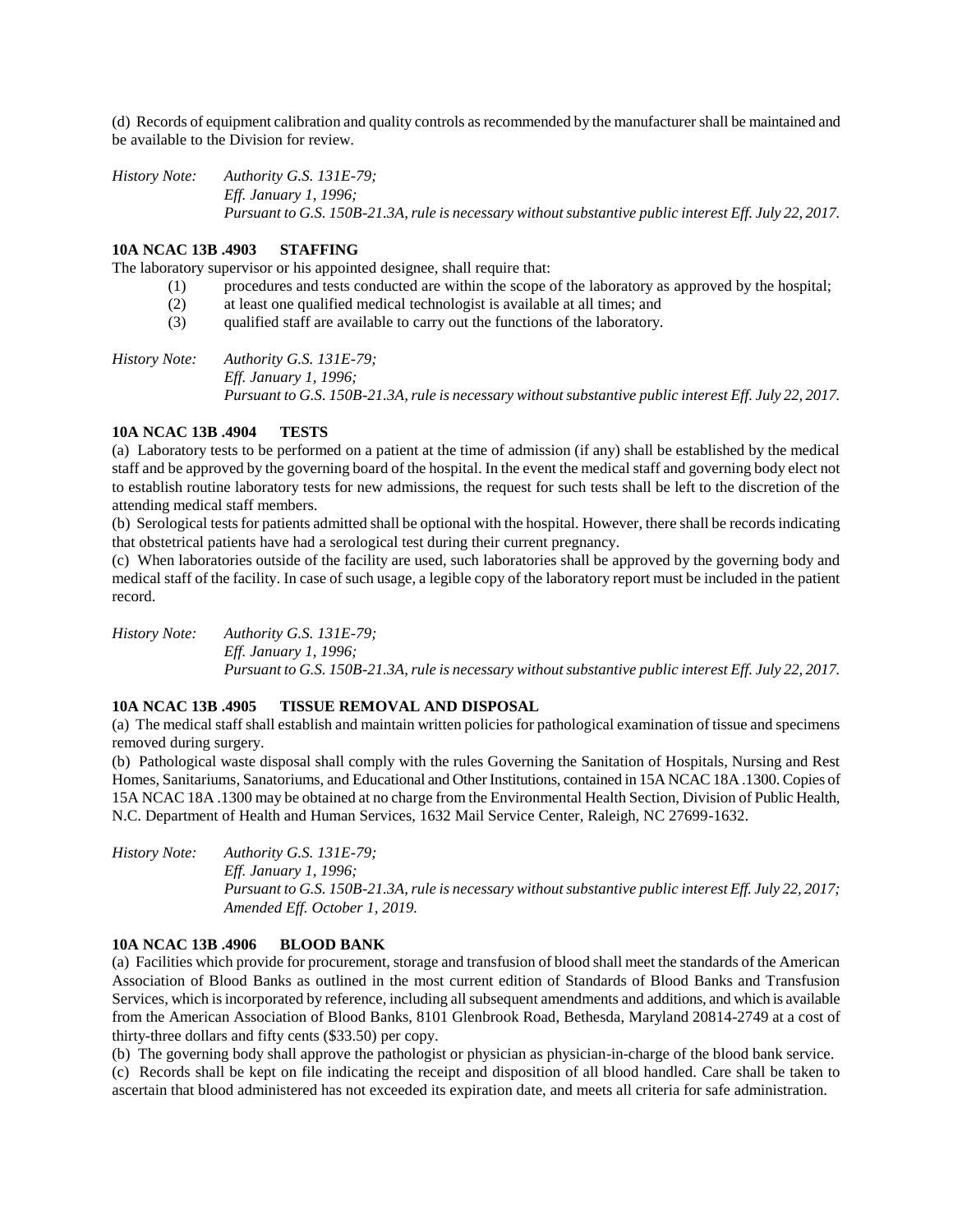(d) Records of equipment calibration and quality controls as recommended by the manufacturer shall be maintained and be available to the Division for review.

*History Note: Authority G.S. 131E-79; Eff. January 1, 1996; Pursuant to G.S. 150B-21.3A, rule is necessary without substantive public interest Eff. July 22, 2017.*

# **10A NCAC 13B .4903 STAFFING**

The laboratory supervisor or his appointed designee, shall require that:

- (1) procedures and tests conducted are within the scope of the laboratory as approved by the hospital;
- (2) at least one qualified medical technologist is available at all times; and
- (3) qualified staff are available to carry out the functions of the laboratory.

*History Note: Authority G.S. 131E-79; Eff. January 1, 1996; Pursuant to G.S. 150B-21.3A, rule is necessary without substantive public interest Eff. July 22, 2017.*

#### **10A NCAC 13B .4904 TESTS**

(a) Laboratory tests to be performed on a patient at the time of admission (if any) shall be established by the medical staff and be approved by the governing board of the hospital. In the event the medical staff and governing body elect not to establish routine laboratory tests for new admissions, the request for such tests shall be left to the discretion of the attending medical staff members.

(b) Serological tests for patients admitted shall be optional with the hospital. However, there shall be records indicating that obstetrical patients have had a serological test during their current pregnancy.

(c) When laboratories outside of the facility are used, such laboratories shall be approved by the governing body and medical staff of the facility. In case of such usage, a legible copy of the laboratory report must be included in the patient record.

*History Note: Authority G.S. 131E-79; Eff. January 1, 1996; Pursuant to G.S. 150B-21.3A, rule is necessary without substantive public interest Eff. July 22, 2017.*

## **10A NCAC 13B .4905 TISSUE REMOVAL AND DISPOSAL**

(a) The medical staff shall establish and maintain written policies for pathological examination of tissue and specimens removed during surgery.

(b) Pathological waste disposal shall comply with the rules Governing the Sanitation of Hospitals, Nursing and Rest Homes, Sanitariums, Sanatoriums, and Educational and Other Institutions, contained in 15A NCAC 18A .1300. Copies of 15A NCAC 18A .1300 may be obtained at no charge from the Environmental Health Section, Division of Public Health, N.C. Department of Health and Human Services, 1632 Mail Service Center, Raleigh, NC 27699-1632.

*History Note: Authority G.S. 131E-79; Eff. January 1, 1996; Pursuant to G.S. 150B-21.3A, rule is necessary without substantive public interest Eff. July 22, 2017; Amended Eff. October 1, 2019.*

#### **10A NCAC 13B .4906 BLOOD BANK**

(a) Facilities which provide for procurement, storage and transfusion of blood shall meet the standards of the American Association of Blood Banks as outlined in the most current edition of Standards of Blood Banks and Transfusion Services, which is incorporated by reference, including all subsequent amendments and additions, and which is available from the American Association of Blood Banks, 8101 Glenbrook Road, Bethesda, Maryland 20814-2749 at a cost of thirty-three dollars and fifty cents (\$33.50) per copy.

(b) The governing body shall approve the pathologist or physician as physician-in-charge of the blood bank service. (c) Records shall be kept on file indicating the receipt and disposition of all blood handled. Care shall be taken to ascertain that blood administered has not exceeded its expiration date, and meets all criteria for safe administration.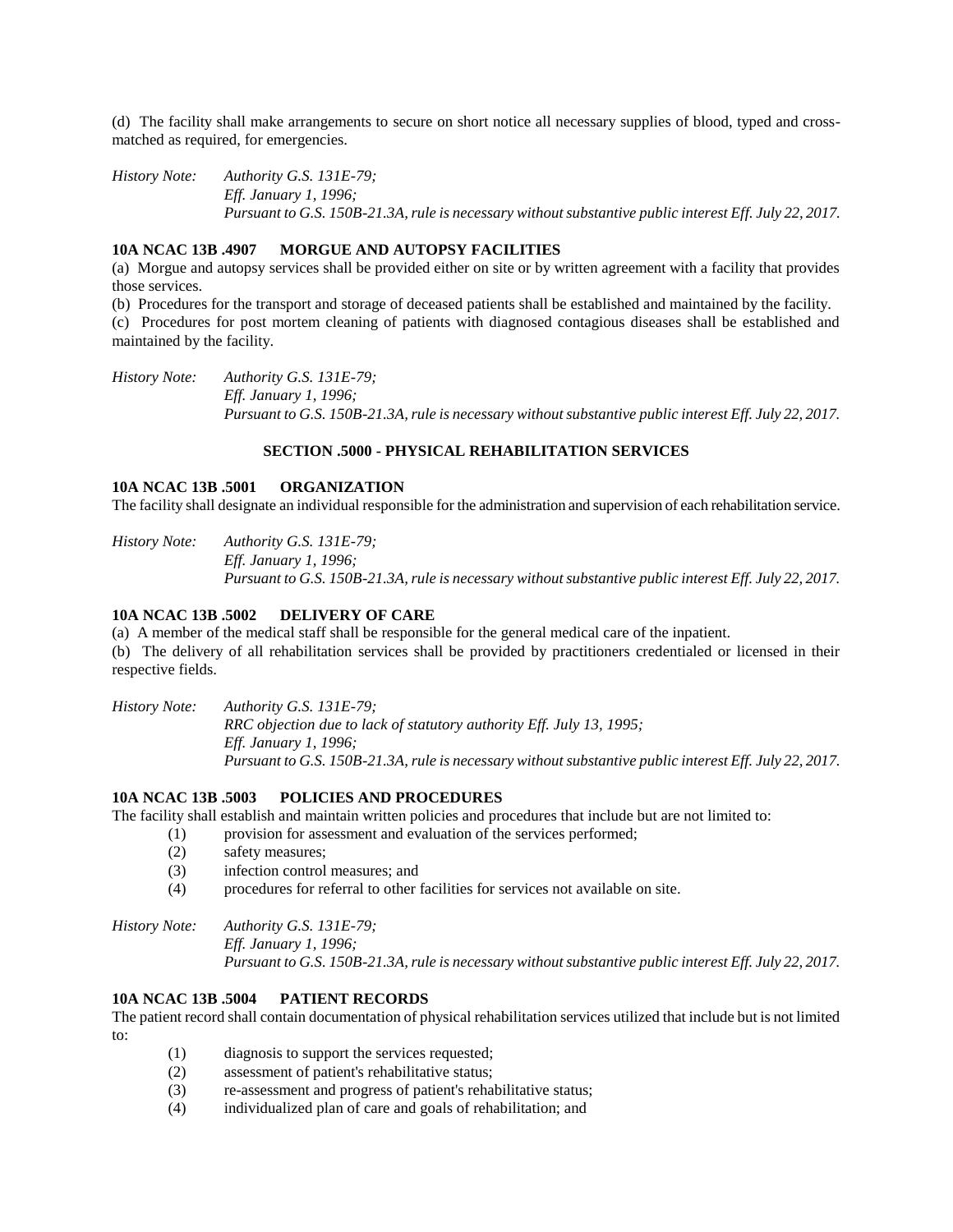(d) The facility shall make arrangements to secure on short notice all necessary supplies of blood, typed and crossmatched as required, for emergencies.

*History Note: Authority G.S. 131E-79; Eff. January 1, 1996; Pursuant to G.S. 150B-21.3A, rule is necessary without substantive public interest Eff. July 22, 2017.*

# **10A NCAC 13B .4907 MORGUE AND AUTOPSY FACILITIES**

(a) Morgue and autopsy services shall be provided either on site or by written agreement with a facility that provides those services.

(b) Procedures for the transport and storage of deceased patients shall be established and maintained by the facility.

(c) Procedures for post mortem cleaning of patients with diagnosed contagious diseases shall be established and maintained by the facility.

*History Note: Authority G.S. 131E-79; Eff. January 1, 1996; Pursuant to G.S. 150B-21.3A, rule is necessary without substantive public interest Eff. July 22, 2017.*

#### **SECTION .5000 - PHYSICAL REHABILITATION SERVICES**

#### **10A NCAC 13B .5001 ORGANIZATION**

The facility shall designate an individual responsible for the administration and supervision of each rehabilitation service.

*History Note: Authority G.S. 131E-79; Eff. January 1, 1996; Pursuant to G.S. 150B-21.3A, rule is necessary without substantive public interest Eff. July 22, 2017.*

#### **10A NCAC 13B .5002 DELIVERY OF CARE**

(a) A member of the medical staff shall be responsible for the general medical care of the inpatient. (b) The delivery of all rehabilitation services shall be provided by practitioners credentialed or licensed in their respective fields.

*History Note: Authority G.S. 131E-79; RRC objection due to lack of statutory authority Eff. July 13, 1995; Eff. January 1, 1996; Pursuant to G.S. 150B-21.3A, rule is necessary without substantive public interest Eff. July 22, 2017.*

#### **10A NCAC 13B .5003 POLICIES AND PROCEDURES**

The facility shall establish and maintain written policies and procedures that include but are not limited to:

- (1) provision for assessment and evaluation of the services performed;
	- (2) safety measures;
	- (3) infection control measures; and
	- (4) procedures for referral to other facilities for services not available on site.

*History Note: Authority G.S. 131E-79; Eff. January 1, 1996; Pursuant to G.S. 150B-21.3A, rule is necessary without substantive public interest Eff. July 22, 2017.*

# **10A NCAC 13B .5004 PATIENT RECORDS**

The patient record shall contain documentation of physical rehabilitation services utilized that include but is not limited to:

- (1) diagnosis to support the services requested;
- (2) assessment of patient's rehabilitative status;
- (3) re-assessment and progress of patient's rehabilitative status;
- (4) individualized plan of care and goals of rehabilitation; and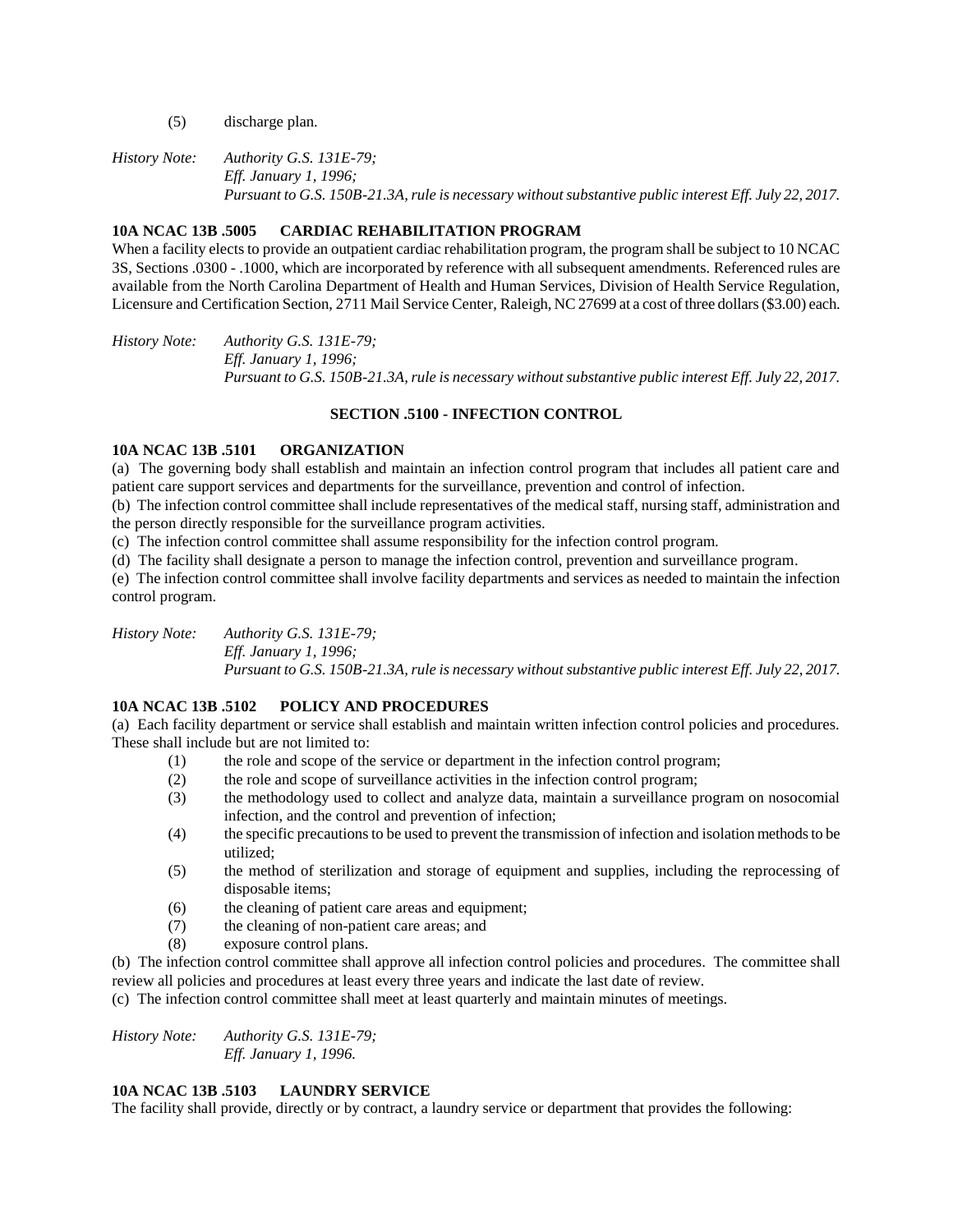- (5) discharge plan.
- *History Note: Authority G.S. 131E-79; Eff. January 1, 1996; Pursuant to G.S. 150B-21.3A, rule is necessary without substantive public interest Eff. July 22, 2017.*

## **10A NCAC 13B .5005 CARDIAC REHABILITATION PROGRAM**

When a facility elects to provide an outpatient cardiac rehabilitation program, the program shall be subject to 10 NCAC 3S, Sections .0300 - .1000, which are incorporated by reference with all subsequent amendments. Referenced rules are available from the North Carolina Department of Health and Human Services, Division of Health Service Regulation, Licensure and Certification Section, 2711 Mail Service Center, Raleigh, NC 27699 at a cost of three dollars (\$3.00) each.

*History Note: Authority G.S. 131E-79; Eff. January 1, 1996; Pursuant to G.S. 150B-21.3A, rule is necessary without substantive public interest Eff. July 22, 2017.*

#### **SECTION .5100 - INFECTION CONTROL**

#### **10A NCAC 13B .5101 ORGANIZATION**

(a) The governing body shall establish and maintain an infection control program that includes all patient care and patient care support services and departments for the surveillance, prevention and control of infection.

(b) The infection control committee shall include representatives of the medical staff, nursing staff, administration and the person directly responsible for the surveillance program activities.

(c) The infection control committee shall assume responsibility for the infection control program.

(d) The facility shall designate a person to manage the infection control, prevention and surveillance program.

(e) The infection control committee shall involve facility departments and services as needed to maintain the infection control program.

*History Note: Authority G.S. 131E-79; Eff. January 1, 1996; Pursuant to G.S. 150B-21.3A, rule is necessary without substantive public interest Eff. July 22, 2017.*

# **10A NCAC 13B .5102 POLICY AND PROCEDURES**

(a) Each facility department or service shall establish and maintain written infection control policies and procedures. These shall include but are not limited to:

- (1) the role and scope of the service or department in the infection control program;
- (2) the role and scope of surveillance activities in the infection control program;
- (3) the methodology used to collect and analyze data, maintain a surveillance program on nosocomial infection, and the control and prevention of infection;
- (4) the specific precautions to be used to prevent the transmission of infection and isolation methods to be utilized;
- (5) the method of sterilization and storage of equipment and supplies, including the reprocessing of disposable items;
- (6) the cleaning of patient care areas and equipment;
- (7) the cleaning of non-patient care areas; and
- (8) exposure control plans.
- (b) The infection control committee shall approve all infection control policies and procedures. The committee shall review all policies and procedures at least every three years and indicate the last date of review.

(c) The infection control committee shall meet at least quarterly and maintain minutes of meetings.

*History Note: Authority G.S. 131E-79; Eff. January 1, 1996.*

## **10A NCAC 13B .5103 LAUNDRY SERVICE**

The facility shall provide, directly or by contract, a laundry service or department that provides the following: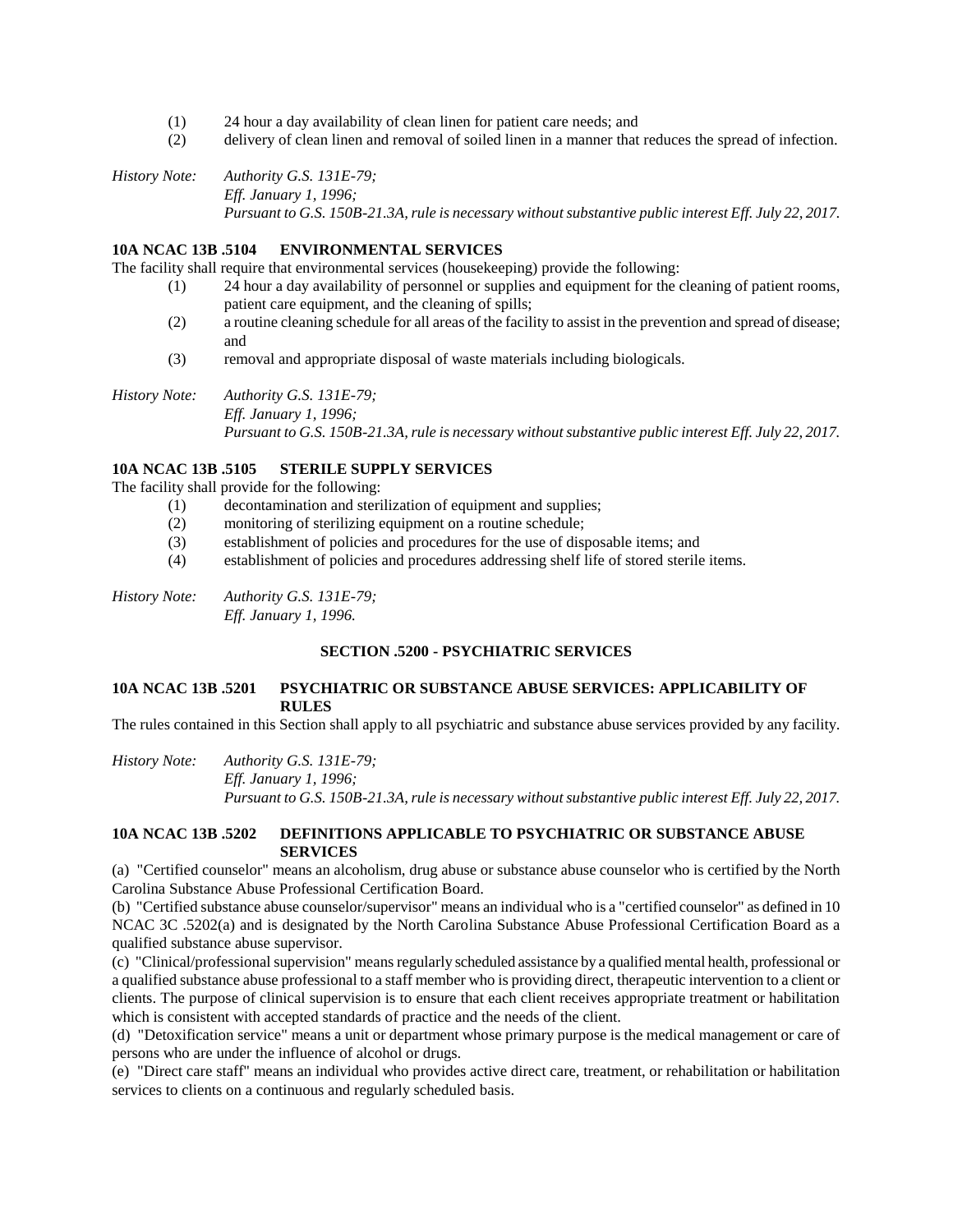- (1) 24 hour a day availability of clean linen for patient care needs; and
- (2) delivery of clean linen and removal of soiled linen in a manner that reduces the spread of infection.

*History Note: Authority G.S. 131E-79; Eff. January 1, 1996; Pursuant to G.S. 150B-21.3A, rule is necessary without substantive public interest Eff. July 22, 2017.*

# **10A NCAC 13B .5104 ENVIRONMENTAL SERVICES**

The facility shall require that environmental services (housekeeping) provide the following:

- (1) 24 hour a day availability of personnel or supplies and equipment for the cleaning of patient rooms, patient care equipment, and the cleaning of spills;
- (2) a routine cleaning schedule for all areas of the facility to assist in the prevention and spread of disease; and
- (3) removal and appropriate disposal of waste materials including biologicals.

*History Note: Authority G.S. 131E-79; Eff. January 1, 1996; Pursuant to G.S. 150B-21.3A, rule is necessary without substantive public interest Eff. July 22, 2017.*

#### **10A NCAC 13B .5105 STERILE SUPPLY SERVICES**

The facility shall provide for the following:

- (1) decontamination and sterilization of equipment and supplies;
- (2) monitoring of sterilizing equipment on a routine schedule;
- (3) establishment of policies and procedures for the use of disposable items; and
- (4) establishment of policies and procedures addressing shelf life of stored sterile items.

*History Note: Authority G.S. 131E-79; Eff. January 1, 1996.*

#### **SECTION .5200 - PSYCHIATRIC SERVICES**

#### **10A NCAC 13B .5201 PSYCHIATRIC OR SUBSTANCE ABUSE SERVICES: APPLICABILITY OF RULES**

The rules contained in this Section shall apply to all psychiatric and substance abuse services provided by any facility.

*History Note: Authority G.S. 131E-79; Eff. January 1, 1996; Pursuant to G.S. 150B-21.3A, rule is necessary without substantive public interest Eff. July 22, 2017.*

#### **10A NCAC 13B .5202 DEFINITIONS APPLICABLE TO PSYCHIATRIC OR SUBSTANCE ABUSE SERVICES**

(a) "Certified counselor" means an alcoholism, drug abuse or substance abuse counselor who is certified by the North Carolina Substance Abuse Professional Certification Board.

(b) "Certified substance abuse counselor/supervisor" means an individual who is a "certified counselor" as defined in 10 NCAC 3C .5202(a) and is designated by the North Carolina Substance Abuse Professional Certification Board as a qualified substance abuse supervisor.

(c) "Clinical/professional supervision" means regularly scheduled assistance by a qualified mental health, professional or a qualified substance abuse professional to a staff member who is providing direct, therapeutic intervention to a client or clients. The purpose of clinical supervision is to ensure that each client receives appropriate treatment or habilitation which is consistent with accepted standards of practice and the needs of the client.

(d) "Detoxification service" means a unit or department whose primary purpose is the medical management or care of persons who are under the influence of alcohol or drugs.

(e) "Direct care staff" means an individual who provides active direct care, treatment, or rehabilitation or habilitation services to clients on a continuous and regularly scheduled basis.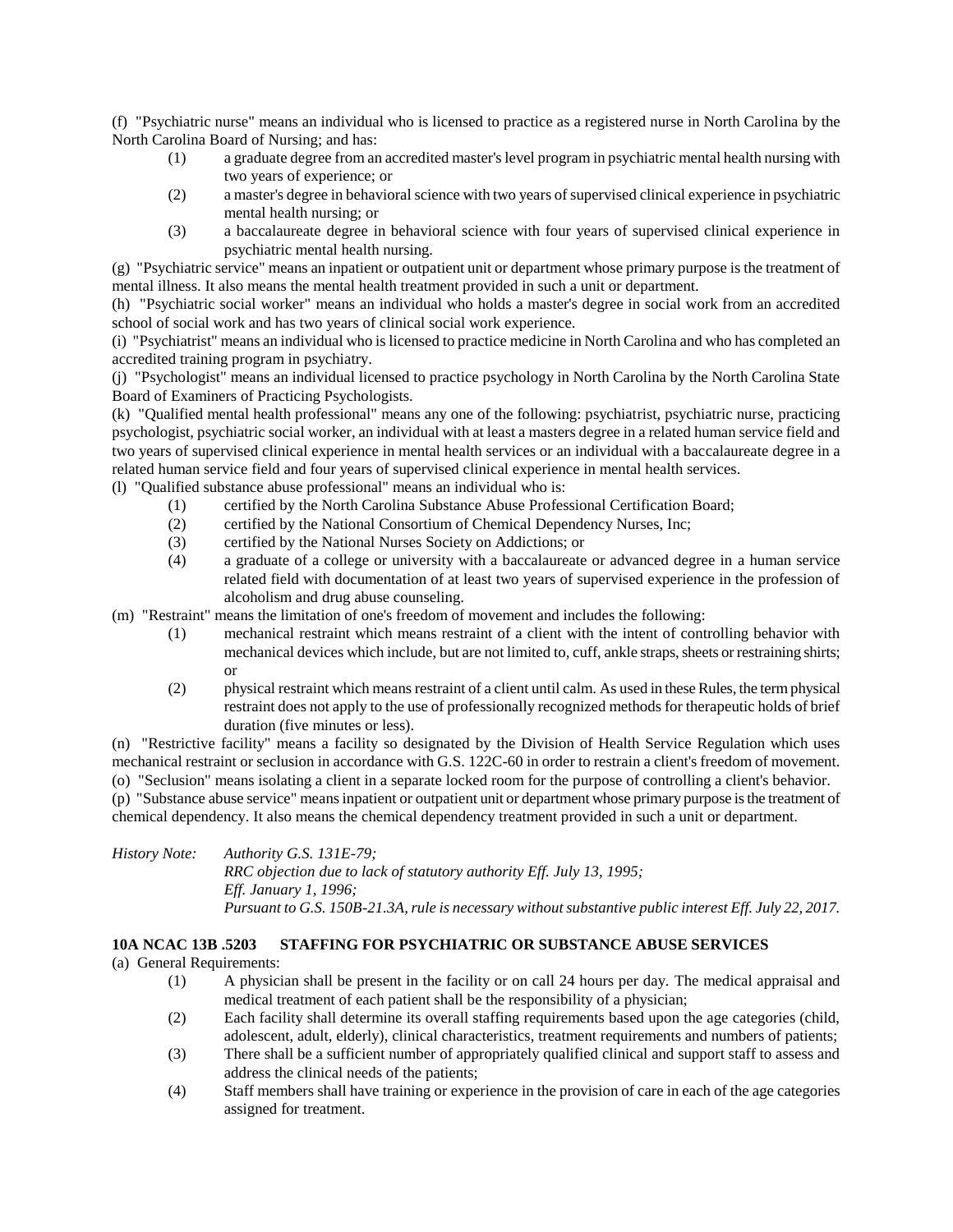(f) "Psychiatric nurse" means an individual who is licensed to practice as a registered nurse in North Carolina by the North Carolina Board of Nursing; and has:

- (1) a graduate degree from an accredited master's level program in psychiatric mental health nursing with two years of experience; or
- (2) a master's degree in behavioral science with two years of supervised clinical experience in psychiatric mental health nursing; or
- (3) a baccalaureate degree in behavioral science with four years of supervised clinical experience in psychiatric mental health nursing.

(g) "Psychiatric service" means an inpatient or outpatient unit or department whose primary purpose is the treatment of mental illness. It also means the mental health treatment provided in such a unit or department.

(h) "Psychiatric social worker" means an individual who holds a master's degree in social work from an accredited school of social work and has two years of clinical social work experience.

(i) "Psychiatrist" means an individual who is licensed to practice medicine in North Carolina and who has completed an accredited training program in psychiatry.

(j) "Psychologist" means an individual licensed to practice psychology in North Carolina by the North Carolina State Board of Examiners of Practicing Psychologists.

(k) "Qualified mental health professional" means any one of the following: psychiatrist, psychiatric nurse, practicing psychologist, psychiatric social worker, an individual with at least a masters degree in a related human service field and two years of supervised clinical experience in mental health services or an individual with a baccalaureate degree in a related human service field and four years of supervised clinical experience in mental health services.

- (l) "Qualified substance abuse professional" means an individual who is:
	- (1) certified by the North Carolina Substance Abuse Professional Certification Board;
	- (2) certified by the National Consortium of Chemical Dependency Nurses, Inc;
	- (3) certified by the National Nurses Society on Addictions; or
	- (4) a graduate of a college or university with a baccalaureate or advanced degree in a human service related field with documentation of at least two years of supervised experience in the profession of alcoholism and drug abuse counseling.

(m) "Restraint" means the limitation of one's freedom of movement and includes the following:

- (1) mechanical restraint which means restraint of a client with the intent of controlling behavior with mechanical devices which include, but are not limited to, cuff, ankle straps, sheets or restraining shirts; or
- (2) physical restraint which means restraint of a client until calm. As used in these Rules, the term physical restraint does not apply to the use of professionally recognized methods for therapeutic holds of brief duration (five minutes or less).

(n) "Restrictive facility" means a facility so designated by the Division of Health Service Regulation which uses mechanical restraint or seclusion in accordance with G.S. 122C-60 in order to restrain a client's freedom of movement. (o) "Seclusion" means isolating a client in a separate locked room for the purpose of controlling a client's behavior.

(p) "Substance abuse service" means inpatient or outpatient unit or department whose primary purpose is the treatment of chemical dependency. It also means the chemical dependency treatment provided in such a unit or department.

*History Note: Authority G.S. 131E-79; RRC objection due to lack of statutory authority Eff. July 13, 1995; Eff. January 1, 1996; Pursuant to G.S. 150B-21.3A, rule is necessary without substantive public interest Eff. July 22, 2017.*

## **10A NCAC 13B .5203 STAFFING FOR PSYCHIATRIC OR SUBSTANCE ABUSE SERVICES**

## (a) General Requirements:

- (1) A physician shall be present in the facility or on call 24 hours per day. The medical appraisal and medical treatment of each patient shall be the responsibility of a physician;
- (2) Each facility shall determine its overall staffing requirements based upon the age categories (child, adolescent, adult, elderly), clinical characteristics, treatment requirements and numbers of patients;
- (3) There shall be a sufficient number of appropriately qualified clinical and support staff to assess and address the clinical needs of the patients;
- (4) Staff members shall have training or experience in the provision of care in each of the age categories assigned for treatment.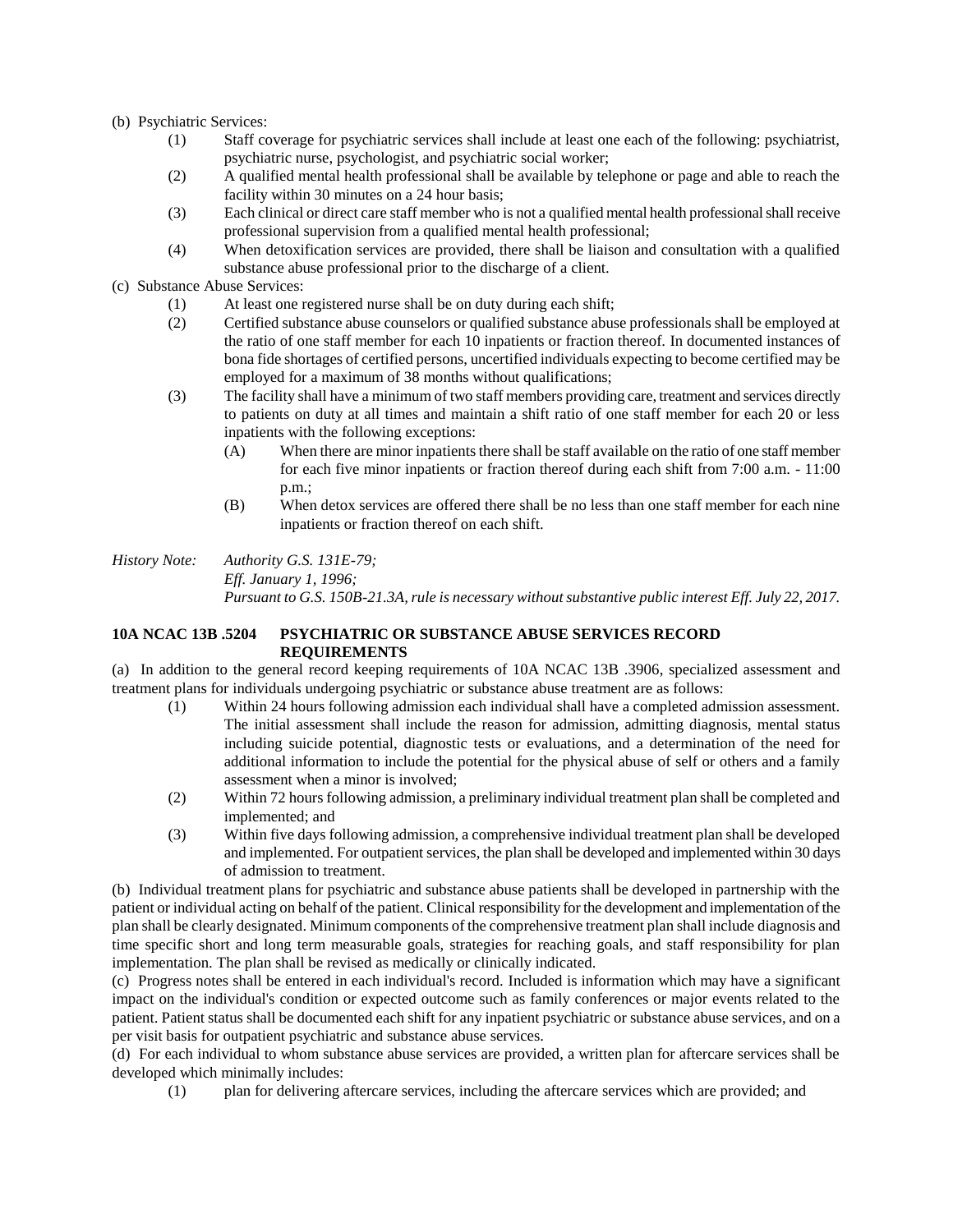- (b) Psychiatric Services:
	- (1) Staff coverage for psychiatric services shall include at least one each of the following: psychiatrist, psychiatric nurse, psychologist, and psychiatric social worker;
	- (2) A qualified mental health professional shall be available by telephone or page and able to reach the facility within 30 minutes on a 24 hour basis;
	- (3) Each clinical or direct care staff member who is not a qualified mental health professional shall receive professional supervision from a qualified mental health professional;
	- (4) When detoxification services are provided, there shall be liaison and consultation with a qualified substance abuse professional prior to the discharge of a client.
- (c) Substance Abuse Services:
	- (1) At least one registered nurse shall be on duty during each shift;
	- (2) Certified substance abuse counselors or qualified substance abuse professionals shall be employed at the ratio of one staff member for each 10 inpatients or fraction thereof. In documented instances of bona fide shortages of certified persons, uncertified individuals expecting to become certified may be employed for a maximum of 38 months without qualifications;
	- (3) The facility shall have a minimum of two staff members providing care, treatment and services directly to patients on duty at all times and maintain a shift ratio of one staff member for each 20 or less inpatients with the following exceptions:
		- (A) When there are minor inpatients there shall be staff available on the ratio of one staff member for each five minor inpatients or fraction thereof during each shift from 7:00 a.m. - 11:00 p.m.;
		- (B) When detox services are offered there shall be no less than one staff member for each nine inpatients or fraction thereof on each shift.

#### *History Note: Authority G.S. 131E-79; Eff. January 1, 1996; Pursuant to G.S. 150B-21.3A, rule is necessary without substantive public interest Eff. July 22, 2017.*

#### **10A NCAC 13B .5204 PSYCHIATRIC OR SUBSTANCE ABUSE SERVICES RECORD REQUIREMENTS**

(a) In addition to the general record keeping requirements of 10A NCAC 13B .3906, specialized assessment and treatment plans for individuals undergoing psychiatric or substance abuse treatment are as follows:

- (1) Within 24 hours following admission each individual shall have a completed admission assessment. The initial assessment shall include the reason for admission, admitting diagnosis, mental status including suicide potential, diagnostic tests or evaluations, and a determination of the need for additional information to include the potential for the physical abuse of self or others and a family assessment when a minor is involved;
- (2) Within 72 hours following admission, a preliminary individual treatment plan shall be completed and implemented; and
- (3) Within five days following admission, a comprehensive individual treatment plan shall be developed and implemented. For outpatient services, the plan shall be developed and implemented within 30 days of admission to treatment.

(b) Individual treatment plans for psychiatric and substance abuse patients shall be developed in partnership with the patient or individual acting on behalf of the patient. Clinical responsibility for the development and implementation of the plan shall be clearly designated. Minimum components of the comprehensive treatment plan shall include diagnosis and time specific short and long term measurable goals, strategies for reaching goals, and staff responsibility for plan implementation. The plan shall be revised as medically or clinically indicated.

(c) Progress notes shall be entered in each individual's record. Included is information which may have a significant impact on the individual's condition or expected outcome such as family conferences or major events related to the patient. Patient status shall be documented each shift for any inpatient psychiatric or substance abuse services, and on a per visit basis for outpatient psychiatric and substance abuse services.

(d) For each individual to whom substance abuse services are provided, a written plan for aftercare services shall be developed which minimally includes:

(1) plan for delivering aftercare services, including the aftercare services which are provided; and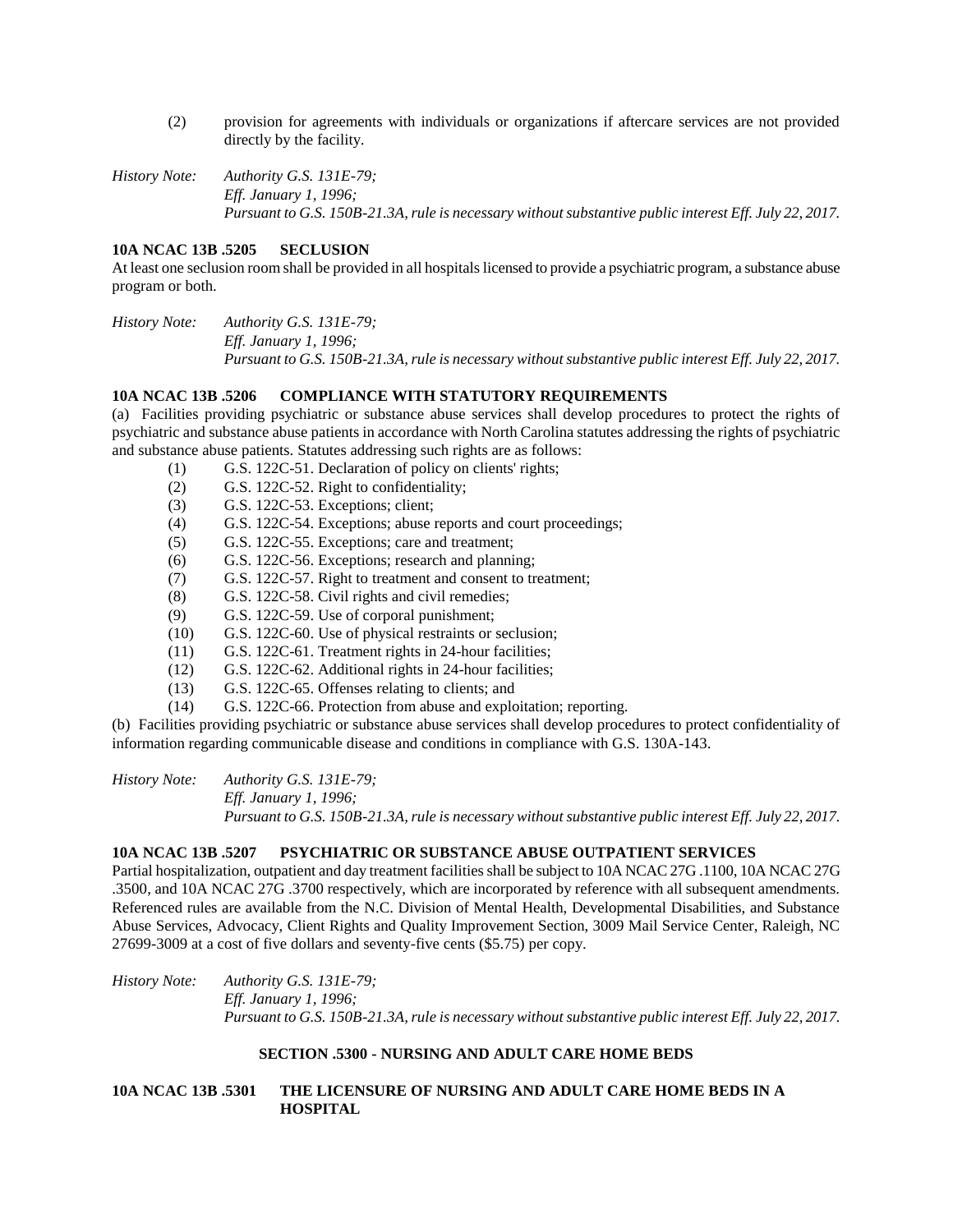- (2) provision for agreements with individuals or organizations if aftercare services are not provided directly by the facility.
- *History Note: Authority G.S. 131E-79; Eff. January 1, 1996; Pursuant to G.S. 150B-21.3A, rule is necessary without substantive public interest Eff. July 22, 2017.*

#### **10A NCAC 13B .5205 SECLUSION**

At least one seclusion room shall be provided in all hospitals licensed to provide a psychiatric program, a substance abuse program or both.

*History Note: Authority G.S. 131E-79; Eff. January 1, 1996; Pursuant to G.S. 150B-21.3A, rule is necessary without substantive public interest Eff. July 22, 2017.*

#### **10A NCAC 13B .5206 COMPLIANCE WITH STATUTORY REQUIREMENTS**

(a) Facilities providing psychiatric or substance abuse services shall develop procedures to protect the rights of psychiatric and substance abuse patients in accordance with North Carolina statutes addressing the rights of psychiatric and substance abuse patients. Statutes addressing such rights are as follows:

- (1) G.S. 122C-51. Declaration of policy on clients' rights;
- (2) G.S. 122C-52. Right to confidentiality;
- (3) G.S. 122C-53. Exceptions; client;
- (4) G.S. 122C-54. Exceptions; abuse reports and court proceedings;
- (5) G.S. 122C-55. Exceptions; care and treatment;
- (6) G.S. 122C-56. Exceptions; research and planning;
- (7) G.S. 122C-57. Right to treatment and consent to treatment;
- (8) G.S. 122C-58. Civil rights and civil remedies;
- (9) G.S. 122C-59. Use of corporal punishment;
- (10) G.S. 122C-60. Use of physical restraints or seclusion;
- (11) G.S. 122C-61. Treatment rights in 24-hour facilities;
- (12) G.S. 122C-62. Additional rights in 24-hour facilities;
- (13) G.S. 122C-65. Offenses relating to clients; and
- (14) G.S. 122C-66. Protection from abuse and exploitation; reporting.

(b) Facilities providing psychiatric or substance abuse services shall develop procedures to protect confidentiality of information regarding communicable disease and conditions in compliance with G.S. 130A-143.

*History Note: Authority G.S. 131E-79; Eff. January 1, 1996; Pursuant to G.S. 150B-21.3A, rule is necessary without substantive public interest Eff. July 22, 2017.*

#### **10A NCAC 13B .5207 PSYCHIATRIC OR SUBSTANCE ABUSE OUTPATIENT SERVICES**

Partial hospitalization, outpatient and day treatment facilities shall be subject to 10A NCAC 27G .1100, 10A NCAC 27G .3500, and 10A NCAC 27G .3700 respectively, which are incorporated by reference with all subsequent amendments. Referenced rules are available from the N.C. Division of Mental Health, Developmental Disabilities, and Substance Abuse Services, Advocacy, Client Rights and Quality Improvement Section, 3009 Mail Service Center, Raleigh, NC 27699-3009 at a cost of five dollars and seventy-five cents (\$5.75) per copy.

*History Note: Authority G.S. 131E-79; Eff. January 1, 1996; Pursuant to G.S. 150B-21.3A, rule is necessary without substantive public interest Eff. July 22, 2017.*

## **SECTION .5300 - NURSING AND ADULT CARE HOME BEDS**

# **10A NCAC 13B .5301 THE LICENSURE OF NURSING AND ADULT CARE HOME BEDS IN A HOSPITAL**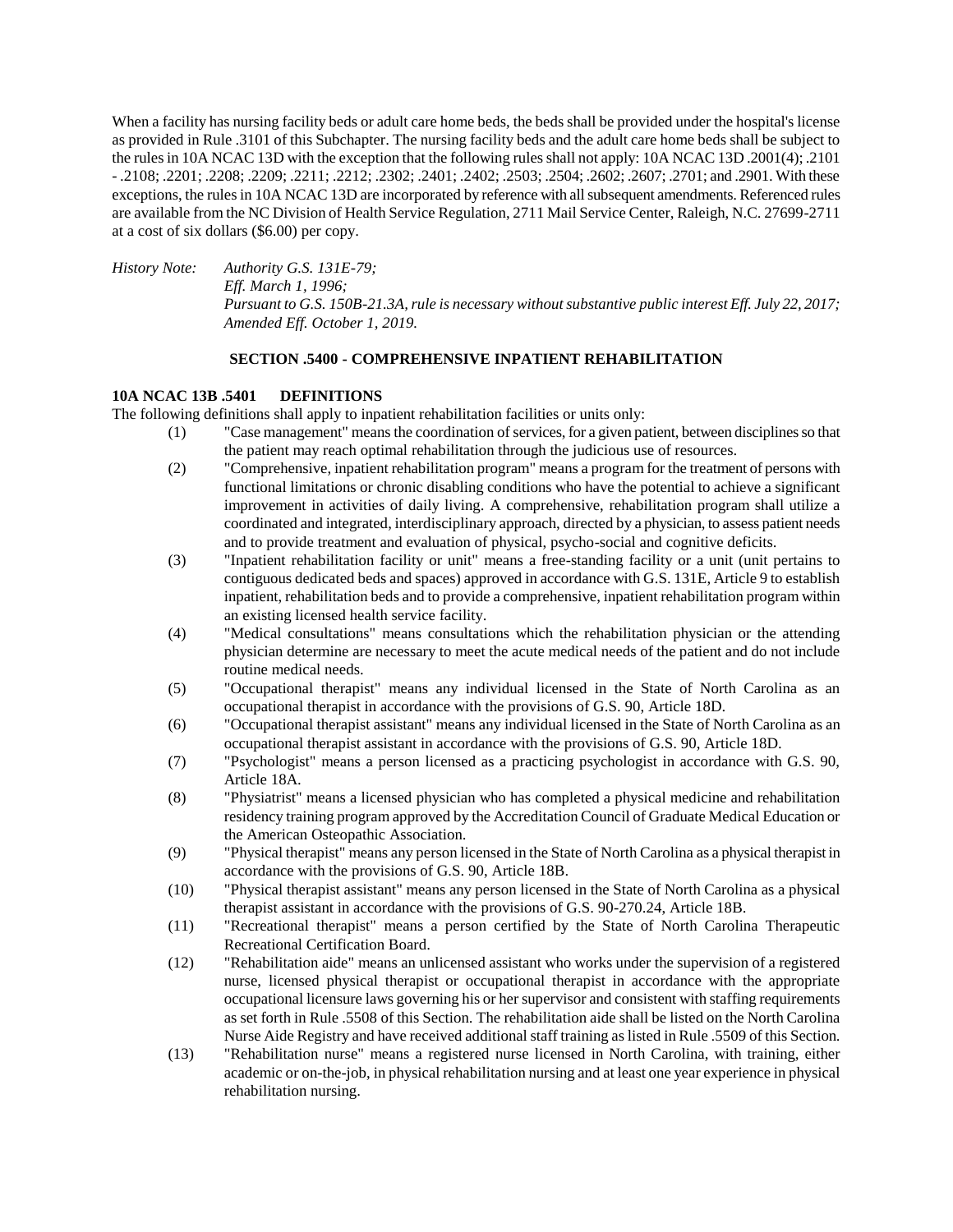When a facility has nursing facility beds or adult care home beds, the beds shall be provided under the hospital's license as provided in Rule .3101 of this Subchapter. The nursing facility beds and the adult care home beds shall be subject to the rules in 10A NCAC 13D with the exception that the following rules shall not apply: 10A NCAC 13D .2001(4); .2101 - .2108; .2201; .2208; .2209; .2211; .2212; .2302; .2401; .2402; .2503; .2504; .2602; .2607; .2701; and .2901. With these exceptions, the rules in 10A NCAC 13D are incorporated by reference with all subsequent amendments. Referenced rules are available from the NC Division of Health Service Regulation, 2711 Mail Service Center, Raleigh, N.C. 27699-2711 at a cost of six dollars (\$6.00) per copy.

*History Note: Authority G.S. 131E-79; Eff. March 1, 1996; Pursuant to G.S. 150B-21.3A, rule is necessary without substantive public interest Eff. July 22, 2017; Amended Eff. October 1, 2019.*

## **SECTION .5400 - COMPREHENSIVE INPATIENT REHABILITATION**

#### **10A NCAC 13B .5401 DEFINITIONS**

The following definitions shall apply to inpatient rehabilitation facilities or units only:

- (1) "Case management" means the coordination of services, for a given patient, between disciplines so that the patient may reach optimal rehabilitation through the judicious use of resources.
- (2) "Comprehensive, inpatient rehabilitation program" means a program for the treatment of persons with functional limitations or chronic disabling conditions who have the potential to achieve a significant improvement in activities of daily living. A comprehensive, rehabilitation program shall utilize a coordinated and integrated, interdisciplinary approach, directed by a physician, to assess patient needs and to provide treatment and evaluation of physical, psycho-social and cognitive deficits.
- (3) "Inpatient rehabilitation facility or unit" means a free-standing facility or a unit (unit pertains to contiguous dedicated beds and spaces) approved in accordance with G.S. 131E, Article 9 to establish inpatient, rehabilitation beds and to provide a comprehensive, inpatient rehabilitation program within an existing licensed health service facility.
- (4) "Medical consultations" means consultations which the rehabilitation physician or the attending physician determine are necessary to meet the acute medical needs of the patient and do not include routine medical needs.
- (5) "Occupational therapist" means any individual licensed in the State of North Carolina as an occupational therapist in accordance with the provisions of G.S. 90, Article 18D.
- (6) "Occupational therapist assistant" means any individual licensed in the State of North Carolina as an occupational therapist assistant in accordance with the provisions of G.S. 90, Article 18D.
- (7) "Psychologist" means a person licensed as a practicing psychologist in accordance with G.S. 90, Article 18A.
- (8) "Physiatrist" means a licensed physician who has completed a physical medicine and rehabilitation residency training program approved by the Accreditation Council of Graduate Medical Education or the American Osteopathic Association.
- (9) "Physical therapist" means any person licensed in the State of North Carolina as a physical therapist in accordance with the provisions of G.S. 90, Article 18B.
- (10) "Physical therapist assistant" means any person licensed in the State of North Carolina as a physical therapist assistant in accordance with the provisions of G.S. 90-270.24, Article 18B.
- (11) "Recreational therapist" means a person certified by the State of North Carolina Therapeutic Recreational Certification Board.
- (12) "Rehabilitation aide" means an unlicensed assistant who works under the supervision of a registered nurse, licensed physical therapist or occupational therapist in accordance with the appropriate occupational licensure laws governing his or her supervisor and consistent with staffing requirements as set forth in Rule .5508 of this Section. The rehabilitation aide shall be listed on the North Carolina Nurse Aide Registry and have received additional staff training as listed in Rule .5509 of this Section.
- (13) "Rehabilitation nurse" means a registered nurse licensed in North Carolina, with training, either academic or on-the-job, in physical rehabilitation nursing and at least one year experience in physical rehabilitation nursing.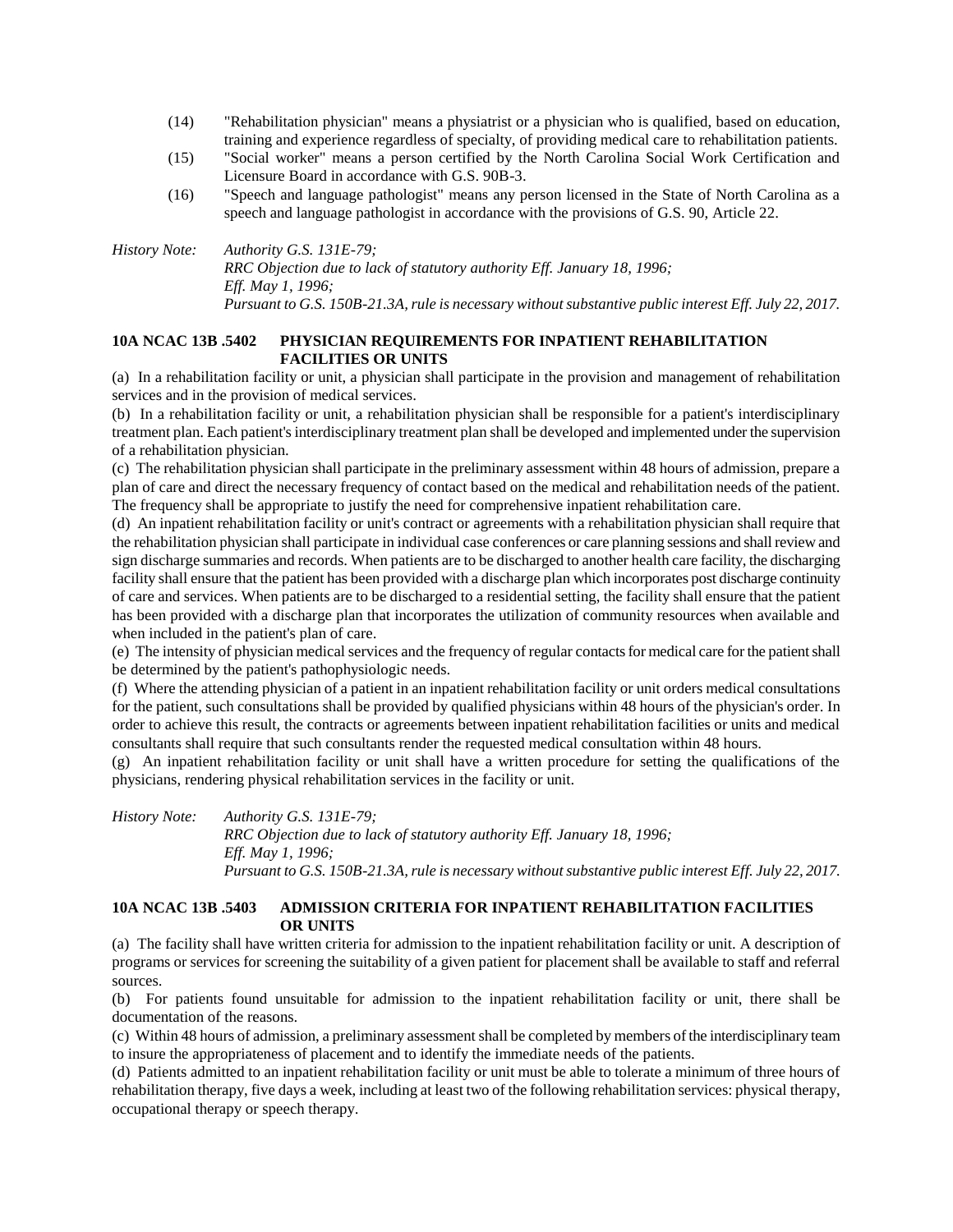- (14) "Rehabilitation physician" means a physiatrist or a physician who is qualified, based on education, training and experience regardless of specialty, of providing medical care to rehabilitation patients.
- (15) "Social worker" means a person certified by the North Carolina Social Work Certification and Licensure Board in accordance with G.S. 90B-3.
- (16) "Speech and language pathologist" means any person licensed in the State of North Carolina as a speech and language pathologist in accordance with the provisions of G.S. 90, Article 22.

*History Note: Authority G.S. 131E-79; RRC Objection due to lack of statutory authority Eff. January 18, 1996; Eff. May 1, 1996; Pursuant to G.S. 150B-21.3A, rule is necessary without substantive public interest Eff. July 22, 2017.*

## **10A NCAC 13B .5402 PHYSICIAN REQUIREMENTS FOR INPATIENT REHABILITATION FACILITIES OR UNITS**

(a) In a rehabilitation facility or unit, a physician shall participate in the provision and management of rehabilitation services and in the provision of medical services.

(b) In a rehabilitation facility or unit, a rehabilitation physician shall be responsible for a patient's interdisciplinary treatment plan. Each patient's interdisciplinary treatment plan shall be developed and implemented under the supervision of a rehabilitation physician.

(c) The rehabilitation physician shall participate in the preliminary assessment within 48 hours of admission, prepare a plan of care and direct the necessary frequency of contact based on the medical and rehabilitation needs of the patient. The frequency shall be appropriate to justify the need for comprehensive inpatient rehabilitation care.

(d) An inpatient rehabilitation facility or unit's contract or agreements with a rehabilitation physician shall require that the rehabilitation physician shall participate in individual case conferences or care planning sessions and shall review and sign discharge summaries and records. When patients are to be discharged to another health care facility, the discharging facility shall ensure that the patient has been provided with a discharge plan which incorporates post discharge continuity of care and services. When patients are to be discharged to a residential setting, the facility shall ensure that the patient has been provided with a discharge plan that incorporates the utilization of community resources when available and when included in the patient's plan of care.

(e) The intensity of physician medical services and the frequency of regular contacts for medical care for the patient shall be determined by the patient's pathophysiologic needs.

(f) Where the attending physician of a patient in an inpatient rehabilitation facility or unit orders medical consultations for the patient, such consultations shall be provided by qualified physicians within 48 hours of the physician's order. In order to achieve this result, the contracts or agreements between inpatient rehabilitation facilities or units and medical consultants shall require that such consultants render the requested medical consultation within 48 hours.

(g) An inpatient rehabilitation facility or unit shall have a written procedure for setting the qualifications of the physicians, rendering physical rehabilitation services in the facility or unit.

*History Note: Authority G.S. 131E-79; RRC Objection due to lack of statutory authority Eff. January 18, 1996; Eff. May 1, 1996; Pursuant to G.S. 150B-21.3A, rule is necessary without substantive public interest Eff. July 22, 2017.*

## **10A NCAC 13B .5403 ADMISSION CRITERIA FOR INPATIENT REHABILITATION FACILITIES OR UNITS**

(a) The facility shall have written criteria for admission to the inpatient rehabilitation facility or unit. A description of programs or services for screening the suitability of a given patient for placement shall be available to staff and referral sources.

(b) For patients found unsuitable for admission to the inpatient rehabilitation facility or unit, there shall be documentation of the reasons.

(c) Within 48 hours of admission, a preliminary assessment shall be completed by members of the interdisciplinary team to insure the appropriateness of placement and to identify the immediate needs of the patients.

(d) Patients admitted to an inpatient rehabilitation facility or unit must be able to tolerate a minimum of three hours of rehabilitation therapy, five days a week, including at least two of the following rehabilitation services: physical therapy, occupational therapy or speech therapy.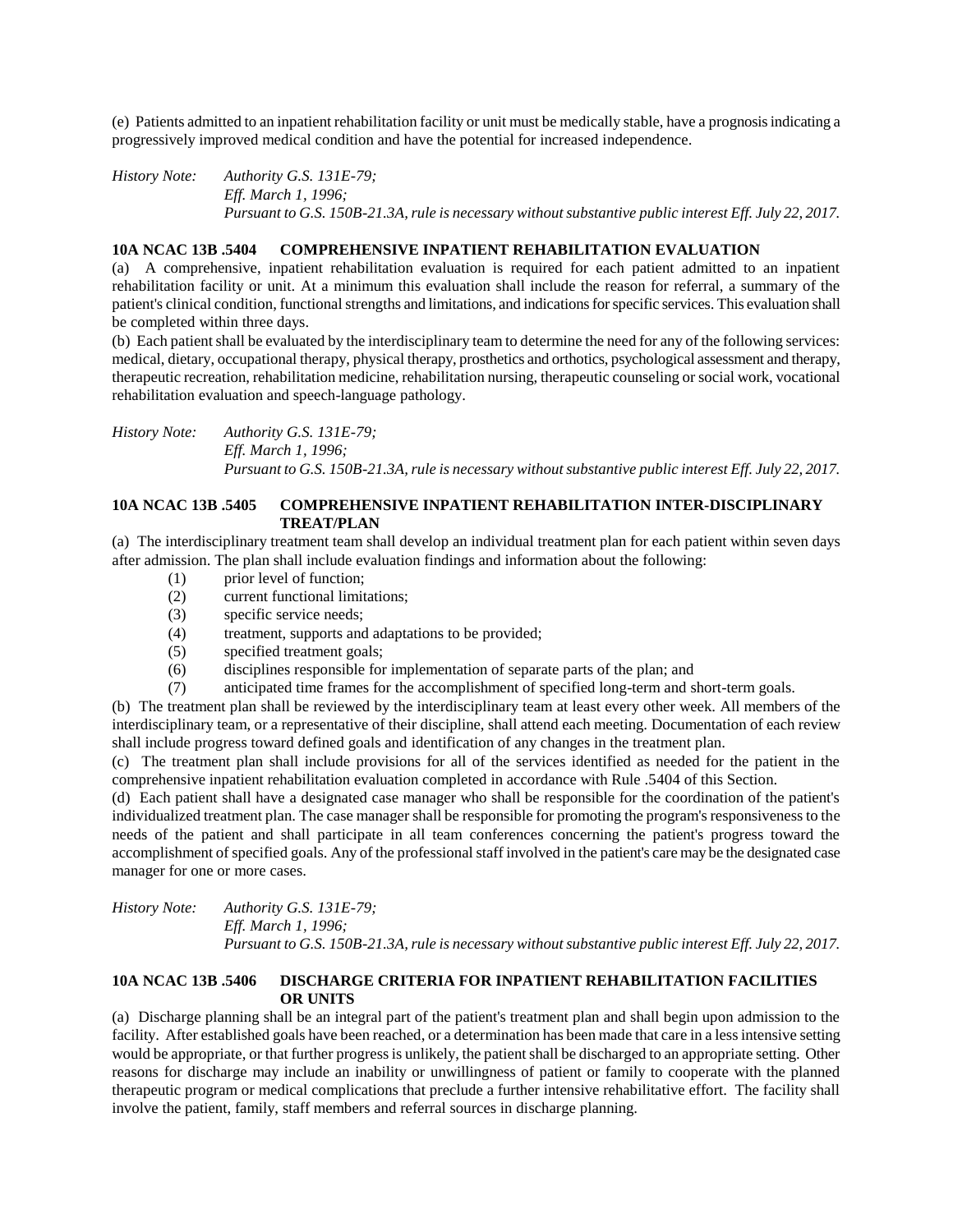(e) Patients admitted to an inpatient rehabilitation facility or unit must be medically stable, have a prognosis indicating a progressively improved medical condition and have the potential for increased independence.

*History Note: Authority G.S. 131E-79; Eff. March 1, 1996; Pursuant to G.S. 150B-21.3A, rule is necessary without substantive public interest Eff. July 22, 2017.*

### **10A NCAC 13B .5404 COMPREHENSIVE INPATIENT REHABILITATION EVALUATION**

(a) A comprehensive, inpatient rehabilitation evaluation is required for each patient admitted to an inpatient rehabilitation facility or unit. At a minimum this evaluation shall include the reason for referral, a summary of the patient's clinical condition, functional strengths and limitations, and indications for specific services. This evaluation shall be completed within three days.

(b) Each patient shall be evaluated by the interdisciplinary team to determine the need for any of the following services: medical, dietary, occupational therapy, physical therapy, prosthetics and orthotics, psychological assessment and therapy, therapeutic recreation, rehabilitation medicine, rehabilitation nursing, therapeutic counseling or social work, vocational rehabilitation evaluation and speech-language pathology.

*History Note: Authority G.S. 131E-79; Eff. March 1, 1996; Pursuant to G.S. 150B-21.3A, rule is necessary without substantive public interest Eff. July 22, 2017.*

#### **10A NCAC 13B .5405 COMPREHENSIVE INPATIENT REHABILITATION INTER-DISCIPLINARY TREAT/PLAN**

(a) The interdisciplinary treatment team shall develop an individual treatment plan for each patient within seven days after admission. The plan shall include evaluation findings and information about the following:

- (1) prior level of function;
- (2) current functional limitations;
- (3) specific service needs;
- (4) treatment, supports and adaptations to be provided;
- (5) specified treatment goals;
- (6) disciplines responsible for implementation of separate parts of the plan; and
- (7) anticipated time frames for the accomplishment of specified long-term and short-term goals.

(b) The treatment plan shall be reviewed by the interdisciplinary team at least every other week. All members of the interdisciplinary team, or a representative of their discipline, shall attend each meeting. Documentation of each review shall include progress toward defined goals and identification of any changes in the treatment plan.

(c) The treatment plan shall include provisions for all of the services identified as needed for the patient in the comprehensive inpatient rehabilitation evaluation completed in accordance with Rule .5404 of this Section.

(d) Each patient shall have a designated case manager who shall be responsible for the coordination of the patient's individualized treatment plan. The case manager shall be responsible for promoting the program's responsiveness to the needs of the patient and shall participate in all team conferences concerning the patient's progress toward the accomplishment of specified goals. Any of the professional staff involved in the patient's care may be the designated case manager for one or more cases.

*History Note: Authority G.S. 131E-79; Eff. March 1, 1996; Pursuant to G.S. 150B-21.3A, rule is necessary without substantive public interest Eff. July 22, 2017.*

## **10A NCAC 13B .5406 DISCHARGE CRITERIA FOR INPATIENT REHABILITATION FACILITIES OR UNITS**

(a) Discharge planning shall be an integral part of the patient's treatment plan and shall begin upon admission to the facility. After established goals have been reached, or a determination has been made that care in a less intensive setting would be appropriate, or that further progress is unlikely, the patient shall be discharged to an appropriate setting. Other reasons for discharge may include an inability or unwillingness of patient or family to cooperate with the planned therapeutic program or medical complications that preclude a further intensive rehabilitative effort. The facility shall involve the patient, family, staff members and referral sources in discharge planning.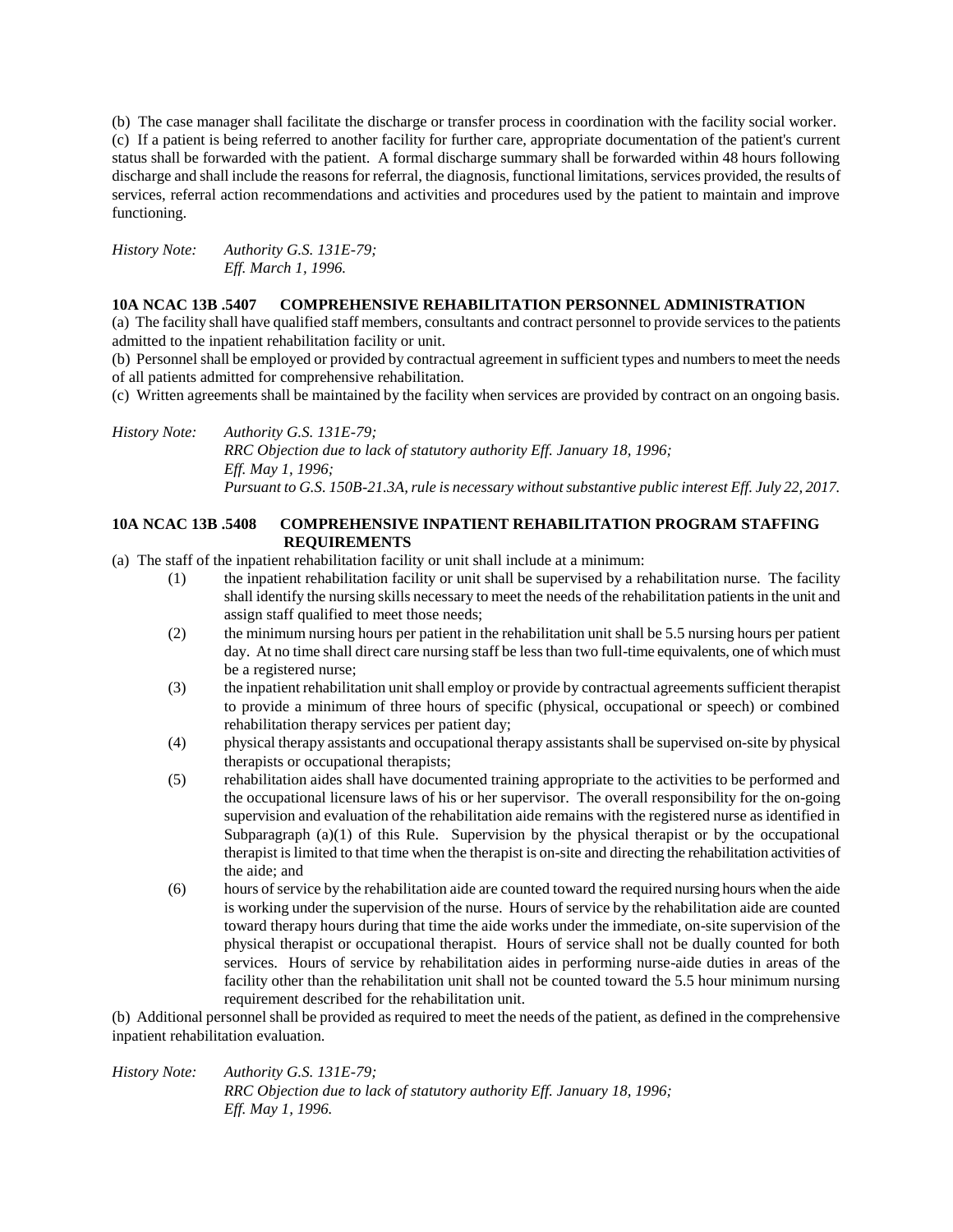(b) The case manager shall facilitate the discharge or transfer process in coordination with the facility social worker. (c) If a patient is being referred to another facility for further care, appropriate documentation of the patient's current status shall be forwarded with the patient. A formal discharge summary shall be forwarded within 48 hours following discharge and shall include the reasons for referral, the diagnosis, functional limitations, services provided, the results of services, referral action recommendations and activities and procedures used by the patient to maintain and improve functioning.

*History Note: Authority G.S. 131E-79; Eff. March 1, 1996.*

#### **10A NCAC 13B .5407 COMPREHENSIVE REHABILITATION PERSONNEL ADMINISTRATION**

(a) The facility shall have qualified staff members, consultants and contract personnel to provide services to the patients admitted to the inpatient rehabilitation facility or unit.

(b) Personnel shall be employed or provided by contractual agreement in sufficient types and numbers to meet the needs of all patients admitted for comprehensive rehabilitation.

(c) Written agreements shall be maintained by the facility when services are provided by contract on an ongoing basis.

*History Note: Authority G.S. 131E-79; RRC Objection due to lack of statutory authority Eff. January 18, 1996; Eff. May 1, 1996; Pursuant to G.S. 150B-21.3A, rule is necessary without substantive public interest Eff. July 22, 2017.*

### **10A NCAC 13B .5408 COMPREHENSIVE INPATIENT REHABILITATION PROGRAM STAFFING REQUIREMENTS**

(a) The staff of the inpatient rehabilitation facility or unit shall include at a minimum:

- (1) the inpatient rehabilitation facility or unit shall be supervised by a rehabilitation nurse. The facility shall identify the nursing skills necessary to meet the needs of the rehabilitation patients in the unit and assign staff qualified to meet those needs;
- (2) the minimum nursing hours per patient in the rehabilitation unit shall be 5.5 nursing hours per patient day. At no time shall direct care nursing staff be less than two full-time equivalents, one of which must be a registered nurse;
- (3) the inpatient rehabilitation unit shall employ or provide by contractual agreements sufficient therapist to provide a minimum of three hours of specific (physical, occupational or speech) or combined rehabilitation therapy services per patient day;
- (4) physical therapy assistants and occupational therapy assistants shall be supervised on-site by physical therapists or occupational therapists;
- (5) rehabilitation aides shall have documented training appropriate to the activities to be performed and the occupational licensure laws of his or her supervisor. The overall responsibility for the on-going supervision and evaluation of the rehabilitation aide remains with the registered nurse as identified in Subparagraph  $(a)(1)$  of this Rule. Supervision by the physical therapist or by the occupational therapist is limited to that time when the therapist is on-site and directing the rehabilitation activities of the aide; and
- (6) hours of service by the rehabilitation aide are counted toward the required nursing hours when the aide is working under the supervision of the nurse. Hours of service by the rehabilitation aide are counted toward therapy hours during that time the aide works under the immediate, on-site supervision of the physical therapist or occupational therapist. Hours of service shall not be dually counted for both services. Hours of service by rehabilitation aides in performing nurse-aide duties in areas of the facility other than the rehabilitation unit shall not be counted toward the 5.5 hour minimum nursing requirement described for the rehabilitation unit.

(b) Additional personnel shall be provided as required to meet the needs of the patient, as defined in the comprehensive inpatient rehabilitation evaluation.

*History Note: Authority G.S. 131E-79; RRC Objection due to lack of statutory authority Eff. January 18, 1996; Eff. May 1, 1996.*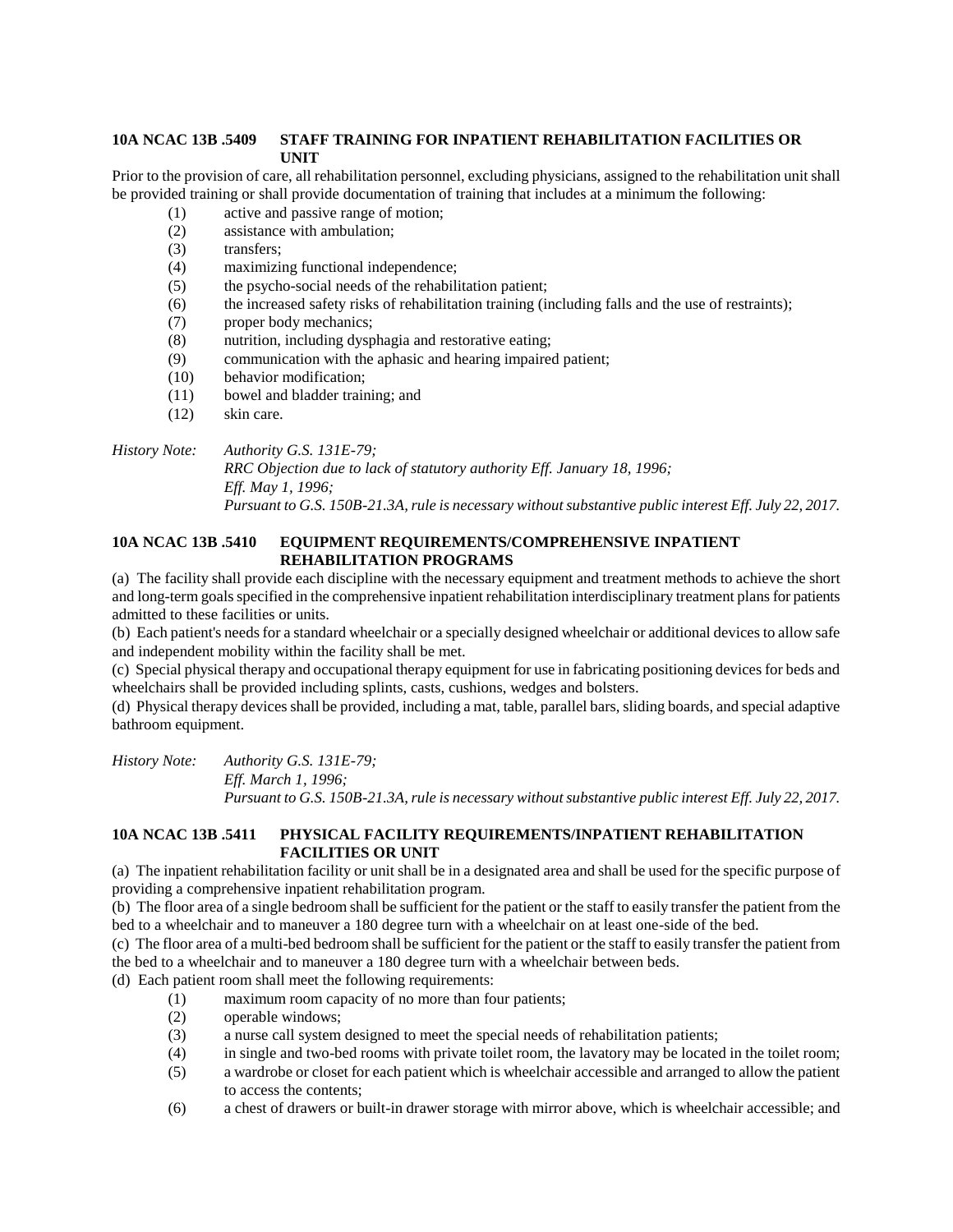## **10A NCAC 13B .5409 STAFF TRAINING FOR INPATIENT REHABILITATION FACILITIES OR UNIT**

Prior to the provision of care, all rehabilitation personnel, excluding physicians, assigned to the rehabilitation unit shall be provided training or shall provide documentation of training that includes at a minimum the following:

- (1) active and passive range of motion;
- (2) assistance with ambulation;
- (3) transfers;
- (4) maximizing functional independence;
- (5) the psycho-social needs of the rehabilitation patient;
- (6) the increased safety risks of rehabilitation training (including falls and the use of restraints);
- (7) proper body mechanics;
- (8) nutrition, including dysphagia and restorative eating;
- (9) communication with the aphasic and hearing impaired patient;
- (10) behavior modification;
- (11) bowel and bladder training; and
- (12) skin care.

*History Note: Authority G.S. 131E-79;*

*RRC Objection due to lack of statutory authority Eff. January 18, 1996; Eff. May 1, 1996; Pursuant to G.S. 150B-21.3A, rule is necessary without substantive public interest Eff. July 22, 2017.*

## **10A NCAC 13B .5410 EQUIPMENT REQUIREMENTS/COMPREHENSIVE INPATIENT REHABILITATION PROGRAMS**

(a) The facility shall provide each discipline with the necessary equipment and treatment methods to achieve the short and long-term goals specified in the comprehensive inpatient rehabilitation interdisciplinary treatment plans for patients admitted to these facilities or units.

(b) Each patient's needs for a standard wheelchair or a specially designed wheelchair or additional devices to allow safe and independent mobility within the facility shall be met.

(c) Special physical therapy and occupational therapy equipment for use in fabricating positioning devices for beds and wheelchairs shall be provided including splints, casts, cushions, wedges and bolsters.

(d) Physical therapy devices shall be provided, including a mat, table, parallel bars, sliding boards, and special adaptive bathroom equipment.

*History Note: Authority G.S. 131E-79; Eff. March 1, 1996; Pursuant to G.S. 150B-21.3A, rule is necessary without substantive public interest Eff. July 22, 2017.*

## **10A NCAC 13B .5411 PHYSICAL FACILITY REQUIREMENTS/INPATIENT REHABILITATION FACILITIES OR UNIT**

(a) The inpatient rehabilitation facility or unit shall be in a designated area and shall be used for the specific purpose of providing a comprehensive inpatient rehabilitation program.

(b) The floor area of a single bedroom shall be sufficient for the patient or the staff to easily transfer the patient from the bed to a wheelchair and to maneuver a 180 degree turn with a wheelchair on at least one-side of the bed.

(c) The floor area of a multi-bed bedroom shall be sufficient for the patient or the staff to easily transfer the patient from the bed to a wheelchair and to maneuver a 180 degree turn with a wheelchair between beds.

(d) Each patient room shall meet the following requirements:

- (1) maximum room capacity of no more than four patients;
- (2) operable windows;
- (3) a nurse call system designed to meet the special needs of rehabilitation patients;
- (4) in single and two-bed rooms with private toilet room, the lavatory may be located in the toilet room;
- (5) a wardrobe or closet for each patient which is wheelchair accessible and arranged to allow the patient to access the contents;
- (6) a chest of drawers or built-in drawer storage with mirror above, which is wheelchair accessible; and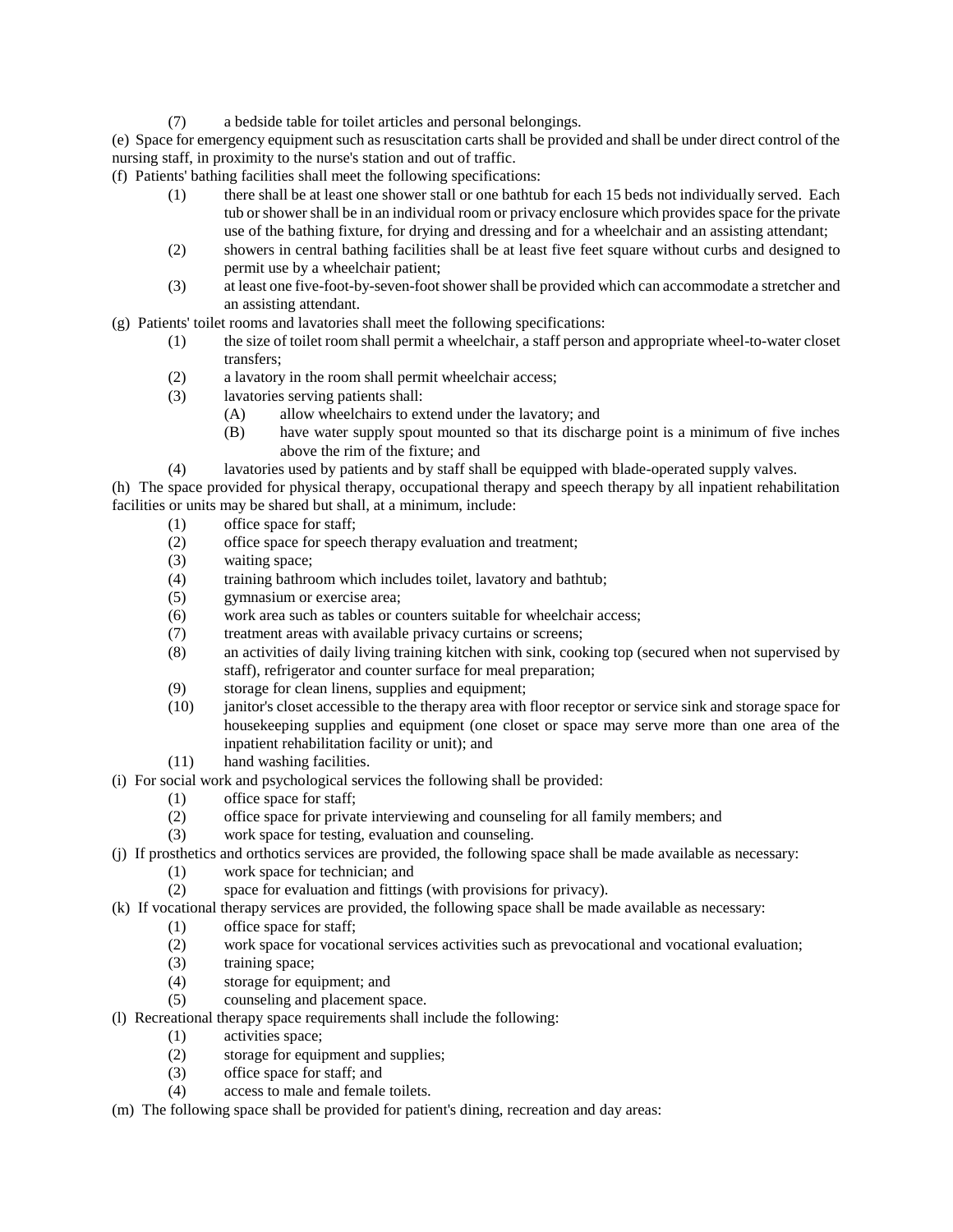(7) a bedside table for toilet articles and personal belongings.

(e) Space for emergency equipment such as resuscitation carts shall be provided and shall be under direct control of the nursing staff, in proximity to the nurse's station and out of traffic.

(f) Patients' bathing facilities shall meet the following specifications:

- (1) there shall be at least one shower stall or one bathtub for each 15 beds not individually served. Each tub or shower shall be in an individual room or privacy enclosure which provides space for the private use of the bathing fixture, for drying and dressing and for a wheelchair and an assisting attendant;
- (2) showers in central bathing facilities shall be at least five feet square without curbs and designed to permit use by a wheelchair patient;
- (3) at least one five-foot-by-seven-foot shower shall be provided which can accommodate a stretcher and an assisting attendant.

(g) Patients' toilet rooms and lavatories shall meet the following specifications:

- (1) the size of toilet room shall permit a wheelchair, a staff person and appropriate wheel-to-water closet transfers;
- (2) a lavatory in the room shall permit wheelchair access;
- (3) lavatories serving patients shall:
	- (A) allow wheelchairs to extend under the lavatory; and
	- (B) have water supply spout mounted so that its discharge point is a minimum of five inches above the rim of the fixture; and
- (4) lavatories used by patients and by staff shall be equipped with blade-operated supply valves.

(h) The space provided for physical therapy, occupational therapy and speech therapy by all inpatient rehabilitation facilities or units may be shared but shall, at a minimum, include:

- (1) office space for staff;
- (2) office space for speech therapy evaluation and treatment;
- (3) waiting space;
- (4) training bathroom which includes toilet, lavatory and bathtub;
- (5) gymnasium or exercise area;
- (6) work area such as tables or counters suitable for wheelchair access;
- (7) treatment areas with available privacy curtains or screens;
- (8) an activities of daily living training kitchen with sink, cooking top (secured when not supervised by staff), refrigerator and counter surface for meal preparation;
- (9) storage for clean linens, supplies and equipment;
- (10) janitor's closet accessible to the therapy area with floor receptor or service sink and storage space for housekeeping supplies and equipment (one closet or space may serve more than one area of the inpatient rehabilitation facility or unit); and
- (11) hand washing facilities.
- (i) For social work and psychological services the following shall be provided:
	- (1) office space for staff;
	- (2) office space for private interviewing and counseling for all family members; and
	- (3) work space for testing, evaluation and counseling.
- (j) If prosthetics and orthotics services are provided, the following space shall be made available as necessary:
	- (1) work space for technician; and
	- (2) space for evaluation and fittings (with provisions for privacy).
- (k) If vocational therapy services are provided, the following space shall be made available as necessary:
	- (1) office space for staff;
	- (2) work space for vocational services activities such as prevocational and vocational evaluation;
	- (3) training space;
	- (4) storage for equipment; and
	- (5) counseling and placement space.
- (l) Recreational therapy space requirements shall include the following:
	- (1) activities space;
	- (2) storage for equipment and supplies;
	- (3) office space for staff; and
	- (4) access to male and female toilets.
- (m) The following space shall be provided for patient's dining, recreation and day areas: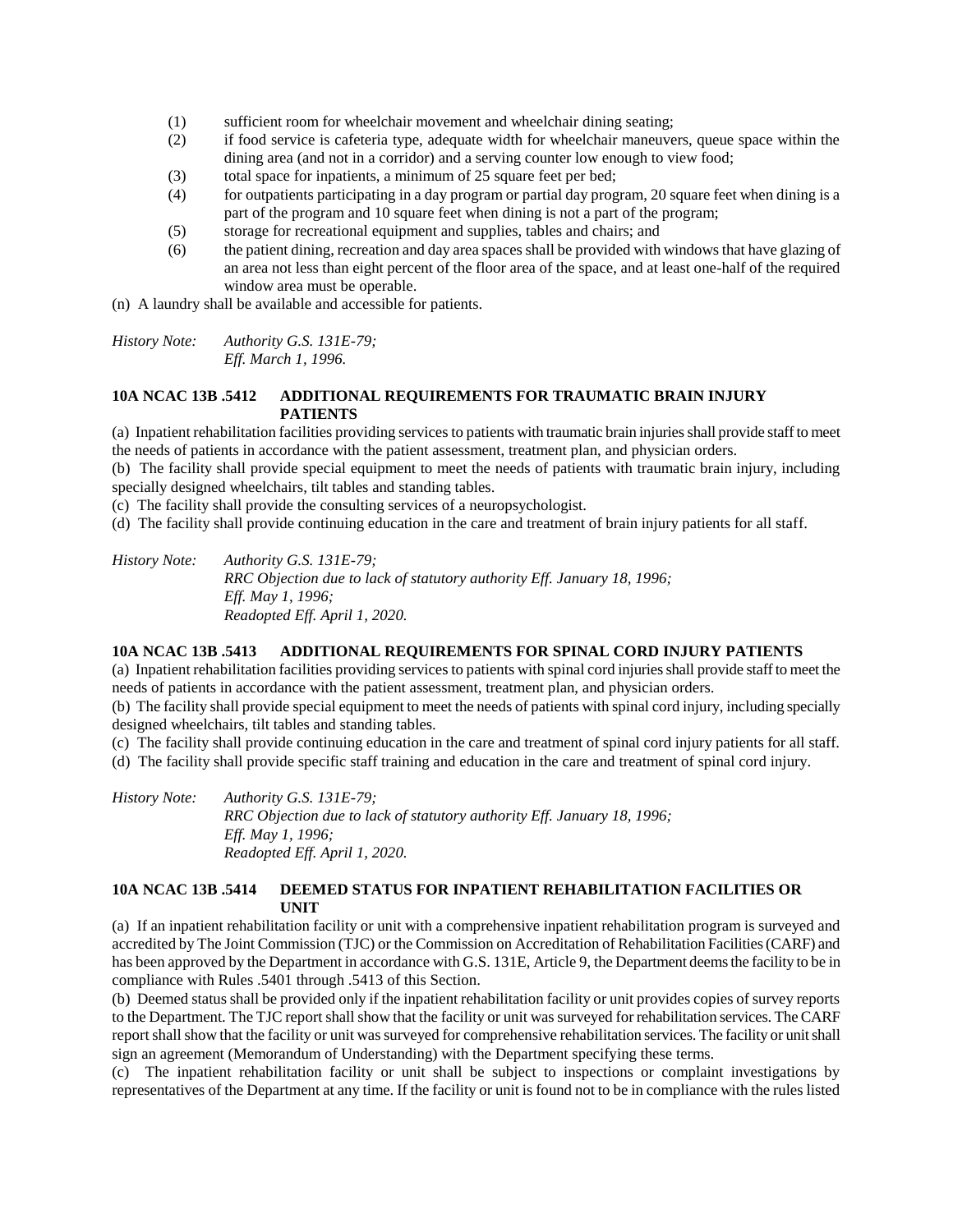- (1) sufficient room for wheelchair movement and wheelchair dining seating;
- (2) if food service is cafeteria type, adequate width for wheelchair maneuvers, queue space within the dining area (and not in a corridor) and a serving counter low enough to view food;
- (3) total space for inpatients, a minimum of 25 square feet per bed;
- (4) for outpatients participating in a day program or partial day program, 20 square feet when dining is a part of the program and 10 square feet when dining is not a part of the program;
- (5) storage for recreational equipment and supplies, tables and chairs; and
- (6) the patient dining, recreation and day area spaces shall be provided with windows that have glazing of an area not less than eight percent of the floor area of the space, and at least one-half of the required window area must be operable.

(n) A laundry shall be available and accessible for patients.

*History Note: Authority G.S. 131E-79; Eff. March 1, 1996.*

#### **10A NCAC 13B .5412 ADDITIONAL REQUIREMENTS FOR TRAUMATIC BRAIN INJURY PATIENTS**

(a) Inpatient rehabilitation facilities providing services to patients with traumatic brain injuries shall provide staff to meet the needs of patients in accordance with the patient assessment, treatment plan, and physician orders.

(b) The facility shall provide special equipment to meet the needs of patients with traumatic brain injury, including specially designed wheelchairs, tilt tables and standing tables.

(c) The facility shall provide the consulting services of a neuropsychologist.

(d) The facility shall provide continuing education in the care and treatment of brain injury patients for all staff.

*History Note: Authority G.S. 131E-79; RRC Objection due to lack of statutory authority Eff. January 18, 1996; Eff. May 1, 1996; Readopted Eff. April 1, 2020.*

#### **10A NCAC 13B .5413 ADDITIONAL REQUIREMENTS FOR SPINAL CORD INJURY PATIENTS**

(a) Inpatient rehabilitation facilities providing services to patients with spinal cord injuries shall provide staff to meet the needs of patients in accordance with the patient assessment, treatment plan, and physician orders.

(b) The facility shall provide special equipment to meet the needs of patients with spinal cord injury, including specially designed wheelchairs, tilt tables and standing tables.

(c) The facility shall provide continuing education in the care and treatment of spinal cord injury patients for all staff.

(d) The facility shall provide specific staff training and education in the care and treatment of spinal cord injury.

*History Note: Authority G.S. 131E-79; RRC Objection due to lack of statutory authority Eff. January 18, 1996; Eff. May 1, 1996; Readopted Eff. April 1, 2020.*

### **10A NCAC 13B .5414 DEEMED STATUS FOR INPATIENT REHABILITATION FACILITIES OR UNIT**

(a) If an inpatient rehabilitation facility or unit with a comprehensive inpatient rehabilitation program is surveyed and accredited by The Joint Commission (TJC) or the Commission on Accreditation of Rehabilitation Facilities (CARF) and has been approved by the Department in accordance with G.S. 131E, Article 9, the Department deems the facility to be in compliance with Rules .5401 through .5413 of this Section.

(b) Deemed status shall be provided only if the inpatient rehabilitation facility or unit provides copies of survey reports to the Department. The TJC report shall show that the facility or unit was surveyed for rehabilitation services. The CARF report shall show that the facility or unit was surveyed for comprehensive rehabilitation services. The facility or unit shall sign an agreement (Memorandum of Understanding) with the Department specifying these terms.

(c) The inpatient rehabilitation facility or unit shall be subject to inspections or complaint investigations by representatives of the Department at any time. If the facility or unit is found not to be in compliance with the rules listed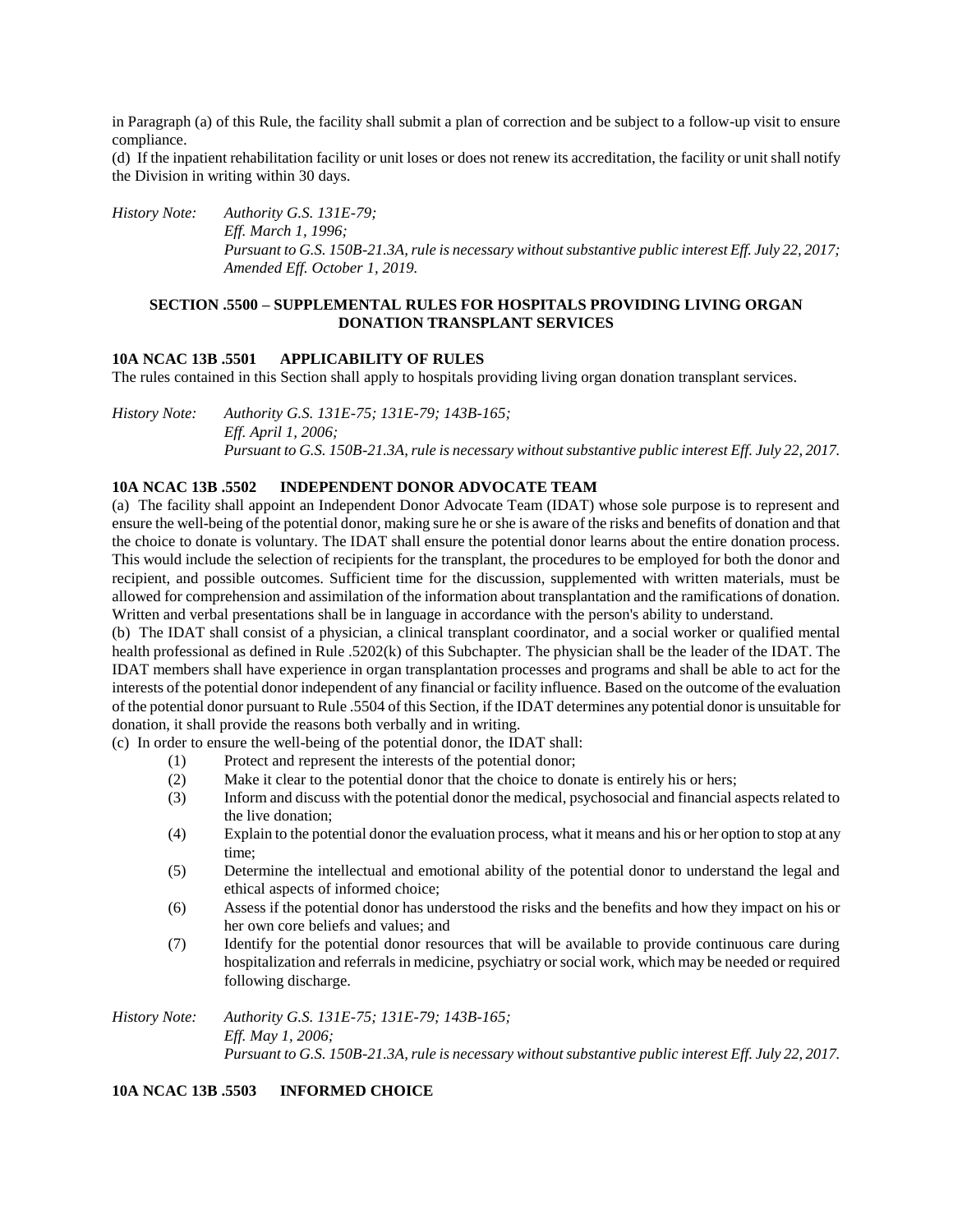in Paragraph (a) of this Rule, the facility shall submit a plan of correction and be subject to a follow-up visit to ensure compliance.

(d) If the inpatient rehabilitation facility or unit loses or does not renew its accreditation, the facility or unit shall notify the Division in writing within 30 days.

*History Note: Authority G.S. 131E-79;*

*Eff. March 1, 1996; Pursuant to G.S. 150B-21.3A, rule is necessary without substantive public interest Eff. July 22, 2017; Amended Eff. October 1, 2019.*

#### **SECTION .5500 – SUPPLEMENTAL RULES FOR HOSPITALS PROVIDING LIVING ORGAN DONATION TRANSPLANT SERVICES**

#### **10A NCAC 13B .5501 APPLICABILITY OF RULES**

The rules contained in this Section shall apply to hospitals providing living organ donation transplant services.

*History Note: Authority G.S. 131E-75; 131E-79; 143B-165; Eff. April 1, 2006; Pursuant to G.S. 150B-21.3A, rule is necessary without substantive public interest Eff. July 22, 2017.*

#### **10A NCAC 13B .5502 INDEPENDENT DONOR ADVOCATE TEAM**

(a) The facility shall appoint an Independent Donor Advocate Team (IDAT) whose sole purpose is to represent and ensure the well-being of the potential donor, making sure he or she is aware of the risks and benefits of donation and that the choice to donate is voluntary. The IDAT shall ensure the potential donor learns about the entire donation process. This would include the selection of recipients for the transplant, the procedures to be employed for both the donor and recipient, and possible outcomes. Sufficient time for the discussion, supplemented with written materials, must be allowed for comprehension and assimilation of the information about transplantation and the ramifications of donation. Written and verbal presentations shall be in language in accordance with the person's ability to understand.

(b) The IDAT shall consist of a physician, a clinical transplant coordinator, and a social worker or qualified mental health professional as defined in Rule .5202(k) of this Subchapter. The physician shall be the leader of the IDAT. The IDAT members shall have experience in organ transplantation processes and programs and shall be able to act for the interests of the potential donor independent of any financial or facility influence. Based on the outcome of the evaluation of the potential donor pursuant to Rule .5504 of this Section, if the IDAT determines any potential donor is unsuitable for donation, it shall provide the reasons both verbally and in writing.

(c) In order to ensure the well-being of the potential donor, the IDAT shall:

- (1) Protect and represent the interests of the potential donor;
- (2) Make it clear to the potential donor that the choice to donate is entirely his or hers;
- (3) Inform and discuss with the potential donor the medical, psychosocial and financial aspects related to the live donation;
- (4) Explain to the potential donor the evaluation process, what it means and his or her option to stop at any time;
- (5) Determine the intellectual and emotional ability of the potential donor to understand the legal and ethical aspects of informed choice;
- (6) Assess if the potential donor has understood the risks and the benefits and how they impact on his or her own core beliefs and values; and
- (7) Identify for the potential donor resources that will be available to provide continuous care during hospitalization and referrals in medicine, psychiatry or social work, which may be needed or required following discharge.

*History Note: Authority G.S. 131E-75; 131E-79; 143B-165; Eff. May 1, 2006; Pursuant to G.S. 150B-21.3A, rule is necessary without substantive public interest Eff. July 22, 2017.*

## **10A NCAC 13B .5503 INFORMED CHOICE**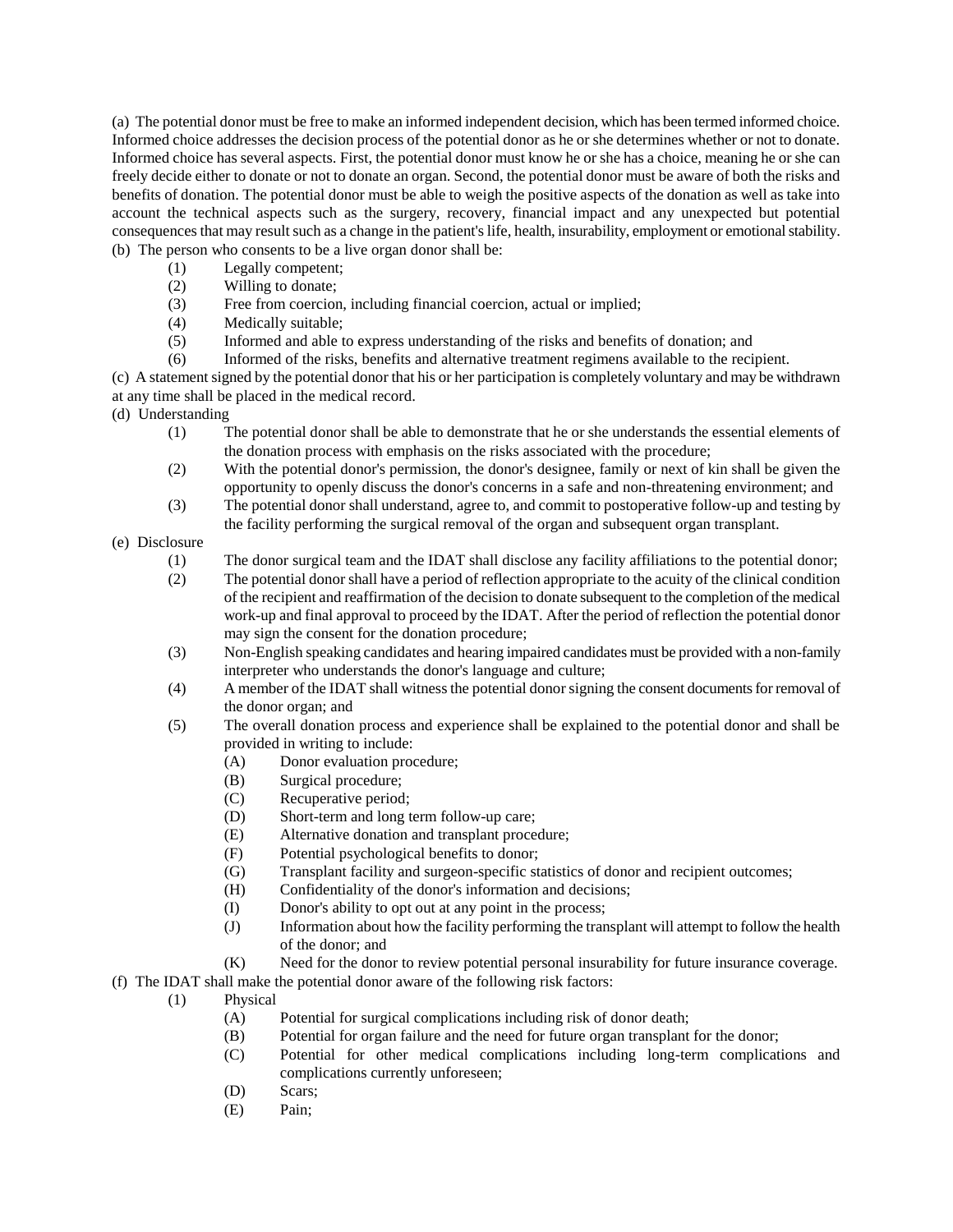(a) The potential donor must be free to make an informed independent decision, which has been termed informed choice. Informed choice addresses the decision process of the potential donor as he or she determines whether or not to donate. Informed choice has several aspects. First, the potential donor must know he or she has a choice, meaning he or she can freely decide either to donate or not to donate an organ. Second, the potential donor must be aware of both the risks and benefits of donation. The potential donor must be able to weigh the positive aspects of the donation as well as take into account the technical aspects such as the surgery, recovery, financial impact and any unexpected but potential consequences that may result such as a change in the patient's life, health, insurability, employment or emotional stability. (b) The person who consents to be a live organ donor shall be:

- (1) Legally competent;
- (2) Willing to donate;
- (3) Free from coercion, including financial coercion, actual or implied;
- (4) Medically suitable;
- (5) Informed and able to express understanding of the risks and benefits of donation; and
- (6) Informed of the risks, benefits and alternative treatment regimens available to the recipient.

(c) A statement signed by the potential donor that his or her participation is completely voluntary and may be withdrawn at any time shall be placed in the medical record.

(d) Understanding

- (1) The potential donor shall be able to demonstrate that he or she understands the essential elements of the donation process with emphasis on the risks associated with the procedure;
- (2) With the potential donor's permission, the donor's designee, family or next of kin shall be given the opportunity to openly discuss the donor's concerns in a safe and non-threatening environment; and
- (3) The potential donor shall understand, agree to, and commit to postoperative follow-up and testing by the facility performing the surgical removal of the organ and subsequent organ transplant.
- (e) Disclosure
	- (1) The donor surgical team and the IDAT shall disclose any facility affiliations to the potential donor;
	- (2) The potential donor shall have a period of reflection appropriate to the acuity of the clinical condition of the recipient and reaffirmation of the decision to donate subsequent to the completion of the medical work-up and final approval to proceed by the IDAT. After the period of reflection the potential donor may sign the consent for the donation procedure;
	- (3) Non-English speaking candidates and hearing impaired candidates must be provided with a non-family interpreter who understands the donor's language and culture;
	- (4) A member of the IDAT shall witness the potential donor signing the consent documents for removal of the donor organ; and
	- (5) The overall donation process and experience shall be explained to the potential donor and shall be provided in writing to include:
		- (A) Donor evaluation procedure;
		- (B) Surgical procedure;
		- (C) Recuperative period;
		- (D) Short-term and long term follow-up care;
		- (E) Alternative donation and transplant procedure;
		- (F) Potential psychological benefits to donor;
		- (G) Transplant facility and surgeon-specific statistics of donor and recipient outcomes;
		- (H) Confidentiality of the donor's information and decisions;
		- (I) Donor's ability to opt out at any point in the process;
		- (J) Information about how the facility performing the transplant will attempt to follow the health of the donor; and
		- (K) Need for the donor to review potential personal insurability for future insurance coverage.
- (f) The IDAT shall make the potential donor aware of the following risk factors:
	- (1) Physical
		- (A) Potential for surgical complications including risk of donor death;
		- (B) Potential for organ failure and the need for future organ transplant for the donor;
		- (C) Potential for other medical complications including long-term complications and complications currently unforeseen;
		- (D) Scars;
		- (E) Pain;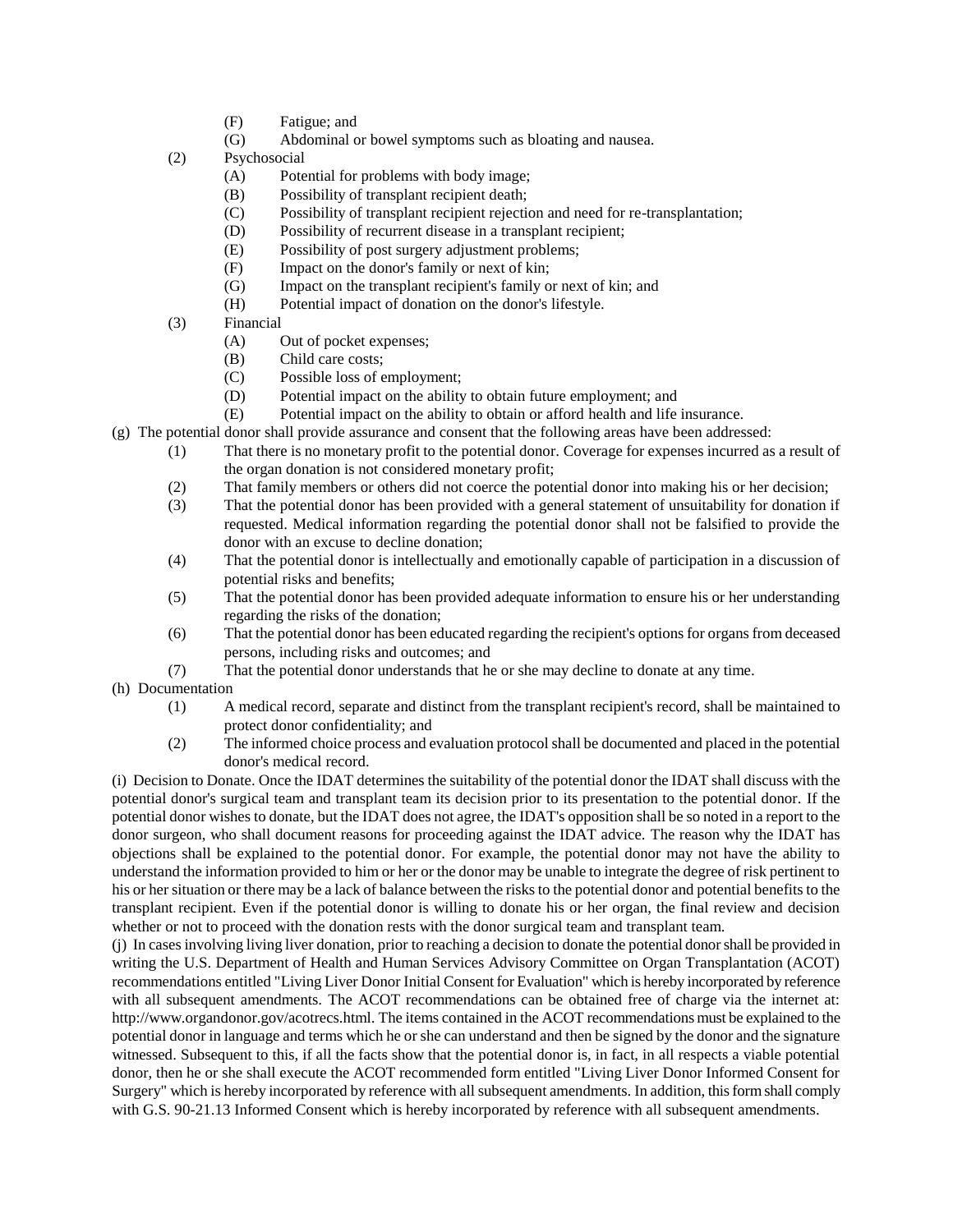- (F) Fatigue; and
- (G) Abdominal or bowel symptoms such as bloating and nausea.
- (2) Psychosocial
	- (A) Potential for problems with body image;
	- (B) Possibility of transplant recipient death;
	- (C) Possibility of transplant recipient rejection and need for re-transplantation;
	- (D) Possibility of recurrent disease in a transplant recipient;
	- (E) Possibility of post surgery adjustment problems;
	- (F) Impact on the donor's family or next of kin;
	- (G) Impact on the transplant recipient's family or next of kin; and
	- (H) Potential impact of donation on the donor's lifestyle.
- (3) Financial
	- (A) Out of pocket expenses;
	- (B) Child care costs;
	- (C) Possible loss of employment;
	- (D) Potential impact on the ability to obtain future employment; and
	- (E) Potential impact on the ability to obtain or afford health and life insurance.
- (g) The potential donor shall provide assurance and consent that the following areas have been addressed:
	- (1) That there is no monetary profit to the potential donor. Coverage for expenses incurred as a result of the organ donation is not considered monetary profit;
	- (2) That family members or others did not coerce the potential donor into making his or her decision;
	- (3) That the potential donor has been provided with a general statement of unsuitability for donation if requested. Medical information regarding the potential donor shall not be falsified to provide the donor with an excuse to decline donation;
	- (4) That the potential donor is intellectually and emotionally capable of participation in a discussion of potential risks and benefits;
	- (5) That the potential donor has been provided adequate information to ensure his or her understanding regarding the risks of the donation;
	- (6) That the potential donor has been educated regarding the recipient's options for organs from deceased persons, including risks and outcomes; and
	- (7) That the potential donor understands that he or she may decline to donate at any time.
- (h) Documentation
	- (1) A medical record, separate and distinct from the transplant recipient's record, shall be maintained to protect donor confidentiality; and
	- (2) The informed choice process and evaluation protocol shall be documented and placed in the potential donor's medical record.

(i) Decision to Donate. Once the IDAT determines the suitability of the potential donor the IDAT shall discuss with the potential donor's surgical team and transplant team its decision prior to its presentation to the potential donor. If the potential donor wishes to donate, but the IDAT does not agree, the IDAT's opposition shall be so noted in a report to the donor surgeon, who shall document reasons for proceeding against the IDAT advice. The reason why the IDAT has objections shall be explained to the potential donor. For example, the potential donor may not have the ability to understand the information provided to him or her or the donor may be unable to integrate the degree of risk pertinent to his or her situation or there may be a lack of balance between the risks to the potential donor and potential benefits to the transplant recipient. Even if the potential donor is willing to donate his or her organ, the final review and decision whether or not to proceed with the donation rests with the donor surgical team and transplant team.

(j) In cases involving living liver donation, prior to reaching a decision to donate the potential donor shall be provided in writing the U.S. Department of Health and Human Services Advisory Committee on Organ Transplantation (ACOT) recommendations entitled "Living Liver Donor Initial Consent for Evaluation" which is hereby incorporated by reference with all subsequent amendments. The ACOT recommendations can be obtained free of charge via the internet at: http://www.organdonor.gov/acotrecs.html. The items contained in the ACOT recommendations must be explained to the potential donor in language and terms which he or she can understand and then be signed by the donor and the signature witnessed. Subsequent to this, if all the facts show that the potential donor is, in fact, in all respects a viable potential donor, then he or she shall execute the ACOT recommended form entitled "Living Liver Donor Informed Consent for Surgery" which is hereby incorporated by reference with all subsequent amendments. In addition, this form shall comply with G.S. 90-21.13 Informed Consent which is hereby incorporated by reference with all subsequent amendments.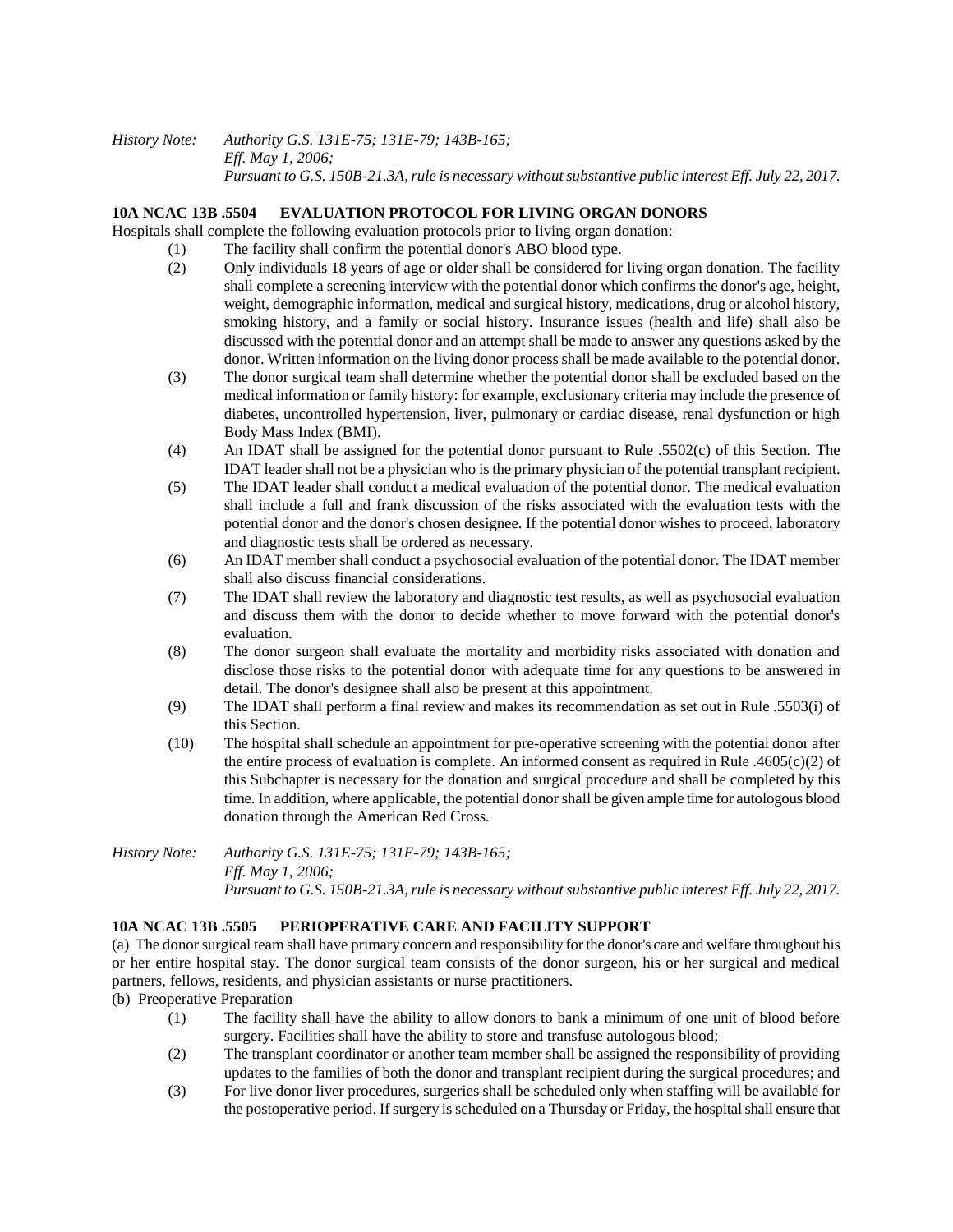#### *History Note: Authority G.S. 131E-75; 131E-79; 143B-165; Eff. May 1, 2006; Pursuant to G.S. 150B-21.3A, rule is necessary without substantive public interest Eff. July 22, 2017.*

### **10A NCAC 13B .5504 EVALUATION PROTOCOL FOR LIVING ORGAN DONORS**

Hospitals shall complete the following evaluation protocols prior to living organ donation:

- (1) The facility shall confirm the potential donor's ABO blood type.
- (2) Only individuals 18 years of age or older shall be considered for living organ donation. The facility shall complete a screening interview with the potential donor which confirms the donor's age, height, weight, demographic information, medical and surgical history, medications, drug or alcohol history, smoking history, and a family or social history. Insurance issues (health and life) shall also be discussed with the potential donor and an attempt shall be made to answer any questions asked by the donor. Written information on the living donor process shall be made available to the potential donor.
- (3) The donor surgical team shall determine whether the potential donor shall be excluded based on the medical information or family history: for example, exclusionary criteria may include the presence of diabetes, uncontrolled hypertension, liver, pulmonary or cardiac disease, renal dysfunction or high Body Mass Index (BMI).
- (4) An IDAT shall be assigned for the potential donor pursuant to Rule .5502(c) of this Section. The IDAT leader shall not be a physician who is the primary physician of the potential transplant recipient.
- (5) The IDAT leader shall conduct a medical evaluation of the potential donor. The medical evaluation shall include a full and frank discussion of the risks associated with the evaluation tests with the potential donor and the donor's chosen designee. If the potential donor wishes to proceed, laboratory and diagnostic tests shall be ordered as necessary.
- (6) An IDAT member shall conduct a psychosocial evaluation of the potential donor. The IDAT member shall also discuss financial considerations.
- (7) The IDAT shall review the laboratory and diagnostic test results, as well as psychosocial evaluation and discuss them with the donor to decide whether to move forward with the potential donor's evaluation.
- (8) The donor surgeon shall evaluate the mortality and morbidity risks associated with donation and disclose those risks to the potential donor with adequate time for any questions to be answered in detail. The donor's designee shall also be present at this appointment.
- (9) The IDAT shall perform a final review and makes its recommendation as set out in Rule .5503(i) of this Section.
- (10) The hospital shall schedule an appointment for pre-operative screening with the potential donor after the entire process of evaluation is complete. An informed consent as required in Rule .4605(c)(2) of this Subchapter is necessary for the donation and surgical procedure and shall be completed by this time. In addition, where applicable, the potential donor shall be given ample time for autologous blood donation through the American Red Cross.

*History Note: Authority G.S. 131E-75; 131E-79; 143B-165; Eff. May 1, 2006; Pursuant to G.S. 150B-21.3A, rule is necessary without substantive public interest Eff. July 22, 2017.*

## **10A NCAC 13B .5505 PERIOPERATIVE CARE AND FACILITY SUPPORT**

(a) The donor surgical team shall have primary concern and responsibility for the donor's care and welfare throughout his or her entire hospital stay. The donor surgical team consists of the donor surgeon, his or her surgical and medical partners, fellows, residents, and physician assistants or nurse practitioners.

(b) Preoperative Preparation

- (1) The facility shall have the ability to allow donors to bank a minimum of one unit of blood before surgery. Facilities shall have the ability to store and transfuse autologous blood;
- (2) The transplant coordinator or another team member shall be assigned the responsibility of providing updates to the families of both the donor and transplant recipient during the surgical procedures; and
- (3) For live donor liver procedures, surgeries shall be scheduled only when staffing will be available for the postoperative period. If surgery is scheduled on a Thursday or Friday, the hospital shall ensure that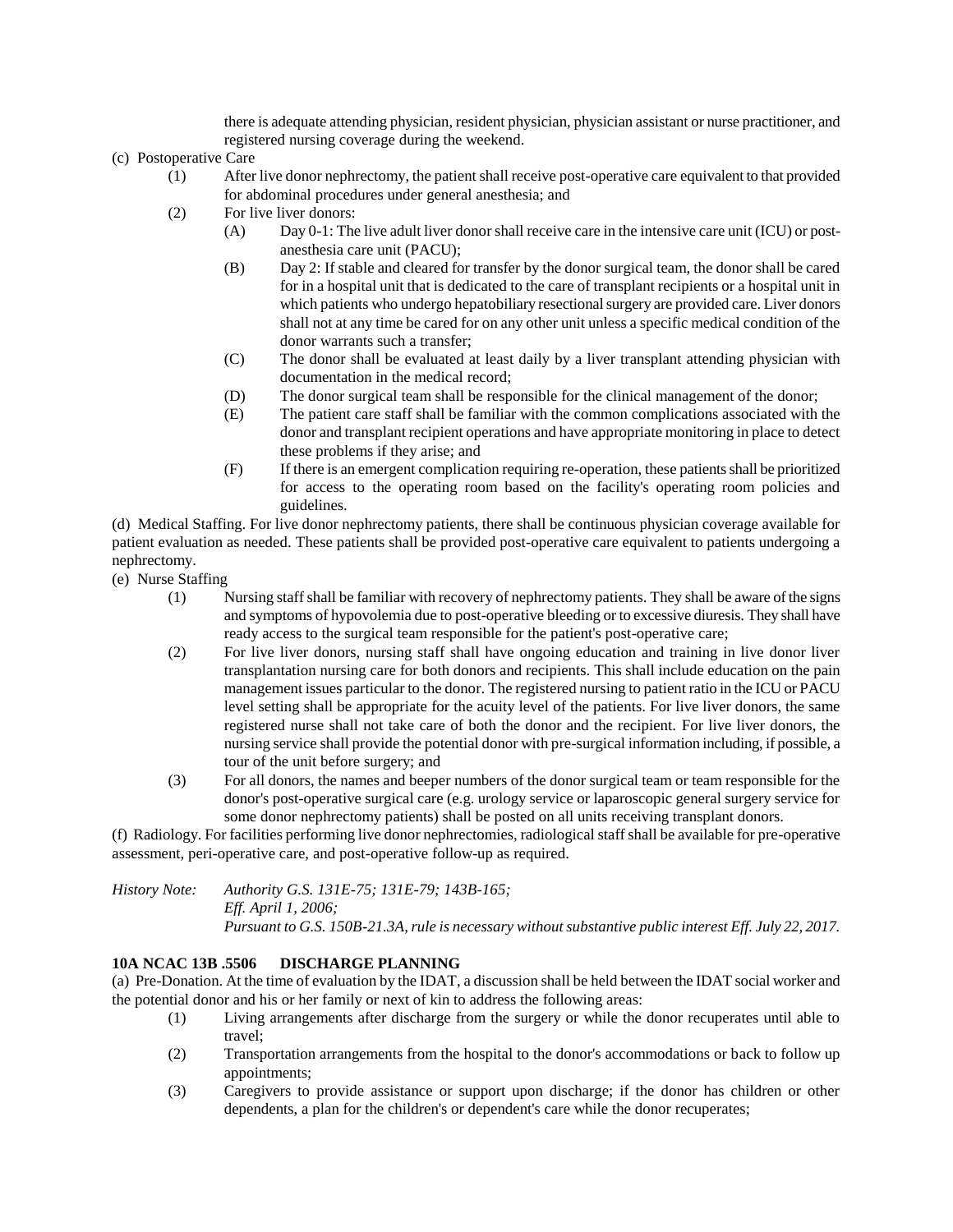there is adequate attending physician, resident physician, physician assistant or nurse practitioner, and registered nursing coverage during the weekend.

- (c) Postoperative Care
	- (1) After live donor nephrectomy, the patient shall receive post-operative care equivalent to that provided for abdominal procedures under general anesthesia; and
	- (2) For live liver donors:
		- (A) Day 0-1: The live adult liver donor shall receive care in the intensive care unit (ICU) or postanesthesia care unit (PACU);
		- (B) Day 2: If stable and cleared for transfer by the donor surgical team, the donor shall be cared for in a hospital unit that is dedicated to the care of transplant recipients or a hospital unit in which patients who undergo hepatobiliary resectional surgery are provided care. Liver donors shall not at any time be cared for on any other unit unless a specific medical condition of the donor warrants such a transfer;
		- (C) The donor shall be evaluated at least daily by a liver transplant attending physician with documentation in the medical record;
		- (D) The donor surgical team shall be responsible for the clinical management of the donor;
		- (E) The patient care staff shall be familiar with the common complications associated with the donor and transplant recipient operations and have appropriate monitoring in place to detect these problems if they arise; and
		- (F) If there is an emergent complication requiring re-operation, these patients shall be prioritized for access to the operating room based on the facility's operating room policies and guidelines.

(d) Medical Staffing. For live donor nephrectomy patients, there shall be continuous physician coverage available for patient evaluation as needed. These patients shall be provided post-operative care equivalent to patients undergoing a nephrectomy.

- (e) Nurse Staffing
	- (1) Nursing staff shall be familiar with recovery of nephrectomy patients. They shall be aware of the signs and symptoms of hypovolemia due to post-operative bleeding or to excessive diuresis. They shall have ready access to the surgical team responsible for the patient's post-operative care;
	- (2) For live liver donors, nursing staff shall have ongoing education and training in live donor liver transplantation nursing care for both donors and recipients. This shall include education on the pain management issues particular to the donor. The registered nursing to patient ratio in the ICU or PACU level setting shall be appropriate for the acuity level of the patients. For live liver donors, the same registered nurse shall not take care of both the donor and the recipient. For live liver donors, the nursing service shall provide the potential donor with pre-surgical information including, if possible, a tour of the unit before surgery; and
	- (3) For all donors, the names and beeper numbers of the donor surgical team or team responsible for the donor's post-operative surgical care (e.g. urology service or laparoscopic general surgery service for some donor nephrectomy patients) shall be posted on all units receiving transplant donors.

(f) Radiology. For facilities performing live donor nephrectomies, radiological staff shall be available for pre-operative assessment, peri-operative care, and post-operative follow-up as required.

*History Note: Authority G.S. 131E-75; 131E-79; 143B-165; Eff. April 1, 2006; Pursuant to G.S. 150B-21.3A, rule is necessary without substantive public interest Eff. July 22, 2017.*

## **10A NCAC 13B .5506 DISCHARGE PLANNING**

(a) Pre-Donation. At the time of evaluation by the IDAT, a discussion shall be held between the IDAT social worker and the potential donor and his or her family or next of kin to address the following areas:

- (1) Living arrangements after discharge from the surgery or while the donor recuperates until able to travel;
- (2) Transportation arrangements from the hospital to the donor's accommodations or back to follow up appointments;
- (3) Caregivers to provide assistance or support upon discharge; if the donor has children or other dependents, a plan for the children's or dependent's care while the donor recuperates;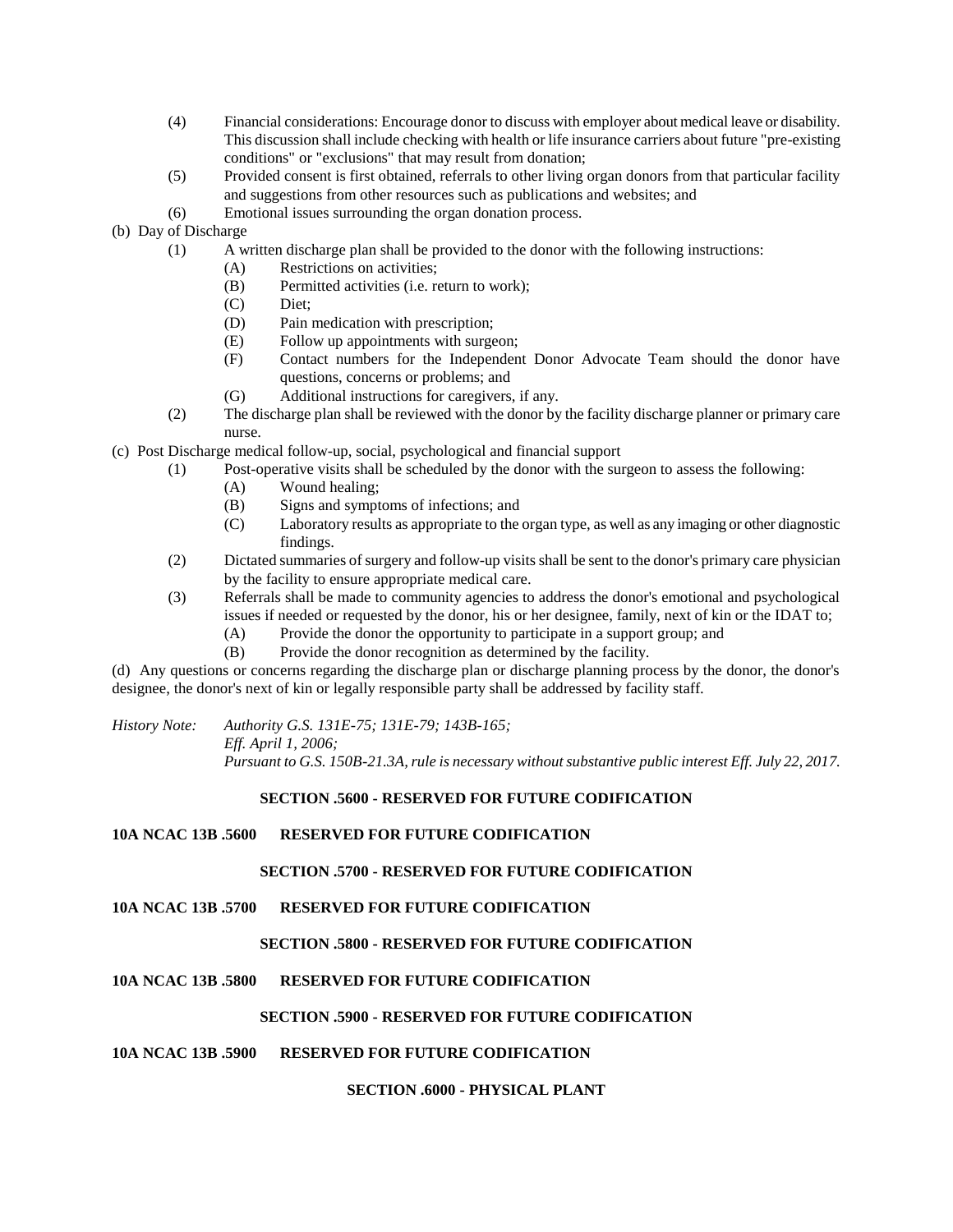- (4) Financial considerations: Encourage donor to discuss with employer about medical leave or disability. This discussion shall include checking with health or life insurance carriers about future "pre-existing conditions" or "exclusions" that may result from donation;
- (5) Provided consent is first obtained, referrals to other living organ donors from that particular facility and suggestions from other resources such as publications and websites; and
- (6) Emotional issues surrounding the organ donation process.
- (b) Day of Discharge
	- (1) A written discharge plan shall be provided to the donor with the following instructions:
		- (A) Restrictions on activities;
		- (B) Permitted activities (i.e. return to work);
		- (C) Diet;
		- (D) Pain medication with prescription;
		- (E) Follow up appointments with surgeon;
		- (F) Contact numbers for the Independent Donor Advocate Team should the donor have questions, concerns or problems; and
		- (G) Additional instructions for caregivers, if any.
	- (2) The discharge plan shall be reviewed with the donor by the facility discharge planner or primary care nurse.
- (c) Post Discharge medical follow-up, social, psychological and financial support
	- (1) Post-operative visits shall be scheduled by the donor with the surgeon to assess the following:
		- (A) Wound healing;
		- (B) Signs and symptoms of infections; and
		- (C) Laboratory results as appropriate to the organ type, as well as any imaging or other diagnostic findings.
	- (2) Dictated summaries of surgery and follow-up visits shall be sent to the donor's primary care physician by the facility to ensure appropriate medical care.
	- (3) Referrals shall be made to community agencies to address the donor's emotional and psychological issues if needed or requested by the donor, his or her designee, family, next of kin or the IDAT to;
		- (A) Provide the donor the opportunity to participate in a support group; and
		- (B) Provide the donor recognition as determined by the facility.

(d) Any questions or concerns regarding the discharge plan or discharge planning process by the donor, the donor's designee, the donor's next of kin or legally responsible party shall be addressed by facility staff.

*History Note: Authority G.S. 131E-75; 131E-79; 143B-165; Eff. April 1, 2006; Pursuant to G.S. 150B-21.3A, rule is necessary without substantive public interest Eff. July 22, 2017.*

## **SECTION .5600 - RESERVED FOR FUTURE CODIFICATION**

## **10A NCAC 13B .5600 RESERVED FOR FUTURE CODIFICATION**

#### **SECTION .5700 - RESERVED FOR FUTURE CODIFICATION**

**10A NCAC 13B .5700 RESERVED FOR FUTURE CODIFICATION**

## **SECTION .5800 - RESERVED FOR FUTURE CODIFICATION**

## **10A NCAC 13B .5800 RESERVED FOR FUTURE CODIFICATION**

## **SECTION .5900 - RESERVED FOR FUTURE CODIFICATION**

## **10A NCAC 13B .5900 RESERVED FOR FUTURE CODIFICATION**

## **SECTION .6000 - PHYSICAL PLANT**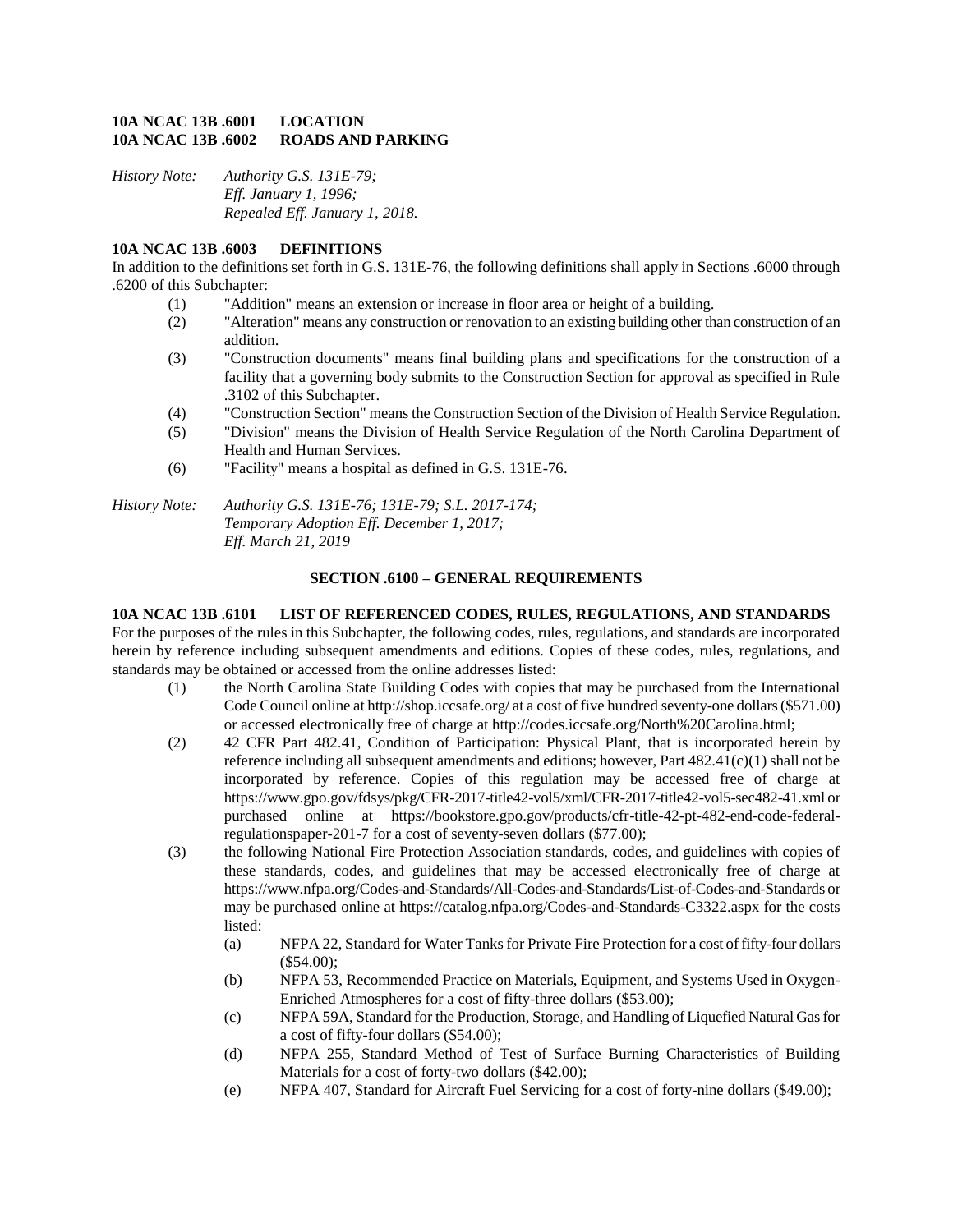#### **10A NCAC 13B .6001 LOCATION 10A NCAC 13B .6002 ROADS AND PARKING**

*History Note: Authority G.S. 131E-79; Eff. January 1, 1996; Repealed Eff. January 1, 2018.*

### **10A NCAC 13B .6003 DEFINITIONS**

In addition to the definitions set forth in G.S. 131E-76, the following definitions shall apply in Sections .6000 through .6200 of this Subchapter:

- (1) "Addition" means an extension or increase in floor area or height of a building.
- (2) "Alteration" means any construction or renovation to an existing building other than construction of an addition.
- (3) "Construction documents" means final building plans and specifications for the construction of a facility that a governing body submits to the Construction Section for approval as specified in Rule .3102 of this Subchapter.
- (4) "Construction Section" means the Construction Section of the Division of Health Service Regulation.
- (5) "Division" means the Division of Health Service Regulation of the North Carolina Department of Health and Human Services.
- (6) "Facility" means a hospital as defined in G.S. 131E-76.

*History Note: Authority G.S. 131E-76; 131E-79; S.L. 2017-174; Temporary Adoption Eff. December 1, 2017; Eff. March 21, 2019*

#### **SECTION .6100 – GENERAL REQUIREMENTS**

#### **10A NCAC 13B .6101 LIST OF REFERENCED CODES, RULES, REGULATIONS, AND STANDARDS**

For the purposes of the rules in this Subchapter, the following codes, rules, regulations, and standards are incorporated herein by reference including subsequent amendments and editions. Copies of these codes, rules, regulations, and standards may be obtained or accessed from the online addresses listed:

- (1) the North Carolina State Building Codes with copies that may be purchased from the International Code Council online at http://shop.iccsafe.org/ at a cost of five hundred seventy-one dollars (\$571.00) or accessed electronically free of charge at http://codes.iccsafe.org/North%20Carolina.html;
- (2) 42 CFR Part 482.41, Condition of Participation: Physical Plant, that is incorporated herein by reference including all subsequent amendments and editions; however, Part 482.41(c)(1) shall not be incorporated by reference. Copies of this regulation may be accessed free of charge at https://www.gpo.gov/fdsys/pkg/CFR-2017-title42-vol5/xml/CFR-2017-title42-vol5-sec482-41.xml or purchased online at https://bookstore.gpo.gov/products/cfr-title-42-pt-482-end-code-federalregulationspaper-201-7 for a cost of seventy-seven dollars (\$77.00);
- (3) the following National Fire Protection Association standards, codes, and guidelines with copies of these standards, codes, and guidelines that may be accessed electronically free of charge at https://www.nfpa.org/Codes-and-Standards/All-Codes-and-Standards/List-of-Codes-and-Standards or may be purchased online at https://catalog.nfpa.org/Codes-and-Standards-C3322.aspx for the costs listed:
	- (a) NFPA 22, Standard for Water Tanks for Private Fire Protection for a cost of fifty-four dollars (\$54.00);
	- (b) NFPA 53, Recommended Practice on Materials, Equipment, and Systems Used in Oxygen-Enriched Atmospheres for a cost of fifty-three dollars (\$53.00);
	- (c) NFPA 59A, Standard for the Production, Storage, and Handling of Liquefied Natural Gas for a cost of fifty-four dollars (\$54.00);
	- (d) NFPA 255, Standard Method of Test of Surface Burning Characteristics of Building Materials for a cost of forty-two dollars (\$42.00);
	- (e) NFPA 407, Standard for Aircraft Fuel Servicing for a cost of forty-nine dollars (\$49.00);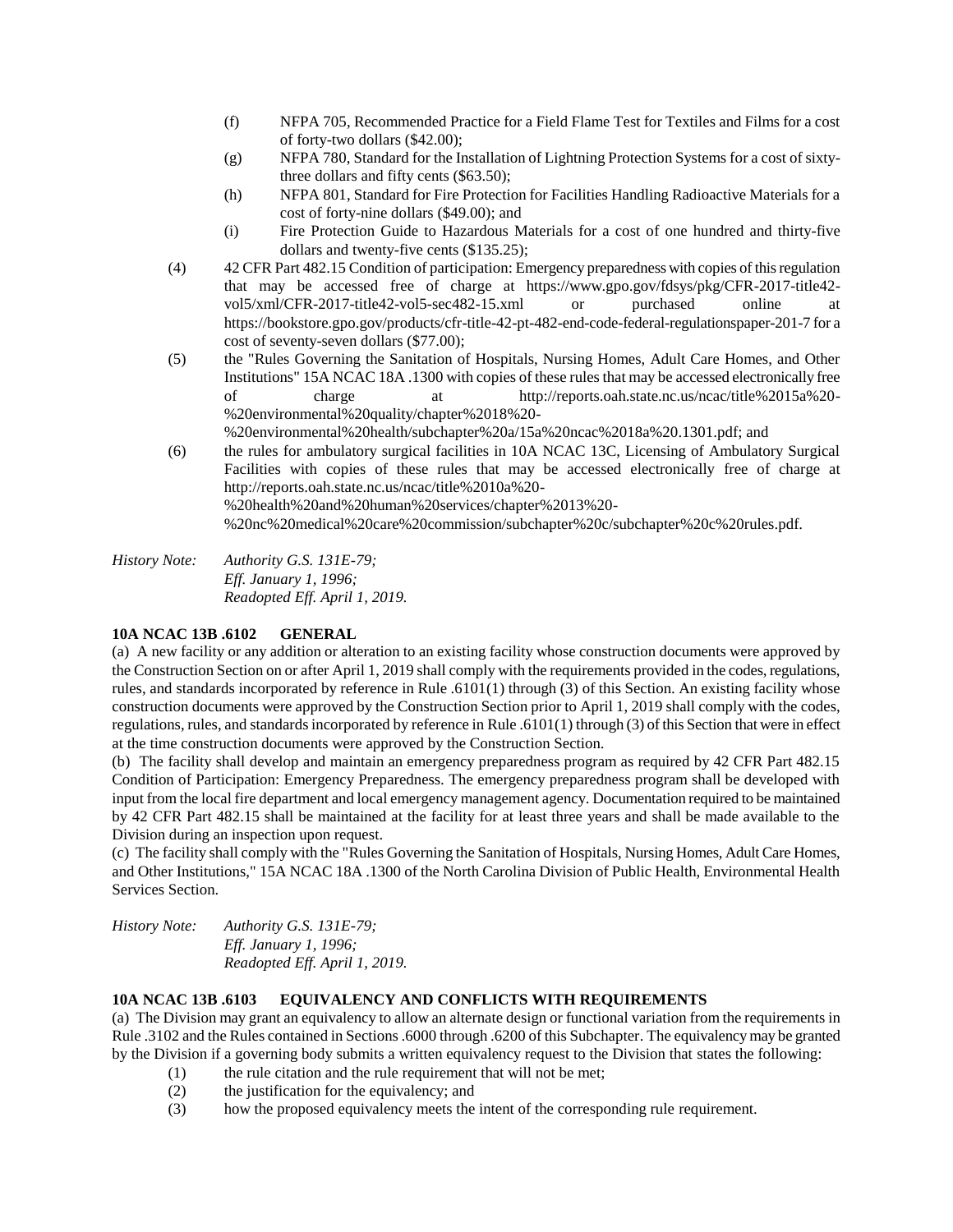- (f) NFPA 705, Recommended Practice for a Field Flame Test for Textiles and Films for a cost of forty-two dollars (\$42.00);
- (g) NFPA 780, Standard for the Installation of Lightning Protection Systems for a cost of sixtythree dollars and fifty cents (\$63.50);
- (h) NFPA 801, Standard for Fire Protection for Facilities Handling Radioactive Materials for a cost of forty-nine dollars (\$49.00); and
- (i) Fire Protection Guide to Hazardous Materials for a cost of one hundred and thirty-five dollars and twenty-five cents (\$135.25);
- (4) 42 CFR Part 482.15 Condition of participation: Emergency preparedness with copies of this regulation that may be accessed free of charge at https://www.gpo.gov/fdsys/pkg/CFR-2017-title42 vol5/xml/CFR-2017-title42-vol5-sec482-15.xml or purchased online at https://bookstore.gpo.gov/products/cfr-title-42-pt-482-end-code-federal-regulationspaper-201-7 for a cost of seventy-seven dollars (\$77.00);
- (5) the "Rules Governing the Sanitation of Hospitals, Nursing Homes, Adult Care Homes, and Other Institutions" 15A NCAC 18A .1300 with copies of these rules that may be accessed electronically free of charge at http://reports.oah.state.nc.us/ncac/title%2015a%20- %20environmental%20quality/chapter%2018%20-

%20environmental%20health/subchapter%20a/15a%20ncac%2018a%20.1301.pdf; and

(6) the rules for ambulatory surgical facilities in 10A NCAC 13C, Licensing of Ambulatory Surgical Facilities with copies of these rules that may be accessed electronically free of charge at http://reports.oah.state.nc.us/ncac/title%2010a%20- %20health%20and%20human%20services/chapter%2013%20-

%20nc%20medical%20care%20commission/subchapter%20c/subchapter%20c%20rules.pdf.

*History Note: Authority G.S. 131E-79; Eff. January 1, 1996; Readopted Eff. April 1, 2019.*

## **10A NCAC 13B .6102 GENERAL**

(a) A new facility or any addition or alteration to an existing facility whose construction documents were approved by the Construction Section on or after April 1, 2019 shall comply with the requirements provided in the codes, regulations, rules, and standards incorporated by reference in Rule .6101(1) through (3) of this Section. An existing facility whose construction documents were approved by the Construction Section prior to April 1, 2019 shall comply with the codes, regulations, rules, and standards incorporated by reference in Rule .6101(1) through (3) of this Section that were in effect at the time construction documents were approved by the Construction Section.

(b) The facility shall develop and maintain an emergency preparedness program as required by 42 CFR Part 482.15 Condition of Participation: Emergency Preparedness. The emergency preparedness program shall be developed with input from the local fire department and local emergency management agency. Documentation required to be maintained by 42 CFR Part 482.15 shall be maintained at the facility for at least three years and shall be made available to the Division during an inspection upon request.

(c) The facility shall comply with the "Rules Governing the Sanitation of Hospitals, Nursing Homes, Adult Care Homes, and Other Institutions," 15A NCAC 18A .1300 of the North Carolina Division of Public Health, Environmental Health Services Section.

*History Note: Authority G.S. 131E-79; Eff. January 1, 1996; Readopted Eff. April 1, 2019.*

## **10A NCAC 13B .6103 EQUIVALENCY AND CONFLICTS WITH REQUIREMENTS**

(a) The Division may grant an equivalency to allow an alternate design or functional variation from the requirements in Rule .3102 and the Rules contained in Sections .6000 through .6200 of this Subchapter. The equivalency may be granted by the Division if a governing body submits a written equivalency request to the Division that states the following:

- (1) the rule citation and the rule requirement that will not be met;
- (2) the justification for the equivalency; and
- (3) how the proposed equivalency meets the intent of the corresponding rule requirement.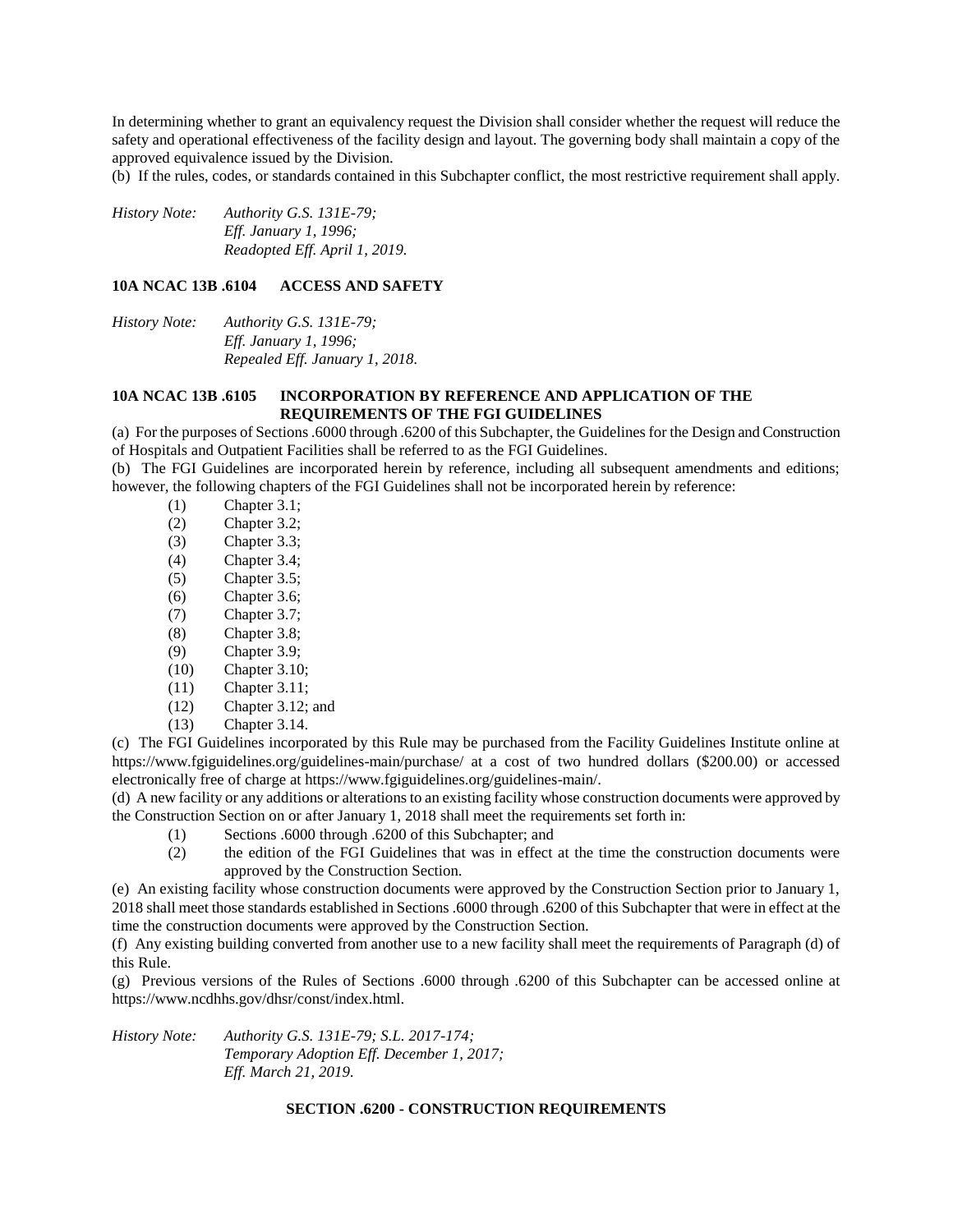In determining whether to grant an equivalency request the Division shall consider whether the request will reduce the safety and operational effectiveness of the facility design and layout. The governing body shall maintain a copy of the approved equivalence issued by the Division.

(b) If the rules, codes, or standards contained in this Subchapter conflict, the most restrictive requirement shall apply.

*History Note: Authority G.S. 131E-79; Eff. January 1, 1996; Readopted Eff. April 1, 2019.*

#### **10A NCAC 13B .6104 ACCESS AND SAFETY**

*History Note: Authority G.S. 131E-79; Eff. January 1, 1996; Repealed Eff. January 1, 2018.*

### **10A NCAC 13B .6105 INCORPORATION BY REFERENCE AND APPLICATION OF THE REQUIREMENTS OF THE FGI GUIDELINES**

(a) For the purposes of Sections .6000 through .6200 of this Subchapter, the Guidelines for the Design and Construction of Hospitals and Outpatient Facilities shall be referred to as the FGI Guidelines.

(b) The FGI Guidelines are incorporated herein by reference, including all subsequent amendments and editions; however, the following chapters of the FGI Guidelines shall not be incorporated herein by reference:

- (1) Chapter 3.1;
- (2) Chapter 3.2;
- (3) Chapter 3.3;
- (4) Chapter 3.4;
- (5) Chapter 3.5;
- (6) Chapter 3.6;
- (7) Chapter 3.7;
- (8) Chapter 3.8;
- (9) Chapter 3.9;
- (10) Chapter 3.10;
- (11) Chapter 3.11;
- (12) Chapter 3.12; and
- (13) Chapter 3.14.

(c) The FGI Guidelines incorporated by this Rule may be purchased from the Facility Guidelines Institute online at https://www.fgiguidelines.org/guidelines-main/purchase/ at a cost of two hundred dollars (\$200.00) or accessed electronically free of charge at https://www.fgiguidelines.org/guidelines-main/.

(d) A new facility or any additions or alterations to an existing facility whose construction documents were approved by the Construction Section on or after January 1, 2018 shall meet the requirements set forth in:

- (1) Sections .6000 through .6200 of this Subchapter; and
- (2) the edition of the FGI Guidelines that was in effect at the time the construction documents were approved by the Construction Section.

(e) An existing facility whose construction documents were approved by the Construction Section prior to January 1, 2018 shall meet those standards established in Sections .6000 through .6200 of this Subchapter that were in effect at the time the construction documents were approved by the Construction Section.

(f) Any existing building converted from another use to a new facility shall meet the requirements of Paragraph (d) of this Rule.

(g) Previous versions of the Rules of Sections .6000 through .6200 of this Subchapter can be accessed online at https://www.ncdhhs.gov/dhsr/const/index.html.

*History Note: Authority G.S. 131E-79; S.L. 2017-174; Temporary Adoption Eff. December 1, 2017; Eff. March 21, 2019.*

#### **SECTION .6200 - CONSTRUCTION REQUIREMENTS**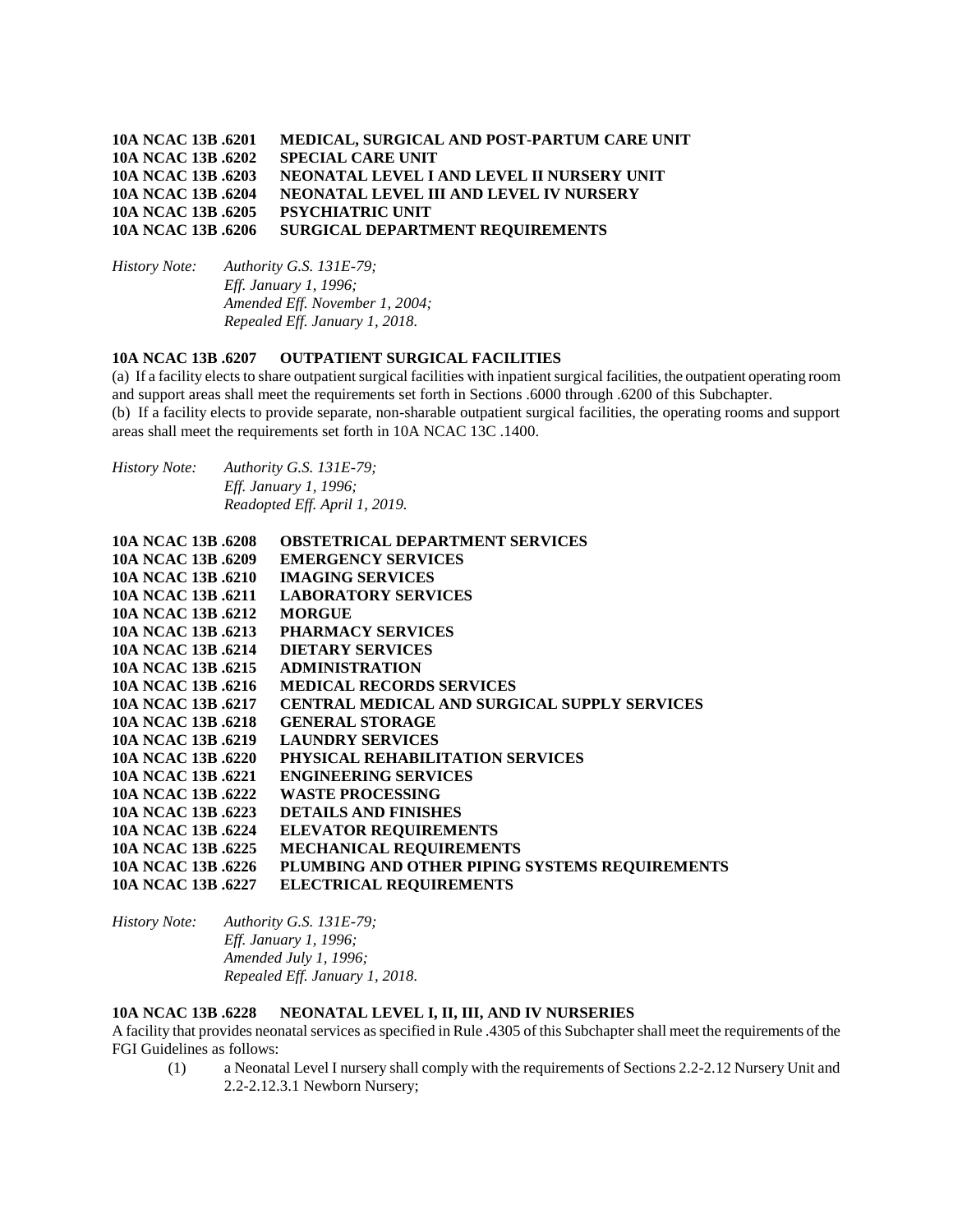## **10A NCAC 13B .6201 MEDICAL, SURGICAL AND POST-PARTUM CARE UNIT 10A NCAC 13B .6202 SPECIAL CARE UNIT 10A NCAC 13B .6203 NEONATAL LEVEL I AND LEVEL II NURSERY UNIT 10A NCAC 13B .6204 NEONATAL LEVEL III AND LEVEL IV NURSERY 10A NCAC 13B .6205 PSYCHIATRIC UNIT 10A NCAC 13B .6206 SURGICAL DEPARTMENT REQUIREMENTS**

*History Note: Authority G.S. 131E-79; Eff. January 1, 1996; Amended Eff. November 1, 2004; Repealed Eff. January 1, 2018.*

# **10A NCAC 13B .6207 OUTPATIENT SURGICAL FACILITIES**

(a) If a facility elects to share outpatient surgical facilities with inpatient surgical facilities, the outpatient operating room and support areas shall meet the requirements set forth in Sections .6000 through .6200 of this Subchapter. (b) If a facility elects to provide separate, non-sharable outpatient surgical facilities, the operating rooms and support areas shall meet the requirements set forth in 10A NCAC 13C .1400.

| <i>History Note:</i> | Authority G.S. $131E-79$ ;    |
|----------------------|-------------------------------|
|                      | <i>Eff. January 1, 1996;</i>  |
|                      | Readopted Eff. April 1, 2019. |

| 10A NCAC 13B .6208 | <b>OBSTETRICAL DEPARTMENT SERVICES</b>              |
|--------------------|-----------------------------------------------------|
| 10A NCAC 13B .6209 | <b>EMERGENCY SERVICES</b>                           |
| 10A NCAC 13B .6210 | <b>IMAGING SERVICES</b>                             |
| 10A NCAC 13B .6211 | <b>LABORATORY SERVICES</b>                          |
| 10A NCAC 13B .6212 | <b>MORGUE</b>                                       |
| 10A NCAC 13B .6213 | PHARMACY SERVICES                                   |
| 10A NCAC 13B .6214 | <b>DIETARY SERVICES</b>                             |
| 10A NCAC 13B .6215 | <b>ADMINISTRATION</b>                               |
| 10A NCAC 13B .6216 | <b>MEDICAL RECORDS SERVICES</b>                     |
| 10A NCAC 13B .6217 | <b>CENTRAL MEDICAL AND SURGICAL SUPPLY SERVICES</b> |
| 10A NCAC 13B .6218 | <b>GENERAL STORAGE</b>                              |
| 10A NCAC 13B .6219 | <b>LAUNDRY SERVICES</b>                             |
| 10A NCAC 13B .6220 | PHYSICAL REHABILITATION SERVICES                    |
| 10A NCAC 13B .6221 | <b>ENGINEERING SERVICES</b>                         |
| 10A NCAC 13B .6222 | WASTE PROCESSING                                    |
| 10A NCAC 13B .6223 | <b>DETAILS AND FINISHES</b>                         |
| 10A NCAC 13B .6224 | <b>ELEVATOR REQUIREMENTS</b>                        |
| 10A NCAC 13B .6225 | <b>MECHANICAL REQUIREMENTS</b>                      |
| 10A NCAC 13B .6226 | PLUMBING AND OTHER PIPING SYSTEMS REQUIREMENTS      |
| 10A NCAC 13B .6227 | <b>ELECTRICAL REQUIREMENTS</b>                      |

*History Note: Authority G.S. 131E-79; Eff. January 1, 1996; Amended July 1, 1996; Repealed Eff. January 1, 2018.*

#### **10A NCAC 13B .6228 NEONATAL LEVEL I, II, III, AND IV NURSERIES**

A facility that provides neonatal services as specified in Rule .4305 of this Subchapter shall meet the requirements of the FGI Guidelines as follows:

(1) a Neonatal Level I nursery shall comply with the requirements of Sections 2.2-2.12 Nursery Unit and 2.2-2.12.3.1 Newborn Nursery;